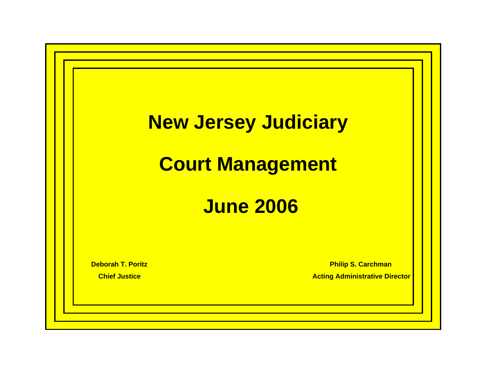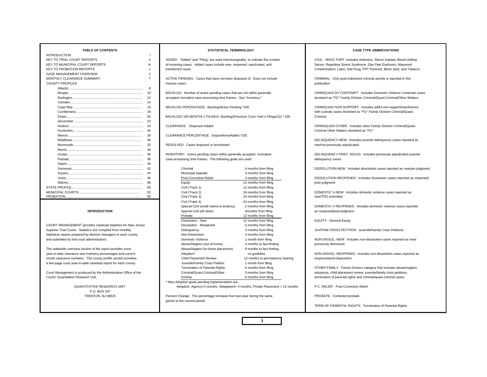| <b>INTRODUCTION</b>                   |                |                                                                          |                       |
|---------------------------------------|----------------|--------------------------------------------------------------------------|-----------------------|
| <b>KEY TO TRIAL COURT REPORTS</b>     | ii             | ADDED: "Added" and "Filing" are used interchangeably to indicate the nur |                       |
| <b>KEY TO MUNICIPAL COURT REPORTS</b> | iii            | of incoming cases. Added cases include new, reopened, reactivated, and   |                       |
| <b>KEY TO PROBATION REPORTS</b>       | 1              | transferred cases.                                                       |                       |
| CASE MANAGEMENT OVERVIEW              | $\overline{2}$ |                                                                          |                       |
| MONTHLY CLEARANCE SUMMARY             | $\overline{7}$ | ACTIVE PENDING: Cases that have not been disposed of. Does not inclu     |                       |
| <b>COUNTY PROFILES</b>                |                | inactive cases.                                                          |                       |
|                                       | 8              |                                                                          |                       |
|                                       | 10             | BACKLOG: Number of active pending cases that are not within generally    |                       |
|                                       | 12             | accepted normative case processing time frames. See "Inventory."         |                       |
|                                       | 14             |                                                                          |                       |
|                                       | 16             | BACKLOG PERCENTAGE: Backlog/Active Pending *100.                         |                       |
|                                       | 18             |                                                                          |                       |
|                                       | 20             | BACKLOG/ 100 MONTHLY FILINGS: Backlog/(Previous Court Year's Filing      |                       |
|                                       | 22             |                                                                          |                       |
|                                       | 24             | CLEARANCE: Disposed-Added.                                               |                       |
|                                       | 26             |                                                                          |                       |
|                                       | 28             | CLEARANCE PERCENTAGE: Dispositions/Added *100.                           |                       |
|                                       | 30             |                                                                          |                       |
|                                       | 32             | RESOLVED: Cases disposed or terminated.                                  |                       |
|                                       | 34             |                                                                          |                       |
|                                       | 36             | INVENTORY: Active pending cases within generally accepted normative      |                       |
|                                       | 38             | case-processing time frames. The following goals are used:               |                       |
|                                       | 40             |                                                                          |                       |
|                                       | 42             | Criminal                                                                 | 4 months from filing  |
|                                       | 44             | <b>Municipal Appeals</b>                                                 | 3 months from filing  |
|                                       | 46             | Post-Conviction Relief                                                   | 3 months from filing  |
|                                       | 48             | Equity                                                                   | 12 months from filing |
|                                       | 50             | Civil (Track 1)                                                          | 12 months from filing |
|                                       | 52             | Civil (Track 2)                                                          | 18 months from filing |
|                                       | 60             | Civil (Track 3)                                                          | 24 months from filing |

#### **INTRODUCTION**

P.O. BOX 037

ADDED: "Added" and "Filing" are used interchangeably to indicate the number CIVIL - MASS TORT: Includes Asbestos, Silicon Implant, Blood-clotting of incoming cases. Added cases include new, reopened, reactivated, and Serum, Repetitive Stress Syndrome, Gas Pipe Explosion, Maywood transferred cases.

ACTIVE PENDING: Cases that have not been disposed of. Does not include CRIMINAL: Only post-indictment criminal activity is reported in this inactive cases. publication. The contract of the contract of the contract of the contract of the contract of the contract of the contract of the contract of the contract of the contract of the contract of the contract of the contract of t

BACKLOG/ 100 MONTHLY FILINGS: Backlog/(Previous Court Year's Filings/12) \* 100 Criminal.

case-processing time frames. The following goals are used: delinquency cases. delinquency cases.

|                                                                  |    | Criminal                                         | 4 months from filing            | DISSOLUTION-NEW: Includes dissolution cases reported as new/pre-juck |
|------------------------------------------------------------------|----|--------------------------------------------------|---------------------------------|----------------------------------------------------------------------|
|                                                                  | 44 | Municipal Appeals                                | 3 months from filing            |                                                                      |
|                                                                  | 46 | <b>Post-Conviction Relief</b>                    | 3 months from filing            | DISSOLUTION-REOPENED: Includes dissolution cases reported as reop    |
|                                                                  | 48 | Equity                                           | 12 months from filing           | post-judgment.                                                       |
|                                                                  | 50 | Civil (Track 1)                                  | 12 months from filing           |                                                                      |
|                                                                  | 52 | Civil (Track 2)                                  | 18 months from filing           | DOMESTIC V-NEW: Includes domestic violence cases reported as         |
|                                                                  | 60 | Civil (Track 3)                                  | 24 months from filing           | new/TRO extended.                                                    |
|                                                                  |    | Civil (Track 4)                                  | 24 months from filing           |                                                                      |
|                                                                  |    | Special Civil (small claims & tenancy)           | 2 months from filing            | DOMESTIC V-REOPENED: Includes domestic violence cases reported       |
| <b>INTRODUCTION</b>                                              |    | Special Civil (all other)                        | 4months from filing             | as reopened/post-judgment.                                           |
|                                                                  |    | Probate                                          | 12 months from filing           |                                                                      |
|                                                                  |    | Dissolution - New                                | 12 months from filing           | <b>EQUITY: General Equity</b>                                        |
| COURT MANAGEMENT provides caseload statistics for New Jersey     |    | Dissolution - Reopened                           | 6 months from filing            |                                                                      |
| Superior Trial Courts. Statistics are compiled from monthly      |    | Delinquency                                      | 3 months from filing            | JUV/FAM CRISIS PETITION: Juvenile/Family Crisis Petitions.           |
| statistical reports prepared by division managers in each county |    | Non-Dissolution                                  | 3 months from filing            |                                                                      |
| and submitted by trial court administrators.                     |    | Domestic Violence                                | 1 month from filing             | NON-DISSOL.-NEW: Includes non-dissolution cases reported as new/     |
|                                                                  |    | Abuse/Neglect (out-of-home)                      | 4 months to fact-finding        | previously dismissed.                                                |
| The statewide overview section of the report provides court      |    | Abuse/Neglect (in-home placement)                | 6 months to fact-finding        |                                                                      |
| year-to-date clearance and inventory percentages and current     |    | Adoption*                                        | no quideline                    | NON-DISSOL.-REOPENED: Includes non-dissolution cases reported as     |
| month clearance numbers. The county profile section provides     |    | <b>Child Placement Review</b>                    | 12 months to permanency hearing | reopened/post-disposition.                                           |
| a two-page court year-to-date caseload report for each county.   |    | Juvenile/Family Crisis Petition                  | 1 month from filing             |                                                                      |
|                                                                  |    | <b>Termination of Parental Rights</b>            | 6 months from filing            | OTHER FAMILY: Family Division category that includes abuse/neglect,  |
| Court Management is produced by the Administrative Office of the |    | Criminal/Quasi-Criminal/Other                    | 3 months from filing            | adoptions, child placement review, juvenile/family crisis petitions, |
| Courts' Quantitative Research Unit.                              |    | Kinship                                          | 6 months from filing            | termination of parental rights and criminal/quasi-criminal cases.    |
|                                                                  |    | * New Adoption goals pending implementation are: |                                 |                                                                      |
|                                                                  |    |                                                  |                                 |                                                                      |

QUANTITATIVE RESEARCH UNIT **Adoption: Agency=2 months, Stepparent= 4 months**, Private Placement = 12 months P.C. RELIEF: Post-Conviction Relief.

TRENTON, NJ 08625 Percent Change: The percentage increase from last year during the same PROBATE: Contested probate. period to the current period.



#### **TABLE OF CONTENTS STATISTICAL TERMINOLOGY CASE TYPE ABBREVIATIONS**

Contamination, Latex, Diet Drug, FRT Plywood, Black Jack, and Tobacco

BACKLOG: Number of active pending cases that are not within generally CRIM/QUASI DV CONTEMPT: Includes Domestic Violence Contempt cases accepted normative case processing time frames. See "Inventory." <br>docketed as "FO" Family Division Criminal/Quasi-Criminal/Other Matters.

BACKLOG PERCENTAGE: Backlog/Active Pending \*100. CRIM/QUASI NON-SUPPORT: Includes willful non-support/interference with custody cases docketed as "FO" Family Division Criminal/Quasi-

CLEARANCE: Disposed-Added. **CRIMI/QUASI OTHER: Includes other Family Division Criminal/Quasi-**Criminal Other Matters docketed as "FO."

 DELINQUENCY-NEW: Includes juvenile delinquency cases reported as RESOLVED: Cases disposed or terminated. The same of the state of the state of the state of the state of terminated.

INVENTORY: Active pending cases within generally accepted normative DELINQUENCY-PREV. ADJUD: Includes previously adjudicated juvenile

DISSOLUTION-NEW: Includes dissolution cases reported as new/pre-judgment.

DISSOLUTION-REOPENED: Includes dissolution cases reported as reopened/ post-judgment.

TERM OF PARENTAL RIGHTS: Termination of Parental Rights.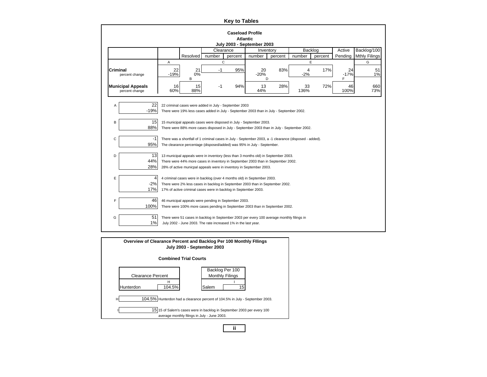|                 |                                                                          |              |                                                                                                                                                                                                                                               |           | <b>Key to Tables</b> |                   |           |            |         |                   |                      |  |  |  |
|-----------------|--------------------------------------------------------------------------|--------------|-----------------------------------------------------------------------------------------------------------------------------------------------------------------------------------------------------------------------------------------------|-----------|----------------------|-------------------|-----------|------------|---------|-------------------|----------------------|--|--|--|
|                 | <b>Caseload Profile</b><br><b>Atlantic</b><br>July 2003 - September 2003 |              |                                                                                                                                                                                                                                               |           |                      |                   |           |            |         |                   |                      |  |  |  |
|                 |                                                                          |              |                                                                                                                                                                                                                                               | Clearance |                      |                   | Inventory | Backlog    |         | Active            | Backlog/100          |  |  |  |
|                 |                                                                          |              | Resolved                                                                                                                                                                                                                                      | number    | percent              | number            | percent   | number     | percent | Pending           | <b>Mthly Filings</b> |  |  |  |
|                 |                                                                          | Α            |                                                                                                                                                                                                                                               | C         |                      |                   |           | E          |         |                   | G                    |  |  |  |
| <b>Criminal</b> | percent change                                                           | 22<br>$-19%$ | 21<br>0%<br>B                                                                                                                                                                                                                                 | $-1$      | 95%                  | 20<br>$-20%$<br>D | 83%       | 4<br>$-2%$ | 17%     | 24<br>$-17%$<br>F | 51<br>$1\%$          |  |  |  |
|                 | <b>Municipal Appeals</b><br>percent change                               | 16<br>60%    | 94%<br>28%<br>72%<br>15<br>13<br>33<br>46<br>660<br>$-1$<br>88%<br>73%<br>44%<br>136%<br>100%                                                                                                                                                 |           |                      |                   |           |            |         |                   |                      |  |  |  |
| Α               | 22<br>$-19%$                                                             |              | 22 criminal cases were added in July - September 2003<br>There were 19% less cases added in July - September 2003 than in July - September 2002.                                                                                              |           |                      |                   |           |            |         |                   |                      |  |  |  |
| B               | 15<br>88%                                                                |              | 15 municipal appeals cases were disposed in July - September 2003.<br>There were 88% more cases disposed in July - September 2003 than in July - September 2002.                                                                              |           |                      |                   |           |            |         |                   |                      |  |  |  |
| с               | $-1$<br>95%                                                              |              | There was a shortfall of 1 criminal cases in July - September 2003, a -1 clearance (disposed - added).<br>The clearance percentage (disposed/added) was 95% in July - September.                                                              |           |                      |                   |           |            |         |                   |                      |  |  |  |
| D               | 13<br>44%<br>28%                                                         |              | 13 municipal appeals were in inventory (less than 3 months old) in September 2003.<br>There were 44% more cases in inventory in September 2003 than in September 2002.<br>28% of active municpal appeals were in inventory in September 2003. |           |                      |                   |           |            |         |                   |                      |  |  |  |
| Е               | 4<br>$-2%$<br>17%                                                        |              | 4 criminal cases were in backlog (over 4 months old) in September 2003.<br>There were 2% less cases in backlog in September 2003 than in September 2002.<br>17% of active criminal cases were in backlog in September 2003.                   |           |                      |                   |           |            |         |                   |                      |  |  |  |
| F               | 46<br>100%                                                               |              | 46 municipal appeals were pending in September 2003.<br>There were 100% more cases pending in September 2003 than in September 2002.                                                                                                          |           |                      |                   |           |            |         |                   |                      |  |  |  |
| G               | 51<br>1%                                                                 |              | There were 51 cases in backlog in September 2003 per every 100 average monthly filings in<br>July 2002 - June 2003. The rate increased 1% in the last year.                                                                                   |           |                      |                   |           |            |         |                   |                      |  |  |  |

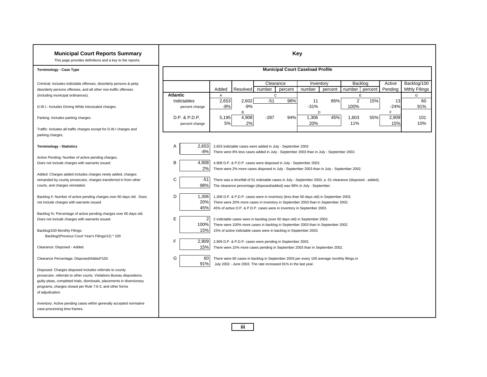| <b>Municipal Court Reports Summary</b><br>This page provides definitions and a key to the reports.                                    |                               |                |                |                                                                   | <b>Key</b> |                                                                                                            |         |                   |         |                    |                                     |
|---------------------------------------------------------------------------------------------------------------------------------------|-------------------------------|----------------|----------------|-------------------------------------------------------------------|------------|------------------------------------------------------------------------------------------------------------|---------|-------------------|---------|--------------------|-------------------------------------|
| <b>Terminology - Case Type</b>                                                                                                        |                               |                |                |                                                                   |            | <b>Municipal Court Caseload Profile</b>                                                                    |         |                   |         |                    |                                     |
| Criminal: Includes indictable offenses, disorderly persons & petty<br>disorderly persons offenses, and all other non-traffic offenses |                               | Added          | Resolved       | Clearance<br>number                                               | percent    | Inventory<br>number                                                                                        | percent | Backlog<br>number | percent | Active<br>Pending  | Backlog/100<br><b>Mthly Fllings</b> |
| (including municipal ordinances).                                                                                                     | <b>Atlantic</b>               | $\mathsf{A}$   |                | $\mathsf{C}$                                                      |            |                                                                                                            |         | E.                |         |                    | G                                   |
| D.W.I.: Includes Driving While Intoxicated charges.                                                                                   | Indictables<br>percent change | 2,653<br>$-8%$ | 2,602<br>$-9%$ | $-51$                                                             | 98%        | 11<br>$-31%$                                                                                               | 85%     | 2<br>100%         | 15%     | 13<br>$-24%$       | 60<br>91%                           |
| Parking: Includes parking charges.                                                                                                    | D.P. & P.D.P.                 | 5,195<br>5%    | В<br>4,908     | $-287$                                                            | 94%        | D<br>1,306<br>20%                                                                                          | 45%     | 1,603<br>11%      | 55%     | F.<br>2,909<br>15% | 101<br>10%                          |
| Traffic: Includes all traffic charges except for D.W.I charges and                                                                    | percent change                |                | 2%             |                                                                   |            |                                                                                                            |         |                   |         |                    |                                     |
| parking charges.                                                                                                                      |                               |                |                |                                                                   |            |                                                                                                            |         |                   |         |                    |                                     |
| <b>Terminology - Statistics</b>                                                                                                       | 2,653<br>A<br>$-8%$           |                |                | 2,653 indictable cases were added in July - September 2003        |            | There were 8% less cases added in July - September 2003 than in July - September 2002.                     |         |                   |         |                    |                                     |
| Active Pending: Number of active pending charges.                                                                                     |                               |                |                |                                                                   |            |                                                                                                            |         |                   |         |                    |                                     |
| Does not include charges with warrants issued.                                                                                        | В<br>4,908<br>2%              |                |                | 4,908 D.P. & P.D.P. cases were disposed in July - September 2003. |            | There were 2% more cases disposed in July - September 2003 than in July - September 2002.                  |         |                   |         |                    |                                     |
| Added: Charges added includes charges newly added, charges                                                                            |                               |                |                |                                                                   |            |                                                                                                            |         |                   |         |                    |                                     |
| remanded by county prosecutor, charges transferred in from other                                                                      | C<br>$-51$                    |                |                |                                                                   |            | There was a shortfall of 51 indictable cases in July - September 2003, a -51 clearance (disposed - added). |         |                   |         |                    |                                     |
| courts, and charges reinstated.                                                                                                       | 98%                           |                |                |                                                                   |            | The clearance percentage (disposed/added) was 98% in July - September.                                     |         |                   |         |                    |                                     |
| Backlog #: Number of active pending charges over 60 days old. Does                                                                    | D<br>1,306                    |                |                |                                                                   |            | 1,306 D.P. & P.D.P. cases were in inventory (less than 60 days old) in September 2003.                     |         |                   |         |                    |                                     |
| not include charges with warrants issued.                                                                                             | 20%                           |                |                |                                                                   |            | There were 20% more cases in inventory in September 2003 than in September 2002.                           |         |                   |         |                    |                                     |
|                                                                                                                                       | 45%                           |                |                |                                                                   |            | 45% of active D.P. & P.D.P. cases were in inventory in September 2003.                                     |         |                   |         |                    |                                     |
| Backlog %: Percentage of active pending charges over 60 days old.<br>Does not include charges with warrants issued.                   | Е                             |                |                |                                                                   |            | 2 indictable cases were in backlog (over 60 days old) in September 2003.                                   |         |                   |         |                    |                                     |
|                                                                                                                                       | 100%                          |                |                |                                                                   |            | There were 100% more cases in backlog in September 2003 than in September 2002.                            |         |                   |         |                    |                                     |
| Backlog/100 Monthly Filings:                                                                                                          | 15%                           |                |                | 15% of active indictable cases were in backlog in September 2003. |            |                                                                                                            |         |                   |         |                    |                                     |
| Backlog/(Previous Court Year's Filings/12) * 100                                                                                      | F<br>2.909                    |                |                |                                                                   |            |                                                                                                            |         |                   |         |                    |                                     |
| Clearance: Disposed - Added.                                                                                                          | 15%                           |                |                | 2,909 D.P. & P.D.P. cases were pending in September 2003.         |            | There were 15% more cases pending in September 2003 than in September 2002.                                |         |                   |         |                    |                                     |
|                                                                                                                                       |                               |                |                |                                                                   |            |                                                                                                            |         |                   |         |                    |                                     |
| Clearance Percentage: Disposed/Added*100.                                                                                             | G<br>60                       |                |                |                                                                   |            | There were 60 cases in backlog in September 2003 per every 100 average monthly filings in                  |         |                   |         |                    |                                     |
| Disposed: Charges disposed includes referrals to county                                                                               | 91%                           |                |                | July 2002 - June 2003. The rate increased 91% in the last year.   |            |                                                                                                            |         |                   |         |                    |                                     |
| prosecutor, referrals to other courts, Violations Bureau dispositions,                                                                |                               |                |                |                                                                   |            |                                                                                                            |         |                   |         |                    |                                     |
| guilty pleas, completed trials, dismissals, placements in diversionary                                                                |                               |                |                |                                                                   |            |                                                                                                            |         |                   |         |                    |                                     |
| programs, charges closed per Rule 7:6-3, and other forms                                                                              |                               |                |                |                                                                   |            |                                                                                                            |         |                   |         |                    |                                     |
| of adjudication.                                                                                                                      |                               |                |                |                                                                   |            |                                                                                                            |         |                   |         |                    |                                     |
| Inventory: Active pending cases within generally accepted normative                                                                   |                               |                |                |                                                                   |            |                                                                                                            |         |                   |         |                    |                                     |
| case-processing time frames.                                                                                                          |                               |                |                |                                                                   |            |                                                                                                            |         |                   |         |                    |                                     |
|                                                                                                                                       |                               |                |                |                                                                   |            |                                                                                                            |         |                   |         |                    |                                     |

**iii**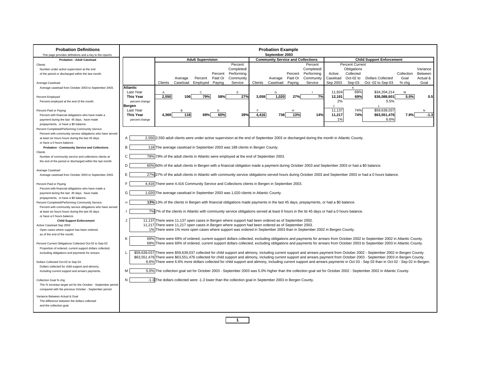| <b>Probation Definitions</b><br>This page provides definitions and a key to the reports.                       |                          |                                                                                                                                                |                          |         |                    |         | <b>Probation Example</b><br>September 2003 |         |                    |              |                        |                                                                                                                                                                                  |            |          |
|----------------------------------------------------------------------------------------------------------------|--------------------------|------------------------------------------------------------------------------------------------------------------------------------------------|--------------------------|---------|--------------------|---------|--------------------------------------------|---------|--------------------|--------------|------------------------|----------------------------------------------------------------------------------------------------------------------------------------------------------------------------------|------------|----------|
| <b>Probation - Adult Caseload</b>                                                                              |                          |                                                                                                                                                | <b>Adult Supervision</b> |         |                    |         | <b>Community Service and Collections</b>   |         |                    |              |                        | <b>Child Support Enforcement</b>                                                                                                                                                 |            |          |
| Clients                                                                                                        |                          |                                                                                                                                                |                          |         | Percent            |         |                                            |         | Percent            |              | <b>Percent Current</b> |                                                                                                                                                                                  |            |          |
| Number under active supervision at the end                                                                     |                          |                                                                                                                                                |                          |         | Completed/         |         |                                            |         | Completed/         |              | Obligations            |                                                                                                                                                                                  |            | Variance |
| of the period or discharged within the last month.                                                             |                          |                                                                                                                                                |                          |         | Percent Performing |         |                                            |         | Percent Performing | Active       | Collected              |                                                                                                                                                                                  | Collection | Between  |
|                                                                                                                |                          | Average                                                                                                                                        | Percent                  | Paid Or | Community          |         | Average                                    | Paid Or | Community          | Caseload     | Oct-02 to              | <b>Dollars Collected</b>                                                                                                                                                         | Goal       | Actual & |
| Average Caseload                                                                                               |                          | Clients<br>Caseload                                                                                                                            | Emploved Paving          |         | Service            | Clients | Caseload                                   | Paving  | Service            | Sep 2003     | Sep-03                 | Oct -02 to Sep-03                                                                                                                                                                | % cha      | Goal     |
| Average caseload from October 2003 to September 2003.                                                          | Atlantic                 |                                                                                                                                                |                          |         |                    |         |                                            |         |                    |              | K                      |                                                                                                                                                                                  |            |          |
|                                                                                                                | Last Year                | $\overline{A}$<br>106                                                                                                                          | $\mathbf C$              |         | E                  |         | G                                          |         |                    | 11,924       | 69%                    | \$34,204,214                                                                                                                                                                     | M          |          |
| Percent Employed                                                                                               | <b>This Year</b>         | 2,550                                                                                                                                          | 79%                      | 58%     | 27%                | 3.059   | 1,020                                      | 27%     | 7%                 | 12.191<br>2% | 69%                    | \$36,088,601<br>5.5%                                                                                                                                                             | 5.0%       | 0.5      |
| Percent employed at the end of the month.                                                                      | percent change<br>Bergen |                                                                                                                                                |                          |         |                    |         |                                            |         |                    | $\cdot$      |                        |                                                                                                                                                                                  |            |          |
| Percent Paid or Paying                                                                                         | Last Year                | R                                                                                                                                              |                          | D       |                    |         |                                            |         |                    | 11,137       | 74%                    | \$59,639,037                                                                                                                                                                     |            | N        |
| Percent with financial obligations who have made a                                                             | <b>This Year</b>         | 118<br>4.369                                                                                                                                   | 69%                      | 60%     | 39%                | 4.416   | 736                                        | 13%     | 14%                | 11,217       | 74%                    | \$63,551,476                                                                                                                                                                     | 7.9%       | $-1.3$   |
| payment during the last 45 days, have made                                                                     | percent change           |                                                                                                                                                |                          |         |                    |         |                                            |         |                    | 1%           |                        | 6.6%                                                                                                                                                                             |            |          |
| prepayments, or have a \$0 balance.                                                                            |                          |                                                                                                                                                |                          |         |                    |         |                                            |         |                    |              |                        |                                                                                                                                                                                  |            |          |
| Percent Completed/Performing Community Service                                                                 |                          |                                                                                                                                                |                          |         |                    |         |                                            |         |                    |              |                        |                                                                                                                                                                                  |            |          |
| Percent with community service obligations who have served                                                     |                          |                                                                                                                                                |                          |         |                    |         |                                            |         |                    |              |                        |                                                                                                                                                                                  |            |          |
| at least six hours hours during the last 45 days                                                               | A                        | 2,550 2,550 adult clients were under active supervision at the end of September 2003 or discharged during the month in Atlantic County.        |                          |         |                    |         |                                            |         |                    |              |                        |                                                                                                                                                                                  |            |          |
| or have a 0 hours balance.                                                                                     |                          |                                                                                                                                                |                          |         |                    |         |                                            |         |                    |              |                        |                                                                                                                                                                                  |            |          |
| <b>Probation - Community Service and Collections</b>                                                           | B                        | 118 The average caseload in September 2003 was 188 clients in Bergen County.                                                                   |                          |         |                    |         |                                            |         |                    |              |                        |                                                                                                                                                                                  |            |          |
| Clients<br>Number of community service and collections clients at                                              | C                        | 79% 79% of the adult clients in Atlantic were employed at the end of September 2003.                                                           |                          |         |                    |         |                                            |         |                    |              |                        |                                                                                                                                                                                  |            |          |
| the end of the period or discharged within the last month.                                                     |                          |                                                                                                                                                |                          |         |                    |         |                                            |         |                    |              |                        |                                                                                                                                                                                  |            |          |
|                                                                                                                | D                        | 60% 60% of the adult clients in Bergen with a financial obligation made a payment during October 2003 and September 2003 or had a \$0 balance. |                          |         |                    |         |                                            |         |                    |              |                        |                                                                                                                                                                                  |            |          |
| Average Caseload                                                                                               |                          |                                                                                                                                                |                          |         |                    |         |                                            |         |                    |              |                        |                                                                                                                                                                                  |            |          |
| Average caseload from October 2003 to September 2003.                                                          | E                        |                                                                                                                                                |                          |         |                    |         |                                            |         |                    |              |                        | 27% 27% of the adult clients in Atlantic with community service obligations served hours during October 2003 and September 2003 or had a 0 hours balance.                        |            |          |
| Percent Paid or Paying<br>Percent with financial obligations who have made a                                   | E                        | 4,416 There were 4,416 Community Service and Collections clients in Bergen in September 2003.                                                  |                          |         |                    |         |                                            |         |                    |              |                        |                                                                                                                                                                                  |            |          |
| payment during the last 45 days, have made                                                                     | G                        | 1,020 The average caseload in September 2003 was 1,020 clients in Atlantic County.                                                             |                          |         |                    |         |                                            |         |                    |              |                        |                                                                                                                                                                                  |            |          |
| prepayments, or have a \$0 balance.<br>Percent Completed/Performing Community Service                          | $\mathbf{H}$             | 13% 13% of the clients in Bergen with financial obligations made payments in the last 45 days, prepayments, or had a \$0 balance.              |                          |         |                    |         |                                            |         |                    |              |                        |                                                                                                                                                                                  |            |          |
| Percent with community service obligations who have served<br>at least six hours hours during the last 45 days |                          | 7% 7% of the clients in Atlantic with community service obligations served at least 6 hours in the lst 45 days or had a 0 hours balance.       |                          |         |                    |         |                                            |         |                    |              |                        |                                                                                                                                                                                  |            |          |
| or have a 0 hours balance.                                                                                     |                          |                                                                                                                                                |                          |         |                    |         |                                            |         |                    |              |                        |                                                                                                                                                                                  |            |          |
| <b>Child Support Enforcement</b>                                                                               | J.                       | 11,137 There were 11,137 open cases in Bergen where support had been ordered as of September 2002.                                             |                          |         |                    |         |                                            |         |                    |              |                        |                                                                                                                                                                                  |            |          |
| Active Caseload Sep 2003                                                                                       |                          | 11,217 There were 11,217 open cases in Bergen where support had been ordered as of September 2003.                                             |                          |         |                    |         |                                            |         |                    |              |                        |                                                                                                                                                                                  |            |          |
| Open cases where support has been ordered,<br>as of the end of the month.                                      |                          | 1% There were 1% more open cases where support was ordered in September 2003 than in September 2002 in Bergen County.                          |                          |         |                    |         |                                            |         |                    |              |                        |                                                                                                                                                                                  |            |          |
|                                                                                                                | K                        |                                                                                                                                                |                          |         |                    |         |                                            |         |                    |              |                        | 69% There were 69% of ordered, current support dollars collected, excluding obligations and payments for arrears from October 2002 to September 2002 in Atlantic County.         |            |          |
| Percent Current Obligations Collected Oct-02 to Sep-03                                                         |                          |                                                                                                                                                |                          |         |                    |         |                                            |         |                    |              |                        | 69% There were 69% of ordered, current support dollars collected, excluding obligations and payments for arrears from October 2003 to September 2003 in Atlantic County.         |            |          |
| Proportion of ordered, current support dollars collected,                                                      |                          |                                                                                                                                                |                          |         |                    |         |                                            |         |                    |              |                        |                                                                                                                                                                                  |            |          |
| excluding obligations and payments for arrears.                                                                | L                        |                                                                                                                                                |                          |         |                    |         |                                            |         |                    |              |                        | \$59,639,037 There were \$59,639,037 collected for child support and alimony, including current support and arrears payment from October 2002 - September 2002 in Bergen County. |            |          |
|                                                                                                                |                          |                                                                                                                                                |                          |         |                    |         |                                            |         |                    |              |                        | \$63,551,476 There were \$63,551,476 collected for child support and alimony, including current support and arrears payment from October 2003 - September 2003 in Bergen County. |            |          |
| Dollars Collected Oct-02 to Sep-03                                                                             |                          |                                                                                                                                                |                          |         |                    |         |                                            |         |                    |              |                        | 6.6% There were 6.6% more dollars collected for child support and alimony, including current support and arrears payments in Oct 03 - Sep 03 than in Oct 02 - Sep 02 in Bergen.  |            |          |
| Dollars collected for child support and alimony,                                                               | M                        |                                                                                                                                                |                          |         |                    |         |                                            |         |                    |              |                        | 5.0% The collection goal set for October 2003 - September 2003 was 5.0% higher than the collection goal set for October 2002 - September 2002 in Atlantic County.                |            |          |
| including current support and arrears payments.                                                                |                          |                                                                                                                                                |                          |         |                    |         |                                            |         |                    |              |                        |                                                                                                                                                                                  |            |          |
| Collection Goal % chg                                                                                          | N                        | -1.3 The dollars collected were -1.3 lower than the collection goal in September 2003 in Bergen County.                                        |                          |         |                    |         |                                            |         |                    |              |                        |                                                                                                                                                                                  |            |          |
| The % increase target set for the October - September period                                                   |                          |                                                                                                                                                |                          |         |                    |         |                                            |         |                    |              |                        |                                                                                                                                                                                  |            |          |
| compared with the previous October - September period.                                                         |                          |                                                                                                                                                |                          |         |                    |         |                                            |         |                    |              |                        |                                                                                                                                                                                  |            |          |
| Variance Between Actual & Goal                                                                                 |                          |                                                                                                                                                |                          |         |                    |         |                                            |         |                    |              |                        |                                                                                                                                                                                  |            |          |
| The difference between the dollars collected                                                                   |                          |                                                                                                                                                |                          |         |                    |         |                                            |         |                    |              |                        |                                                                                                                                                                                  |            |          |
| and the collection goal.                                                                                       |                          |                                                                                                                                                |                          |         |                    |         |                                            |         |                    |              |                        |                                                                                                                                                                                  |            |          |
|                                                                                                                |                          |                                                                                                                                                |                          |         |                    |         |                                            |         |                    |              |                        |                                                                                                                                                                                  |            |          |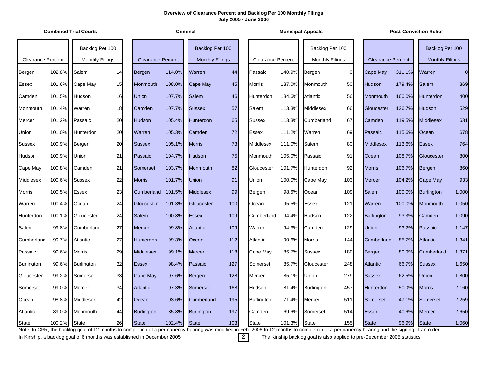|                          |        | <b>Combined Trial Courts</b>                                                                                                                                                                                |    |                          |        | <b>Criminal</b>        |     |                          |        | <b>Municipal Appeals</b> |                |                          |        | <b>Post-Conviction Relief</b> |          |
|--------------------------|--------|-------------------------------------------------------------------------------------------------------------------------------------------------------------------------------------------------------------|----|--------------------------|--------|------------------------|-----|--------------------------|--------|--------------------------|----------------|--------------------------|--------|-------------------------------|----------|
|                          |        | Backlog Per 100                                                                                                                                                                                             |    |                          |        | Backlog Per 100        |     |                          |        | Backlog Per 100          |                |                          |        | Backlog Per 100               |          |
| <b>Clearance Percent</b> |        | <b>Monthly Filings</b>                                                                                                                                                                                      |    | <b>Clearance Percent</b> |        | <b>Monthly Filings</b> |     | <b>Clearance Percent</b> |        | <b>Monthly Filings</b>   |                | <b>Clearance Percent</b> |        | <b>Monthly Filings</b>        |          |
| Bergen                   | 102.8% | Salem                                                                                                                                                                                                       | 14 | Bergen                   | 114.0% | Warren                 | 44  | Passaic                  | 140.9% | Bergen                   | $\overline{0}$ | Cape May                 | 311.1% | Warren                        | $\Omega$ |
| Essex                    | 101.6% | Cape May                                                                                                                                                                                                    | 15 | Monmouth                 | 108.0% | <b>Cape May</b>        | 45  | <b>Morris</b>            | 137.0% | Monmouth                 | 50             | Hudson                   | 179.4% | Salem                         | 369      |
| Camden                   | 101.5% | Hudson                                                                                                                                                                                                      | 16 | <b>Union</b>             | 107.7% | Salem                  | 46  | Hunterdon                | 134.6% | Atlantic                 | 56             | Monmouth                 | 160.0% | <b>Hunterdon</b>              | 400      |
| Monmouth                 | 101.4% | Warren                                                                                                                                                                                                      | 18 | Camden                   | 107.7% | <b>Sussex</b>          | 57  | Salem                    | 113.3% | Middlesex                | 66             | Gloucester               | 126.7% | Hudson                        | 529      |
| Mercer                   | 101.2% | Passaic                                                                                                                                                                                                     | 20 | Hudson                   | 105.4% | <b>Hunterdon</b>       | 65  | <b>Sussex</b>            | 113.3% | Cumberland               | 67             | Camden                   | 119.5% | <b>Middlesex</b>              | 631      |
| Union                    | 101.0% | Hunterdon                                                                                                                                                                                                   | 20 | Warren                   | 105.3% | Camden                 | 72  | Essex                    | 111.2% | Warren                   | 69             | Passaic                  | 115.6% | Ocean                         | 678      |
| Sussex                   | 100.9% | Bergen                                                                                                                                                                                                      | 20 | <b>Sussex</b>            | 105.1% | <b>Morris</b>          | 73  | Middlesex                | 111.0% | Salem                    | 80             | <b>Middlesex</b>         | 113.6% | <b>Essex</b>                  | 764      |
| Hudson                   | 100.9% | Union                                                                                                                                                                                                       | 21 | Passaic                  | 104.7% | <b>Hudson</b>          | 75  | Monmouth                 | 105.0% | Passaic                  | 91             | Ocean                    | 108.7% | Gloucester                    | 800      |
| Cape May                 | 100.8% | Camden                                                                                                                                                                                                      | 21 | Somerset                 | 103.7% | <b>Monmouth</b>        | 82  | Gloucester               | 101.7% | Hunterdon                | 92             | <b>Morris</b>            | 106.7% | Bergen                        | 860      |
| Middlesex                | 100.6% | <b>Sussex</b>                                                                                                                                                                                               | 22 | <b>Morris</b>            | 101.7% | <b>Union</b>           | 91  | Union                    | 100.0% | Cape May                 | 103            | <b>Mercer</b>            | 104.2% | Cape May                      | 933      |
| Morris                   | 100.5% | Essex                                                                                                                                                                                                       | 23 | Cumberland               | 101.5% | <b>Middlesex</b>       | 99  | Bergen                   | 98.6%  | Ocean                    | 109            | <b>Salem</b>             | 100.0% | <b>Burlington</b>             | 1,000    |
| Warren                   | 100.4% | Ocean                                                                                                                                                                                                       | 24 | Gloucester               | 101.3% | Gloucester             | 100 | Ocean                    | 95.5%  | <b>Essex</b>             | 121            | Warren                   | 100.0% | Monmouth                      | 1,050    |
| Hunterdon                | 100.1% | Gloucester                                                                                                                                                                                                  | 24 | Salem                    | 100.8% | <b>Essex</b>           | 109 | Cumberland               | 94.4%  | Hudson                   | 122            | <b>Burlington</b>        | 93.3%  | Camden                        | 1,090    |
| Salem                    | 99.8%  | Cumberland                                                                                                                                                                                                  | 27 | <b>Mercer</b>            | 99.8%  | <b>Atlantic</b>        | 109 | Warren                   | 94.3%  | Camden                   | 129            | <b>Union</b>             | 93.2%  | Passaic                       | 1,147    |
| Cumberland               | 99.7%  | Atlantic                                                                                                                                                                                                    | 27 | <b>Hunterdon</b>         | 99.3%  | Ocean                  | 112 | Atlantic                 | 90.6%  | <b>Morris</b>            | 144            | Cumberland               | 85.7%  | <b>Atlantic</b>               | 1,341    |
| Passaic                  | 99.6%  | <b>Morris</b>                                                                                                                                                                                               | 29 | <b>Middlesex</b>         | 99.1%  | <b>Mercer</b>          | 118 | Cape May                 | 85.7%  | <b>Sussex</b>            | 180            | Bergen                   | 80.0%  | Cumberland                    | 1,371    |
| <b>Burlington</b>        | 99.6%  | Burlington                                                                                                                                                                                                  | 32 | <b>Essex</b>             | 98.4%  | Passaic                | 127 | Somerset                 | 85.7%  | Gloucester               | 248            | <b>Atlantic</b>          | 66.7%  | <b>Sussex</b>                 | 1,650    |
| Gloucester               | 99.2%  | Somerset                                                                                                                                                                                                    | 33 | Cape May                 | 97.6%  | <b>Bergen</b>          | 128 | Mercer                   | 85.1%  | Union                    | 279            | Sussex                   | 62.5%  | <b>Union</b>                  | 1,800    |
| Somerset                 | 99.0%  | Mercer                                                                                                                                                                                                      | 34 | <b>Atlantic</b>          | 97.3%  | Somerset               | 168 | Hudson                   | 81.4%  | <b>Burlington</b>        | 457            | Hunterdon                | 50.0%  | <b>Morris</b>                 | 2,160    |
| Ocean                    | 98.8%  | Middlesex                                                                                                                                                                                                   | 42 | Ocean                    | 93.6%  | Cumberland             | 195 | Burlington               | 71.4%  | Mercer                   | 511            | Somerset                 | 47.1%  | Somerset                      | 2,259    |
| Atlantic                 | 89.0%  | Monmouth                                                                                                                                                                                                    | 44 | <b>Burlington</b>        | 85.8%  | <b>Burlington</b>      | 197 | Camden                   | 69.6%  | Somerset                 | 514            | <b>Essex</b>             | 40.6%  | <b>Mercer</b>                 | 2,650    |
| <b>State</b>             | 100.2% | <b>State</b><br>Note: In CPR, the backlog goal of 12 months to completion of a permanency hearing was modified in Feb. 2006 to 12 months to completion of a permanency hearing and the signing of an order. | 26 | <b>State</b>             | 102.4% | <b>State</b>           | 103 | <b>State</b>             | 101.3% | <b>State</b>             | 155            | <b>State</b>             | 96.9%  | <b>State</b>                  | 1,060    |

In Kinship, a backlog goal of 6 months was established in December 2005. **2** The Kinship backlog goal is also applied to pre-December 2005 statistics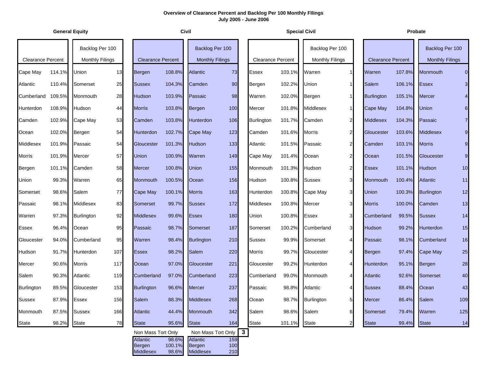|                          | <b>General Equity</b> |                                           |     |                                 | Civil                    |                                               |                   | <b>Special Civil</b>     |        |                                           |                |                          | Probate |                                           |                         |
|--------------------------|-----------------------|-------------------------------------------|-----|---------------------------------|--------------------------|-----------------------------------------------|-------------------|--------------------------|--------|-------------------------------------------|----------------|--------------------------|---------|-------------------------------------------|-------------------------|
| <b>Clearance Percent</b> |                       | Backlog Per 100<br><b>Monthly Filings</b> |     | <b>Clearance Percent</b>        |                          | Backlog Per 100<br><b>Monthly Filings</b>     |                   | <b>Clearance Percent</b> |        | Backlog Per 100<br><b>Monthly Filings</b> |                | <b>Clearance Percent</b> |         | Backlog Per 100<br><b>Monthly Filings</b> |                         |
| Cape May                 | 114.1%                | Union                                     | 13  | Bergen                          | 108.8%                   | Atlantic                                      | 73                | <b>Essex</b>             | 103.1% | Warren                                    |                | Warren                   | 107.8%  | <b>Monmouth</b>                           | $\overline{O}$          |
| Atlantic                 | 110.4%                | Somerset                                  | 25  | <b>Sussex</b>                   | 104.3%                   | Camden                                        | 90                | Bergen                   | 102.2% | <b>Union</b>                              |                | Salem                    | 106.1%  | <b>Essex</b>                              | $\mathbf{3}$            |
| Cumberland               | 109.5%                | Monmouth                                  | 28  | Hudson                          | 103.9%                   | Passaic                                       | 98                | Warren                   | 102.0% | Bergen                                    |                | <b>Burlington</b>        | 105.1%  | <b>Mercer</b>                             | $\overline{\mathbf{4}}$ |
| Hunterdon                | 108.9%                | Hudson                                    | 44  | <b>Morris</b>                   | 103.8%                   | Bergen                                        | 100               | Mercer                   | 101.8% | Middlesex                                 | 1              | Cape May                 | 104.8%  | <b>Union</b>                              | $\bf 6$                 |
| Camden                   | 102.9%                | Cape May                                  | 53  | Camden                          | 103.8%                   | Hunterdon                                     | 106               | <b>Burlington</b>        | 101.7% | Camden                                    | 2 <sub>l</sub> | <b>Middlesex</b>         | 104.3%  | Passaic                                   | $\overline{7}$          |
| Ocean                    | 102.0%                | Bergen                                    | 54  | Hunterdon                       | 102.7%                   | Cape May                                      | 123               | Camden                   | 101.6% | Morris                                    | $\overline{2}$ | Gloucester               | 103.6%  | <b>Middlesex</b>                          | $\boldsymbol{9}$        |
| <b>Middlesex</b>         | 101.9%                | Passaic                                   | 54  | Gloucester                      | 101.3%                   | Hudson                                        | 133               | Atlantic                 | 101.5% | Passaic                                   | $\overline{2}$ | Camden                   | 103.1%  | <b>Morris</b>                             | $\boldsymbol{9}$        |
| Morris                   | 101.9%                | Mercer                                    | 57  | <b>Union</b>                    | 100.9%                   | Warren                                        | 149               | Cape May                 | 101.4% | Ocean                                     | $\overline{2}$ | Ocean                    | 101.5%  | Gloucester                                | $\boldsymbol{9}$        |
| Bergen                   | 101.1%                | Camden                                    | 58  | <b>Mercer</b>                   | 100.8%                   | Union                                         | 155               | Monmouth                 | 101.3% | Hudson                                    | $\overline{2}$ | <b>Essex</b>             | 101.1%  | <b>Hudson</b>                             | 10                      |
| Union                    | 99.3%                 | Warren                                    | 65  | Monmouth                        | 100.5%                   | Ocean                                         | 156               | Hudson                   | 100.8% | <b>Sussex</b>                             | 3              | Monmouth                 | 100.4%  | <b>Atlantic</b>                           | $11$                    |
| Somerset                 | 98.6%                 | Salem                                     | 77  | Cape May                        | 100.1%                   | <b>Morris</b>                                 | 163               | Hunterdon                | 100.8% | Cape May                                  | 31             | Union                    | 100.3%  | <b>Burlington</b>                         | 12                      |
| Passaic                  | 98.1%                 | Middlesex                                 | 83  | Somerset                        | 99.7%                    | <b>Sussex</b>                                 | 172               | <b>Middlesex</b>         | 100.8% | Mercer                                    | 3              | <b>Morris</b>            | 100.0%  | Camden                                    | 13                      |
| Warren                   | 97.3%                 | Burlington                                | 92  | <b>Middlesex</b>                | 99.6%                    | <b>Essex</b>                                  | 180               | Union                    | 100.8% | Essex                                     | $\overline{3}$ | Cumberland               | 99.5%   | <b>Sussex</b>                             | 14                      |
| Essex                    | 96.4%                 | Ocean                                     | 95  | Passaic                         | 98.7%                    | Somerset                                      | 187               | Somerset                 | 100.2% | Cumberland                                | 31             | Hudson                   | 99.2%   | Hunterdon                                 | 15                      |
| Gloucester               | 94.0%                 | Cumberland                                | 95  | Warren                          | 98.4%                    | <b>Burlington</b>                             | 210               | <b>Sussex</b>            | 99.9%  | Somerset                                  | $\overline{4}$ | Passaic                  | 98.1%   | Cumberland                                | 16                      |
| Hudson                   | 91.7%                 | Hunterdon                                 | 107 | <b>Essex</b>                    | 98.2%                    | Salem                                         | 220               | Morris                   | 99.7%  | Gloucester                                | $\overline{4}$ | Bergen                   | 97.4%   | <b>Cape May</b>                           | 25                      |
| Mercer                   | 90.6%                 | Morris                                    | 117 | Ocean                           | 97.0%                    | Gloucester                                    | 221               | Gloucester               | 99.2%  | Hunterdon                                 | 4              | Hunterdon                | 95.1%   | Bergen                                    | 28                      |
| Salem                    | 90.3%                 | Atlantic                                  | 119 | Cumberland                      | 97.0%                    | Cumberland                                    | 223               | Cumberland               | 99.0%  | Monmouth                                  | $\overline{4}$ | Atlantic                 | 92.6%   | Somerset                                  | 40                      |
| Burlington               | 89.5%                 | Gloucester                                | 153 | <b>Burlington</b>               | 96.6%                    | Mercer                                        | 237               | Passaic                  | 98.8%  | Atlantic                                  |                | <b>Sussex</b>            | 88.4%   | Ocean                                     | 43                      |
| Sussex                   |                       | 87.9% Essex                               | 156 | <b>Salem</b>                    | 88.3%                    | <b>Middlesex</b>                              | 268               | Ocean                    |        | 98.7% Burlington                          | 51             | <b>Mercer</b>            | 86.4%   | <b>Salem</b>                              | 109                     |
| Monmouth                 | 87.5%                 | <b>Sussex</b>                             | 166 | <b>Atlantic</b>                 | 44.4%                    | Monmouth                                      | 342               | Salem                    | 98.6%  | Salem                                     | 6              | Somerset                 | 79.4%   | Warren                                    | 125                     |
| <b>State</b>             | 98.2%                 | <b>State</b>                              | 78  | <b>State</b>                    | 95.6%                    | <b>State</b>                                  | 164               | <b>State</b>             | 101.1% | <b>State</b>                              | $\overline{2}$ | <b>State</b>             | 99.4%   | <b>State</b>                              | 14                      |
|                          |                       |                                           |     | Non Mass Tort Only              |                          | Non Mass Tort Only                            |                   |                          |        |                                           |                |                          |         |                                           |                         |
|                          |                       |                                           |     | Atlantic<br>Bergen<br>Middlesex | 98.6%<br>100.1%<br>98.6% | <b>Atlantic</b><br>Bergen<br><b>Middlesex</b> | 159<br>100<br>210 |                          |        |                                           |                |                          |         |                                           |                         |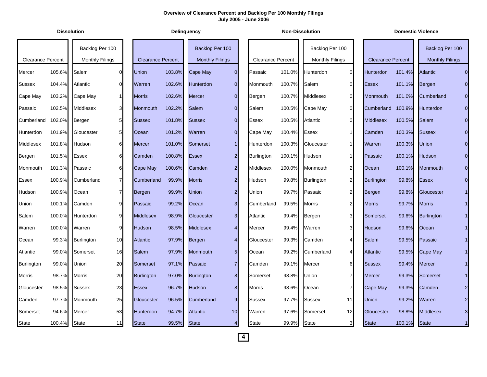|                          |        | <b>Dissolution</b>     |                 |                          |        | <b>Delinguency</b>     |                |                          |        | <b>Non-Dissolution</b> |                |                          |        | <b>Domestic Violence</b> |             |
|--------------------------|--------|------------------------|-----------------|--------------------------|--------|------------------------|----------------|--------------------------|--------|------------------------|----------------|--------------------------|--------|--------------------------|-------------|
|                          |        | Backlog Per 100        |                 |                          |        | Backlog Per 100        |                |                          |        | Backlog Per 100        |                |                          |        | Backlog Per 100          |             |
| <b>Clearance Percent</b> |        | <b>Monthly Filings</b> |                 | <b>Clearance Percent</b> |        | <b>Monthly Filings</b> |                | <b>Clearance Percent</b> |        | <b>Monthly Filings</b> |                | <b>Clearance Percent</b> |        | <b>Monthly Filings</b>   |             |
| Mercer                   | 105.6% | Salem                  | $\Omega$        | Union                    | 103.8% | <b>Cape May</b>        | $\overline{0}$ | Passaic                  | 101.0% | Hunterdon              | $\overline{0}$ | Hunterdon                | 101.4% | <b>Atlantic</b>          |             |
| <b>Sussex</b>            | 104.4% | Atlantic               | $\Omega$        | Warren                   | 102.6% | <b>Hunterdon</b>       | $\overline{0}$ | Monmouth                 | 100.7% | Salem                  | $\overline{0}$ | <b>Essex</b>             | 101.1% | Bergen                   |             |
| Cape May                 | 103.2% | Cape May               | $\mathbf{1}$    | <b>Morris</b>            | 102.6% | <b>Mercer</b>          | $\overline{0}$ | Bergen                   | 100.7% | Middlesex              | $\overline{0}$ | Monmouth                 | 101.0% | Cumberland               |             |
| Passaic                  | 102.5% | Middlesex              | 3 <sup>l</sup>  | Monmouth                 | 102.2% | Salem                  | $\Omega$       | Salem                    | 100.5% | Cape May               | $\overline{0}$ | Cumberland               | 100.9% | <b>Hunterdon</b>         | $\Omega$    |
| Cumberland               | 102.0% | Bergen                 | 5 <sub>l</sub>  | <b>Sussex</b>            | 101.8% | <b>Sussex</b>          | $\overline{0}$ | Essex                    | 100.5% | Atlantic               | $\overline{0}$ | <b>Middlesex</b>         | 100.5% | Salem                    |             |
| Hunterdon                | 101.9% | Gloucester             | 5 <sub>5</sub>  | Ocean                    | 101.2% | Warren                 | $\overline{O}$ | Cape May                 | 100.4% | <b>Essex</b>           | 1              | Camden                   | 100.3% | <b>Sussex</b>            |             |
| Middlesex                | 101.8% | Hudson                 | 61              | <b>Mercer</b>            | 101.0% | Somerset               | 1 <sup>1</sup> | Hunterdon                | 100.3% | Gloucester             | 1              | Warren                   | 100.3% | <b>Union</b>             |             |
| Bergen                   | 101.5% | Essex                  | 6               | Camden                   | 100.8% | <b>Essex</b>           | $\overline{a}$ | <b>Burlington</b>        | 100.1% | Hudson                 | 1              | Passaic                  | 100.1% | Hudson                   |             |
| Monmouth                 | 101.3% | Passaic                | 6               | Cape May                 | 100.6% | Camden                 | $\overline{a}$ | Middlesex                | 100.0% | Monmouth               | $\mathbf{2}$   | Ocean                    | 100.1% | <b>Monmouth</b>          |             |
| Essex                    | 100.9% | Cumberland             | $\overline{7}$  | Cumberland               | 99.9%  | <b>Morris</b>          | 2 <sub>l</sub> | Hudson                   | 99.8%  | <b>Burlington</b>      | $2 \vert$      | <b>Burlington</b>        | 99.8%  | <b>Essex</b>             |             |
| Hudson                   | 100.9% | Ocean                  | $\overline{7}$  | Bergen                   | 99.9%  | Union                  | 2 <sup>1</sup> | Union                    | 99.7%  | Passaic                | $\overline{2}$ | Bergen                   | 99.8%  | Gloucester               |             |
| Union                    | 100.1% | Camden                 | 9               | Passaic                  | 99.2%  | Ocean                  | 3 <sub>l</sub> | Cumberland               | 99.5%  | <b>Morris</b>          | $\mathbf{2}$   | <b>Morris</b>            | 99.7%  | <b>Morris</b>            |             |
| Salem                    | 100.0% | Hunterdon              | 9               | <b>Middlesex</b>         | 98.9%  | Gloucester             | 3 <sup>l</sup> | Atlantic                 | 99.4%  | Bergen                 | 3              | Somerset                 | 99.6%  | <b>Burlington</b>        |             |
| Warren                   | 100.0% | Warren                 | 9               | <b>Hudson</b>            | 98.5%  | <b>Middlesex</b>       | $\overline{4}$ | Mercer                   | 99.4%  | Warren                 | 3 <sub>l</sub> | <b>Hudson</b>            | 99.6%  | Ocean                    |             |
| Ocean                    | 99.3%  | <b>Burlington</b>      | 10 <sup>1</sup> | <b>Atlantic</b>          | 97.9%  | Bergen                 | $\overline{4}$ | Gloucester               | 99.3%  | Camden                 | $\overline{4}$ | Salem                    | 99.5%  | Passaic                  |             |
| Atlantic                 | 99.0%  | Somerset               | 16              | Salem                    | 97.9%  | Monmouth               | 5 <sup>1</sup> | Ocean                    | 99.2%  | Cumberland             | $\overline{4}$ | <b>Atlantic</b>          | 99.5%  | Cape May                 |             |
| <b>Burlington</b>        | 99.0%  | Union                  | 20              | Somerset                 | 97.1%  | Passaic                | $\overline{7}$ | Camden                   | 99.1%  | Mercer                 | 61             | <b>Sussex</b>            | 99.4%  | <b>Mercer</b>            |             |
| Morris                   | 98.7%  | Morris                 | 20              | <b>Burlington</b>        | 97.0%  | <b>Burlington</b>      | 8 <sup>1</sup> | Somerset                 | 98.8%  | Union                  | $\overline{7}$ | Mercer                   | 99.3%  | Somerset                 |             |
| Gloucester               | 98.5%  | <b>Sussex</b>          | 23              | <b>Essex</b>             | 96.7%  | Hudson                 | 8 <sup>1</sup> | Morris                   | 98.6%  | Ocean                  | $\overline{7}$ | Cape May                 | 99.3%  | Camden                   |             |
| Camden                   | 97.7%  | Monmouth               | 25              | Gloucester               | 96.5%  | Cumberland             | 9              | <b>Sussex</b>            | 97.7%  | <b>Sussex</b>          | 11             | <b>Union</b>             | 99.2%  | Warren                   |             |
| Somerset                 | 94.6%  | Mercer                 | 53              | Hunterdon                | 94.7%  | <b>Atlantic</b>        | 10             | Warren                   | 97.6%  | Somerset               | 12             | Gloucester               | 98.8%  | <b>Middlesex</b>         | 3           |
| State                    | 100.4% | <b>State</b>           | 11              | <b>State</b>             | 99.5%  | <b>State</b>           | $\overline{4}$ | State                    | 99.9%  | State                  | 3 <sub>l</sub> | <b>State</b>             | 100.1% | <b>State</b>             | $\mathbf 1$ |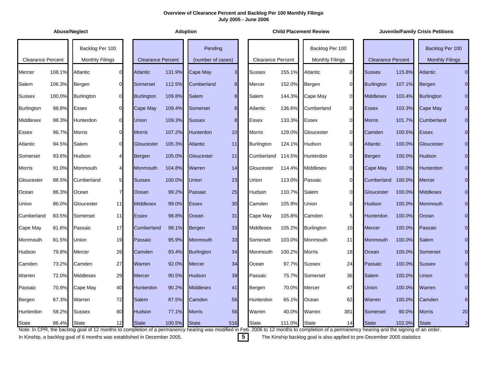| <b>Abuse/Neglect</b>     |        |                                           |                |                          |        | <b>Adoption</b>              |                 |                          |        | <b>Child Placement Review</b>                                                                                                                                                                               |                 |                          |        | <b>Juvenile/Family Crisis Petitions</b>   |                |
|--------------------------|--------|-------------------------------------------|----------------|--------------------------|--------|------------------------------|-----------------|--------------------------|--------|-------------------------------------------------------------------------------------------------------------------------------------------------------------------------------------------------------------|-----------------|--------------------------|--------|-------------------------------------------|----------------|
| <b>Clearance Percent</b> |        | Backlog Per 100<br><b>Monthly Filings</b> |                | <b>Clearance Percent</b> |        | Pending<br>(number of cases) |                 | <b>Clearance Percent</b> |        | Backlog Per 100<br><b>Monthly Filings</b>                                                                                                                                                                   |                 | <b>Clearance Percent</b> |        | Backlog Per 100<br><b>Monthly Filings</b> |                |
| Mercer                   | 108.1% | Atlantic                                  | $\Omega$       | <b>Atlantic</b>          | 131.9% | Cape May                     | 3 <sup>l</sup>  | <b>Sussex</b>            | 155.1% | Atlantic                                                                                                                                                                                                    | $\overline{0}$  | <b>Sussex</b>            | 115.8% | <b>Atlantic</b>                           | $\overline{0}$ |
| Salem                    | 106.3% | Bergen                                    | $\Omega$       | Somerset                 | 112.5% | Cumberland                   | 8 <sup>1</sup>  | Mercer                   | 152.0% | Bergen                                                                                                                                                                                                      | $\overline{0}$  | <b>Burlington</b>        | 107.1% | Bergen                                    |                |
| <b>Sussex</b>            | 100.0% | Burlington                                | $\Omega$       | <b>Burlington</b>        | 109.8% | Salem                        | 8 <sup>1</sup>  | Salem                    | 144.3% | Cape May                                                                                                                                                                                                    | $\overline{0}$  | <b>Middlesex</b>         | 103.4% | <b>Burlington</b>                         | $\mathbf 0$    |
| <b>Burlington</b>        | 98.8%  | Essex                                     | $\Omega$       | Cape May                 | 109.4% | Somerset                     | 8 <sup>1</sup>  | Atlantic                 | 136.6% | Cumberland                                                                                                                                                                                                  | $\overline{0}$  | <b>Essex</b>             | 103.3% | Cape May                                  | 0              |
| <b>Middlesex</b>         | 98.3%  | Hunterdon                                 | $\Omega$       | Union                    | 109.3% | <b>Sussex</b>                | 8 <sup>1</sup>  | <b>Essex</b>             | 133.3% | <b>Essex</b>                                                                                                                                                                                                | $\overline{0}$  | <b>Morris</b>            | 101.7% | Cumberland                                | $\mathbf 0$    |
| <b>Essex</b>             | 96.7%  | <b>Morris</b>                             | $\Omega$       | <b>Morris</b>            | 107.2% | Hunterdon                    | 10              | <b>Morris</b>            | 129.0% | Gloucester                                                                                                                                                                                                  | $\overline{0}$  | Camden                   | 100.5% | <b>Essex</b>                              | $\overline{0}$ |
| Atlantic                 | 94.5%  | Salem                                     | $\Omega$       | Gloucester               | 105.3% | <b>Atlantic</b>              | 11              | <b>Burlington</b>        | 124.1% | Hudson                                                                                                                                                                                                      | $\overline{0}$  | <b>Atlantic</b>          | 100.0% | Gloucester                                | $\overline{0}$ |
| Somerset                 | 93.6%  | Hudson                                    | 4              | Bergen                   | 105.0% | Gloucester                   | 11              | Cumberland               | 114.5% | Hunterdon                                                                                                                                                                                                   | $\Omega$        | Bergen                   | 100.0% | <b>Hudson</b>                             |                |
| <b>Morris</b>            | 91.0%  | Monmouth                                  | 4              | Monmouth                 | 104.8% | Warren                       | 14              | Gloucester               | 114.4% | Middlesex                                                                                                                                                                                                   | $\overline{0}$  | Cape May                 | 100.0% | Hunterdon                                 |                |
| Gloucester               | 88.5%  | Cumberland                                | 5 <sup>1</sup> | <b>Sussex</b>            | 100.0% | <b>Union</b>                 | 23              | <b>Union</b>             | 113.0% | Passaic                                                                                                                                                                                                     | $\Omega$        | Cumberland               | 100.0% | Mercer                                    |                |
| Ocean                    | 86.3%  | Ocean                                     | $\overline{7}$ | Ocean                    | 99.2%  | Passaic                      | 25              | Hudson                   | 110.7% | Salem                                                                                                                                                                                                       | $\overline{0}$  | Gloucester               | 100.0% | <b>Middlesex</b>                          | $\overline{0}$ |
| Union                    | 86.0%  | Gloucester                                | 11             | <b>Middlesex</b>         | 99.0%  | <b>Essex</b>                 | 30 <sup>°</sup> | Camden                   | 105.9% | Union                                                                                                                                                                                                       | $\overline{0}$  | <b>Hudson</b>            | 100.0% | Monmouth                                  | 0              |
| Cumberland               | 83.5%  | Somerset                                  | 11             | <b>Essex</b>             | 98.8%  | Ocean                        | 31              | Cape May                 | 105.8% | Camden                                                                                                                                                                                                      | 5 <sub>l</sub>  | <b>Hunterdon</b>         | 100.0% | Ocean                                     | $\mathbf 0$    |
| Cape May                 | 81.6%  | Passaic                                   | 17             | Cumberland               | 98.1%  | Bergen                       | 33              | Middlesex                | 105.2% | <b>Burlington</b>                                                                                                                                                                                           | 10 <sup>1</sup> | <b>Mercer</b>            | 100.0% | Passaic                                   |                |
| Monmouth                 | 81.5%  | Union                                     | 19             | Passaic                  | 95.9%  | Monmouth                     | 33              | Somerset                 | 103.0% | Monmouth                                                                                                                                                                                                    | 11              | Monmouth                 | 100.0% | <b>Salem</b>                              | $\overline{0}$ |
| Hudson                   | 79.8%  | Mercer                                    | 26             | Camden                   | 93.4%  | <b>Burlington</b>            | 34              | Monmouth                 | 100.2% | Morris                                                                                                                                                                                                      | 18              | Ocean                    | 100.0% | Somerset                                  |                |
| Camden                   | 73.2%  | Camden                                    | 27             | Warren                   | 92.0%  | <b>Mercer</b>                | 34              | Ocean                    | 97.7%  | <b>Sussex</b>                                                                                                                                                                                               | 24              | Passaic                  | 100.0% | <b>Sussex</b>                             |                |
| Warren                   | 72.0%  | Middlesex                                 | 29             | <b>Mercer</b>            | 90.5%  | <b>Hudson</b>                | 39              | Passaic                  | 75.7%  | Somerset                                                                                                                                                                                                    | 36              | Salem                    | 100.0% | <b>Union</b>                              |                |
| Passaic                  | 70.9%  | Cape May                                  | 40             | Hunterdon                | 90.2%  | <b>Middlesex</b>             | 41              | Bergen                   | 70.0%  | Mercer                                                                                                                                                                                                      | 47              | Union                    | 100.0% | Warren                                    |                |
| Bergen                   | 67.3%  | Warren                                    | 72             | Salem                    | 87.5%  | Camden                       | 56              | <b>Hunterdon</b>         | 65.1%  | Ocean                                                                                                                                                                                                       | 62              | Warren                   | 100.0% | Camden                                    |                |
| Hunterdon                | 58.2%  | <b>Sussex</b>                             | 80             | Hudson                   | 77.1%  | <b>Morris</b>                | 56              | Warren                   | 40.0%  | Warren                                                                                                                                                                                                      | 381             | Somerset                 | 90.0%  | <b>Morris</b>                             | 20             |
| <b>State</b>             | 86.4%  | <b>State</b>                              | 12             | <b>State</b>             | 100.5% | <b>State</b>                 | 516             | <b>State</b>             | 111.0% | <b>State</b><br>Note: In CPR, the backlog goal of 12 months to completion of a permanency hearing was modified in Feb. 2006 to 12 months to completion of a permanency hearing and the signing of an order. | 14              | <b>State</b>             | 102.0% | <b>State</b>                              | 3              |

In Kinship, a backlog goal of 6 months was established in December 2005. **5** The Kinship backlog goal is also applied to pre-December 2005 statistics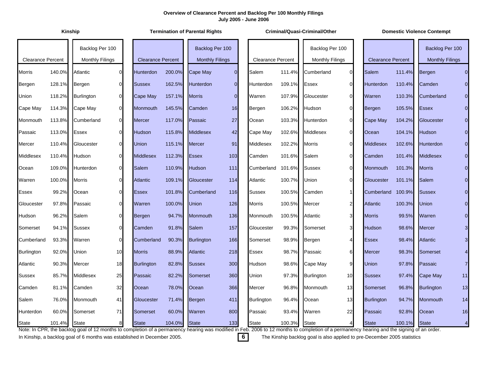**Kinship Termination of Parental Rights Criminal/Quasi-Criminal/Other Domestic Violence Contempt**

 $\overline{0}$ 

 $\overline{0}$ 

16

|                          |        | Backlog Per 100        |                |                          |        | Backlog Per 100        |                |                          |        | Backlog Per 100        |                |                          |        | Backlog Per 100        |                |
|--------------------------|--------|------------------------|----------------|--------------------------|--------|------------------------|----------------|--------------------------|--------|------------------------|----------------|--------------------------|--------|------------------------|----------------|
| <b>Clearance Percent</b> |        | <b>Monthly Filings</b> |                | <b>Clearance Percent</b> |        | <b>Monthly Filings</b> |                | <b>Clearance Percent</b> |        | <b>Monthly Filings</b> |                | <b>Clearance Percent</b> |        | <b>Monthly Filings</b> |                |
| <b>Morris</b>            | 140.0% | Atlantic               | $\Omega$       | <b>Hunterdon</b>         | 200.0% | <b>Cape May</b>        | $\overline{0}$ | Salem                    | 111.4% | Cumberland             | $\overline{0}$ | Salem                    | 111.4% | Bergen                 | $\Omega$       |
| Bergen                   | 128.1% | Bergen                 | $\Omega$       | <b>Sussex</b>            | 162.5% | Hunterdon              | $\Omega$       | Hunterdon                | 109.1% | <b>Essex</b>           | $\overline{0}$ | Hunterdon                | 110.4% | Camden                 |                |
| Union                    | 118.2% | <b>Burlington</b>      | $\overline{0}$ | Cape May                 | 157.1% | <b>Morris</b>          | $\overline{0}$ | Warren                   | 107.9% | Gloucester             | $\overline{0}$ | Warren                   | 110.3% | Cumberland             |                |
| Cape May                 | 114.3% | Cape May               | $\overline{0}$ | Monmouth                 | 145.5% | Camden                 | 16             | Bergen                   | 106.2% | Hudson                 | $\overline{0}$ | Bergen                   | 105.5% | <b>Essex</b>           |                |
| Monmouth                 | 113.8% | Cumberland             | $\overline{0}$ | <b>Mercer</b>            | 117.0% | Passaic                | 27             | Ocean                    | 103.3% | Hunterdon              | $\overline{0}$ | Cape May                 | 104.2% | Gloucester             |                |
| Passaic                  | 113.0% | Essex                  | $\Omega$       | Hudson                   | 115.8% | <b>Middlesex</b>       | 42             | Cape May                 | 102.6% | Middlesex              | $\overline{0}$ | Ocean                    | 104.1% | <b>Hudson</b>          |                |
| Mercer                   | 110.4% | Gloucester             | $\Omega$       | Union                    | 115.1% | <b>Mercer</b>          | 91             | Middlesex                | 102.2% | Morris                 | $\overline{0}$ | <b>Middlesex</b>         | 102.6% | Hunterdon              |                |
| Middlesex                | 110.4% | Hudson                 | $\overline{O}$ | <b>Middlesex</b>         | 112.3% | <b>Essex</b>           | 103            | Camden                   | 101.6% | Salem                  | $\overline{0}$ | Camden                   | 101.4% | <b>Middlesex</b>       |                |
| Ocean                    | 109.0% | Hunterdon              | $\mathsf{O}$   | <b>Salem</b>             | 110.9% | <b>Hudson</b>          | 111            | Cumberland               | 101.6% | <b>Sussex</b>          | $\overline{0}$ | Monmouth                 | 101.3% | <b>Morris</b>          |                |
| Warren                   | 100.0% | <b>Morris</b>          | $\overline{O}$ | <b>Atlantic</b>          | 109.1% | Gloucester             | 114            | Atlantic                 | 100.7% | Union                  | $\overline{0}$ | Gloucester               | 101.1% | Salem                  |                |
| Essex                    | 99.2%  | Ocean                  | $\Omega$       | <b>Essex</b>             | 101.8% | Cumberland             | 116            | Sussex                   | 100.5% | Camden                 | $\mathbf{1}$   | Cumberland               | 100.9% | <b>Sussex</b>          |                |
| Gloucester               | 97.8%  | Passaic                | $\mathbf{0}$   | Warren                   | 100.0% | <b>Union</b>           | 126            | <b>Morris</b>            | 100.5% | <b>Mercer</b>          | $\mathbf{2}$   | <b>Atlantic</b>          | 100.3% | Union                  |                |
| Hudson                   | 96.2%  | Salem                  | $\Omega$       | Bergen                   | 94.7%  | Monmouth               | 136            | Monmouth                 | 100.5% | Atlantic               | 3 <sub>l</sub> | <b>Morris</b>            | 99.5%  | Warren                 |                |
| Somerset                 | 94.1%  | <b>Sussex</b>          | $\mathsf{O}$   | Camden                   | 91.8%  | <b>Salem</b>           | 157            | Gloucester               | 99.3%  | Somerset               | 3 <sup>l</sup> | Hudson                   | 98.6%  | Mercer                 |                |
| Cumberland               | 93.3%  | Warren                 | $\overline{0}$ | Cumberland               | 90.3%  | <b>Burlington</b>      | 166            | Somerset                 | 98.9%  | Bergen                 | $\overline{4}$ | <b>Essex</b>             | 98.4%  | <b>Atlantic</b>        |                |
| <b>Burlington</b>        | 92.0%  | Union                  | 10             | <b>Morris</b>            | 88.9%  | <b>Atlantic</b>        | 218            | Essex                    | 98.7%  | Passaic                | 6              | Mercer                   | 98.3%  | Somerset               |                |
| Atlantic                 | 90.3%  | Mercer                 | 18             | <b>Burlington</b>        | 82.8%  | <b>Sussex</b>          | 300            | Hudson                   | 98.6%  | Cape May               | 9              | Union                    | 97.8%  | Passaic                | 7              |
| <b>Sussex</b>            | 85.7%  | Middlesex              | 25             | Passaic                  | 82.2%  | Somerset               | 360            | Union                    | 97.3%  | Burlington             | 10             | <b>Sussex</b>            | 97.4%  | Cape May               | 11             |
| Camden                   | 81.1%  | Camden                 | 32             | Ocean                    | 78.0%  | Ocean                  | 366            | Mercer                   | 96.8%  | Monmouth               | 13             | Somerset                 | 96.8%  | <b>Burlington</b>      | 13             |
| Salem                    | 76.0%  | Monmouth               | 41             | Gloucester               | 71.4%  | Bergen                 | 411            | <b>Burlington</b>        | 96.4%  | Ocean                  | 13             | <b>Burlington</b>        | 94.7%  | <b>Monmouth</b>        | 14             |
| Hunterdon                | 60.0%  | Somerset               | 71             | Somerset                 | 60.0%  | Warren                 | 800            | Passaic                  | 93.4%  | Warren                 | 22             | Passaic                  | 92.8%  | Ocean                  | 16             |
| <b>State</b>             | 101.4% | <b>State</b>           | 8              | <b>State</b>             | 104.0% | <b>State</b>           | 133            | <b>State</b>             | 100.3% | <b>State</b>           | $\overline{4}$ | <b>State</b>             | 100.1% | <b>State</b>           | $\overline{4}$ |

Note: In CPR, the backlog goal of 12 months to completion of a permanency hearing was modified in Feb. 2006 to 12 months to completion of a permanency hearing and the signing of an order.

In Kinship, a backlog goal of 6 months was established in December 2005. **6** The Kinship backlog goal is also applied to pre-December 2005 statistics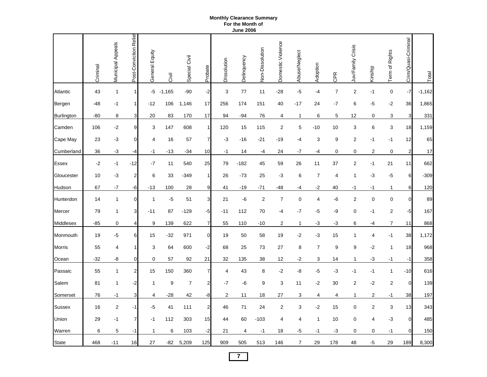#### **Monthly Clearance Summary For the Month of June 2006**

|                   | Criminal | Municipal Appeals | Post-Conviction Relie | General Equity | Civil    | Special Civil    | Probate                 | Dissolution | Delinquency    | Non-Dissolution | Domestic Violence | Abuse/Neglect  | Adoption       | CPR              | Juv/Family Crisis       | Kinship          | Term of Rights          | Crim/Quasi-Criminal | Total    |
|-------------------|----------|-------------------|-----------------------|----------------|----------|------------------|-------------------------|-------------|----------------|-----------------|-------------------|----------------|----------------|------------------|-------------------------|------------------|-------------------------|---------------------|----------|
| Atlantic          | 43       | $\mathbf{1}$      | $\vert$               | $-5$           | $-1,165$ | $-90$            | $-2$                    | 3           | 77             | 11              | $-28$             | $-5$           | $-4$           | $\boldsymbol{7}$ | $\boldsymbol{2}$        | $-1$             | $\mathbf 0$             | $-7$                | $-1,162$ |
| Bergen            | $-48$    | -1                | $\vert$               | $-12$          | 106      | 1,146            | 17                      | 256         | 174            | 151             | 40                | $-17$          | 24             | $-7$             | 6                       | $-5$             | -2                      | 36                  | 1,865    |
| <b>Burlington</b> | $-80$    | 8                 | 3                     | 20             | 83       | 170              | 17                      | 94          | $-94$          | 76              | 4                 | 1              | 6              | 5                | 12                      | 0                | 3                       | 3                   | 331      |
| Camden            | 106      | $-2$              | 9                     | 3              | 147      | 608              | $\mathbf{1}$            | 120         | 15             | 115             | 2                 | 5              | $-10$          | 10               | 3                       | 6                | $\sqrt{3}$              | 18                  | 1,159    |
| Cape May          | 23       | $-3$              | $\overline{0}$        | 4              | 16       | 57               | $\overline{7}$          | $-3$        | $-16$          | $-21$           | $-19$             | $-4$           | 3              | 9                | $\overline{2}$          | $-1$             | $-1$                    | 12                  | 65       |
| Cumberland        | 36       | $-3$              | -4                    | -1             | -13      | $-34$            | 10                      | $-1$        | 14             | -4              | 24                | -7             | -4             | 0                | 0                       | $\mathbf 2$      | 0                       | $\overline{2}$      | 17       |
| <b>Essex</b>      | $-2$     | $-1$              | $-12$                 | $-7$           | 11       | 540              | 25                      | 79          | $-182$         | 45              | 59                | 26             | 11             | 37               | $\overline{2}$          | $-1$             | 21                      | 11                  | 662      |
| Gloucester        | 10       | $-3$              | $\boldsymbol{2}$      | 6              | 33       | -349             | 1                       | 26          | $-73$          | 25              | $-3$              | 6              | $\overline{7}$ | 4                | 1                       | $-3$             | $-5$                    | 6                   | -309     |
| Hudson            | 67       | $-7$              | -6                    | $-13$          | 100      | 28               | 9                       | 41          | $-19$          | -71             | -48               | -4             | $-2$           | 40               | -1                      | -1               | $\mathbf{1}$            | 6                   | 120      |
| Hunterdon         | 14       | $\mathbf{1}$      | $\overline{0}$        | $\mathbf 1$    | -5       | 51               | $\mathbf{3}$            | 21          | -6             | $\overline{2}$  | $\overline{7}$    | $\pmb{0}$      | 4              | -6               | $\overline{c}$          | $\mathbf 0$      | $\mathbf 0$             | $\overline{0}$      | 89       |
| Mercer            | 79       | 1                 | 3                     | $-11$          | 87       | $-129$           | $-5$                    | $-11$       | 112            | 70              | -4                | $-7$           | $-5$           | -9               | $\mathbf 0$             | $-1$             | $\overline{\mathbf{c}}$ | $-5$                | 167      |
| Middlesex         | $-85$    | $\mathbf 0$       | $\overline{4}$        | 9              | 139      | 622              | $\overline{7}$          | 55          | 110            | $-10$           | 2                 | 1              | $-3$           | $-3$             | 6                       | -4               | $\boldsymbol{7}$        | 11                  | 868      |
| Monmouth          | 19       | -5                | 6                     | 15             | $-32$    | 971              | $\overline{0}$          | 19          | 50             | 58              | 19                | -2             | $-3$           | 15               | 1                       | 4                | $-1$                    | 38                  | 1,172    |
| <b>Morris</b>     | 55       | 4                 | 1                     | 3              | 64       | 600              | $-2$                    | 68          | 25             | 73              | 27                | 8              | $\overline{7}$ | 9                | 9                       | $-2$             | $\mathbf{1}$            | 18                  | 968      |
| Ocean             | $-32$    | -8                | $\mathbf 0$           | 0              | 57       | 92               | 21                      | 32          | 135            | 38              | 12                | -2             | 3              | 14               | 1                       | $-3$             | $-1$                    | $-1$                | 358      |
| Passaic           | 55       | 1                 | $\mathbf{2}$          | 15             | 150      | 360              | $\overline{7}$          | 4           | 43             | 8               | $-2$              | -8             | $-5$           | $-3$             | $-1$                    | $-1$             | $\mathbf{1}$            | $-10$               | 616      |
| Salem             | 81       | 1                 | $-2$                  | $\mathbf{1}$   | 9        | $\boldsymbol{7}$ | $\overline{\mathbf{c}}$ | $-7$        | -6             | 9               | 3                 | 11             | $-2$           | 30               | $\overline{\mathbf{c}}$ | $-2$             | $\overline{\mathbf{c}}$ | $\mathbf 0$         | 139      |
| Somerset          | 76       | $-1$              | 3                     | 4              | $-28$    | 42               | -8                      | 2           | 11             | 18              | 27                | 3              | 4              | 4                | 1                       | $\overline{c}$   | $-1$                    | 38                  | 197      |
| Sussex            | 16       | $\sqrt{2}$        | $-1$                  | -5             | 41       | 111              | $\overline{\mathbf{c}}$ | 46          | 71             | 24              | $\mathbf 2$       | 3              | $-2$           | 15               | 0                       | $\boldsymbol{2}$ | 3                       | 13                  | 343      |
| Union             | 29       | $-1$              | 7                     | $-1$           | 112      | 303              | 15                      | 44          | 60             | $-103$          | 4                 | 4              | $\mathbf{1}$   | 10               | 0                       | 4                | $-3$                    | $\mathbf 0$         | 485      |
| Warren            | 6        | 5                 | $-1$                  | 1              | 6        | 103              | $-2$                    | 21          | $\overline{4}$ | $-1$            | 18                | -5             | -1             | $-3$             | $\mathbf 0$             | $\mathbf 0$      | $-1$                    | $\overline{0}$      | 150      |
| <b>State</b>      | 468      | $-11$             | 16                    | 27             | -82      | 5,209            | 125                     | 909         | 505            | 513             | 146               | $\overline{7}$ | 29             | 178              | 48                      | $-5$             | 29                      | 189                 | 8,300    |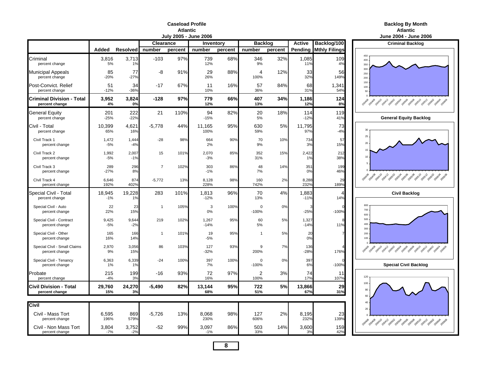#### **Caseload ProfileAtlanticAtlantic**

| <b>Backlog By Month</b> |
|-------------------------|
|                         |

|                                                    |                 |                 |                  |         | July 2005 - June 2006 |         |                        |         |                 |                      | <b>June 2004 - June</b>                           |
|----------------------------------------------------|-----------------|-----------------|------------------|---------|-----------------------|---------|------------------------|---------|-----------------|----------------------|---------------------------------------------------|
|                                                    |                 |                 | <b>Clearance</b> |         | Inventory             |         | <b>Backlog</b>         |         | <b>Active</b>   | Backlog/100          | <b>Criminal Backle</b>                            |
|                                                    | Added           | <b>Resolved</b> | number           | percent | number                | percent | number                 | percent | Pending         | <b>Mthly Filings</b> |                                                   |
| Criminal<br>percent change                         | 3,816<br>5%     | 3,713<br>1%     | $-103$           | 97%     | 739<br>12%            | 68%     | 346<br>9%              | 32%     | 1,085<br>11%    | 109<br>4%            | 450<br>400<br>350                                 |
| <b>Municipal Appeals</b><br>percent change         | 85<br>$-20%$    | 77<br>$-27%$    | -8               | 91%     | 29<br>26%             | 88%     | 4<br>100%              | 12%     | 33<br>32%       | 56<br>149%           | 300<br>250<br>200                                 |
| Post-Convict, Relief<br>percent change             | 51<br>$-12%$    | 34<br>$-36%$    | $-17$            | 67%     | 11<br>10%             | 16%     | 57<br>36%              | 84%     | 68<br>31%       | 1,341<br>54%         | 150<br>100<br>50                                  |
| <b>Criminal Division - Total</b><br>percent change | 3,952<br>4%     | 3,824<br>0%     | $-128$           | 97%     | 779<br>12%            | 66%     | 407<br>13%             | 34%     | 1,186<br>12%    | 124<br>8%            | 2014 2014 2014 2014 2019 2019 2019 2019 2019      |
| <b>General Equity</b><br>percent change            | 201<br>$-25%$   | 222<br>$-22%$   | 21               | 110%    | 94<br>$-15%$          | 82%     | 20<br>5%               | 18%     | 114<br>$-12%$   | 119<br>41%           | <b>General Equity Ba</b>                          |
| Civil Total<br>percent change                      | 10,399<br>65%   | 4,621<br>16%    | $-5,778$         | 44%     | 11,165<br>100%        | 95%     | 630<br>59%             | 5%      | 11,795<br>97%   | 73<br>$-4%$          | 30                                                |
| Civil Track 1<br>percent change                    | 1,472<br>$-5%$  | 1,444<br>$-4%$  | $-28$            | 98%     | 664<br>2%             | 90%     | 70<br>9%               | 10%     | 734<br>3%       | 57<br>15%            | 25<br>20                                          |
| Civil Track 2<br>percent change                    | 1,992<br>$-5%$  | 2,007<br>$-1%$  | 15               | 101%    | 2,070<br>$-3%$        | 85%     | 352<br>31%             | 15%     | 2,422<br>1%     | 212<br>38%           | 10                                                |
| Civil Track 3<br>percent change                    | 289<br>$-27%$   | 296<br>8%       | $\overline{7}$   | 102%    | 303<br>$-1%$          | 86%     | 48<br>7%               | 14%     | 351<br>0%       | 199<br>46%           |                                                   |
| Civil Track 4<br>percent change                    | 6,646<br>192%   | 874<br>402%     | $-5,772$         | 13%     | 8,128<br>228%         | 98%     | 160<br>742%            | 2%      | 8,288<br>232%   | 29<br>189%           | 2014 2014 2014 2014 2019 2019 2019 2019 2019      |
| Special Civil - Total<br>percent change            | 18,945<br>$-1%$ | 19,228<br>1%    | 283              | 101%    | 1,813<br>$-12%$       | 96%     | 70<br>13%              | 4%      | 1,883<br>$-11%$ | 14%                  | <b>Civil Backlog</b>                              |
| Special Civil - Auto<br>percent change             | 22<br>22%       | 23<br>15%       | $\overline{1}$   | 105%    | 3<br>0%               | 100%    | $\mathbf 0$<br>$-100%$ | 0%      | $-25%$          | $-100%$              | 800<br>700<br>600                                 |
| Special Civil - Contract<br>percent change         | 9,425<br>$-5%$  | 9,644<br>$-2%$  | 219              | 102%    | 1,267<br>$-14%$       | 95%     | 60<br>5%               | 5%      | 1,327<br>$-14%$ | 11%                  | 500<br>400<br>300                                 |
| Special Civil - Other<br>percent change            | 165<br>16%      | 166<br>14%      | $\overline{1}$   | 101%    | 19<br>$-5%$           | 95%     | $\overline{1}$         | 5%      | 20<br>0%        |                      | 200<br>100                                        |
| Special Clvil - Small Claims<br>percent change     | 2,970<br>9%     | 3,056<br>15%    | 86               | 103%    | 127<br>$-32%$         | 93%     | <b>q</b><br>200%       | 7%      | 136<br>$-28%$   | 176%                 | , 2019, 2011, 2014, 2019, 2019, 2019, 2019, 2019  |
| Special Civil - Tenancy<br>percent change          | 6,363<br>1%     | 6,339<br>1%     | $-24$            | 100%    | 397<br>7%             | 100%    | $\mathbf 0$<br>$-100%$ | 0%      | 397<br>6%       | $-100%$              | <b>Special Civil Bac</b>                          |
| Probate<br>percent change                          | 215<br>$-4%$    | 199<br>3%       | -16              | 93%     | 72<br>16%             | 97%     | 2<br>100%              | 3%      | 74<br>17%       | 11<br>107%           | 120<br>100                                        |
| <b>Civil Division - Total</b><br>percent change    | 29,760<br>15%   | 24,270<br>3%    | -5,490           | 82%     | 13,144<br>68%         | 95%     | 722<br>51%             | 5%      | 13,866<br>67%   | 29<br>31%            | 80<br>60                                          |
|                                                    |                 |                 |                  |         |                       |         |                        |         |                 |                      | 40                                                |
| Civil                                              |                 |                 |                  |         |                       |         |                        |         |                 |                      | 20                                                |
| Civil - Mass Tort<br>percent change                | 6,595<br>196%   | 869<br>579%     | $-5,726$         | 13%     | 8,068<br>230%         | 98%     | 127<br>606%            | 2%      | 8,195<br>232%   | 23<br>139%           | 2014 2014 2014 2014 2019 2019 2019 2019 2019 2019 |
| Civil - Non Mass Tort<br>percent change            | 3,804<br>$-7%$  | 3,752<br>$-2%$  | $-52$            | 99%     | 3,097<br>$-1%$        | 86%     | 503<br>33%             | 14%     | 3,600<br>3%     | 159<br>42%           |                                                   |

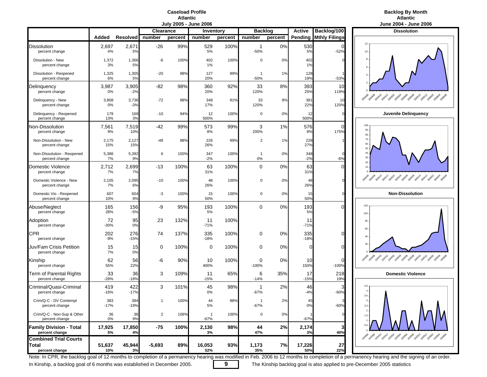#### **Caseload ProfileAtlantic**

### **Backlog By Month Atlantic**

|                                                         |               |                 | <b>Clearance</b> |         | Inventory                |         | <b>Backlog</b>           |         | <b>Active</b> | Backlog/100          | <b>Dissolution</b>                                                              |
|---------------------------------------------------------|---------------|-----------------|------------------|---------|--------------------------|---------|--------------------------|---------|---------------|----------------------|---------------------------------------------------------------------------------|
|                                                         | Added         | <b>Resolved</b> | number           | percent | number                   | percent | number                   | percent | Pending       | <b>Mthly Filings</b> | 12                                                                              |
| Dissolution<br>percent change                           | 2,697<br>4%   | 2,67'<br>5%     | $-26$            | 99%     | 529<br>5%                | 100%    | $\overline{1}$<br>$-50%$ | 0%      | 530<br>5%     | $\Omega$<br>$-52%$   | 10                                                                              |
| Dissolution - New<br>percent change                     | 1,372<br>3%   | 1,366<br>5%     | -6               | 100%    | 402<br>1%                | 100%    | $\mathbf 0$              | 0%      | 402<br>1%     |                      |                                                                                 |
| Dissolution - Reopened<br>percent change                | 1,325<br>6%   | 1,305<br>5%     | $-20$            | 98%     | 127<br>20%               | 99%     | $-50%$                   | 1%      | 128<br>19%    | $-53%$               |                                                                                 |
| Delinquency<br>percent change                           | 3,987<br>0%   | 3,905<br>$-2%$  | -82              | 98%     | 360<br>20%               | 92%     | 33<br>120%               | 8%      | 393<br>25%    | 10<br>119%           |                                                                                 |
| Delinquency - New<br>percent change                     | 3,808<br>0%   | 3,736<br>$-3%$  | $-72$            | 98%     | 348<br>17%               | 91%     | 33<br>120%               | 9%      | 381<br>22%    | 10<br>120%           | Apolla pour pour prost produced programs possible                               |
| Delinquency - Reopened<br>percent change                | 179<br>13%    | 169<br>3%       | $-10$            | 94%     | 12<br>500%               | 100%    | $\mathbf 0$              | 0%      | 12<br>500%    |                      | Juvenile Delinquend                                                             |
| Non-Dissolution<br>percent change                       | 7,561<br>9%   | 7,519<br>10%    | -42              | 99%     | 573<br>8%                | 99%     | 3<br>200%                | 1%      | 576<br>8%     | $\Omega$<br>175%     | 100<br>90<br>80                                                                 |
| Non-Dissolution - New<br>percent change                 | 2,175<br>15%  | 2,127<br>15%    | $-48$            | 98%     | 226<br>26%               | 99%     | $\overline{2}$           | 1%      | 228<br>27%    |                      | 70<br>60<br>50                                                                  |
| Non-Dissolution - Reopened<br>percent change            | 5,386<br>7%   | 5,392<br>9%     | 6                | 100%    | 347<br>$-2%$             | 100%    | $\mathbf{1}$<br>0%       | 0%      | 348<br>$-2%$  | $-6%$                | 40<br>30                                                                        |
| Domestic Violence<br>percent change                     | 2,712<br>7%   | 2,699<br>7%     | -13              | 100%    | 63<br>31%                | 100%    | $\mathbf 0$              | 0%      | 63<br>31%     | ∩                    | 20<br>10 <sup>10</sup>                                                          |
| Domestic Violence - New<br>percent change               | 2,105<br>7%   | 2,095<br>6%     | $-10$            | 100%    | 48<br>26%                | 100%    | 0                        | 0%      | 48<br>26%     |                      | 2010 2011 2012 2013 2019 2019 2019 2019 2019 2019                               |
| Domestic Vio - Reopened<br>percent change               | 607<br>10%    | 604<br>9%       | -3               | 100%    | 15<br>50%                | 100%    | 0                        | 0%      | 15<br>50%     |                      | <b>Non-Dissolution</b>                                                          |
| Abuse/Neglect<br>percent change                         | 165<br>28%    | 156<br>$-5%$    | -9               | 95%     | 193<br>5%                | 100%    | 0                        | 0%      | 193<br>5%     | ი                    | 120<br>100                                                                      |
| Adoption<br>percent change                              | 72<br>$-30%$  | 95<br>0%        | 23               | 132%    | 11<br>$-71%$             | 100%    |                          |         | 11<br>$-71%$  |                      | 80<br>60                                                                        |
| <b>CPR</b><br>percent change                            | 202<br>$-9%$  | 276<br>$-15%$   | 74               | 137%    | 335<br>$-18%$            | 100%    | 0                        | 0%      | 335<br>$-18%$ | $\Omega$             | 40                                                                              |
| Juv/Fam Crisis Petition<br>percent change               | 15<br>7%      | 15<br>0%        | 0                | 100%    | 0                        | 100%    | 0                        | 0%      | $\Omega$      | 0                    | 20                                                                              |
| Kinship<br>percent change                               | 62<br>55%     | 56<br>22%       | -6               | 90%     | 10<br>400%               | 100%    | 0<br>$-100%$             | 0%      | 10<br>150%    | 0<br>$-100%$         | 200AR<br>200506 200508 200510<br>200406<br>200408<br>2004-10<br>100502<br>2000a |
| Term of Parental Rights<br>percent change               | 33<br>$-28%$  | 36<br>$-18%$    | 3                | 109%    | 11<br>$-15%$             | 65%     | 6<br>$-14%$              | 35%     | 17<br>$-15%$  | 218<br>19%           | <b>Domestic Violence</b>                                                        |
| Criminal/Quasi-Criminal<br>percent change               | 419<br>$-16%$ | 422<br>$-17%$   | 3                | 101%    | 45<br>0%                 | 98%     | $\mathbf 1$<br>$-67%$    | 2%      | 46<br>$-4%$   | $-60%$               | 4.5<br>$3.5\,$                                                                  |
| Crim/Q-C - DV Contempt<br>percent change                | 383<br>$-17%$ | 384<br>$-19%$   |                  | 100%    | 44<br>5%                 | 98%     | $-67%$                   | 2%      | 45<br>0%      | $-60%$               | $\mathbf{3}$<br>$2.5\,$                                                         |
| Crim/Q-C - Non-Sup & Other<br>percent change            | 36<br>0%      | 38<br>9%        | $\overline{2}$   | 106%    | $\overline{1}$<br>$-67%$ | 100%    | $\mathbf 0$              | 0%      | $-67%$        |                      | $\overline{2}$ .<br>1.5                                                         |
| <b>Family Division - Total</b><br>percent change        | 17,925<br>5%  | 17,850<br>4%    | $-75$            | 100%    | 2,130<br>3%              | 98%     | 44<br>47%                | 2%      | 2,174<br>3%   | 3<br>40%             | $0.5\,$<br>2014 2014 2014 2014 2024 2039 2034 2034 2035 2036 203                |
| <b>Combined Trial Courts</b><br>Total<br>percent change | 51,637<br>10% | 45,944<br>3%    | $-5,693$         | 89%     | 16,053<br>52%            | 93%     | 1,173<br>35%             | 7%      | 17,226<br>50% | 27<br>22%            |                                                                                 |



Note: In CPR, the backlog goal of 12 months to completion of a permanency hearing was modified in Feb. 2006 to 12 months to completion of a permanency hearing and the signing of an order.

In Kinship, a backlog goal of 6 months was established in December 2005. **9** The Kinship backlog goal is also applied to pre-December 2005 statistics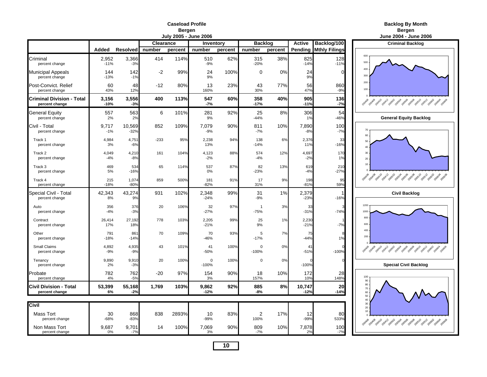# **Caseload Profile**<br>**Bergen**<br>Ilv 2005 - June 20

| <b>Backlog By Month</b> |  |
|-------------------------|--|
|                         |  |

**Bergen Bergen**

|                                                    |                 |                  |                  |         | July 2005 - June 2006 |         |                                   |         |                  |                              | June 2004 - June 2006                                  |
|----------------------------------------------------|-----------------|------------------|------------------|---------|-----------------------|---------|-----------------------------------|---------|------------------|------------------------------|--------------------------------------------------------|
|                                                    |                 |                  | <b>Clearance</b> |         | <b>Inventory</b>      |         | <b>Backlog</b>                    |         | <b>Active</b>    | Backlog/100                  | <b>Criminal Backlog</b>                                |
|                                                    | Added           | <b>Resolved</b>  | number           | percent | number                | percent | number                            | percent |                  | <b>Pending Mthly Filings</b> |                                                        |
| Criminal<br>percent change                         | 2,952<br>$-11%$ | 3,366<br>$-3%$   | 414              | 114%    | 510<br>$-9%$          | 62%     | 315<br>$-20%$                     | 38%     | 825<br>$-14%$    | 128<br>$-11%$                | 600<br>500                                             |
| <b>Municipal Appeals</b><br>percent change         | 144<br>$-13%$   | 142<br>$-1%$     | $-2$             | 99%     | 24<br>9%              | 100%    | $\mathbf 0$                       | 0%      | 24<br>9%         | 0                            | 400<br>300                                             |
| Post-Convict. Relief<br>percent change             | 60<br>43%       | 48<br>12%        | $-12$            | 80%     | 13<br>160%            | 23%     | 43<br>30%                         | 77%     | 56<br>47%        | 860<br>-9%                   | 200<br>100                                             |
| <b>Criminal Division - Total</b><br>percent change | 3,156<br>$-10%$ | 3,556<br>$-3%$   | 400              | 113%    | 547<br>$-7%$          | 60%     | 358<br>$-17%$                     | 40%     | 905<br>$-11%$    | 136<br>$-7%$                 |                                                        |
| <b>General Equity</b><br>percent change            | 557<br>2%       | 563<br>2%        | 6                | 101%    | 281<br>9%             | 92%     | 25<br>$-44%$                      | 8%      | 306<br>1%        | 54<br>$-46%$                 | <b>General Equity Backlog</b>                          |
| Civil - Total<br>percent change                    | 9,717<br>$-1%$  | 10,569<br>$-32%$ | 852              | 109%    | 7,079<br>$-9%$        | 90%     | 811<br>$-7%$                      | 10%     | 7,890<br>$-8%$   | 100<br>$-7%$                 | 70<br>60                                               |
| Track 1<br>percent change                          | 4,984<br>3%     | 4,751<br>$-6%$   | $-233$           | 95%     | 2,238<br>13%          | 94%     | 138<br>$-14%$                     | 6%      | 2,376<br>11%     | 33<br>$-16%$                 | 50<br>$\Delta f$                                       |
| Track 2<br>percent change                          | 4,049<br>$-4%$  | 4,210<br>$-8%$   | 161              | 104%    | 4,123<br>$-2%$        | 88%     | 574<br>$-4%$                      | 12%     | 4,697<br>$-2%$   | 170<br>1%                    | 30<br>$20\,$                                           |
| Track 3<br>percent change                          | 469<br>5%       | 534<br>$-16%$    | 65               | 114%    | 537<br>0%             | 87%     | 82<br>$-23%$                      | 13%     | 619<br>$-4%$     | 210<br>$-27%$                | 10                                                     |
| Track 4<br>percent change                          | 215<br>$-18%$   | 1,074<br>$-80%$  | 859              | 500%    | 181<br>$-82%$         | 91%     | 17<br>31%                         | 9%      | 198<br>$-81%$    | 95<br>59%                    | 2014 2014 2014 2014 2019 2019 2019 2019 2019 2019 2019 |
| Special Civil - Total<br>percent change            | 42,343<br>8%    | 43,274<br>9%     | 931              | 102%    | 2,348<br>$-24%$       | 99%     | 31<br>$-9%$                       | 1%      | 2,379<br>$-23%$  | $-16%$                       | <b>Civil Backlog</b>                                   |
| Auto<br>percent change                             | 356<br>$-4%$    | 376<br>$-3%$     | 20               | 106%    | 32<br>$-27%$          | 97%     | $\overline{\mathbf{1}}$<br>$-75%$ | 3%      | 33<br>$-31%$     | $-74%$                       | 1200<br>1000                                           |
| Contract<br>percent change                         | 26,414<br>17%   | 27,192<br>18%    | 778              | 103%    | 2,205<br>$-21%$       | 99%     | 25<br>9%                          | 1%      | 2,230<br>$-21%$  | $-7%$                        | 800<br>600                                             |
| Other<br>percent change                            | 791<br>$-18%$   | 861<br>$-14%$    | 70               | 109%    | 70<br>$-46%$          | 93%     | 5<br>$-17%$                       | 7%      | 75<br>$-44%$     | 1%                           | 400<br>200                                             |
| Small Claims<br>percent change                     | 4,892<br>$-9%$  | 4,935<br>$-9%$   | 43               | 101%    | 41<br>$-50%$          | 100%    | $\mathbf 0$<br>$-100%$            | 0%      | 41<br>$-51%$     | $-100%$                      |                                                        |
| Tenancy<br>percent change                          | 9,890<br>2%     | 9,910<br>$-3%$   | 20               | 100%    | $\Omega$<br>$-100%$   | 100%    | $\Omega$                          | 0%      | $-100%$          |                              | <b>Special Civil Backlog</b>                           |
| Probate<br>percent change                          | 782<br>4%       | 762<br>$-5%$     | $-20$            | 97%     | 154<br>3%             | 90%     | 18<br>157%                        | 10%     | 172<br>10%       | 28<br>148%                   | 100<br>$90\,$                                          |
| <b>Civil Division - Total</b><br>percent change    | 53,399<br>6%    | 55,168<br>$-2%$  | 1.769            | 103%    | 9,862<br>$-12%$       | 92%     | 885<br>-8%                        | 8%      | 10,747<br>$-12%$ | 20<br>$-14%$                 | 80<br>$70\,$<br>60<br>50                               |
| Civil                                              |                 |                  |                  |         |                       |         |                                   |         |                  |                              | 40<br>30                                               |
| Mass Tort<br>percent change                        | 30<br>$-68%$    | 868<br>$-83%$    | 838              | 2893%   | 10<br>$-99%$          | 83%     | $\overline{2}$<br>100%            | 17%     | 12<br>$-99%$     | 80<br>533%                   | 20<br>$10 -$                                           |
| Non Mass Tort<br>percent change                    | 9,687<br>0%     | 9,701<br>$-7%$   | 14               | 100%    | 7,069<br>3%           | 90%     | 809<br>$-7%$                      | 10%     | 7,878<br>2%      | 100<br>$-7%$                 | 2049 2049 2040 2041 2059 2059 2059 2059 2059 2051 2059 |

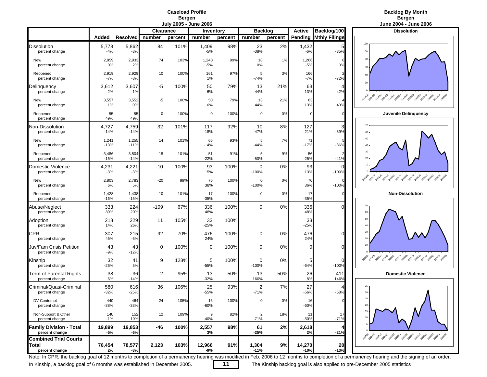

|                                                                |                 |                   |                  |         | July 2005 - June 2006 |         |                          |         |                  |                              | June 2004 - June 2006                                  |
|----------------------------------------------------------------|-----------------|-------------------|------------------|---------|-----------------------|---------|--------------------------|---------|------------------|------------------------------|--------------------------------------------------------|
|                                                                |                 |                   | <b>Clearance</b> |         | Inventory             |         | <b>Backlog</b>           |         | <b>Active</b>    | Backlog/100                  | <b>Dissolution</b>                                     |
|                                                                | Added           | Resolved   number |                  | percent | number                | percent | number                   | percent |                  | <b>Pending Mthly Filings</b> |                                                        |
| <b>Dissolution</b><br>percent change                           | 5,778<br>$-4%$  | 5,862<br>$-3%$    | 84               | 101%    | 1,409<br>$-5%$        | 98%     | 23<br>-38%               | 2%      | 1,432<br>$-6%$   | $-35%$                       | 120<br>100                                             |
| New<br>percent change                                          | 2,859<br>0%     | 2,933<br>2%       | 74               | 103%    | 1,248<br>$-5%$        | 99%     | 18<br>0%                 | 1%      | 1,266<br>$-5%$   | 0%                           | 80<br>60                                               |
| Reopened<br>percent change                                     | 2,919<br>$-7%$  | 2,929<br>$-8%$    | 10               | 100%    | 161<br>$1\%$          | 97%     | 5<br>$-74%$              | 3%      | 166<br>$-7%$     | $-72%$                       | 40                                                     |
| Delinquency<br>percent change                                  | 3,612<br>2%     | 3,607<br>1%       | -5               | 100%    | 50<br>6%              | 79%     | 13<br>44%                | 21%     | 63<br>13%        | ∠<br>42%                     | $20\,$                                                 |
| New<br>percent change                                          | 3,557<br>1%     | 3,552<br>0%       | -5               | 100%    | 50<br>6%              | 79%     | 13<br>44%                | 21%     | 63<br>13%        | 43%                          | Ao de part port post pas pass pass pas pas pas pas     |
| Reopened<br>percent change                                     | 55<br>49%       | 55<br>49%         | $\mathbf 0$      | 100%    | 0                     | 100%    | $\mathbf 0$              | 0%      | $\Omega$         |                              | <b>Juvenile Delinquency</b>                            |
| Non-Dissolution<br>percent change                              | 4,727<br>$-14%$ | 4,759<br>$-14%$   | 32               | 101%    | 117<br>$-18%$         | 92%     | 10<br>$-47%$             | 8%      | 127<br>$-21%$    | З<br>$-39%$                  | 70<br>60                                               |
| New<br>percent change                                          | 1,241<br>$-13%$ | 1,255<br>$-11%$   | 14               | 101%    | 66<br>$-14%$          | 93%     | 5<br>$-44%$              | 7%      | 71<br>$-17%$     | $-36%$                       | 50<br>40                                               |
| Reopened<br>percent change                                     | 3,486<br>$-15%$ | 3,504<br>$-14%$   | 18               | 101%    | 51<br>$-22%$          | 91%     | 5<br>$-50%$              | 9%      | 56<br>$-25%$     | $-41%$                       | 30<br>20                                               |
| Domestic Violence<br>percent change                            | 4,231<br>$-3%$  | 4,221<br>$-3%$    | -10              | 100%    | 93<br>15%             | 100%    | $\mathbf 0$<br>$-100%$   | 0%      | 93<br>13%        | $-100%$                      | 10                                                     |
| New<br>percent change                                          | 2,803<br>6%     | 2,783<br>5%       | $-20$            | 99%     | 76<br>38%             | 100%    | 0<br>$-100%$             | 0%      | 76<br>36%        | $-100%$                      | 2004 2014 2014 2015 2019 2019 2019 2019 2019 2019 2019 |
| Reopened<br>percent change                                     | 1,428<br>$-16%$ | 1,438<br>$-15%$   | 10               | 101%    | 17<br>-35%            | 100%    | 0                        | 0%      | 17<br>$-35%$     |                              | <b>Non-Dissolution</b>                                 |
| Abuse/Neglect<br>percent change                                | 333<br>89%      | 224<br>20%        | $-109$           | 67%     | 336<br>48%            | 100%    | $\mathbf 0$              | 0%      | 336<br>48%       | ſ                            | 70<br>60                                               |
| Adoption<br>percent change                                     | 218<br>14%      | 229<br>26%        | 11               | 105%    | 33<br>$-25%$          | 100%    |                          |         | 33<br>$-25%$     |                              | $50\,$<br>40                                           |
| <b>CPR</b><br>percent change                                   | 307<br>45%      | 215<br>$-5%$      | -92              | 70%     | 476<br>24%            | 100%    | 0                        | 0%      | 476<br>24%       | O                            | $30\,$<br>$20\,$                                       |
| Juv/Fam Crisis Petition<br>percent change                      | 43<br>$-9%$     | 43<br>$-12%$      | 0                | 100%    | 0                     | 100%    | 0                        | 0%      | 0                | ſ                            |                                                        |
| Kinship<br>percent change                                      | 32<br>$-26%$    | 41<br>5%          | 9                | 128%    | 5<br>-55%             | 100%    | 0<br>$-100%$             | 0%      | 5<br>$-64%$      | 0<br>$-100%$                 |                                                        |
| Term of Parental Rights<br>percent change                      | 38<br>6%        | 36<br>$-14%$      | $-2$             | 95%     | 13<br>$-32%$          | 50%     | 13<br>160%               | 50%     | 26<br>8%         | 411<br>146%                  | <b>Domestic Violence</b>                               |
| Criminal/Quasi-Criminal<br>percent change                      | 580<br>$-32%$   | 616<br>$-25%$     | 36               | 106%    | 25<br>$-55%$          | 93%     | 2<br>$-71%$              | 7%      | 27<br>$-56%$     | $-58%$                       | 35<br>$30\,$                                           |
| DV Contempt<br>percent change                                  | 440<br>-38%     | 464<br>$-33%$     | 24               | 105%    | 16<br>-60%            | 100%    | $\mathsf 0$              | 0%      | 16<br>$-60%$     |                              | 25<br>$20\,$                                           |
| Non-Support & Other<br>percent change                          | 140<br>$-1%$    | 152<br>19%        | 12               | 109%    | 9<br>-40%             | 82%     | $\overline{2}$<br>$-71%$ | 18%     | 11<br>$-50%$     | 17<br>$-71%$                 | 15<br>10                                               |
| <b>Family Division - Total</b><br>percent change               | 19,899<br>-5%   | 19,853<br>$-6%$   | -46              | 100%    | 2,557<br>3%           | 98%     | 61<br>$-25%$             | 2%      | 2,618<br>2%      | $-21%$                       |                                                        |
| <b>Combined Trial Courts</b><br><b>Total</b><br>percent change | 76,454<br>2%    | 78,577<br>$-3%$   | 2,123            | 103%    | 12,966<br>-9%         | 91%     | 1,304<br>$-11%$          | 9%      | 14,270<br>$-10%$ | 20<br>$-13%$                 |                                                        |



Note: In CPR, the backlog goal of 12 months to completion of a permanency hearing was modified in Feb. 2006 to 12 months to completion of a permanency hearing and the signing of an order.

In Kinship, a backlog goal of 6 months was established in December 2005. **11** The Kinship backlog goal is also applied to pre-December 2005 statistics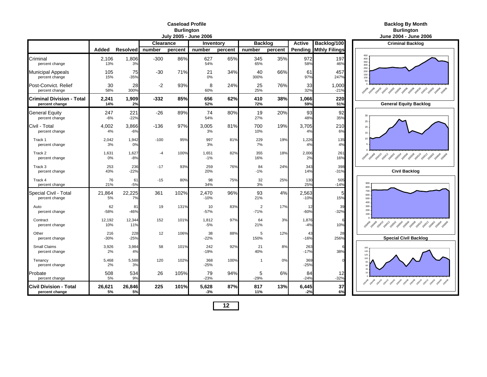|                                                 |               |                 |                  | July 2005 - June 2006 |                 |         |                          |         |                 |                              | June 2004 - June                                        |
|-------------------------------------------------|---------------|-----------------|------------------|-----------------------|-----------------|---------|--------------------------|---------|-----------------|------------------------------|---------------------------------------------------------|
|                                                 |               |                 | <b>Clearance</b> |                       | Inventory       |         | <b>Backlog</b>           |         | <b>Active</b>   | Backlog/100                  | <b>Criminal Backle</b>                                  |
|                                                 | Added         | <b>Resolved</b> | number           | percent               | number          | percent | number                   | percent |                 | <b>Pending Mthly Filings</b> |                                                         |
| Criminal<br>percent change                      | 2,106<br>13%  | 1,806<br>3%     | $-300$           | 86%                   | 627<br>54%      | 65%     | 345<br>65%               | 35%     | 972<br>58%      | 197<br>46%                   | 450<br>400<br>350<br>300                                |
| <b>Municipal Appeals</b><br>percent change      | 105<br>15%    | 75<br>$-35%$    | $-30$            | 71%                   | 21<br>0%        | 34%     | 40<br>300%               | 66%     | 61<br>97%       | 457<br>247%                  | 250<br>200<br>150<br>100<br>50                          |
| Post-Convict. Relief<br>percent change          | 30<br>58%     | 28<br>300%      | $-2$             | 93%                   | 8<br>60%        | 24%     | 25<br>25%                | 76%     | 33<br>32%       | 1,000<br>$-21%$              |                                                         |
| Criminal Division - Total<br>percent change     | 2,241<br>14%  | 1,909<br>2%     | $-332$           | 85%                   | 656<br>52%      | 62%     | 410<br>72%               | 38%     | 1,066<br>59%    | 220<br>51%                   | <b>General Equity Ba</b>                                |
| General Equity<br>percent change                | 247<br>$-6%$  | 221<br>$-22%$   | $-26$            | 89%                   | 74<br>54%       | 80%     | 19<br>27%                | 20%     | 93<br>48%       | 92<br>35%                    | 30<br>$25\,$                                            |
| Civil - Total<br>percent change                 | 4,002<br>4%   | 3,866<br>$-6%$  | $-136$           | 97%                   | 3,005<br>3%     | 81%     | 700<br>10%               | 19%     | 3,705<br>4%     | 210<br>6%                    | 20<br>15                                                |
| Track 1<br>percent change                       | 2,042<br>3%   | 1,942<br>0%     | $-100$           | 95%                   | 997<br>3%       | 81%     | 229<br>7%                | 19%     | 1,226<br>4%     | 135<br>4%                    | 10                                                      |
| Track 2<br>percent change                       | 1,631<br>0%   | 1,627<br>$-8%$  | $-4$             | 100%                  | 1,651<br>$-1%$  | 82%     | 355<br>16%               | 18%     | 2,006<br>2%     | 261<br>16%                   | 20xx8 20xx8 20xx9 20x12 20x32 20x32 20x38 20x38 20x3    |
| Track 3<br>percent change                       | 253<br>43%    | 236<br>$-22%$   | $-17$            | 93%                   | 259<br>20%      | 76%     | 84<br>$-1%$              | 24%     | 343<br>14%      | 398<br>$-31%$                | <b>Civil Backlog</b>                                    |
| Track 4<br>percent change                       | 76<br>21%     | 61<br>$-5%$     | $-15$            | 80%                   | 98<br>34%       | 75%     | 32<br>3%                 | 25%     | 130<br>25%      | 505<br>$-14%$                | 900<br>800                                              |
| Special Civil - Total<br>percent change         | 21,864<br>5%  | 22,225<br>7%    | 361              | 102%                  | 2,470<br>$-10%$ | 96%     | 93<br>21%                | 4%      | 2,563<br>$-10%$ | 5<br>15%                     | 700<br>600<br>500<br>400                                |
| Auto<br>percent change                          | 62<br>$-58%$  | 81<br>$-46%$    | 19               | 131%                  | 10<br>$-57%$    | 83%     | $\overline{2}$<br>$-71%$ | 17%     | 12<br>$-60%$    | 39<br>$-32%$                 | 300<br>200<br>100                                       |
| Contract<br>percent change                      | 12,192<br>10% | 12,344<br>11%   | 152              | 101%                  | 1,812<br>$-5%$  | 97%     | 64<br>21%                | 3%      | 1,876<br>$-4%$  | 10%                          | Papa <sup>9</sup> again again again agai again again ag |
| Other<br>percent change                         | 216<br>$-30%$ | 228<br>$-25%$   | 12               | 106%                  | 38<br>$-22%$    | 88%     | 5<br>150%                | 12%     | 43<br>$-16%$    | 28<br>256%                   | <b>Special Civil Bac</b>                                |
| Small Claims<br>percent change                  | 3,926<br>2%   | 3,984<br>4%     | 58               | 101%                  | 242<br>$-19%$   | 92%     | 21<br>40%                | 8%      | 263<br>$-17%$   | 38%                          | 160<br>140<br>120                                       |
| Tenancy<br>percent change                       | 5,468<br>2%   | 5,588<br>3%     | 120              | 102%                  | 368<br>$-25%$   | 100%    | $\mathbf 1$              | 0%      | 369<br>$-25%$   |                              | 100                                                     |
| Probate<br>percent change                       | 508<br>5%     | 534<br>9%       | 26               | 105%                  | 79<br>$-23%$    | 94%     | 5<br>$-29%$              | 6%      | 84<br>$-24%$    | 12<br>$-32%$                 |                                                         |
| <b>Civil Division - Total</b><br>percent change | 26,621<br>5%  | 26,846<br>5%    | 225              | 101%                  | 5,628<br>$-3%$  | 87%     | 817<br>11%               | 13%     | 6,445<br>$-2%$  | 37<br>6%                     |                                                         |

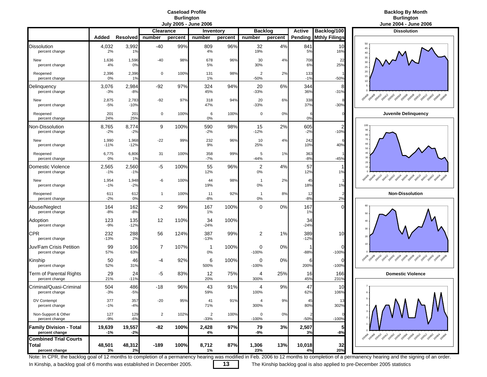## **Backlog By Month Burlington Burlington**

|                                                  | Added           | <b>Resolved</b> | <b>Clearance</b><br>number | percent | Inventory<br>number               | percent | <b>Backlog</b><br>number | percent | <b>Active</b><br>Pending | Backlog/100<br><b>Mthly Filings</b> | <b>Dissolution</b>                                                                                                   |
|--------------------------------------------------|-----------------|-----------------|----------------------------|---------|-----------------------------------|---------|--------------------------|---------|--------------------------|-------------------------------------|----------------------------------------------------------------------------------------------------------------------|
| Dissolution<br>percent change                    | 4,032<br>2%     | 3,992<br>1%     | $-40$                      | 99%     | 809<br>4%                         | 96%     | 32<br>19%                | 4%      | 841<br>5%                | 10<br>16%                           | 50<br>45<br>40                                                                                                       |
| New<br>percent change                            | 1,636<br>4%     | 1,596<br>0%     | $-40$                      | 98%     | 678<br>5%                         | 96%     | 30<br>30%                | 4%      | 708<br>6%                | 22<br>25%                           | 35<br>$30\,$<br>$25\,$                                                                                               |
| Reopened<br>percent change                       | 2,396<br>0%     | 2,396<br>1%     | 0                          | 100%    | 131<br>$1\%$                      | 98%     | $\overline{2}$<br>$-50%$ | 2%      | 133<br>$-1%$             | $-50%$                              | 20<br>15<br>10                                                                                                       |
| Delinquency<br>percent change                    | 3,076<br>$-3%$  | 2,984<br>$-8%$  | -92                        | 97%     | 324<br>45%                        | 94%     | 20<br>$-33%$             | 6%      | 344<br>36%               | 8<br>$-31%$                         |                                                                                                                      |
| New<br>percent change                            | 2,875<br>$-5%$  | 2,783<br>$-10%$ | -92                        | 97%     | 318<br>47%                        | 94%     | 20<br>$-33%$             | 6%      | 338<br>37%               | $-30%$                              | Ao de Bath 20x12 post 20x9 post and post post and                                                                    |
| Reopened<br>percent change                       | 201<br>24%      | 201<br>25%      | 0                          | 100%    | 6<br>0%                           | 100%    | $\mathbf 0$              | 0%      | 0%                       |                                     | Juvenile Delinquend                                                                                                  |
| <b>Von-Dissolution</b><br>percent change         | 8,765<br>$-2%$  | 8,774<br>$-2%$  | 9                          | 100%    | 590<br>$-2%$                      | 98%     | 15<br>$-12%$             | 2%      | 605<br>$-2%$             | $\overline{c}$<br>$-10%$            | 100<br>90<br>80                                                                                                      |
| New<br>percent change                            | 1,990<br>$-11%$ | 1,968<br>$-12%$ | $-22$                      | 99%     | 232<br>9%                         | 96%     | 10<br>25%                | 4%      | 242<br>10%               | 40%                                 | 70<br>60<br>50                                                                                                       |
| Reopened<br>percent change                       | 6,775<br>0%     | 6,806<br>1%     | 31                         | 100%    | 358<br>$-7%$                      | 99%     | 5<br>$-44%$              | 1%      | 363<br>$-8%$             | $-45%$                              | 40<br>30                                                                                                             |
| Domestic Violence<br>percent change              | 2,565<br>$-1%$  | 2,560<br>$-1%$  | -5                         | 100%    | 55<br>12%                         | 96%     | 2<br>0%                  | 4%      | 57<br>12%                | 1%                                  | $20 -$<br>10 <sub>10</sub>                                                                                           |
| New<br>percent change                            | 1,954<br>$-1%$  | 1,948<br>$-2%$  | -6                         | 100%    | 44<br>19%                         | 98%     | $\mathbf 1$<br>0%        | 2%      | 45<br>18%                | 1%                                  | 20x0 20x0 20x12 20x2 20x92 20x92 20x90 20x90 20x9                                                                    |
| Reopened<br>percent change                       | 611<br>$-2%$    | 612<br>0%       | $\mathbf{1}$               | 100%    | 11<br>$-8%$                       | 92%     | $\overline{1}$<br>0%     | 8%      | 12<br>$-8%$              | 2%                                  | <b>Non-Dissolution</b>                                                                                               |
| Abuse/Neglect<br>percent change                  | 164<br>$-8%$    | 162<br>$-8%$    | $-2$                       | 99%     | 167<br>$1\%$                      | 100%    | $\mathbf 0$              | 0%      | 167<br>1%                | $\Omega$                            | 60<br>50                                                                                                             |
| Adoption<br>percent change                       | 123<br>$-9%$    | 135<br>$-12%$   | 12                         | 110%    | 34<br>$-24%$                      | 100%    |                          |         | 34<br>$-24%$             |                                     | 40<br>$30\,$                                                                                                         |
| <b>CPR</b><br>percent change                     | 232<br>$-13%$   | 288<br>2%       | 56                         | 124%    | 387<br>$-13%$                     | 99%     | 2                        | $1\%$   | 389<br>$-12%$            | 10                                  | 20                                                                                                                   |
| Juv/Fam Crisis Petition<br>percent change        | 99<br>57%       | 106<br>63%      | 7                          | 107%    | -1<br>0%                          | 100%    | 0<br>$-100%$             | 0%      | $-88%$                   | 0<br>$-100%$                        | 10                                                                                                                   |
| Kinship<br>percent change                        | 50<br>52%       | 46<br>31%       | -4                         | 92%     | 6<br>500%                         | 100%    | 0<br>$-100%$             | 0%      | 6<br>200%                | $\Omega$<br>$-100%$                 |                                                                                                                      |
| Term of Parental Rights<br>percent change        | 29<br>21%       | 24<br>$-11%$    | -5                         | 83%     | 12<br>20%                         | 75%     | 4<br>300%                | 25%     | 16<br>45%                | 166<br>231%                         | <b>Domestic Violence</b>                                                                                             |
| Criminal/Quasi-Criminal<br>percent change        | 504<br>$-3%$    | 486<br>$-5%$    | -18                        | 96%     | 43<br>59%                         | 91%     | 4<br>100%                | 9%      | 47<br>62%                | 10<br>106%                          | 6                                                                                                                    |
| DV Contempt<br>percent change                    | 377<br>$-1%$    | 357<br>$-4%$    | $-20$                      | 95%     | 41<br>71%                         | 91%     | Δ<br>300%                | 9%      | 45<br>80%                | 1.3<br>302%                         | 5                                                                                                                    |
| Non-Support & Other<br>percent change            | 127<br>$-9%$    | 129<br>$-6%$    | $\overline{2}$             | 102%    | $\overline{\mathbf{c}}$<br>$-33%$ | 100%    | 0<br>$-100%$             | $0\%$   | $-50%$                   | $-100%$                             |                                                                                                                      |
| <b>Family Division - Total</b><br>percent change | 19,639<br>$-1%$ | 19,557<br>$-2%$ | -82                        | 100%    | 2,428<br>4%                       | 97%     | 79<br>-9%                | 3%      | 2,507<br>3%              | 5<br>$-8%$                          | <b>2014 - 2014 - 2014 - 2014 - 2014 - 2014 - 2014 - 2014 - 2014 - 2014 - 2014 - 2014 - 2014 - 2014 - 2014 - 2014</b> |
| <b>Combined Trial Courts</b>                     |                 |                 |                            |         |                                   |         |                          |         |                          |                                     |                                                                                                                      |
| <b>Total</b><br>percent change                   | 48,501<br>3%    | 48,312<br>2%    | $-189$                     | 100%    | 8,712<br>1%                       | 87%     | 1,306<br>23%             | 13%     | 10,018<br>4%             | 32<br>20%                           |                                                                                                                      |



Note: In CPR, the backlog goal of 12 months to completion of a permanency hearing was modified in Feb. 2006 to 12 months to completion of a permanency hearing and the signing of an order.

In Kinship, a backlog goal of 6 months was established in December 2005. **13** The Kinship backlog goal is also applied to pre-December 2005 statistics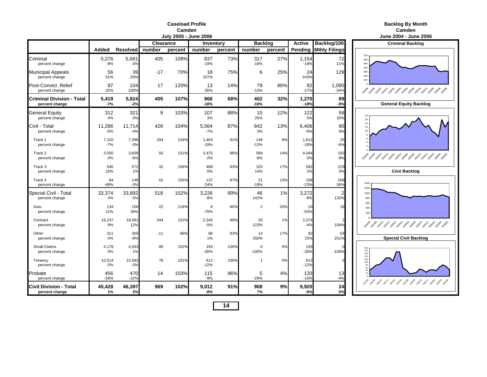#### **Caseload ProfileCamden**

|                                             |                 |                 |           | <b>July 2005 - June 2006</b> |                 |         |                |         |                 |                      | <b>June 2004 - June</b>                                     |
|---------------------------------------------|-----------------|-----------------|-----------|------------------------------|-----------------|---------|----------------|---------|-----------------|----------------------|-------------------------------------------------------------|
|                                             |                 |                 | Clearance |                              | Inventory       |         | <b>Backlog</b> |         | <b>Active</b>   | Backlog/100          | <b>Criminal Backle</b>                                      |
|                                             | Added           | <b>Resolved</b> | number    | percent                      | number          | percent | number         | percent | Pending         | <b>Mthly Filings</b> |                                                             |
| Criminal<br>percent change                  | 5,276<br>$-8%$  | 5,681<br>$-3%$  | 405       | 108%                         | 837<br>$-19%$   | 73%     | 317<br>$-18%$  | 27%     | 1,154<br>$-19%$ | 72<br>$-11%$         | 700<br>600<br>500                                           |
| <b>Municipal Appeals</b><br>percent change  | 56<br>51%       | 39<br>$-20%$    | $-17$     | 70%                          | 18<br>157%      | 75%     | 6              | 25%     | 24<br>243%      | 129                  | 400<br>300<br>200<br>100                                    |
| Post-Convict. Relief<br>percent change      | 87<br>32%       | 104<br>100%     | 17        | 120%                         | 13<br>$-35%$    | 14%     | 79<br>$-13%$   | 86%     | 92<br>$-17%$    | 1,090<br>$-34%$      | 10408 20410 20412 20502 20503 20508 2050 205<br><b>Доча</b> |
| Criminal Division - Total<br>percent change | 5,419<br>$-7%$  | 5,824<br>$-2%$  | 405       | 107%                         | 868<br>-18%     | 68%     | 402<br>$-16%$  | 32%     | 1,270<br>$-18%$ | 89<br>$-9%$          | <b>General Equity Ba</b>                                    |
| General Equity<br>percent change            | 312<br>4%       | 321<br>0%       | 9         | 103%                         | 107<br>3%       | 88%     | 15<br>25%      | 12%     | 122<br>5%       | 58<br>20%            | 18<br>16                                                    |
| Civil - Total<br>percent change             | 11,286<br>$-5%$ | 11,714<br>$-4%$ | 428       | 104%                         | 5,564<br>$-7%$  | 87%     | 842<br>3%      | 13%     | 6,406<br>$-6%$  | 90<br>9%             | 14<br>12                                                    |
| Track 1<br>percent change                   | 7,102<br>$-7%$  | 7,396<br>$-3%$  | 294       | 104%                         | 1,463<br>$-19%$ | 91%     | 149<br>$-13%$  | 9%      | 1,612<br>$-18%$ | 25<br>$-6%$          |                                                             |
| Track 2<br>percent change                   | 3,550<br>0%     | 3,600<br>$-8%$  | 50        | 101%                         | 3,475<br>$-2%$  | 86%     | 569<br>8%      | 14%     | 4,044<br>0%     | 192<br>8%            | 2040 2040 2041 2041 2050 2050 2050 2050 2050                |
| Track 3<br>percent change                   | 540<br>15%      | 572<br>1%       | 32        | 106%                         | 489<br>0%       | 83%     | 103<br>14%     | 17%     | 592<br>2%       | 229<br>0%            | <b>Civil Backlog</b>                                        |
| Track 4<br>percent change                   | 94<br>$-48%$    | 146<br>$-3%$    | 52        | 155%                         | 137<br>$-24%$   | 87%     | 21<br>$-19%$   | 13%     | 158<br>$-23%$   | 268<br>56%           | 1400<br>1200                                                |
| Special Civil - Total<br>percent change     | 33,374<br>4%    | 33,892<br>5%    | 518       | 102%                         | 3,226<br>$-8%$  | 99%     | 46<br>142%     | 1%      | 3,272<br>$-8%$  | 132%                 | 1000<br>800                                                 |
| Auto<br>percent change                      | 134<br>11%      | 156<br>36%      | 22        | 116%                         | 8<br>$-70%$     | 80%     | $\overline{2}$ | 20%     | 10<br>$-63%$    | 18                   | 600<br>400<br>200                                           |
| Contract<br>percent change                  | 18,237<br>9%    | 18,581<br>12%   | 344       | 102%                         | 2,345<br>$-5%$  | 99%     | 29<br>123%     | 1%      | 2,374<br>$-4%$  | 104%                 |                                                             |
| Other<br>percent change                     | 311<br>0%       | 300<br>$-9%$    | $-11$     | 96%                          | 68<br>1%        | 83%     | 14<br>250%     | 17%     | 82<br>15%       | 54<br>251%           | <b>Special Civil Bac</b>                                    |
| <b>Small Claims</b><br>percent change       | 4,178<br>0%     | 4,263<br>1%     | 85        | 102%                         | 193<br>-30%     | 100%    | 0<br>$-100%$   | 0%      | 193<br>$-30%$   | $-100%$              | 200<br>180<br>180<br>160<br>140                             |
| Tenancy<br>percent change                   | 10,514<br>$-2%$ | 10,592<br>$-3%$ | 78        | 101%                         | 612<br>$-12%$   | 100%    | 1              | 0%      | 613<br>$-12%$   |                      | 120<br>100                                                  |
| Probate<br>percent change                   | 456<br>$-26%$   | 470<br>$-22%$   | 14        | 103%                         | 115<br>$-9%$    | 96%     | 5<br>$-29%$    | 4%      | 120<br>$-10%$   | 13<br>$-4%$          | 2004-09 2004-0 2004-2 2015-2016-2016-2016-2016-2019         |
| Civil Division - Total<br>percent change    | 45,428<br>1%    | 46,397<br>2%    | 969       | 102%                         | 9,012<br>-8%    | 91%     | 908<br>7%      | 9%      | 9,920<br>-6%    | 24<br>5%             |                                                             |

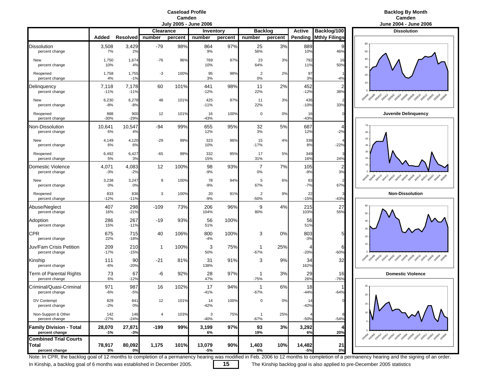### **Caseload ProfileCamden**<br>**July 2005 - June 2006**

### **Backlog By Month n** Camden and Cambridge and Cambridge and Cambridge and Cambridge and Cambridge and Cambridge and Cambridge and C

|                                                  |                 |                 |                  |         | <b>DUIT COOP - PULLE COOP</b> |         |                          |         |               |                      | <b>JUILE LUUT - JUILE LI</b>                      |
|--------------------------------------------------|-----------------|-----------------|------------------|---------|-------------------------------|---------|--------------------------|---------|---------------|----------------------|---------------------------------------------------|
|                                                  |                 |                 | <b>Clearance</b> |         | Inventory                     |         | <b>Backlog</b>           |         | <b>Active</b> | Backlog/100          | <b>Dissolution</b>                                |
|                                                  | Added           | Resolved        | number           | percent | number                        | percent | number                   | percent | Pending       | <b>Mthly Filings</b> |                                                   |
| <b>Dissolution</b><br>percent change             | 3,508<br>7%     | 3,429<br>2%     | $-79$            | 98%     | 864<br>9%                     | 97%     | 25<br>56%                | 3%      | 889<br>10%    | 46%                  | 60<br>50                                          |
| New<br>percent change                            | 1,750<br>10%    | 1,674<br>4%     | $-76$            | 96%     | 769<br>10%                    | 97%     | 23<br>64%                | 3%      | 792<br>11%    | 16<br>50%            | 40<br>30                                          |
| Reopened<br>percent change                       | 1,758<br>4%     | 1,755<br>$-1%$  | -3               | 100%    | 95<br>3%                      | 98%     | 2<br>$0\%$               | 2%      | 97<br>3%      | $-4%$                | 20                                                |
| Delinquency<br>percent change                    | 7,118<br>$-11%$ | 7,178<br>$-11%$ | 60               | 101%    | 441<br>$-12%$                 | 98%     | 11<br>22%                | 2%      | 452<br>$-12%$ | 38%                  | 10                                                |
| New<br>percent change                            | 6,230<br>$-8%$  | 6,278<br>$-8%$  | 48               | 101%    | 425<br>$-11%$                 | 97%     | 11<br>22%                | 3%      | 436<br>$-10%$ | 33%                  | so ago da par a pag, ago bas bas bas bas          |
| Reopened<br>percent change                       | 888<br>$-30%$   | 900<br>$-29%$   | 12               | 101%    | 16<br>$-43%$                  | 100%    | 0                        | 0%      | 16<br>$-43%$  |                      | <b>Juvenile Delingueno</b>                        |
| <b>Non-Dissolution</b><br>percent change         | 10,641<br>6%    | 10,547<br>4%    | -94              | 99%     | 655<br>12%                    | 95%     | 32<br>3%                 | 5%      | 687<br>12%    | 4<br>$-2%$           | 70<br>60                                          |
| New<br>percent change                            | 4,149<br>6%     | 4,120<br>6%     | $-29$            | 99%     | 323<br>10%                    | 96%     | 15<br>$-17%$             | 4%      | 338<br>8%     | $-22%$               | 50<br>40                                          |
| Reopened<br>percent change                       | 6,492<br>5%     | 6,427<br>3%     | $-65$            | 99%     | 332<br>15%                    | 95%     | 17<br>31%                | 5%      | 349<br>16%    | 24%                  | 30<br>$20 -$                                      |
| Domestic Violence<br>percent change              | 4,071<br>$-3%$  | 4,083<br>$-2%$  | 12               | 100%    | 98<br>$-9%$                   | 93%     | 7<br>0%                  | 7%      | 105<br>$-9%$  | 3%                   | $10 -$                                            |
| New<br>percent change                            | 3,238<br>$0\%$  | 3,247<br>0%     | 9                | 100%    | 78<br>-9%                     | 94%     | 5<br>67%                 | 6%      | 83<br>$-7%$   | 67%                  | 20408-20410 20412-20502-20508-20508-20508-20510   |
| Reopened<br>percent change                       | 833<br>$-12%$   | 836<br>$-11%$   | 3                | 100%    | 20<br>$-9%$                   | 91%     | $\overline{2}$<br>$-50%$ | 9%      | 22<br>$-15%$  | $-43%$               | <b>Non-Dissolution</b>                            |
| Abuse/Neglect<br>percent change                  | 407<br>16%      | 298<br>$-21%$   | $-109$           | 73%     | 206<br>104%                   | 96%     | 9<br>80%                 | 4%      | 215<br>103%   | 27<br>55%            | 60<br>50                                          |
| Adoption<br>percent change                       | 286<br>15%      | 267<br>$-11%$   | $-19$            | 93%     | 56<br>51%                     | 100%    |                          |         | 56<br>51%     |                      | 40<br>30                                          |
| CPR<br>percent change                            | 675<br>22%      | 715<br>$-18%$   | 40               | 106%    | 800<br>$-4%$                  | 100%    | 3                        | 0%      | 803<br>$-3%$  | 5                    | 20                                                |
| Juv/Fam Crisis Petition<br>percent change        | 209<br>$-17%$   | 210<br>$-15%$   | 1                | 100%    | 3<br>50%                      | 75%     | -1<br>$-67%$             | 25%     | 4<br>$-20%$   | 6<br>$-60%$          | 10                                                |
| Kinship<br>percent change                        | 111<br>$-6%$    | 90<br>-20%      | $-21$            | 81%     | 31<br>138%                    | 91%     | 3                        | 9%      | 34<br>162%    | 32                   |                                                   |
| <b>Term of Parental Rights</b><br>percent change | 73<br>6%        | 67<br>$-12%$    | -6               | 92%     | 28<br>47%                     | 97%     | 1<br>$-75%$              | 3%      | 29<br>26%     | 16<br>$-76%$         | <b>Domestic Violence</b>                          |
| Criminal/Quasi-Criminal<br>percent change        | 971<br>$-6%$    | 987<br>$-5%$    | 16               | 102%    | 17<br>$-41%$                  | 94%     | -1<br>$-67%$             | 6%      | 18<br>$-44%$  | $-64%$               | 25<br>20                                          |
| DV Contempt<br>percent change                    | 829<br>$-2%$    | 841<br>0%       | 12               | 101%    | 14<br>$-42%$                  | 100%    | $\mathbf 0$              | 0%      | 14<br>$-42%$  |                      | $15 -$                                            |
| Non-Support & Other<br>percent change            | 142<br>$-27%$   | 146<br>$-24%$   | $\overline{4}$   | 103%    | 3<br>$-40%$                   | 75%     | $\mathbf{1}$<br>-67%     | 25%     | $-50%$        | $-54%$               |                                                   |
| <b>Family Division - Total</b><br>percent change | 28,070<br>$-1%$ | 27,871<br>$-3%$ | $-199$           | 99%     | 3,199<br>6%                   | 97%     | 93<br>19%                | 3%      | 3,292<br>6%   | 20%                  | 2014 2014 2014 2014 2024 2034 2034 2034 2035 2036 |
| <b>Combined Trial Courts</b><br>Total            | 78,917          | 80,092          | 1,175            | 101%    | 13,079                        | 90%     | 1,403                    | 10%     | 14,482        | 21                   |                                                   |
| percent change                                   | 0%              | 0%              |                  |         | -5%                           |         | 0%                       |         | $-5%$         | 0%                   |                                                   |



Note: In CPR, the backlog goal of 12 months to completion of a permanency hearing was modified in Feb. 2006 to 12 months to completion of a permanency hearing and the signing of an order.

In Kinship, a backlog goal of 6 months was established in December 2005. **15** The Kinship backlog goal is also applied to pre-December 2005 statistics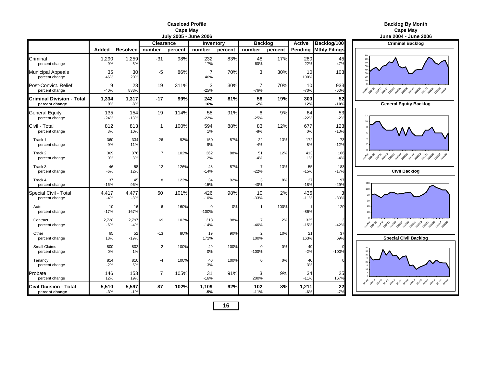|                                                    |                |                 |                  | <b>July 2005 - June 2006</b> |                        |         |                          |         |                |                      | <b>June 2004 - June</b>                             |
|----------------------------------------------------|----------------|-----------------|------------------|------------------------------|------------------------|---------|--------------------------|---------|----------------|----------------------|-----------------------------------------------------|
|                                                    |                |                 | <b>Clearance</b> |                              | Inventory              |         | <b>Backlog</b>           |         | <b>Active</b>  | Backlog/100          | <b>Criminal Backle</b>                              |
|                                                    | Added          | <b>Resolved</b> | number           | percent                      | number                 | percent | number                   | percent | Pending        | <b>Mthly Filings</b> |                                                     |
| Criminal<br>percent change                         | 1,290<br>9%    | 1,259<br>5%     | $-31$            | 98%                          | 232<br>17%             | 83%     | 48<br>60%                | 17%     | 280<br>22%     | 45<br>47%            | 70<br>60<br>50                                      |
| <b>Municipal Appeals</b><br>percent change         | 35<br>46%      | 30<br>20%       | $-5$             | 86%                          | $\overline{7}$<br>40%  | 70%     | 3                        | 30%     | 10<br>100%     | 103                  | 40<br>30<br>20<br>10                                |
| Post-Convict, Relief<br>percent change             | 9<br>$-40%$    | 28<br>833%      | 19               | 311%                         | 3<br>$-25%$            | 30%     | 7<br>$-76%$              | 70%     | 10<br>$-70%$   | 933<br>$-60%$        | 100408 20410 20412 2050 2050 2050 2050 205<br>20406 |
| <b>Criminal Division - Total</b><br>percent change | 1,334<br>9%    | 1,317<br>8%     | $-17$            | 99%                          | 242<br>16%             | 81%     | 58<br>$-2%$              | 19%     | 300<br>12%     | 52<br>$-10%$         | <b>General Equity Ba</b>                            |
| <b>General Equity</b><br>percent change            | 135<br>$-24%$  | 154<br>$-13%$   | 19               | 114%                         | 58<br>$-22%$           | 91%     | 6<br>$-25%$              | 9%      | 64<br>$-22%$   | 53<br>$-2%$          |                                                     |
| Civil - Total<br>percent change                    | 812<br>3%      | 813<br>10%      | 1                | 100%                         | 594<br>1%              | 88%     | 83<br>$-8%$              | 12%     | 677<br>0%      | 123<br>$-10%$        |                                                     |
| Track 1<br>percent change                          | 360<br>9%      | 334<br>11%      | $-26$            | 93%                          | 150<br>9%              | 87%     | 22<br>$-4%$              | 13%     | 172<br>8%      | 73<br>$-12%$         |                                                     |
| Track 2<br>percent change                          | 369<br>0%      | 376<br>3%       | $\overline{7}$   | 102%                         | 362<br>2%              | 88%     | 51<br>$-4%$              | 12%     | 413<br>1%      | 166<br>$-4%$         | 2040 2040 2041 2041 2050 2050 2050 2050 2050        |
| Track 3<br>percent change                          | 46<br>$-6%$    | 58<br>12%       | 12               | 126%                         | 48<br>$-14%$           | 87%     | $\overline{7}$<br>$-22%$ | 13%     | 55<br>$-15%$   | 183<br>$-17%$        | <b>Civil Backlog</b>                                |
| Track 4<br>percent change                          | 37<br>$-16%$   | 45<br>96%       | 8                | 122%                         | 34<br>$-15%$           | 92%     | 3<br>$-40%$              | 8%      | 37<br>$-18%$   | 97<br>$-29%$         | 120                                                 |
| Special Civil - Total<br>percent change            | 4,417<br>$-4%$ | 4,477<br>$-3%$  | 60               | 101%                         | 426<br>$-10%$          | 98%     | 10<br>$-33%$             | 2%      | 436<br>$-11%$  | З<br>$-30%$          | 100<br>80<br>60                                     |
| Auto<br>percent change                             | 10<br>$-17%$   | 16<br>167%      | 6                | 160%                         | $\mathbf 0$<br>$-100%$ | 0%      | $\mathbf{1}$             | 100%    | $-86%$         | 120                  | 40<br>20                                            |
| Contract<br>percent change                         | 2,728<br>$-6%$ | 2,797<br>$-4%$  | 69               | 103%                         | 318<br>$-14%$          | 98%     | $\overline{7}$<br>$-46%$ | 2%      | 325<br>$-15%$  | $-42%$               | 2010年 2010年 2011年 2011年 2015年 2015年 2015年 2015年     |
| Other<br>percent change                            | 65<br>18%      | 52<br>$-19%$    | $-13$            | 80%                          | 19<br>171%             | 90%     | $\overline{2}$<br>100%   | 10%     | 21<br>163%     | 37<br>69%            | <b>Special Civil Bac</b>                            |
| Small Claims<br>percent change                     | 800<br>0%      | 802<br>1%       | $\overline{2}$   | 100%                         | 49<br>0%               | 100%    | $\Omega$<br>$-100%$      | 0%      | 49<br>$-2%$    | $-100%$              |                                                     |
| Tenancy<br>percent change                          | 814<br>$-2%$   | 810<br>5%       | $-4$             | 100%                         | 40<br>3%               | 100%    | $\Omega$                 | 0%      | 40<br>3%       |                      |                                                     |
| Probate<br>percent change                          | 146<br>12%     | 153<br>19%      | $\overline{7}$   | 105%                         | 31<br>$-16%$           | 91%     | 3<br>200%                | 9%      | 34<br>$-11%$   | 25<br>167%           |                                                     |
| <b>Civil Division - Total</b><br>percent change    | 5,510<br>$-3%$ | 5,597<br>$-1%$  | 87               | 102%                         | 1,109<br>$-5%$         | 92%     | 102<br>$-11%$            | 8%      | 1,211<br>$-6%$ | 22<br>$-7%$          |                                                     |

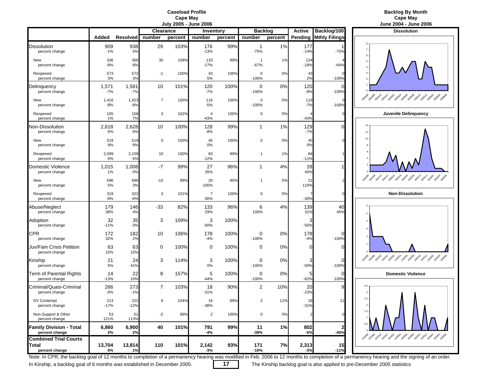

|                                                                |                |                |                  |         | JULY 200J - JULIE 2000   |         |                          |         |                |                        | JUIIE ZUU4 - JUIIE ZU                                                   |
|----------------------------------------------------------------|----------------|----------------|------------------|---------|--------------------------|---------|--------------------------|---------|----------------|------------------------|-------------------------------------------------------------------------|
|                                                                |                |                | <b>Clearance</b> |         | Inventory                |         | <b>Backlog</b>           |         | <b>Active</b>  | Backlog/100            | <b>Dissolution</b>                                                      |
|                                                                | Added          | Resolved       | number           | percent | number                   | percent | number                   | percent | Pending        | <b>Mthly Filings</b>   |                                                                         |
| <b>Dissolution</b><br>percent change                           | 909<br>$-1%$   | 938<br>5%      | 29               | 103%    | 176<br>$-13%$            | 99%     | 1<br>$-75%$              | 1%      | 177<br>$-14%$  | $-75%$                 | 6                                                                       |
| New<br>percent change                                          | 336<br>$-8%$   | 366<br>8%      | 30               | 109%    | 133<br>$-17%$            | 99%     | $\overline{1}$<br>$-67%$ | 1%      | 134<br>$-18%$  | $-64%$                 | 5<br>$\overline{4}$                                                     |
| Reopened<br>percent change                                     | 573<br>3%      | 572<br>3%      | $-1$             | 100%    | 43<br>5%                 | 100%    | 0<br>$-100%$             | 0%      | 43<br>2%       | $-100%$                | 3<br>$\overline{2}$                                                     |
| Delinquency<br>percent change                                  | 1,571<br>$-7%$ | 1,581<br>-7%   | 10               | 101%    | 120<br>$-7%$             | 100%    | 0<br>$-100%$             | 0%      | 120<br>$-9%$   | $\Omega$<br>$-100%$    |                                                                         |
| New<br>percent change                                          | 1,416<br>$-8%$ | 1,423<br>$-8%$ | $\overline{7}$   | 100%    | 116<br>$-5%$             | 100%    | 0<br>$-100%$             | 0%      | 116<br>$-7%$   | $\Omega$<br>$-100%$    | 2014 2014 2014 2019 2019 2019 2019 2019 2019 201                        |
| Reopened<br>percent change                                     | 155<br>1%      | 158<br>7%      | 3                | 102%    | 4<br>$-43%$              | 100%    | 0                        | 0%      | $-43%$         | $\Omega$               | Juvenile Delinquend                                                     |
| Non-Dissolution<br>percent change                              | 2,618<br>6%    | 2,628<br>6%    | 10               | 100%    | 128<br>$-8%$             | 99%     | $\mathbf{1}$             | 1%      | 129<br>$-7%$   | $\Omega$               | 14<br>12                                                                |
| New<br>percent change                                          | 519<br>9%      | 519<br>9%      | $\mathsf 0$      | 100%    | 45<br>0%                 | 100%    | 0                        | 0%      | 45<br>0%       |                        | 10                                                                      |
| Reopened<br>percent change                                     | 2,099<br>5%    | 2,109<br>6%    | 10               | 100%    | 83<br>$-12%$             | 99%     | 1                        | 1%      | 84<br>$-11%$   |                        |                                                                         |
| <b>Domestic Violence</b><br>percent change                     | 1,015<br>1%    | 1,008<br>0%    | $-7$             | 99%     | 27<br>35%                | 96%     | 1                        | 4%      | 28<br>40%      |                        |                                                                         |
| New<br>percent change                                          | 696<br>5%      | 686<br>3%      | $-10$            | 99%     | 20<br>100%               | 95%     | 1                        | 5%      | 21<br>110%     |                        | 20xil 20x10 20x12 20x52<br>26 20508 20510 205<br><b>POSOA</b><br>2005DE |
| Reopened<br>percent change                                     | 319<br>$-8%$   | 322<br>$-6%$   | 3                | 101%    | $\overline{7}$<br>$-30%$ | 100%    | 0                        | 0%      | $-30%$         | $\mathbf 0$            | <b>Non-Dissolution</b>                                                  |
| Abuse/Neglect<br>percent change                                | 179<br>38%     | 146<br>4%      | $-33$            | 82%     | 133<br>29%               | 96%     | 6<br>100%                | 4%      | 139<br>31%     | 40<br>45%              |                                                                         |
| Adoption<br>percent change                                     | 32<br>$-11%$   | 35<br>$-3%$    | 3                | 109%    | 3<br>$-50%$              | 100%    |                          |         | $-50%$         |                        | $\mathbf{3}$                                                            |
| <b>CPR</b><br>percent change                                   | 172<br>32%     | 182<br>2%      | 10               | 106%    | 178<br>$-4%$             | 100%    | 0<br>$-100%$             | 0%      | 178<br>$-4%$   | $\Omega$<br>$-100%$    |                                                                         |
| Juv/Fam Crisis Petition<br>percent change                      | 63<br>15%      | 63<br>15%      | 0                | 100%    | 0                        | 100%    | 0                        | 0%      | $\Omega$       | $\Omega$               |                                                                         |
| Kinship<br>percent change                                      | 21<br>5%       | 24<br>41%      | 3                | 114%    | 3<br>$0\%$               | 100%    | 0<br>$-100%$             | 0%      | 3<br>$-50%$    | $\Omega$<br>$-100%$    | 2014 2014 2014 2015 2015 2019 2019 2019 2019 201                        |
| <b>Term of Parental Rights</b><br>percent change               | 14<br>$-13%$   | 22<br>10%      | 8                | 157%    | 5<br>$-44%$              | 100%    | 0<br>$-100%$             | 0%      | 5<br>$-62%$    | 0<br>$-100%$           | <b>Domestic Violence</b>                                                |
| Criminal/Quasi-Criminal<br>percent change                      | 266<br>$-5%$   | 273<br>$-1%$   | 7                | 103%    | 18<br>$-31%$             | 90%     | $\overline{2}$           | 10%     | 20<br>$-23%$   |                        | $3.5\,$<br>$\overline{\mathbf{3}}$                                      |
| DV Contempt<br>percent change                                  | 213<br>$-17%$  | 222<br>$-12%$  | 9                | 104%    | 16<br>-38%               | 89%     | 2                        | 11%     | 18<br>$-31%$   | 1 <sup>1</sup>         | $2.5 -$<br>$\overline{2}$                                               |
| Non-Support & Other<br>percent change                          | 53<br>121%     | 51<br>113%     | $-2$             | 96%     | $\overline{2}$           | 100%    | 0                        | 0%      |                | $\mathbf{0}$           | 1.5                                                                     |
| <b>Family Division - Total</b><br>percent change               | 6,860<br>2%    | 6,900<br>2%    | 40               | 101%    | 791<br>-4%               | 99%     | 11<br>-39%               | 1%      | 802<br>$-5%$   | $\mathbf{2}$<br>$-40%$ | 0.5                                                                     |
| <b>Combined Trial Courts</b><br><b>Total</b><br>percent change | 13,704<br>0%   | 13,814<br>1%   | 110              | 101%    | 2,142<br>$-3%$           | 93%     | 171<br>$-10%$            | 7%      | 2,313<br>$-3%$ | 15<br>$-11%$           | 2014 2014 2014 2014 2024 2034 2034 2034 2035 2036                       |



Note: In CPR, the backlog goal of 12 months to completion of a permanency hearing was modified in Feb. 2006 to 12 months to completion of a permanency hearing and the signing of an order.

In Kinship, a backlog goal of 6 months was established in December 2005. **17** The Kinship backlog goal is also applied to pre-December 2005 statistics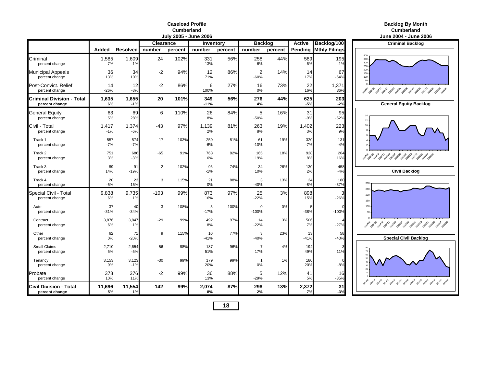### **Caseload ProfileCumberland**

|                                                    |                |                 |                  |         | July 2005 - June 2006    |         |                       |         |              |                              | June 2004 - June 2006                                                                                                                                                                                                             |
|----------------------------------------------------|----------------|-----------------|------------------|---------|--------------------------|---------|-----------------------|---------|--------------|------------------------------|-----------------------------------------------------------------------------------------------------------------------------------------------------------------------------------------------------------------------------------|
|                                                    |                |                 | <b>Clearance</b> |         | Inventory                |         | <b>Backlog</b>        |         | Active       | Backlog/100                  | <b>Criminal Backlog</b>                                                                                                                                                                                                           |
|                                                    | Added          | <b>Resolved</b> | number           | percent | number                   | percent | number                | percent |              | <b>Pending Mthly Filings</b> |                                                                                                                                                                                                                                   |
| Criminal<br>percent change                         | 1,585<br>7%    | 1,609<br>$-1%$  | 24               | 102%    | 331<br>$-13%$            | 56%     | 258<br>6%             | 44%     | 589<br>$-6%$ | 195<br>$-1%$                 | 400<br>350<br>300<br>250                                                                                                                                                                                                          |
| <b>Municipal Appeals</b><br>percent change         | 36<br>13%      | 34<br>10%       | $-2$             | 94%     | 12<br>71%                | 86%     | 2<br>$-60%$           | 14%     | 14<br>17%    | 67<br>$-64%$                 | 200<br>150<br>100<br>50                                                                                                                                                                                                           |
| Post-Convict, Relief<br>percent change             | 14<br>$-26%$   | 12<br>$-8%$     | $-2$             | 86%     | 6<br>100%                | 27%     | 16<br>0%              | 73%     | 22<br>16%    | 1,371<br>36%                 | 2019 - 2019 - 2019 - 2019 - 2019 - 2019 - 2019 - 2019 - 2019 - 2019                                                                                                                                                               |
| <b>Criminal Division - Total</b><br>percent change | 1,635<br>6%    | 1,655<br>$-1%$  | 20               | 101%    | 349<br>$-11%$            | 56%     | 276<br>4%             | 44%     | 625<br>$-5%$ | 203<br>$-2%$                 | <b>General Equity Backlog</b>                                                                                                                                                                                                     |
| <b>General Equity</b><br>percent change            | 63<br>5%       | 69<br>28%       | 6                | 110%    | 26<br>8%                 | 84%     | 5<br>$-50%$           | 16%     | 31<br>$-9%$  | 95<br>$-52%$                 | 12                                                                                                                                                                                                                                |
| Civil Total<br>percent change                      | 1,417<br>$-1%$ | 1,374<br>$-6%$  | $-43$            | 97%     | 1,139<br>2%              | 81%     | 263<br>8%             | 19%     | 1,402<br>3%  | 223<br>9%                    | 10                                                                                                                                                                                                                                |
| Track 1<br>percent change                          | 557<br>$-7%$   | 574<br>$-7%$    | 17               | 103%    | 259<br>$-6%$             | 81%     | 61<br>$-10%$          | 19%     | 320<br>$-7%$ | 131<br>$-4%$                 |                                                                                                                                                                                                                                   |
| Track 2<br>percent change                          | 751<br>3%      | 686<br>$-3%$    | $-65$            | 91%     | 763<br>6%                | 82%     | 165<br>19%            | 18%     | 928<br>8%    | 264<br>16%                   | 2014 - 2014 - 2014 - 2014 - 2014 - 2014 - 2014 - 2014 - 2014 - 2014 - 2014 - 2014 - 2014 - 2014 - 2014 - 2014 -<br>Political control of the control of the control of the control of the control of the control of the control of |
| Track 3<br>percent change                          | 89<br>14%      | 91<br>$-19%$    | $\overline{2}$   | 102%    | 96<br>$-1%$              | 74%     | 34<br>10%             | 26%     | 130<br>2%    | 458<br>$-4%$                 | <b>Civil Backlog</b>                                                                                                                                                                                                              |
| Track 4<br>percent change                          | 20<br>$-5%$    | 23<br>15%       | 3                | 115%    | 21<br>0%                 | 88%     | 3<br>$-40%$           | 13%     | 24<br>$-8%$  | 180<br>$-37%$                | 300<br>250                                                                                                                                                                                                                        |
| Special Civil - Total<br>percent change            | 9,838<br>6%    | 9,735<br>1%     | $-103$           | 99%     | 873<br>16%               | 97%     | 25<br>$-22%$          | 3%      | 898<br>15%   | 3<br>$-26%$                  | 200<br>150                                                                                                                                                                                                                        |
| Auto<br>percent change                             | 37<br>$-31%$   | 40<br>$-34%$    | 3                | 108%    | $\overline{5}$<br>$-17%$ | 100%    | $\Omega$<br>$-100%$   | 0%      | $-38%$       | $-100%$                      | 100<br>50                                                                                                                                                                                                                         |
| Contract<br>percent change                         | 3,876<br>6%    | 3,847<br>1%     | -29              | 99%     | 492<br>8%                | 97%     | 14<br>$-22%$          | 3%      | 506<br>7%    | $-27%$                       |                                                                                                                                                                                                                                   |
| Other<br>percent change                            | 62<br>0%       | 71<br>$-20%$    | 9                | 115%    | 10<br>$-41%$             | 77%     | 3<br>$-40%$           | 23%     | 13<br>$-41%$ | 58<br>$-40%$                 | <b>Special Civil Backlog</b>                                                                                                                                                                                                      |
| Small Claims<br>percent change                     | 2,710<br>5%    | 2,654<br>$-5%$  | $-56$            | 98%     | 187<br>51%               | 96%     | $\overline{7}$<br>17% | 4%      | 194<br>49%   | 11%                          | 70<br>60                                                                                                                                                                                                                          |
| Tenancy<br>percent change                          | 3,153<br>9%    | 3,123<br>$-1%$  | $-30$            | 99%     | 179<br>20%               | 99%     | $\overline{1}$<br>0%  | 1%      | 180<br>20%   | $\Omega$<br>$-8%$            | 50<br>40<br>30<br>20                                                                                                                                                                                                              |
| Probate<br>percent change                          | 378<br>10%     | 376<br>11%      | $-2$             | 99%     | 36<br>13%                | 88%     | 5<br>$-29%$           | 12%     | 41<br>5%     | 16<br>$-35%$                 | 1944 2049 2049 2059 2059 2059 2059 2059 2059 2059                                                                                                                                                                                 |
| <b>Civil Division - Total</b><br>percent change    | 11,696<br>5%   | 11,554<br>1%    | $-142$           | 99%     | 2,074<br>8%              | 87%     | 298<br>2%             | 13%     | 2,372<br>7%  | 31<br>$-3%$                  |                                                                                                                                                                                                                                   |

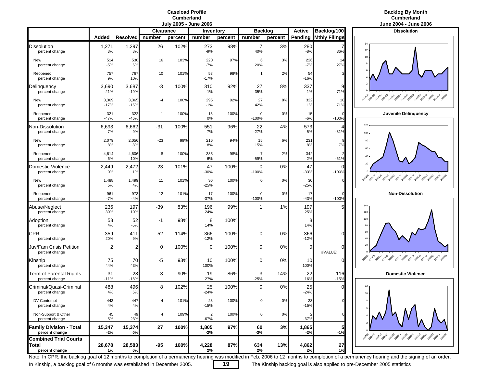### **Caseload ProfileCumberland**

### **Backlog By Month Cumberland**

|                                                                |                 |                 | Clearance               |         | Inventory                |         | <b>Backlog</b>           |         | <b>Active</b>  | Backlog/100          | <b>Dissolution</b>                                |
|----------------------------------------------------------------|-----------------|-----------------|-------------------------|---------|--------------------------|---------|--------------------------|---------|----------------|----------------------|---------------------------------------------------|
|                                                                | Added           | <b>Resolved</b> | number                  | percent | number                   | percent | number                   | percent | Pending        | <b>Mthly Filings</b> |                                                   |
| <b>Dissolution</b><br>percent change                           | 1,271<br>3%     | 1,297<br>8%     | 26                      | 102%    | 273<br>$-9%$             | 98%     | 7<br>40%                 | 3%      | 280<br>$-8%$   | 36%                  | 14<br>12                                          |
| New<br>percent change                                          | 514<br>$-5%$    | 530<br>6%       | 16                      | 103%    | 220<br>$-7%$             | 97%     | 6<br>20%                 | 3%      | 226<br>$-7%$   | 14<br>27%            | 10                                                |
| Reopened<br>percent change                                     | 757<br>9%       | 767<br>10%      | 10                      | 101%    | 53<br>$-17%$             | 98%     | $\mathbf{1}$             | 2%      | 54<br>$-16%$   |                      |                                                   |
| Delinquency<br>percent change                                  | 3,690<br>$-21%$ | 3,687<br>$-19%$ | -3                      | 100%    | 310<br>$-1%$             | 92%     | 27<br>35%                | 8%      | 337<br>1%      | 9<br>71%             |                                                   |
| New<br>percent change                                          | 3,369<br>$-17%$ | 3,365<br>$-15%$ | -4                      | 100%    | 295<br>$-1%$             | 92%     | 27<br>42%                | 8%      | 322<br>1%      | 10<br>71%            | Ao de Bath 20x12 post 20x9 post and post post and |
| Reopened<br>percent change                                     | 321<br>$-47%$   | 322<br>$-46%$   | $\mathbf{1}$            | 100%    | 15<br>0%                 | 100%    | 0<br>$-100%$             | 0%      | 15<br>$-6%$    | $-100%$              | Juvenile Delingueno                               |
| Non-Dissolution<br>percent change                              | 6,693<br>7%     | 6,662<br>9%     | -31                     | 100%    | 551<br>7%                | 96%     | 22<br>$-27%$             | 4%      | 573<br>5%      | $-31%$               | 120<br>100                                        |
| New<br>percent change                                          | 2,079<br>8%     | 2,056<br>8%     | $-23$                   | 99%     | 216<br>8%                | 94%     | 15<br>15%                | 6%      | 231<br>8%      | 7%                   | 80<br>60                                          |
| Reopened<br>percent change                                     | 4,614<br>6%     | 4,606<br>10%    | -8                      | 100%    | 335<br>6%                | 98%     | $\overline{7}$<br>$-59%$ | 2%      | 342<br>2%      | $-61%$               | 40                                                |
| Domestic Violence<br>percent change                            | 2,449<br>0%     | 2,472<br>1%     | 23                      | 101%    | 47<br>$-30%$             | 100%    | 0<br>$-100%$             | 0%      | 47<br>$-33%$   | 0<br>$-100%$         | $20\,$                                            |
| New<br>percent change                                          | 1,488<br>5%     | 1,499<br>4%     | 11                      | 101%    | 30<br>$-25%$             | 100%    | $\mathbf 0$              | 0%      | 30<br>$-25%$   |                      | 2004 2014 2014 2015 2016 2019 2019 2019 2019 2019 |
| Reopened<br>percent change                                     | 961<br>$-7%$    | 973<br>$-4%$    | 12                      | 101%    | 17<br>$-37%$             | 100%    | 0<br>$-100%$             | 0%      | 17<br>$-43%$   | $-100%$              | <b>Non-Dissolution</b>                            |
| Abuse/Neglect<br>percent change                                | 236<br>30%      | 197<br>10%      | -39                     | 83%     | 196<br>24%               | 99%     | 1                        | 1%      | 197<br>25%     | 5                    | 140<br>120                                        |
| Adoption<br>percent change                                     | 53<br>4%        | 52<br>$-5%$     | -1                      | 98%     | 8<br>14%                 | 100%    |                          |         | 8<br>14%       |                      | 100<br>80                                         |
| <b>CPR</b><br>percent change                                   | 359<br>20%      | 411<br>9%       | 52                      | 114%    | 366<br>$-12%$            | 100%    | 0                        | 0%      | 366<br>$-12%$  | 0                    | 60<br>40                                          |
| Juv/Fam Crisis Petition<br>percent change                      | $\overline{2}$  | $\overline{2}$  | 0                       | 100%    | 0                        | 100%    | 0                        | 0%      | $\Omega$       | #VALUE!              | 20                                                |
| Kinship<br>percent change                                      | 75<br>44%       | 70<br>43%       | -5                      | 93%     | 10<br>100%               | 100%    | 0                        | 0%      | 10<br>100%     | $\Omega$             | 2014 2014 2014 2015 2015 2015 2015 2015 2015      |
| <b>Term of Parental Rights</b><br>percent change               | 31<br>$-11%$    | 28<br>$-18%$    | -3                      | 90%     | 19<br>27%                | 86%     | 3<br>$-25%$              | 14%     | 22<br>16%      | 116<br>$-15%$        | <b>Domestic Violence</b>                          |
| Criminal/Quasi-Criminal<br>percent change                      | 488<br>4%       | 496<br>6%       | 8                       | 102%    | 25<br>$-24%$             | 100%    | 0                        | 0%      | 25<br>$-24%$   | C                    | 12<br>10                                          |
| DV Contempt<br>percent change                                  | 443<br>4%       | 447<br>4%       | $\overline{\mathbf{A}}$ | 101%    | 23<br>$-15%$             | 100%    | 0                        | 0%      | 23<br>$-15%$   |                      | $\mathbf{a}$                                      |
| Non-Support & Other<br>percent change                          | 45<br>5%        | 49<br>23%       | $\overline{4}$          | 109%    | $\overline{c}$<br>$-67%$ | 100%    | $\mathsf 0$              | $0\%$   | $-67%$         |                      |                                                   |
| <b>Family Division - Total</b><br>percent change               | 15,347<br>-2%   | 15,374<br>0%    | 27                      | 100%    | 1,805<br>$-2%$           | 97%     | 60<br>-3%                | 3%      | 1,865<br>$-2%$ | 5<br>$-1%$           | 2014 2019 2021 2021 2022 2023 2029 2029 2020 2021 |
| <b>Combined Trial Courts</b><br><b>Total</b><br>percent change | 28,678<br>1%    | 28,583<br>0%    | $-95$                   | 100%    | 4,228<br>2%              | 87%     | 634<br>2%                | 13%     | 4,862<br>2%    | 27<br>1%             |                                                   |



Note: In CPR, the backlog goal of 12 months to completion of a permanency hearing was modified in Feb. 2006 to 12 months to completion of a permanency hearing and the signing of an order.

In Kinship, a backlog goal of 6 months was established in December 2005. **19** The Kinship backlog goal is also applied to pre-December 2005 statistics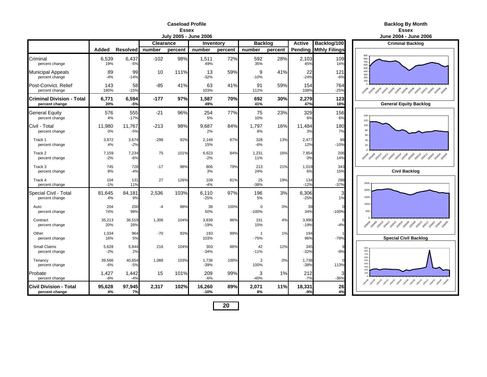#### **Caseload ProfileEssex**

|  | <b>Backlog By Month</b> |
|--|-------------------------|
|  |                         |

**Essex**

|                                                    |                 |                 |           | July 2005 - June 2006 |                             | June 2004 - June 2006 |                          |               |                                        |                              |                                                                                                                                                                        |
|----------------------------------------------------|-----------------|-----------------|-----------|-----------------------|-----------------------------|-----------------------|--------------------------|---------------|----------------------------------------|------------------------------|------------------------------------------------------------------------------------------------------------------------------------------------------------------------|
|                                                    |                 |                 | Clearance |                       | <b>Backlog</b><br>Inventory |                       |                          | <b>Active</b> | Backlog/100<br><b>Criminal Backlog</b> |                              |                                                                                                                                                                        |
|                                                    | Added           | Resolved number |           | percent               | number                      | percent               | number                   | percent       |                                        | <b>Pending Mthly Filings</b> |                                                                                                                                                                        |
| Criminal<br>percent change                         | 6,539<br>19%    | 6,437<br>$-5%$  | $-102$    | 98%                   | 1,511<br>49%                | 72%                   | 592<br>35%               | 28%           | 2,103<br>45%                           | 109<br>14%                   | 900<br>800<br>700<br>600                                                                                                                                               |
| <b>Municipal Appeals</b><br>percent change         | 89<br>$-4%$     | 99<br>$-14%$    | 10        | 111%                  | 13<br>$-32%$                | 59%                   | 9<br>$-10%$              | 41%           | 22<br>$-24%$                           | 121<br>$-6%$                 | 500<br>400<br>300<br>200<br>100                                                                                                                                        |
| Post-Convict, Relief<br>percent change             | 143<br>180%     | 58<br>$-15%$    | $-85$     | 41%                   | 63<br>103%                  | 41%                   | 91<br>112%               | 59%           | 154<br>108%                            | 764<br>$-25%$                | 2949 - 294 - 294 - 295 - 295 - 295 - 295 - 295 - 296<br>295 - 296 - 297 - 298 - 299 - 299 - 299 - 299 - 299 - 299 - 299 - 299 - 299 - 299 - 299 - 299 - 299 - 299 - 29 |
| <b>Criminal Division - Total</b><br>percent change | 6,771<br>20%    | 6,594<br>$-5%$  | $-177$    | 97%                   | 1,587<br>49%                | 70%                   | 692<br>41%               | 30%           | 2,279<br>47%                           | 123<br>18%                   | <b>General Equity Backlog</b>                                                                                                                                          |
| <b>General Equity</b><br>percent change            | 576<br>4%       | 555<br>$-17%$   | $-21$     | 96%                   | 254<br>5%                   | 77%                   | 75<br>10%                | 23%           | 329<br>6%                              | 156<br>6%                    | 140<br>120                                                                                                                                                             |
| Civil - Total<br>percent change                    | 11,980<br>0%    | 11,767<br>$-5%$ | $-213$    | 98%                   | 9,687<br>2%                 | 84%                   | 1,797<br>8%              | 16%           | 11,484<br>3%                           | 180<br>7%                    | 100<br>80<br>$60\,$                                                                                                                                                    |
| Track 1<br>percent change                          | 3,972<br>4%     | 3,674<br>$-2%$  | $-298$    | 92%                   | 2,149<br>15%                | 87%                   | 328<br>$-6%$             | 13%           | 2,477<br>12%                           | 99<br>$-10%$                 | 40<br>$20\,$                                                                                                                                                           |
| Track 2<br>percent change                          | 7,159<br>$-2%$  | 7,234<br>$-6%$  | 75        | 101%                  | 6,623<br>$-2%$              | 84%                   | 1,231<br>11%             | 16%           | 7,854<br>0%                            | 206<br>14%                   | 2019 - 2019 - 2019 - 2029 - 2029 - 2029 - 2029 - 2029 - 2029 - 2020                                                                                                    |
| Track 3<br>percent change                          | 745<br>8%       | 728<br>$-4%$    | $-17$     | 98%                   | 806<br>3%                   | 79%                   | 213<br>24%               | 21%           | 1,019<br>6%                            | 343<br>15%                   | <b>Civil Backlog</b>                                                                                                                                                   |
| Track 4<br>percent change                          | 104<br>$-1%$    | 131<br>11%      | 27        | 126%                  | 109<br>$-4%$                | 81%                   | 25<br>$-38%$             | 19%           | 134<br>$-12%$                          | 288<br>$-37%$                | 2500                                                                                                                                                                   |
| Special Civil - Total<br>percent change            | 81,645<br>4%    | 84,181<br>9%    | 2,536     | 103%                  | 6,110<br>$-25%$             | 97%                   | 196<br>5%                | 3%            | 6,306<br>$-25%$                        | З<br>1%                      | 2000<br>1500                                                                                                                                                           |
| Auto<br>percent change                             | 204<br>74%      | 200<br>98%      | $-4$      | 98%                   | 39<br>50%                   | 100%                  | $\mathbf 0$<br>$-100%$   | 0%            | 39<br>34%                              | $-100%$                      | 1000<br>500                                                                                                                                                            |
| Contract<br>percent change                         | 35,213<br>20%   | 36,519<br>26%   | 1,306     | 104%                  | 3,839<br>$-19%$             | 96%                   | 151<br>15%               | 4%            | 3,990<br>$-19%$                        | $-4%$                        |                                                                                                                                                                        |
| Other<br>percent change                            | 1,034<br>16%    | 964<br>5%       | $-70$     | 93%                   | 193<br>103%                 | 99%                   | $\overline{1}$<br>$-75%$ | 1%            | 194<br>96%                             | $-79%$                       | <b>Special Civil Backlog</b>                                                                                                                                           |
| <b>Small Claims</b><br>percent change              | 5,628<br>$-2%$  | 5,844<br>2%     | 216       | 104%                  | 303<br>$-34%$               | 88%                   | 42<br>$-11%$             | 12%           | 345<br>$-32%$                          | $-9%$                        | 900<br>800<br>700                                                                                                                                                      |
| Tenancy<br>percent change                          | 39,566<br>$-6%$ | 40,654<br>$-5%$ | 1,088     | 103%                  | 1,736<br>$-39%$             | 100%                  | $\overline{2}$<br>100%   | 0%            | 1,738<br>$-38%$                        | 113%                         | 600<br>500<br>400<br>300                                                                                                                                               |
| Probate<br>percent change                          | 1,427<br>$-6%$  | 1,442<br>$-4%$  | 15        | 101%                  | 209<br>$-6%$                | 99%                   | 3<br>$-40%$              | 1%            | 212<br>$-7%$                           | З<br>$-36%$                  | 200<br>100<br>2008-0010 20110 20120 20130 20130 20130 20130 20150 20151                                                                                                |
| <b>Civil Division - Total</b><br>percent change    | 95,628<br>4%    | 97,945<br>7%    | 2,317     | 102%                  | 16,260<br>$-10%$            | 89%                   | 2,071<br>8%              | 11%           | 18,331<br>$-9%$                        | 26<br>4%                     |                                                                                                                                                                        |

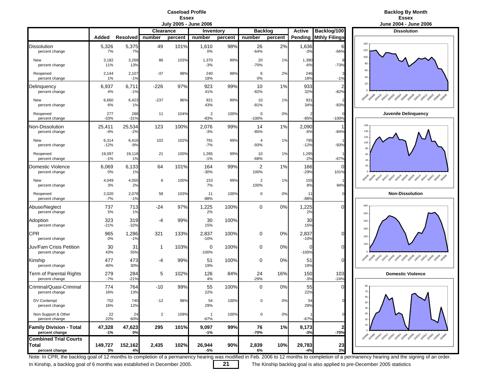**Caseload Profile**Essex<br>July 2005 - June 2006



|                                                         |                 |                 |                  | vury Luvu | $v$ unv $v$ vvo          |         |                |         |                 |                      | VUIIV LVVT<br>$v$ unv                              |
|---------------------------------------------------------|-----------------|-----------------|------------------|-----------|--------------------------|---------|----------------|---------|-----------------|----------------------|----------------------------------------------------|
|                                                         |                 |                 | <b>Clearance</b> |           | Inventory                |         | <b>Backlog</b> |         | <b>Active</b>   | Backlog/100          | <b>Dissolution</b>                                 |
|                                                         | Added           | <b>Resolved</b> | number           | percent   | number                   | percent | number         | percent | Pending         | <b>Mthly Filings</b> | 140                                                |
| Dissolution<br>percent change                           | 5,326<br>7%     | 5,375<br>7%     | 49               | 101%      | 1,610<br>0%              | 98%     | 26<br>$-64%$   | 2%      | 1,636<br>$-3%$  | $-66%$               | 120                                                |
| New<br>percent change                                   | 3,182<br>11%    | 3,268<br>13%    | 86               | 103%      | 1,370<br>$-3%$           | 99%     | 20<br>$-70%$   | 1%      | 1,390<br>$-6%$  | $-73%$               | 100<br>80                                          |
| Reopened<br>percent change                              | 2,144<br>1%     | 2,107<br>$-1%$  | $-37$            | 98%       | 240<br>18%               | 98%     | 6<br>0%        | 2%      | 246<br>18%      | $-1%$                | 60<br>40                                           |
| Delinquency<br>percent change                           | 6,937<br>4%     | 6,711<br>$-1%$  | -226             | 97%       | 923<br>41%               | 99%     | 10<br>$-82%$   | 1%      | 933<br>32%      | 2<br>$-82%$          | 20                                                 |
| New<br>percent change                                   | 6,660<br>6%     | 6,423<br>1%     | $-237$           | 96%       | 921<br>43%               | 99%     | 10<br>$-81%$   | 1%      | 931<br>34%      | $-83%$               | 29 rokes port 20x1 post age and post post post pos |
| Reopened<br>percent change                              | 277<br>$-33%$   | 288<br>$-31%$   | 11               | 104%      | $\overline{2}$<br>$-83%$ | 100%    | 0<br>$-100%$   | 0%      | $-85%$          | $-100%$              | Juvenile Delinquend                                |
| Non-Dissolution<br>percent change                       | 25,411<br>$-4%$ | 25,534<br>$-2%$ | 123              | 100%      | 2,076<br>$-3%$           | 99%     | 14<br>$-85%$   | 1%      | 2,090<br>$-6%$  | $-84%$               | 160<br>140                                         |
| New<br>percent change                                   | 6,314<br>$-12%$ | 6,416<br>$-9%$  | 102              | 102%      | 791<br>$-7%$             | 99%     | 4<br>$-93%$    | 1%      | 795<br>$-12%$   | $-93%$               | 120<br>100<br>80                                   |
| Reopened<br>percent change                              | 19,097<br>$-1%$ | 19,118<br>1%    | 21               | 100%      | 1,285<br>$-1%$           | 99%     | 10<br>$-68%$   | 1%      | 1,295<br>$-2%$  | $-67%$               | 60<br>40                                           |
| Domestic Violence<br>percent change                     | 6,069<br>0%     | 6,133<br>1%     | 64               | 101%      | 164<br>$-30%$            | 99%     | 2<br>100%      | 1%      | 166<br>$-29%$   | 0<br>101%            | 20                                                 |
| New<br>percent change                                   | 4,049<br>3%     | 4,055<br>2%     | 6                | 100%      | 153<br>7%                | 99%     | 2<br>100%      | 1%      | 155<br>8%       | 94%                  | 2010 2010 2011 2011 2021 2030 2040 2050 2050 2051  |
| Reopened<br>percent change                              | 2,020<br>$-7%$  | 2,078<br>$-1%$  | 58               | 103%      | 11<br>$-88%$             | 100%    | 0              | 0%      | 11<br>$-88%$    |                      | <b>Non-Dissolution</b>                             |
| Abuse/Neglect<br>percent change                         | 737<br>5%       | 713<br>1%       | -24              | 97%       | 1,225<br>2%              | 100%    | 0              | 0%      | 1,225<br>2%     | n                    | 600<br>500                                         |
| Adoption<br>percent change                              | 323<br>$-21%$   | 319<br>$-32%$   | -4               | 99%       | 30<br>15%                | 100%    |                |         | 30<br>15%       |                      | 400<br>300                                         |
| CPR<br>percent change                                   | 965<br>0%       | 1,286<br>$-1%$  | 321              | 133%      | 2,837<br>$-10%$          | 100%    | 0              | 0%      | 2,837<br>$-10%$ | 0                    | 200                                                |
| Juv/Fam Crisis Petition<br>percent change               | 30<br>43%       | 31<br>55%       | 1                | 103%      | 0<br>$-100%$             | 100%    | 0              | 0%      | 0<br>$-100%$    | $\Omega$             | 100                                                |
| Kinship<br>percent change                               | 477<br>40%      | 473<br>30%      | -4               | 99%       | 51<br>19%                | 100%    | 0              | 0%      | 51<br>19%       | $\Omega$             |                                                    |
| Term of Parental Rights<br>percent change               | 279<br>$-7%$    | 284<br>$-21%$   | 5                | 102%      | 126<br>4%                | 84%     | 24<br>$-29%$   | 16%     | 150<br>$-3%$    | 103<br>$-24%$        | <b>Domestic Violence</b>                           |
| Criminal/Quasi-Criminal<br>percent change               | 774<br>16%      | 764<br>13%      | $-10$            | 99%       | 55<br>22%                | 100%    | $\Omega$       | 0%      | 55<br>22%       | n                    | 80<br>70                                           |
| DV Contempt<br>percent change                           | 752<br>16%      | 740<br>12%      | $-12$            | 98%       | 54<br>29%                | 100%    | በ              | 0%      | 54<br>29%       |                      | 60<br>50<br>$40 -$                                 |
| Non-Support & Other<br>percent change                   | 22<br>22%       | 24<br>60%       | $\overline{2}$   | 109%      | $\overline{1}$<br>$-67%$ | 100%    | 0              | 0%      | $-67%$          |                      | $30 \, \cdot$<br>20                                |
| <b>Family Division - Total</b><br>percent change        | 47,328<br>$-1%$ | 47,623<br>0%    | 295              | 101%      | 9,097<br>$-1%$           | 99%     | 76<br>-70%     | 1%      | 9,173<br>-3%    | $-70%$               | 10 <sup>1</sup>                                    |
| <b>Combined Trial Courts</b><br>Total<br>percent change | 149,727<br>3%   | 152,162<br>4%   | 2,435            | 102%      | 26,944<br>-5%            | 90%     | 2,839<br>6%    | 10%     | 29,783<br>-4%   | 23<br>3%             | 2014 2014 2014 2014 2019 2019 2019 2019 2019 2019  |



Note: In CPR, the backlog goal of 12 months to completion of a permanency hearing was modified in Feb. 2006 to 12 months to completion of a permanency hearing and the signing of an order.

In Kinship, a backlog goal of 6 months was established in December 2005. **21** The Kinship backlog goal is also applied to pre-December 2005 statistics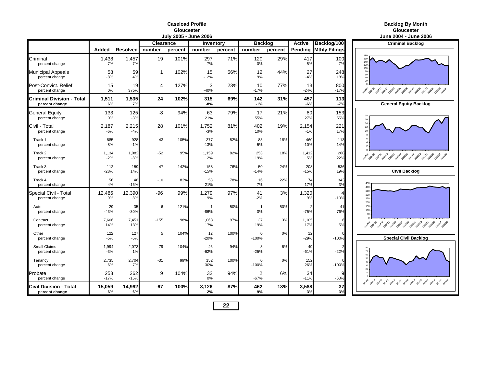### **Caseload ProfileGloucester**

|                                                 | JUIY 2005 - JUNE 2006 |                |           |         |                      |         |                        |         |                | June 2004 - June             |                                                       |
|-------------------------------------------------|-----------------------|----------------|-----------|---------|----------------------|---------|------------------------|---------|----------------|------------------------------|-------------------------------------------------------|
|                                                 |                       |                | Clearance |         | Inventory            |         | <b>Backlog</b>         |         | <b>Active</b>  | Backlog/100                  | <b>Criminal Backle</b>                                |
|                                                 | Added                 | Resolved       | number    | percent | number               | percent | number                 | percent |                | <b>Pending Mthly Filings</b> |                                                       |
| Criminal<br>percent change                      | 1,438<br>7%           | 1,457<br>7%    | 19        | 101%    | 297<br>$-7%$         | 71%     | 120<br>0%              | 29%     | 417<br>$-5%$   | 100<br>$-7%$                 | 180<br>160<br>140<br>120                              |
| Municipal Appeals<br>percent change             | 58<br>$-8%$           | 59<br>4%       | 1         | 102%    | 15<br>$-12%$         | 56%     | 12<br>9%               | 44%     | 27<br>$-4%$    | 248<br>18%                   | 100<br>80<br>$60\,$<br>40<br>20                       |
| Post-Convict. Relief<br>percent change          | 15<br>0%              | 19<br>375%     | 4         | 127%    | 3<br>$-40%$          | 23%     | 10<br>$-17%$           | 77%     | 13<br>$-24%$   | 800<br>$-17%$                | 2040 2040 2041 2041 2050 2050 2050 2050 2050          |
| Criminal Division - Total<br>percent change     | 1,511<br>6%           | 1,535<br>7%    | 24        | 102%    | 315<br>$-8%$         | 69%     | 142<br>$-1%$           | 31%     | 457<br>$-6%$   | 113<br>$-7%$                 | <b>General Equity Ba</b>                              |
| General Equity<br>percent change                | 133<br>0%             | 125<br>$-3%$   | -8        | 94%     | 63<br>21%            | 79%     | 17<br>55%              | 21%     | 80<br>27%      | 153<br>55%                   | 18<br>16                                              |
| Civil - Total<br>percent change                 | 2,187<br>$-6%$        | 2,215<br>$-4%$ | 28        | 101%    | 1,752<br>$-3%$       | 81%     | 402<br>10%             | 19%     | 2,154<br>$-1%$ | 221<br>17%                   | 14<br>12<br>10                                        |
| Track 1<br>percent change                       | 885<br>$-8%$          | 928<br>$-1%$   | 43        | 105%    | 377<br>$-13%$        | 82%     | 83<br>5%               | 18%     | 460<br>$-10%$  | 113<br>14%                   |                                                       |
| Track 2<br>percent change                       | 1,134<br>$-2%$        | 1,082<br>$-8%$ | $-52$     | 95%     | 1,159<br>2%          | 82%     | 253<br>19%             | 18%     | 1,412<br>5%    | 268<br>22%                   | 2010年 2010年 2010年 2011年 2020年 2020年 2020年 2020年 2020年 |
| Track 3<br>percent change                       | 112<br>$-28%$         | 159<br>14%     | 47        | 142%    | 158<br>$-15%$        | 76%     | 50<br>$-14%$           | 24%     | 208<br>$-15%$  | 536<br>19%                   | <b>Civil Backlog</b>                                  |
| Track 4<br>percent change                       | 56<br>4%              | 46<br>$-16%$   | $-10$     | 82%     | 58<br>21%            | 78%     | 16<br>7%               | 22%     | 74<br>17%      | 343<br>3%                    | 450<br>400                                            |
| Special Civil - Total<br>percent change         | 12,486<br>9%          | 12,390<br>8%   | $-96$     | 99%     | 1,279<br>9%          | 97%     | 41<br>$-2%$            | 3%      | 1,320<br>9%    | $-10%$                       | 350<br>300<br>250<br>200                              |
| Auto<br>percent change                          | 29<br>$-43%$          | 35<br>$-30%$   | 6         | 121%    | $\mathbf{1}$<br>-86% | 50%     | $\overline{1}$<br>0%   | 50%     | $-75%$         | 41<br>76%                    | 150<br>100<br>50                                      |
| Contract<br>percent change                      | 7,606<br>14%          | 7,451<br>13%   | $-155$    | 98%     | 1,068<br>17%         | 97%     | 37<br>19%              | 3%      | 1,105<br>17%   | 5%                           |                                                       |
| Other<br>percent change                         | 122<br>$-5%$          | 127<br>$-5%$   | 5         | 104%    | 12<br>$-20%$         | 100%    | $\mathbf 0$<br>$-100%$ | 0%      | 12<br>$-29%$   | $-100%$                      | <b>Special Civil Bac</b>                              |
| Small Claims<br>percent change                  | 1,994<br>$-3%$        | 2,073<br>1%    | 79        | 104%    | 46<br>$-62%$         | 94%     | 3<br>$-25%$            | 6%      | 49<br>$-61%$   | $-22%$                       | 70                                                    |
| Tenancy<br>percent change                       | 2,735<br>6%           | 2,704<br>7%    | $-31$     | 99%     | 152<br>30%           | 100%    | $\Omega$<br>$-100%$    | 0%      | 152<br>26%     | $-100%$                      |                                                       |
| Probate<br>percent change                       | 253<br>$-17%$         | 262<br>$-15%$  | 9         | 104%    | 32<br>0%             | 94%     | 2<br>$-67%$            | 6%      | 34<br>$-11%$   | 9<br>$-60%$                  |                                                       |
| <b>Civil Division - Total</b><br>percent change | 15,059<br>6%          | 14,992<br>6%   | -67       | 100%    | 3,126<br>2%          | 87%     | 462<br>9%              | 13%     | 3,588<br>3%    | 37<br>3%                     |                                                       |

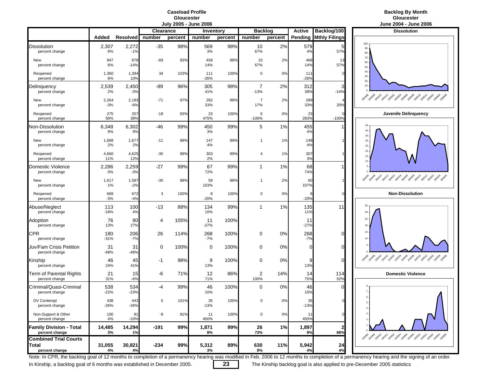### **Caseload ProfileGloucester**<br>**July 2005 - June 2006**



|                                                         |                |                 |                  |         | July 2003 - Julie 2006 |           |                |         |               |                      | Julie 2004 - Julie Zu                             |
|---------------------------------------------------------|----------------|-----------------|------------------|---------|------------------------|-----------|----------------|---------|---------------|----------------------|---------------------------------------------------|
|                                                         |                |                 | <b>Clearance</b> |         |                        | Inventory | <b>Backlog</b> |         | <b>Active</b> | Backlog/100          | <b>Dissolution</b>                                |
|                                                         | Added          | <b>Resolved</b> | number           | percent | number                 | percent   | number         | percent | Pending       | <b>Mthly Filings</b> |                                                   |
| <b>Dissolution</b><br>percent change                    | 2,307<br>6%    | 2,272<br>$-1%$  | $-35$            | 98%     | 569<br>3%              | 98%       | 10<br>67%      | 2%      | 579<br>4%     | 57%                  | 100<br>90<br>80                                   |
| New<br>percent change                                   | 947<br>6%      | 878<br>$-14%$   | -69              | 93%     | 458<br>14%             | 98%       | 10<br>67%      | 2%      | 468<br>14%    | 13<br>57%            | 70<br>60<br>50                                    |
| Reopened<br>percent change                              | 1,360<br>6%    | 1,394<br>10%    | 34               | 103%    | 111<br>$-26%$          | 100%      | 0              | 0%      | 111<br>$-26%$ |                      | $40\,$<br>$30\,$<br>$20\,$                        |
| Delinguency<br>percent change                           | 2,539<br>2%    | 2,450<br>$-3%$  | -89              | 96%     | 305<br>41%             | 98%       | 7<br>$-13%$    | 2%      | 312<br>39%    | $-14%$               | 10                                                |
| New<br>percent change                                   | 2,264<br>$-3%$ | 2,193<br>$-6%$  | $-71$            | 97%     | 282<br>33%             | 98%       | 7<br>17%       | 2%      | 289<br>33%    | 20%                  | 2014 2014 2014 2015 2015 2019 2019 2019 2019 2019 |
| Reopened<br>percent change                              | 275<br>56%     | 257<br>38%      | $-18$            | 93%     | 23<br>475%             | 100%      | 0<br>$-100%$   | 0%      | 23<br>283%    | $-100%$              | Juvenile Delinquend                               |
| Non-Dissolution<br>percent change                       | 6,348<br>9%    | 6,302<br>9%     | $-46$            | 99%     | 450<br>3%              | 99%       | 5              | 1%      | 455<br>4%     |                      | 45<br>40                                          |
| New<br>percent change                                   | 1,688<br>2%    | 1,677<br>2%     | $-11$            | 99%     | 147<br>4%              | 99%       | 1              | 1%      | 148<br>4%     |                      | 35<br>30<br>25                                    |
| Reopened<br>percent change                              | 4,660<br>11%   | 4,625<br>12%    | $-35$            | 99%     | 303<br>2%              | 99%       | 4              | 1%      | 307<br>3%     |                      | $20\,$<br>15<br>10                                |
| Domestic Violence<br>percent change                     | 2,286<br>0%    | 2,259<br>$-3%$  | $-27$            | 99%     | 67<br>72%              | 99%       | 1              | 1%      | 68<br>74%     |                      |                                                   |
| New<br>percent change                                   | 1,617<br>1%    | 1,587<br>$-2%$  | $-30$            | 98%     | 59<br>103%             | 98%       | 1              | 2%      | 60<br>107%    |                      |                                                   |
| Reopened<br>percent change                              | 669<br>$-3%$   | 672<br>$-4%$    | 3                | 100%    | 8<br>$-20%$            | 100%      | 0              | 0%      | $-20%$        |                      | <b>Non-Dissolution</b>                            |
| Abuse/Neglect<br>percent change                         | 113<br>$-18%$  | 100<br>4%       | $-13$            | 88%     | 134<br>10%             | 99%       | $\mathbf{1}$   | 1%      | 135<br>11%    | 11                   | 35<br>$30\,$                                      |
| Adoption<br>percent change                              | 76<br>13%      | 80<br>27%       | 4                | 105%    | 11<br>$-27%$           | 100%      |                |         | 11<br>$-27%$  |                      | 25<br>20                                          |
| <b>CPR</b><br>percent change                            | 180<br>$-31%$  | 206<br>$-7%$    | 26               | 114%    | 268<br>$-7%$           | 100%      | 0              | 0%      | 268<br>$-7%$  | $\Omega$             | 15<br>10                                          |
| Juv/Fam Crisis Petition<br>percent change               | 31<br>$-48%$   | 31<br>$-48%$    | 0                | 100%    | 0                      | 100%      | 0              | 0%      | 0             | $\Omega$             |                                                   |
| Kinship<br>percent change                               | 46<br>24%      | 45<br>41%       | -1               | 98%     | 9<br>13%               | 100%      | 0              | 0%      | 9<br>13%      | $\overline{0}$       | 2014 2014 2014 2015 2015 2019 2019 2019 2019 2019 |
| Term of Parental Rights<br>percent change               | 21<br>31%      | 15<br>$-6%$     | -6               | 71%     | 12<br>71%              | 86%       | 2<br>100%      | 14%     | 14<br>75%     | 114<br>52%           | <b>Domestic Violence</b>                          |
| Criminal/Quasi-Criminal<br>percent change               | 538<br>$-22%$  | 534<br>$-23%$   | -4               | 99%     | 46<br>10%              | 100%      | $\mathbf 0$    | 0%      | 46<br>10%     |                      |                                                   |
| DV Contempt<br>percent change                           | 438<br>$-26%$  | 443<br>$-26%$   |                  | 101%    | 35<br>$-13%$           | 100%      | 0              | 0%      | 35<br>$-13%$  |                      | 6<br>$5\,$<br>$4 \cdot$                           |
| Non-Support & Other<br>percent change                   | 100<br>4%      | 91<br>$-10%$    | -9               | 91%     | 11<br>450%             | 100%      | 0              | 0%      | 11<br>450%    | $\Omega$             | $3 -$<br>$\overline{2}$                           |
| <b>Family Division - Total</b><br>percent change        | 14,485<br>3%   | 14,294<br>1%    | $-191$           | 99%     | 1,871<br>8%            | 99%       | 26<br>73%      | 1%      | 1,897<br>9%   | $\mathbf{2}$<br>68%  |                                                   |
| <b>Combined Trial Courts</b><br>Total<br>percent change | 31,055<br>4%   | 30,821<br>4%    | $-234$           | 99%     | 5,312<br>3%            | 89%       | 630<br>8%      | 11%     | 5,942<br>4%   | 24<br>4%             | 2014 2014 2014 2014 2019 2019 2019 2019 2019 2019 |



Note: In CPR, the backlog goal of 12 months to completion of a permanency hearing was modified in Feb. 2006 to 12 months to completion of a permanency hearing and the signing of an order.

In Kinship, a backlog goal of 6 months was established in December 2005. **23** The Kinship backlog goal is also applied to pre-December 2005 statistics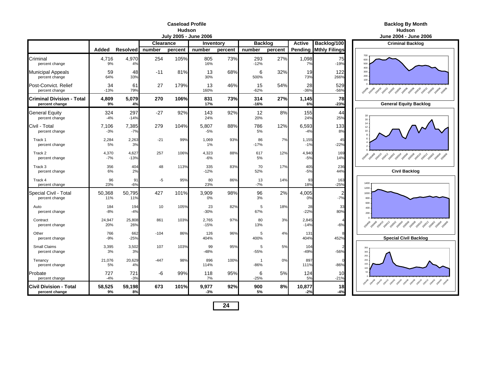#### **Caseload ProfileHudson**

|                                                    |                |                 |                  |         | <b>July 2005 - June 2006</b> |         |                        |         |                 |                                  | June 2004 - June                                     |
|----------------------------------------------------|----------------|-----------------|------------------|---------|------------------------------|---------|------------------------|---------|-----------------|----------------------------------|------------------------------------------------------|
|                                                    |                |                 | <b>Clearance</b> |         | Inventory                    |         | <b>Backlog</b>         |         | <b>Active</b>   | Backlog/100                      | <b>Criminal Backle</b>                               |
|                                                    | Added          | <b>Resolved</b> | number           | percent | number                       | percent | number                 | percent |                 | <b>Pending Mthly Filings</b>     |                                                      |
| Criminal<br>percent change                         | 4,716<br>9%    | 4,970<br>4%     | 254              | 105%    | 805<br>16%                   | 73%     | 293<br>$-12%$          | 27%     | 1,098<br>7%     | 75<br>$-19%$                     | 700<br>600<br>500                                    |
| <b>Municipal Appeals</b><br>percent change         | 59<br>64%      | 48<br>33%       | $-11$            | 81%     | 13<br>30%                    | 68%     | 6<br>500%              | 32%     | 19<br>73%       | 122<br>266%                      | 400<br>300<br>200<br>100                             |
| Post-Convict, Relief<br>percent change             | 34<br>$-13%$   | 61<br>79%       | 27               | 179%    | 13<br>160%                   | 46%     | 15<br>$-62%$           | 54%     | 28<br>$-36%$    | 529<br>$-56%$                    | 100408 20410 20412 2050 2050 2050 2050 2050<br>20406 |
| <b>Criminal Division - Total</b><br>percent change | 4,809<br>9%    | 5,079<br>4%     | 270              | 106%    | 831<br>17%                   | 73%     | 314<br>$-16%$          | 27%     | 1,145<br>6%     | 78<br>$-23%$                     | <b>General Equity Ba</b>                             |
| <b>General Equity</b><br>percent change            | 324<br>$-4%$   | 297<br>$-14%$   | $-27$            | 92%     | 143<br>24%                   | 92%     | 12<br>20%              | 8%      | 155<br>24%      | 44<br>25%                        | 18<br>16                                             |
| Civil - Total<br>percent change                    | 7,106<br>$-3%$ | 7,385<br>$-7%$  | 279              | 104%    | 5,807<br>$-5%$               | 88%     | 786<br>5%              | 12%     | 6,593<br>$-4%$  | 133<br>8%                        | 14<br>12<br>10                                       |
| Track 1<br>percent change                          | 2,284<br>5%    | 2,263<br>3%     | $-21$            | 99%     | 1,069<br>1%                  | 93%     | 86<br>$-17%$           | 7%      | 1,155<br>$-1%$  | 45<br>$-22%$                     |                                                      |
| Track 2<br>percent change                          | 4,370<br>$-7%$ | 4,627<br>$-13%$ | 257              | 106%    | 4,323<br>$-6%$               | 88%     | 617<br>5%              | 12%     | 4,940<br>$-5%$  | 169<br>14%                       | Apollos polito politi possi possi possi possi possi  |
| Track 3<br>percent change                          | 356<br>6%      | 404<br>2%       | 48               | 113%    | 335<br>$-12%$                | 83%     | 70<br>52%              | 17%     | 405<br>$-5%$    | 236<br>44%                       | <b>Civil Backlog</b>                                 |
| Track 4<br>percent change                          | 96<br>23%      | 91<br>$-6%$     | -5               | 95%     | 80<br>23%                    | 86%     | 13<br>$-7%$            | 14%     | 93<br>18%       | 163<br>$-25%$                    | 1400<br>1200                                         |
| Special Civil - Total<br>percent change            | 50,368<br>11%  | 50,795<br>11%   | 427              | 101%    | 3,909<br>0%                  | 98%     | 96<br>3%               | 2%      | 4,005<br>0%     | $\overline{\mathbf{c}}$<br>$-7%$ | 1000<br>800<br>600                                   |
| Auto<br>percent change                             | 184<br>$-8%$   | 194<br>$-4%$    | 10               | 105%    | 23<br>$-30%$                 | 82%     | 5<br>67%               | 18%     | 28<br>$-22%$    | 33<br>80%                        | 400<br>$200 -$                                       |
| Contract<br>percent change                         | 24,947<br>20%  | 25,808<br>26%   | 861              | 103%    | 2,765<br>$-15%$              | 97%     | 80<br>13%              | 3%      | 2,845<br>$-14%$ | Δ<br>$-6%$                       | 2040 2040 2041 2041 2050 2050 2050 2050 2050         |
| Other<br>percent change                            | 766<br>$-9%$   | 662<br>$-25%$   | $-104$           | 86%     | 126<br>404%                  | 96%     | 5<br>400%              | 4%      | 131<br>404%     | 452%                             | <b>Special Civil Bac</b>                             |
| Small Claims<br>percent change                     | 3,395<br>3%    | 3,502<br>3%     | 107              | 103%    | 99<br>-48%                   | 95%     | 5<br>$-55%$            | 5%      | 104<br>$-49%$   | $-56%$                           | 350<br>300<br>250                                    |
| Tenancy<br>percent change                          | 21,076<br>5%   | 20,629<br>4%    | $-447$           | 98%     | 896<br>114%                  | 100%    | $\mathbf{1}$<br>$-86%$ | 0%      | 897<br>111%     | $-86%$                           | 200<br>150<br>100                                    |
| Probate<br>percent change                          | 727<br>$-4%$   | 721<br>$-3%$    | -6               | 99%     | 118<br>7%                    | 95%     | 6<br>$-25%$            | 5%      | 124<br>5%       | 10<br>$-21%$                     | 5C                                                   |
| <b>Civil Division - Total</b><br>percent change    | 58,525<br>9%   | 59,198<br>8%    | 673              | 101%    | 9,977<br>$-3%$               | 92%     | 900<br>5%              | 8%      | 10,877<br>$-2%$ | 18<br>$-4%$                      |                                                      |

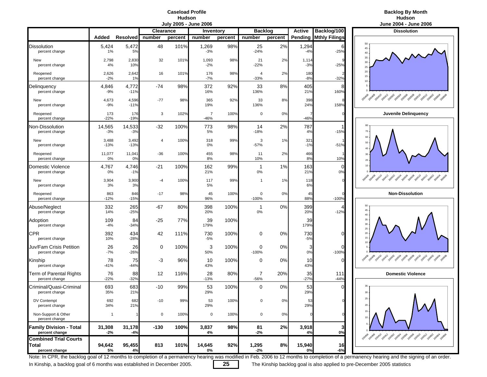### **Caseload ProfileHudson**<br>**Huly 2005 - June 2006**



|                                                         |                 |                 |                  | July 2003 - Julie 2006 |                          |         |                          |         |                |                      | June 2004 - June 20                                   |
|---------------------------------------------------------|-----------------|-----------------|------------------|------------------------|--------------------------|---------|--------------------------|---------|----------------|----------------------|-------------------------------------------------------|
|                                                         |                 |                 | <b>Clearance</b> |                        | Inventory                |         | <b>Backlog</b>           |         | <b>Active</b>  | Backlog/100          | <b>Dissolution</b>                                    |
|                                                         | Added           | <b>Resolved</b> | number           | percent                | number                   | percent | number                   | percent | Pending        | <b>Mthly Filings</b> |                                                       |
| Dissolution<br>percent change                           | 5,424<br>1%     | 5,472<br>5%     | 48               | 101%                   | 1,269<br>$-3%$           | 98%     | 25<br>$-24%$             | 2%      | 1,294<br>$-4%$ | 6<br>$-25%$          | 50<br>45<br>$40\,$                                    |
| New<br>percent change                                   | 2,798<br>4%     | 2,830<br>10%    | 32               | 101%                   | 1,093<br>$-2%$           | 98%     | 21<br>$-22%$             | 2%      | 1,114<br>$-3%$ | $-25%$               | $35\,$<br>30<br>25                                    |
| Reopened<br>percent change                              | 2,626<br>$-2%$  | 2,642<br>1%     | 16               | 101%                   | 176<br>$-7%$             | 98%     | $\overline{4}$<br>$-33%$ | 2%      | 180<br>$-8%$   | $-32%$               | 20<br>15<br>10                                        |
| Delinquency<br>percent change                           | 4,846<br>$-9%$  | 4,772<br>$-11%$ | -74              | 98%                    | 372<br>16%               | 92%     | 33<br>136%               | 8%      | 405<br>21%     | 8<br>160%            |                                                       |
| New<br>percent change                                   | 4,673<br>$-9%$  | 4,596<br>$-11%$ | $-77$            | 98%                    | 365<br>19%               | 92%     | 33<br>136%               | 8%      | 398<br>24%     | 158%                 | 2014 2041 2041 2052 2059 2059 2059 2059 2051 205      |
| Reopened<br>percent change                              | 173<br>$-22%$   | 176<br>$-19%$   | 3                | 102%                   | $\overline{7}$<br>$-46%$ | 100%    | 0                        | 0%      | $-46%$         |                      | Juvenile Delinquend                                   |
| Non-Dissolution<br>percent change                       | 14,565<br>$-3%$ | 14,533<br>$-3%$ | $-32$            | 100%                   | 773<br>5%                | 98%     | 14<br>$-18%$             | 2%      | 787<br>4%      | $-15%$               | 80<br>70                                              |
| New<br>percent change                                   | 3,488<br>$-13%$ | 3,492<br>$-13%$ | 4                | 100%                   | 318<br>0%                | 99%     | 3<br>$-57%$              | 1%      | 321<br>$-1%$   | $-51%$               | 60<br>50<br>40                                        |
| Reopened<br>percent change                              | 11,077<br>0%    | 11,041<br>0%    | $-36$            | 100%                   | 455<br>8%                | 98%     | 11<br>10%                | 2%      | 466<br>8%      | 10%                  | 30<br>20                                              |
| Domestic Violence<br>percent change                     | 4,767<br>0%     | 4,746<br>$-1%$  | $-21$            | 100%                   | 162<br>21%               | 99%     | $\mathbf 1$<br>0%        | 1%      | 163<br>21%     | $\Omega$<br>0%       | 10                                                    |
| New<br>percent change                                   | 3,904<br>3%     | 3,900<br>3%     | $-4$             | 100%                   | 117<br>5%                | 99%     | 1                        | 1%      | 118<br>6%      |                      | 20408-20410 20412-20502-20508-20508-20508-20510       |
| Reopened<br>percent change                              | 863<br>$-12%$   | 846<br>$-15%$   | $-17$            | 98%                    | 45<br>96%                | 100%    | 0<br>$-100%$             | 0%      | 45<br>88%      | $-100%$              | <b>Non-Dissolution</b>                                |
| Abuse/Neglect<br>percent change                         | 332<br>14%      | 265<br>$-25%$   | $-67$            | 80%                    | 398<br>20%               | 100%    | 1<br>0%                  | 0%      | 399<br>20%     | $-12%$               | 50<br>45<br>40                                        |
| Adoption<br>percent change                              | 109<br>$-4%$    | 84<br>$-34%$    | $-25$            | 77%                    | 39<br>179%               | 100%    |                          |         | 39<br>179%     |                      | $35\,$<br>$30\,$<br>$25\,$                            |
| CPR<br>percent change                                   | 392<br>10%      | 434<br>$-28%$   | 42               | 111%                   | 730<br>$-5%$             | 100%    | 0                        | 0%      | 730<br>$-5%$   | $\Omega$             | $20\,$<br>15<br>$\overline{1}$                        |
| Juv/Fam Crisis Petition<br>percent change               | 26<br>$-7%$     | 26<br>$-26%$    | 0                | 100%                   | 3<br>50%                 | 100%    | 0<br>$-100%$             | 0%      | 3<br>0%        | 0<br>$-100%$         |                                                       |
| Kinship<br>percent change                               | 78<br>$-41%$    | 75<br>$-44%$    | -3               | 96%                    | 10<br>43%                | 100%    | 0                        | 0%      | 10<br>43%      | $\overline{0}$       | 2014 2014 2014 2015 2015 2019 2019 2019 2019 2019     |
| Term of Parental Rights<br>percent change               | 76<br>$-22%$    | 88<br>$-32%$    | 12               | 116%                   | 28<br>$-13%$             | 80%     | 7<br>-56%                | 20%     | 35<br>$-27%$   | 111<br>$-44%$        | <b>Domestic Violence</b>                              |
| Criminal/Quasi-Criminal<br>percent change               | 693<br>35%      | 683<br>21%      | $-10$            | 99%                    | 53<br>29%                | 100%    | 0                        | 0%      | 53<br>29%      |                      | 35<br>30 <sup>°</sup>                                 |
| DV Contempt<br>percent change                           | 692<br>34%      | 682<br>21%      | $-10$            | 99%                    | 53<br>29%                | 100%    |                          | 0%      | 53<br>29%      |                      | 25<br>$20 -$                                          |
| Non-Support & Other<br>percent change                   | $\mathbf{1}$    |                 | 0                | 100%                   | 0                        | 100%    | 0                        | 0%      |                |                      | 15                                                    |
| <b>Family Division - Total</b><br>percent change        | 31,308<br>$-2%$ | 31,178<br>$-4%$ | $-130$           | 100%                   | 3,837<br>4%              | 98%     | 81<br>$-2%$              | 2%      | 3,918<br>4%    | 3<br>0%              | 2014 2019 2014 2014 2024 2039 2034 2039 2039 2030 203 |
| <b>Combined Trial Courts</b><br>Total<br>percent change | 94,642<br>5%    | 95,455<br>4%    | 813              | 101%                   | 14,645<br>0%             | 92%     | 1,295<br>$-2%$           | 8%      | 15,940<br>0%   | 16<br>$-6%$          |                                                       |



Note: In CPR, the backlog goal of 12 months to completion of a permanency hearing was modified in Feb. 2006 to 12 months to completion of a permanency hearing and the signing of an order.

In Kinship, a backlog goal of 6 months was established in December 2005. **25** The Kinship backlog goal is also applied to pre-December 2005 statistics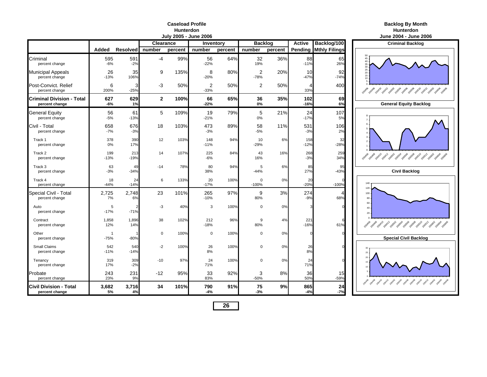### **Caseload ProfileHunterdon**

|                                             |                       |                 |                  | July 2005 - June 2006 | June 2004 - June 2006 |         |                                 |         |               |                      |                                                               |
|---------------------------------------------|-----------------------|-----------------|------------------|-----------------------|-----------------------|---------|---------------------------------|---------|---------------|----------------------|---------------------------------------------------------------|
|                                             |                       |                 | <b>Clearance</b> |                       | Inventory             |         | <b>Backlog</b><br><b>Active</b> |         |               | Backlog/100          | <b>Criminal Backlog</b>                                       |
|                                             | Added                 | <b>Resolved</b> | number           | percent               | number                | percent | number                          | percent | Pending       | <b>Mthly Filings</b> |                                                               |
| Criminal<br>percent change                  | 595<br>$-6%$          | 591<br>$-2%$    | $-4$             | 99%                   | 56<br>$-22%$          | 64%     | 32<br>19%                       | 36%     | 88<br>$-11%$  | 65<br>26%            | 45<br>40<br>35<br>30                                          |
| <b>Municipal Appeals</b><br>percent change  | 26<br>$-13%$          | 35<br>106%      | 9                | 135%                  | 8<br>$-20%$           | 80%     | $\overline{2}$<br>$-78%$        | 20%     | 10<br>$-47%$  | 92<br>$-74%$         | 25<br>20<br>15<br>10                                          |
| Post-Convict, Relief<br>percent change      | 6<br>200%             | 3<br>$-25%$     | -3               | 50%                   | 2<br>$-33%$           | 50%     | 2                               | 50%     | 4<br>33%      | 400                  | 2019 2019 2019 2019 2029 2029 2039 2049 2049 2049 2049        |
| Criminal Division - Total<br>percent change | 627<br>-6%            | 629<br>1%       | $\mathbf{2}$     | 100%                  | 66<br>$-22%$          | 65%     | 36<br>0%                        | 35%     | 102<br>$-16%$ | 69<br>6%             | <b>General Equity Backlog</b>                                 |
| General Equity<br>percent change            | 56<br>$-5%$           | 61<br>$-13%$    | 5                | 109%                  | 19<br>$-21%$          | 79%     | 5<br>0%                         | 21%     | 24<br>$-17%$  | 107<br>5%            |                                                               |
| Civil - Total<br>percent change             | 658<br>$-7%$          | 676<br>$-3%$    | 18               | 103%                  | 473<br>$-3%$          | 89%     | 58<br>$-5%$                     | 11%     | 531<br>$-3%$  | 106<br>2%            |                                                               |
| Track 1<br>percent change                   | 378<br>0%             | 390<br>17%      | 12               | 103%                  | 148<br>$-11%$         | 94%     | 10<br>$-29%$                    | 6%      | 158<br>$-12%$ | 32<br>$-28%$         | $\overline{\phantom{a}}$                                      |
| Track 2<br>percent change                   | 199<br>-13%           | 213<br>$-19%$   | 14               | 107%                  | 225<br>$-6%$          | 84%     | 43<br>16%                       | 16%     | 268<br>$-3%$  | 259<br>34%           | , 2010, 2011, 2011, 2020, 2020, 2020, 2020, 2020, 2021, 2021, |
| Track 3<br>percent change                   | 63<br>$-3%$           | 49<br>$-34%$    | $-14$            | 78%                   | 80<br>38%             | 94%     | 5<br>$-44%$                     | 6%      | 85<br>27%     | 95<br>$-43%$         | <b>Civil Backlog</b>                                          |
| Track 4<br>percent change                   | 18<br>$-44%$          | 24<br>$-14%$    | 6                | 133%                  | 20<br>$-17%$          | 100%    | $\Omega$<br>$-100%$             | 0%      | 20<br>$-20%$  | $-100%$              | 140<br>120                                                    |
| Special Civil - Total<br>percent change     | 2,725<br>7%           | 2,748<br>6%     | 23               | 101%                  | 265<br>$-10%$         | 97%     | 9<br>80%                        | 3%      | 274<br>$-9%$  | 68%                  | 100<br>80                                                     |
| Auto<br>percent change                      | 5<br>$-17%$           | $-71%$          | -3               | 40%                   | 3                     | 100%    | $\Omega$                        | 0%      |               |                      | 60<br>40<br>20                                                |
| Contract<br>percent change                  | 1,858<br>12%          | 1,896<br>14%    | 38               | 102%                  | 212<br>$-18%$         | 96%     | 9<br>80%                        | 4%      | 221<br>$-16%$ | 61%                  | 2040 2040 2041 2041 2050 2050 2050 2050 2050 2051 2051        |
| Other<br>percent change                     | $\mathbf 1$<br>$-75%$ | $-80%$          | $\mathbf 0$      | 100%                  | $\Omega$              | 100%    | $\Omega$                        | 0%      |               | C                    | <b>Special Civil Backlog</b>                                  |
| Small Claims<br>percent change              | 542<br>$-11%$         | 540<br>$-14%$   | $-2$             | 100%                  | 26<br>8%              | 100%    | 0                               | 0%      | 26<br>8%      |                      | 30<br>25                                                      |
| Tenancy<br>percent change                   | 319<br>17%            | 309<br>$-2%$    | $-10$            | 97%                   | 24<br>71%             | 100%    | $\Omega$                        | 0%      | 24<br>71%     |                      | 20                                                            |
| Probate<br>percent change                   | 243<br>23%            | 231<br>9%       | $-12$            | 95%                   | 33<br>83%             | 92%     | 3<br>$-50%$                     | 8%      | 36<br>50%     | 15<br>$-59%$         | 2014 2014 2014 2015 2015 2015 2015 2015 2015 2015 2016        |
| Civil Division - Total<br>percent change    | 3,682<br>5%           | 3,716<br>4%     | 34               | 101%                  | 790<br>$-4%$          | 91%     | 75<br>$-3%$                     | 9%      | 865<br>$-4%$  | 24<br>$-7%$          |                                                               |

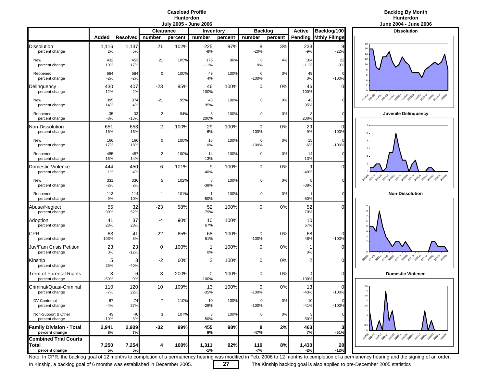### **Caseload ProfileHunterdon**

### **Backlog By Month Hunterdon**

|                                                  |              |                 |                  | vury Loov | <b>UMIN FARA</b>         |         |                        |         |                     |                          | vunv Lvv∓<br>$v$ unv                                                              |
|--------------------------------------------------|--------------|-----------------|------------------|-----------|--------------------------|---------|------------------------|---------|---------------------|--------------------------|-----------------------------------------------------------------------------------|
|                                                  |              |                 | <b>Clearance</b> |           | Inventory                |         | <b>Backlog</b>         |         | <b>Active</b>       | Backlog/100              | <b>Dissolution</b>                                                                |
|                                                  | Added        | <b>Resolved</b> | number           | percent   | number                   | percent | number                 | percent | Pending             | <b>Mthly Filings</b>     |                                                                                   |
| <b>Dissolution</b><br>percent change             | 1,116<br>2%  | 1,137<br>5%     | 21               | 102%      | 225<br>$-8%$             | 97%     | 8<br>$-20%$            | 3%      | 233<br>$-9%$        | $-22%$                   | 16<br>14                                                                          |
| New<br>percent change                            | 432<br>10%   | 453<br>17%      | 21               | 105%      | 176<br>$-11%$            | 96%     | 8<br>0%                | 4%      | 184<br>$-11%$       | 22<br>$-9%$              | 12<br>10                                                                          |
| Reopened<br>percent change                       | 684<br>$-2%$ | 684<br>$-2%$    | $\mathbf 0$      | 100%      | 49<br>4%                 | 100%    | $\mathbf 0$<br>$-100%$ | 0%      | 49<br>0%            | $-100%$                  |                                                                                   |
| Delinquency<br>percent change                    | 430<br>12%   | 407<br>2%       | $-23$            | 95%       | 46<br>100%               | 100%    | $\mathbf 0$            | 0%      | 46<br>100%          | C                        |                                                                                   |
| New<br>percent change                            | 395<br>14%   | 374<br>4%       | $-21$            | 95%       | 43<br>95%                | 100%    | 0                      | 0%      | 43<br>95%           |                          | As a fact a part ages are a property and a pay are                                |
| Reopened<br>percent change                       | 35<br>$-8%$  | 33<br>$-18%$    | $-2$             | 94%       | 3<br>200%                | 100%    | 0                      | 0%      | 200%                |                          | Juvenile Delinquend                                                               |
| Non-Dissolution<br>percent change                | 651<br>16%   | 653<br>15%      | 2                | 100%      | 29<br>$-6%$              | 100%    | 0<br>$-100%$           | 0%      | 29<br>$-9%$         | $\mathcal{C}$<br>$-100%$ | 12<br>10                                                                          |
| New<br>percent change                            | 166<br>17%   | 166<br>18%      | 0                | 100%      | 15<br>0%                 | 100%    | 0<br>$-100%$           | 0%      | 15<br>$-6%$         | $-100%$                  |                                                                                   |
| Reopened<br>percent change                       | 485<br>16%   | 487<br>14%      | $\overline{c}$   | 100%      | 14<br>$-13%$             | 100%    | 0                      | 0%      | 14<br>$-13%$        |                          |                                                                                   |
| Domestic Violence<br>percent change              | 444<br>1%    | 450<br>4%       | 6                | 101%      | 9<br>$-40%$              | 100%    | 0                      | 0%      | 9<br>$-40%$         | C                        |                                                                                   |
| New<br>percent change                            | 331<br>$-2%$ | 336<br>2%       | 5                | 102%      | 8<br>-38%                | 100%    | 0                      | 0%      | $-38%$              |                          | 200410<br>200408<br><b>Paga</b> 2 degal <sub>paga</sub> 2 dega 2 dega 2 dega 2 de |
| Reopened<br>percent change                       | 113<br>9%    | 114<br>10%      | 1                | 101%      | $\overline{1}$<br>$-50%$ | 100%    | 0                      | 0%      | $-50%$              |                          | <b>Non-Dissolution</b>                                                            |
| Abuse/Neglect<br>percent change                  | 55<br>90%    | 32<br>52%       | $-23$            | 58%       | 52<br>79%                | 100%    | 0                      | 0%      | 52<br>79%           | $\sqrt{ }$               |                                                                                   |
| Adoption<br>percent change                       | 41<br>28%    | 37<br>28%       | -4               | 90%       | 10<br>67%                | 100%    |                        |         | 10<br>67%           |                          | $\overline{7}$                                                                    |
| <b>CPR</b><br>percent change                     | 63<br>103%   | 41<br>8%        | $-22$            | 65%       | 68<br>51%                | 100%    | 0<br>$-100%$           | 0%      | 68<br>48%           | $\mathcal{C}$<br>$-100%$ |                                                                                   |
| Juv/Fam Crisis Petition<br>percent change        | 23<br>0%     | 23<br>$-12%$    | 0                | 100%      | 1<br>0%                  | 100%    | 0                      | 0%      | 0%                  | $\Omega$                 |                                                                                   |
| Kinship<br>percent change                        | 5<br>25%     | 3<br>$-40%$     | $-2$             | 60%       | 2                        | 100%    | 0                      | 0%      | 2                   | $\Omega$                 | 200412<br>10802-20804-20808-20808-2081<br>200408<br>200410<br>200406              |
| Term of Parental Rights<br>percent change        | 3<br>$-50%$  | 6<br>0%         | 3                | 200%      | 0<br>$-100%$             | 100%    | 0                      | 0%      | $\Omega$<br>$-100%$ | C                        | <b>Domestic Violence</b>                                                          |
| Criminal/Quasi-Criminal<br>percent change        | 110<br>$-7%$ | 120<br>22%      | 10               | 109%      | 13<br>$-35%$             | 100%    | 0<br>$-100%$           | 0%      | 13<br>$-43%$        | C<br>$-100%$             | 4.5<br>$3.5\,$                                                                    |
| DV Contempt<br>percent change                    | 67<br>$-4%$  | 74<br>37%       | 7                | 110%      | 10<br>$-29%$             | 100%    | $\mathbf 0$<br>$-100%$ | 0%      | 10<br>$-41%$        | $-100%$                  | $2.5 \cdot$                                                                       |
| Non-Support & Other<br>percent change            | 43<br>$-10%$ | 46<br>5%        | 3                | 107%      | 3<br>-50%                | 100%    | 0                      | 0%      | $-50%$              |                          | $\overline{2}$<br>$1.5 -$                                                         |
| <b>Family Division - Total</b><br>percent change | 2,941<br>8%  | 2,909<br>7%     | $-32$            | 99%       | 455<br>9%                | 98%     | 8<br>$-47%$            | 2%      | 463<br>7%           | 3<br>$-51%$              | $0.5 -$                                                                           |
| <b>Combined Trial Courts</b>                     |              |                 |                  |           |                          |         |                        |         |                     |                          | 2014 29 49 2014 2014 2019 2019 2019 2019 2019 2019                                |
| Total<br>percent change                          | 7,250<br>5%  | 7,254<br>5%     | 4                | 100%      | 1,311<br>$-1%$           | 92%     | 119<br>-7%             | 8%      | 1,430<br>$-2%$      | 20<br>$-12%$             |                                                                                   |



Note: In CPR, the backlog goal of 12 months to completion of a permanency hearing was modified in Feb. 2006 to 12 months to completion of a permanency hearing and the signing of an order.

In Kinship, a backlog goal of 6 months was established in December 2005. **27** The Kinship backlog goal is also applied to pre-December 2005 statistics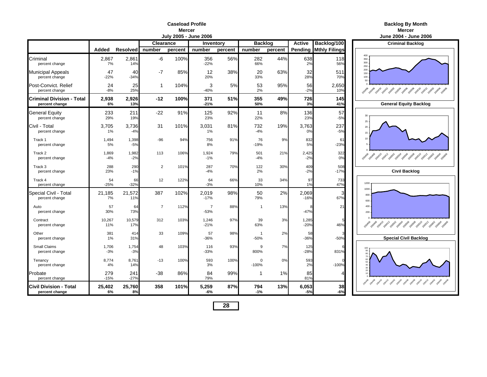| Mercer                 |  |
|------------------------|--|
| .July 2005 - June 2006 |  |

|                                                    |                |                 | Clearance      |         | Inventory                |         | <b>Backlog</b>         |         | <b>Active</b>   | Backlog/100          | <b>Criminal Backle</b>                       |
|----------------------------------------------------|----------------|-----------------|----------------|---------|--------------------------|---------|------------------------|---------|-----------------|----------------------|----------------------------------------------|
|                                                    | Added          | <b>Resolved</b> | number         | percent | number                   | percent | number                 | percent | Pending         | <b>Mthly Filings</b> |                                              |
| Criminal<br>percent change                         | 2,867<br>7%    | 2,861<br>14%    | -6             | 100%    | 356<br>$-22%$            | 56%     | 282<br>66%             | 44%     | 638<br>2%       | 118<br>56%           | 400<br>350<br>300<br>250                     |
| <b>Municipal Appeals</b><br>percent change         | 47<br>$-22%$   | 40<br>$-34%$    | $-7$           | 85%     | 12<br>20%                | 38%     | 20<br>33%              | 63%     | 32<br>28%       | 511<br>70%           | 200<br>150<br>100<br>50                      |
| Post-Convict, Relief<br>percent change             | 24<br>$-8%$    | 25<br>25%       | $\mathbf{1}$   | 104%    | 3<br>$-40%$              | 5%      | 53<br>2%               | 95%     | 56<br>$-2%$     | 2,650<br>10%         | 2040 2040 2041 2041 2050 2050 2050 2050 205  |
| <b>Criminal Division - Total</b><br>percent change | 2,938<br>6%    | 2,926<br>13%    | $-12$          | 100%    | 371<br>$-21%$            | 51%     | 355<br>50%             | 49%     | 726<br>3%       | 145<br>41%           | <b>General Equity Ba</b>                     |
| <b>General Equity</b><br>percent change            | 233<br>29%     | 211<br>19%      | $-22$          | 91%     | 125<br>23%               | 92%     | 11<br>22%              | 8%      | 136<br>23%      | 57<br>$-5%$          | 30<br>25                                     |
| Civil - Total<br>percent change                    | 3,705<br>1%    | 3,736<br>$-4%$  | 31             | 101%    | 3,031<br>1%              | 81%     | 732<br>$-4%$           | 19%     | 3,763<br>0%     | 237<br>$-5%$         | 20<br>15                                     |
| Track 1<br>percent change                          | 1,494<br>5%    | 1,398<br>$-5%$  | $-96$          | 94%     | 756<br>8%                | 91%     | 76<br>$-19%$           | 9%      | 832<br>5%       | 61<br>$-23%$         | 10                                           |
| Track 2<br>percent change                          | 1,869<br>$-4%$ | 1,982<br>$-2%$  | 113            | 106%    | 1,924<br>$-1%$           | 79%     | 501<br>$-4%$           | 21%     | 2,425<br>$-2%$  | 322<br>0%            | 2040 2040 2041 2041 2050 2050 2050 2050 2050 |
| Track 3<br>percent change                          | 288<br>23%     | 290<br>$-1%$    | $\overline{2}$ | 101%    | 287<br>$-4%$             | 70%     | 122<br>2%              | 30%     | 409<br>$-2%$    | 508<br>$-17%$        | <b>Civil Backlog</b>                         |
| Track 4<br>percent change                          | 54<br>$-25%$   | 66<br>$-32%$    | 12             | 122%    | 64<br>$-3%$              | 66%     | 33<br>10%              | 34%     | 97<br>1%        | 733<br>47%           | 1200<br>1000                                 |
| Special Civil - Total<br>percent change            | 21,185<br>7%   | 21,572<br>11%   | 387            | 102%    | 2,019<br>$-17%$          | 98%     | 50<br>79%              | 2%      | 2,069<br>$-16%$ | 3<br>67%             | 800<br>600                                   |
| Auto<br>percent change                             | 57<br>30%      | 64<br>73%       | $\overline{7}$ | 112%    | $\overline{7}$<br>$-53%$ | 88%     | $\mathbf{1}$           | 13%     | $-47%$          | 21                   | 400<br>200                                   |
| Contract<br>percent change                         | 10,267<br>11%  | 10,579<br>17%   | 312            | 103%    | 1,246<br>$-21%$          | 97%     | 39<br>63%              | 3%      | 1,285<br>$-20%$ | 46%                  | 2040 2040 2041 2041 2050 2050 2050 2050 2050 |
| Other<br>percent change                            | 381<br>1%      | 414<br>31%      | 33             | 109%    | 57<br>$-36%$             | 98%     | $\mathbf{1}$<br>$-50%$ | 2%      | 58<br>$-36%$    | $-50%$               | <b>Special Civil Bac</b>                     |
| Small Claims<br>percent change                     | 1,706<br>$-3%$ | 1,754<br>$-3%$  | 48             | 103%    | 116<br>$-33%$            | 93%     | 9<br>800%              | 7%      | 125<br>$-28%$   | 831%                 |                                              |
| Tenancy<br>percent change                          | 8,774<br>4%    | 8,761<br>14%    | $-13$          | 100%    | 593<br>3%                | 100%    | $\Omega$<br>$-100%$    | 0%      | 593<br>2%       | $-100%$              | 40                                           |
| Probate<br>percent change                          | 279<br>$-15%$  | 241<br>$-27%$   | $-38$          | 86%     | 84<br>79%                | 99%     | 1                      | 1%      | 85<br>81%       | 4                    | 1949 2040 2041 2050 2050 2050 2059 2059 205  |
| <b>Civil Division - Total</b><br>percent change    | 25,402<br>6%   | 25,760<br>8%    | 358            | 101%    | 5,259<br>$-6%$           | 87%     | 794<br>$-1%$           | 13%     | 6,053<br>$-5%$  | 38<br>$-6%$          |                                              |

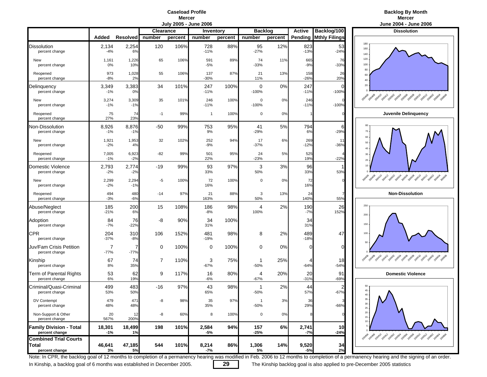### **Caseload ProfileMercer**<br>**July 2005 - June 2006**

### **Backlog By Month r** the contract of the contract of the contract of the contract of the contract of the contract of the contract of the contract of the contract of the contract of the contract of the contract of the contract of the contra

|                                                  |                |                 |           | <b>OULLAND - ANTIC FALL</b> |                |         |                     |         |                |                      | <b>JUILE LUUT - JUILE LI</b>                           |
|--------------------------------------------------|----------------|-----------------|-----------|-----------------------------|----------------|---------|---------------------|---------|----------------|----------------------|--------------------------------------------------------|
|                                                  |                |                 | Clearance |                             | Inventory      |         | <b>Backlog</b>      |         | <b>Active</b>  | Backlog/100          | <b>Dissolution</b>                                     |
|                                                  | Added          | <b>Resolved</b> | number    | percent                     | number         | percent | number              | percent | Pending        | <b>Mthly Filings</b> |                                                        |
| <b>Dissolution</b><br>percent change             | 2,134<br>$-4%$ | 2,254<br>6%     | 120       | 106%                        | 728<br>$-11%$  | 88%     | 95<br>$-27%$        | 12%     | 823<br>$-13%$  | 53<br>$-24%$         | 180<br>160<br>140                                      |
| New<br>percent change                            | 1,161<br>0%    | 1,226<br>10%    | 65        | 106%                        | 591<br>$-5%$   | 89%     | 74<br>$-33%$        | 11%     | 665<br>$-9%$   | 76<br>$-33%$         | 120<br>100                                             |
| Reopened<br>percent change                       | 973<br>$-8%$   | 1,028<br>2%     | 55        | 106%                        | 137<br>$-30%$  | 87%     | 21<br>11%           | 13%     | 158<br>$-26%$  | 26<br>20%            | 80<br>60<br>40                                         |
| Delinquency<br>percent change                    | 3,349<br>$-1%$ | 3,383<br>0%     | 34        | 101%                        | 247<br>$-11%$  | 100%    | 0<br>$-100%$        | 0%      | 247<br>$-11%$  | ſ<br>$-100%$         | $20\,$                                                 |
| New<br>percent change                            | 3,274<br>$-1%$ | 3,309<br>$-1%$  | 35        | 101%                        | 246<br>$-11%$  | 100%    | $\Omega$<br>$-100%$ | 0%      | 246<br>$-11%$  | $-100%$              | 29 rokes port 20x1 post age and post post post pos     |
| Reopened<br>percent change                       | 75<br>27%      | 74<br>23%       | $-1$      | 99%                         | $\overline{1}$ | 100%    | $\mathbf 0$         | 0%      |                |                      | Juvenile Delinquend                                    |
| Non-Dissolution<br>percent change                | 8,926<br>$-1%$ | 8,876<br>$-1%$  | -50       | 99%                         | 753<br>9%      | 95%     | 41<br>$-29%$        | 5%      | 794<br>6%      | 6<br>$-29%$          | 80<br>70                                               |
| New<br>percent change                            | 1,921<br>$-2%$ | 1,953<br>4%     | 32        | 102%                        | 252<br>$-9%$   | 94%     | 17<br>$-37%$        | 6%      | 269<br>$-12%$  | 11<br>$-36%$         | 60<br>50<br>40                                         |
| Reopened<br>percent change                       | 7,005<br>$-1%$ | 6,923<br>$-2%$  | $-82$     | 99%                         | 501<br>22%     | 95%     | 24<br>$-23%$        | 5%      | 525<br>19%     | $-22%$               | 30<br>20                                               |
| Domestic Violence<br>percent change              | 2,793<br>$-2%$ | 2,774<br>$-2%$  | $-19$     | 99%                         | 93<br>33%      | 97%     | 3<br>50%            | 3%      | 96<br>33%      | 53%                  | $10 -$                                                 |
| New<br>percent change                            | 2,299<br>$-2%$ | 2,294<br>$-1%$  | -5        | 100%                        | 72<br>16%      | 100%    | 0                   | 0%      | 72<br>16%      |                      | 2010 2011 2012 2014 2015 2015 2015 2015 2015 2015      |
| Reopened<br>percent change                       | 494<br>$-3%$   | 480<br>$-6%$    | $-14$     | 97%                         | 21<br>163%     | 88%     | 3<br>50%            | 13%     | 24<br>140%     | 55%                  | <b>Non-Dissolution</b>                                 |
| Abuse/Neglect<br>percent change                  | 185<br>$-21%$  | 200<br>6%       | 15        | 108%                        | 186<br>$-8%$   | 98%     | 4<br>100%           | 2%      | 190<br>$-7%$   | 26<br>152%           | 250<br>200                                             |
| Adoption<br>percent change                       | 84<br>$-7%$    | 76<br>$-22%$    | -8        | 90%                         | 34<br>31%      | 100%    |                     |         | 34<br>31%      |                      | 150                                                    |
| <b>CPR</b><br>percent change                     | 204<br>$-37%$  | 310<br>$-8%$    | 106       | 152%                        | 481<br>$-19%$  | 98%     | 8                   | 2%      | 489<br>$-18%$  | 47                   | 100                                                    |
| Juv/Fam Crisis Petition<br>percent change        | 7<br>$-77%$    | $-77%$          | 0         | 100%                        | 0              | 100%    | 0                   | 0%      | C              | $\Omega$             | 50                                                     |
| Kinship<br>percent change                        | 67<br>8%       | 74<br>35%       | 7         | 110%                        | 3<br>$-67%$    | 75%     | 1<br>$-50%$         | 25%     | 4<br>$-64%$    | 18<br>$-54%$         |                                                        |
| Term of Parental Rights<br>percent change        | 53<br>6%       | 62<br>19%       | 9         | 117%                        | 16<br>$-6%$    | 80%     | 4<br>$-67%$         | 20%     | 20<br>$-31%$   | 91<br>$-69%$         | <b>Domestic Violence</b>                               |
| Criminal/Quasi-Criminal<br>percent change        | 499<br>53%     | 483<br>50%      | $-16$     | 97%                         | 43<br>65%      | 98%     | -1<br>$-50%$        | 2%      | 44<br>57%      | 2<br>$-67%$          | 50<br>45<br>40.                                        |
| DV Contempt<br>percent change                    | 479<br>48%     | 471<br>48%      | -8        | 98%                         | 35<br>35%      | 97%     | $-50%$              | 3%      | 36<br>29%      | $-66%$               | 35<br>$30$ $\cdot$<br>$25\,$                           |
| Non-Support & Other<br>percent change            | 20<br>567%     | 12<br>200%      | -8        | 60%                         | 8              | 100%    | 0                   | $0\%$   |                |                      | $20\,$<br>$15 -$<br>$10$                               |
| <b>Family Division - Total</b><br>percent change | 18,301<br>-1%  | 18,499<br>1%    | 198       | 101%                        | 2,584<br>-5%   | 94%     | 157<br>$-25%$       | 6%      | 2,741<br>$-7%$ | 10<br>$-24%$         |                                                        |
| <b>Combined Trial Courts</b>                     |                |                 |           |                             |                |         |                     |         |                |                      | 2014 29 29 29 29 21 20 21 2059 2059 2059 2059 2059 205 |
| Total<br>percent change                          | 46,641<br>3%   | 47,185<br>5%    | 544       | 101%                        | 8,214<br>-7%   | 86%     | 1,306<br>5%         | 14%     | 9,520<br>$-5%$ | 34<br>2%             |                                                        |



Note: In CPR, the backlog goal of 12 months to completion of a permanency hearing was modified in Feb. 2006 to 12 months to completion of a permanency hearing and the signing of an order.

In Kinship, a backlog goal of 6 months was established in December 2005. **29** The Kinship backlog goal is also applied to pre-December 2005 statistics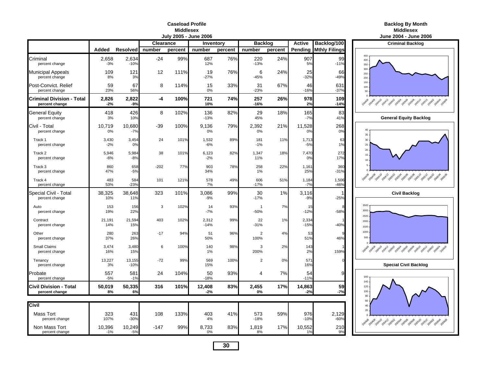#### **Caseload ProfileMiddlesex**

| е | <b>Backlog By Month</b> |
|---|-------------------------|
|   | <b>Middlesex</b>        |

|                                                    |                 |                  | June 2004 - June 2006                           |         |                 |         |                          |         |                 |                              |                                                                     |
|----------------------------------------------------|-----------------|------------------|-------------------------------------------------|---------|-----------------|---------|--------------------------|---------|-----------------|------------------------------|---------------------------------------------------------------------|
|                                                    |                 |                  | <b>Clearance</b><br><b>Backlog</b><br>Inventory |         |                 |         |                          |         | <b>Active</b>   | Backlog/100                  | <b>Criminal Backlog</b>                                             |
|                                                    | Added           | <b>Resolved</b>  | number                                          | percent | number          | percent | number                   | percent |                 | <b>Pending Mthly Filings</b> |                                                                     |
| Criminal<br>percent change                         | 2,658<br>$-3%$  | 2,634<br>$-10%$  | $-24$                                           | 99%     | 687<br>12%      | 76%     | 220<br>$-13%$            | 24%     | 907<br>5%       | 99<br>$-11%$                 | 450<br>400<br>350                                                   |
| <b>Municipal Appeals</b><br>percent change         | 109<br>8%       | 121<br>3%        | 12                                              | 111%    | 19<br>$-27%$    | 76%     | 6<br>$-45%$              | 24%     | 25<br>$-32%$    | 66<br>$-49%$                 | 300<br>250<br>200                                                   |
| Post-Convict, Relief<br>percent change             | 59<br>23%       | 67<br>56%        | 8                                               | 114%    | 15<br>0%        | 33%     | 31<br>$-23%$             | 67%     | 46<br>$-16%$    | 631<br>$-37%$                | 150<br>100<br>50                                                    |
| <b>Criminal Division - Total</b><br>percent change | 2,826<br>$-2%$  | 2,822<br>$-9%$   | $-4$                                            | 100%    | 721<br>10%      | 74%     | 257<br>-16%              | 26%     | 978<br>2%       | 109<br>$-14%$                |                                                                     |
| <b>General Equity</b><br>percent change            | 418<br>3%       | 426<br>10%       | 8                                               | 102%    | 136<br>$-13%$   | 82%     | 29<br>45%                | 18%     | 165<br>$-7%$    | 83<br>41%                    | <b>General Equity Backlog</b>                                       |
| Civil - Total<br>percent change                    | 10,719<br>0%    | 10,680<br>$-7%$  | $-39$                                           | 100%    | 9,136<br>0%     | 79%     | 2,392<br>0%              | 21%     | 11,528<br>0%    | 268<br>0%                    | 40<br>35                                                            |
| Track 1<br>percent change                          | 3,430<br>$-2%$  | 3,454<br>0%      | 24                                              | 101%    | 1,532<br>$-6%$  | 89%     | 181<br>$-1%$             | 11%     | 1,713<br>$-5%$  | 63<br>1%                     | 30<br>25                                                            |
| Track 2<br>percent change                          | 5,946<br>$-6%$  | 5,984<br>$-8%$   | 38                                              | 101%    | 6,123<br>$-2%$  | 82%     | 1,347<br>11%             | 18%     | 7,470<br>0%     | 272<br>17%                   | 20<br>15<br>$10$                                                    |
| Track 3<br>percent change                          | 860<br>47%      | 658<br>$-5%$     | $-202$                                          | 77%     | 903<br>34%      | 78%     | 258<br>1%                | 22%     | 1,161<br>25%    | 360<br>$-31%$                |                                                                     |
| Track 4<br>percent change                          | 483<br>53%      | 584<br>$-23%$    | 101                                             | 121%    | 578<br>7%       | 49%     | 606<br>$-17%$            | 51%     | 1,184<br>$-7%$  | 1,506<br>$-46%$              |                                                                     |
| Special Civil - Total<br>percent change            | 38,325<br>10%   | 38,648<br>11%    | 323                                             | 101%    | 3,086<br>$-9%$  | 99%     | 30<br>$-17%$             | 1%      | 3,116<br>$-9%$  | $-25%$                       | <b>Civil Backlog</b>                                                |
| Auto<br>percent change                             | 153<br>19%      | 156<br>22%       | 3                                               | 102%    | 14<br>$-7%$     | 93%     | $\overline{1}$<br>$-50%$ | 7%      | 15<br>$-12%$    | $-58%$                       | 3500<br>3000<br>2500                                                |
| Contract<br>percent change                         | 21.191<br>14%   | 21,594<br>15%    | 403                                             | 102%    | 2,312<br>$-14%$ | 99%     | 22<br>$-31%$             | 1%      | 2,334<br>$-15%$ | $-40%$                       | 2000<br>1500                                                        |
| Other<br>percent change                            | 280<br>37%      | 263<br>26%       | $-17$                                           | 94%     | 51<br>50%       | 96%     | $\overline{2}$<br>100%   | 4%      | 53<br>51%       | 46%                          | 1000<br>500                                                         |
| Small Claims<br>percent change                     | 3,474<br>16%    | 3,480<br>15%     | 6                                               | 100%    | 140<br>1%       | 98%     | 3<br>200%                | 2%      | 143<br>2%       | 159%                         | 2014 - 2014 - 2014 - 2029 - 2029 - 2029 - 2029 - 2020 - 2020 - 2020 |
| Tenancy<br>percent change                          | 13,227<br>3%    | 13,155<br>$-10%$ | $-72$                                           | 99%     | 569<br>15%      | 100%    | $\overline{2}$           | 0%      | 571<br>16%      |                              | <b>Special Civil Backlog</b>                                        |
| Probate<br>percent change                          | 557<br>$-5%$    | 581<br>$-1%$     | 24                                              | 104%    | 50<br>$-18%$    | 93%     | 4                        | 7%      | 54<br>$-11%$    | c                            | 160<br>140                                                          |
| <b>Civil Division - Total</b><br>percent change    | 50,019<br>8%    | 50,335<br>6%     | 316                                             | 101%    | 12,408<br>$-2%$ | 83%     | 2,455<br>0%              | 17%     | 14,863<br>$-2%$ | 59<br>$-7%$                  | 120<br>100<br>80                                                    |
|                                                    |                 |                  |                                                 |         |                 |         |                          |         |                 |                              | 60                                                                  |
| Civil                                              |                 |                  |                                                 |         |                 |         |                          |         |                 |                              | 40<br>20                                                            |
| <b>Mass Tort</b><br>percent change                 | 323<br>107%     | 431<br>$-30%$    | 108                                             | 133%    | 403<br>4%       | 41%     | 573<br>$-18%$            | 59%     | 976<br>$-10%$   | 2,129<br>$-60%$              | 2019 2019 2019 2019 2029 2039 2039 2039 2039 204                    |
| Non Mass Tort<br>percent change                    | 10,396<br>$-1%$ | 10,249<br>$-5%$  | $-147$                                          | 99%     | 8,733<br>0%     | 83%     | 1,819<br>8%              | 17%     | 10,552<br>1%    | 210<br>9%                    |                                                                     |

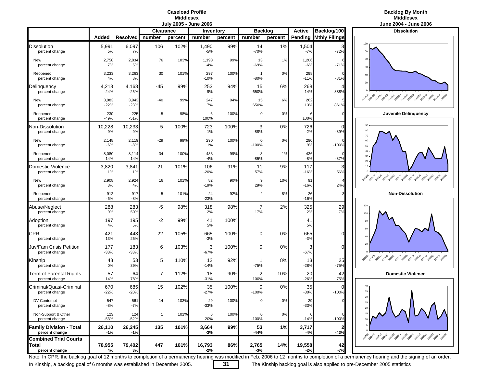### **Caseload ProfileMiddlesex**<br>**July 2005 - June 2006**



|                                                          |                 |                 |                  |         | July 200J - Julie 2000 |         |                         |         |                 |                        | JUIIE ZUU4 - JUIIE ZU                                               |
|----------------------------------------------------------|-----------------|-----------------|------------------|---------|------------------------|---------|-------------------------|---------|-----------------|------------------------|---------------------------------------------------------------------|
|                                                          |                 |                 | <b>Clearance</b> |         | Inventory              |         | <b>Backlog</b>          |         | <b>Active</b>   | Backlog/100            | <b>Dissolution</b>                                                  |
|                                                          | Added           | Resolved        | number           | percent | number                 | percent | number                  | percent | Pending         | <b>Mthly Filings</b>   |                                                                     |
| <b>Dissolution</b><br>percent change                     | 5,991<br>5%     | 6,097<br>7%     | 106              | 102%    | 1,490<br>$-5%$         | 99%     | 14<br>$-70%$            | 1%      | 1,504<br>$-7%$  | 3<br>$-72%$            | 120<br>100                                                          |
| New<br>percent change                                    | 2,758<br>7%     | 2,834<br>5%     | 76               | 103%    | 1,193<br>$-4%$         | 99%     | 13<br>-69%              | 1%      | 1,206<br>$-6%$  | 6<br>$-71%$            | 80<br>60                                                            |
| Reopened<br>percent change                               | 3,233<br>4%     | 3,263<br>8%     | 30               | 101%    | 297<br>$-10%$          | 100%    | $\mathbf{1}$<br>$-80%$  | 0%      | 298<br>$-11%$   | $\Omega$<br>$-81%$     | 40                                                                  |
| Delinquency<br>percent change                            | 4,213<br>$-24%$ | 4,168<br>$-25%$ | -45              | 99%     | 253<br>9%              | 94%     | 15<br>650%              | 6%      | 268<br>14%      | 888%                   | 20                                                                  |
| New<br>percent change                                    | 3,983<br>$-22%$ | 3,943<br>$-23%$ | -40              | 99%     | 247<br>7%              | 94%     | 15<br>650%              | 6%      | 262<br>13%      | 861%                   | Apolla por nor description des paga possibility                     |
| Reopened<br>percent change                               | 230<br>-49%     | 225<br>$-51%$   | -5               | 98%     | 6<br>100%              | 100%    | 0                       | 0%      | 100%            | $\mathbf 0$            | Juvenile Delinquend                                                 |
| Non-Dissolution<br>percent change                        | 10,228<br>9%    | 10,233<br>9%    | 5                | 100%    | 723<br>1%              | 100%    | 3<br>-88%               | $0\%$   | 726<br>$-2%$    | $\Omega$<br>$-89%$     | 90<br>80                                                            |
| New<br>percent change                                    | 2,148<br>$-6%$  | 2,119<br>$-8%$  | $-29$            | 99%     | 290<br>11%             | 100%    | 0<br>$-100%$            | 0%      | 290<br>9%       | $\Omega$<br>$-100%$    | 70<br>60<br>50                                                      |
| Reopened<br>percent change                               | 8,080<br>14%    | 8,114<br>14%    | 34               | 100%    | 433<br>$-4%$           | 99%     | 3<br>$-85%$             | 1%      | 436<br>$-8%$    | $\Omega$<br>$-87%$     | 40<br>$30\,$<br>20 <sub>1</sub>                                     |
| <b>Domestic Violence</b><br>percent change               | 3,820<br>1%     | 3,841<br>1%     | 21               | 101%    | 106<br>$-20%$          | 91%     | 11<br>57%               | 9%      | 117<br>$-16%$   | 56%                    | 10                                                                  |
| New<br>percent change                                    | 2,908<br>3%     | 2,924<br>4%     | 16               | 101%    | 82<br>$-19%$           | 90%     | 9<br>29%                | 10%     | 91<br>$-16%$    | 24%                    |                                                                     |
| Reopened<br>percent change                               | 912<br>$-6%$    | 917<br>$-8%$    | 5                | 101%    | 24<br>$-23%$           | 92%     | $\overline{\mathbf{c}}$ | 8%      | 26<br>$-16%$    | 3                      | <b>Non-Dissolution</b>                                              |
| Abuse/Neglect<br>percent change                          | 288<br>9%       | 283<br>50%      | -5               | 98%     | 318<br>2%              | 98%     | 7<br>17%                | 2%      | 325<br>2%       | 29<br>7%               | 120<br>100                                                          |
| Adoption<br>percent change                               | 197<br>4%       | 195<br>5%       | -2               | 99%     | 41<br>5%               | 100%    |                         |         | 41<br>5%        |                        | 80<br>60                                                            |
| <b>CPR</b><br>percent change                             | 421<br>13%      | 443<br>25%      | 22               | 105%    | 665<br>$-3%$           | 100%    | 0                       | $0\%$   | 665<br>$-3%$    | $\overline{0}$         | 40                                                                  |
| Juv/Fam Crisis Petition<br>percent change                | 177<br>$-33%$   | 183<br>$-33%$   | 6                | 103%    | 3<br>$-67%$            | 100%    | 0                       | 0%      | 3<br>$-67%$     | $\overline{0}$         | 20                                                                  |
| Kinship<br>percent change                                | 48<br>0%        | 53<br>39%       | 5                | 110%    | 12<br>$-14%$           | 92%     | $-75%$                  | 8%      | 13<br>$-28%$    | 25<br>$-75%$           | 2010 2011 2012 2020 2020 2020 2020 2021 202                         |
| Term of Parental Rights<br>percent change                | 57<br>14%       | 64<br>78%       | $\overline{7}$   | 112%    | 18<br>$-31%$           | 90%     | 2<br>100%               | 10%     | 20<br>$-26%$    | 42<br>75%              | <b>Domestic Violence</b>                                            |
| Criminal/Quasi-Criminal<br>percent change                | 670<br>$-22%$   | 685<br>$-20%$   | 15               | 102%    | 35<br>$-27%$           | 100%    | 0<br>$-100%$            | 0%      | 35<br>$-30%$    | $\Omega$<br>$-100%$    | 40<br>35                                                            |
| DV Contempt<br>percent change                            | 547<br>$-8%$    | 561<br>$-7%$    | 14               | 103%    | 29<br>$-33%$           | 100%    | 0                       | 0%      | 29<br>$-33%$    |                        | $30\,$<br>$25\,$<br>$20\,$                                          |
| Non-Support & Other<br>percent change                    | 123<br>-53%     | 124<br>$-52%$   | $\mathbf{1}$     | 101%    | 6<br>20%               | 100%    | 0<br>$-100%$            | $0\%$   | $-14%$          | $-100%$                | 15<br>$10$                                                          |
| <b>Family Division - Total</b><br>percent change         | 26,110<br>-1%   | 26,245<br>$-1%$ | 135              | 101%    | 3,664<br>-3%           | 99%     | 53<br>-44%              | 1%      | 3,717<br>$-4%$  | $\mathbf{2}$<br>$-43%$ | 2014 - 2014 - 2014 - 2014 - 2015 - 2015 - 2015 - 2015 - 2015 - 2015 |
| <b>Combined Trial Courts</b><br>lTotal<br>percent change | 78,955<br>4%    | 79,402<br>3%    | 447              | 101%    | 16,793<br>-2%          | 86%     | 2,765<br>$-3%$          | 14%     | 19,558<br>$-2%$ | 42<br>$-7%$            |                                                                     |



Note: In CPR, the backlog goal of 12 months to completion of a permanency hearing was modified in Feb. 2006 to 12 months to completion of a permanency hearing and the signing of an order.

In Kinship, a backlog goal of 6 months was established in December 2005. **31** The Kinship backlog goal is also applied to pre-December 2005 statistics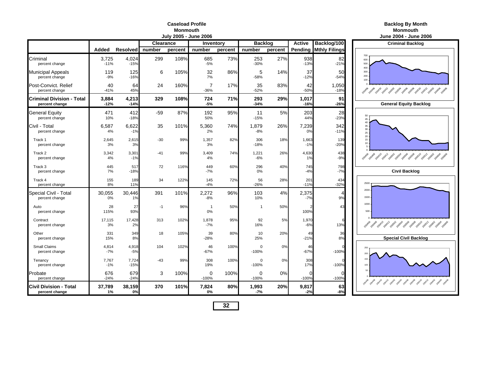### **Caseload ProfileMonmouth**

|                                                    |                 |                 |                  | July 2005 - June 2006 |                        |         |                     | June 2004 - June 2006 |                 |                             |                                                                                                               |
|----------------------------------------------------|-----------------|-----------------|------------------|-----------------------|------------------------|---------|---------------------|-----------------------|-----------------|-----------------------------|---------------------------------------------------------------------------------------------------------------|
|                                                    |                 |                 | <b>Clearance</b> |                       | Inventory              |         | <b>Backlog</b>      |                       | <b>Active</b>   | Backlog/100                 | <b>Criminal Backlog</b>                                                                                       |
|                                                    | Added           | <b>Resolved</b> | number           | percent               | number                 | percent | number              | percent               | Pending         | <b>Mthly Filings</b>        |                                                                                                               |
| Criminal<br>percent change                         | 3,725<br>$-11%$ | 4,024<br>$-15%$ | 299              | 108%                  | 685<br>$-5%$           | 73%     | 253<br>$-30%$       | 27%                   | 938<br>$-13%$   | 82<br>$-21%$                | 700<br>600<br>500<br>400                                                                                      |
| <b>Municipal Appeals</b><br>percent change         | 119<br>$-9%$    | 125<br>$-16%$   | 6                | 105%                  | 32<br>7%               | 86%     | 5<br>$-58%$         | 14%                   | 37<br>$-12%$    | 50<br>$-54%$                | 300<br>200<br>100                                                                                             |
| Post-Convict, Relief<br>percent change             | 40<br>$-41%$    | 64<br>45%       | 24               | 160%                  | $\overline{7}$<br>-36% | 17%     | 35<br>$-52%$        | 83%                   | 42<br>$-50%$    | 1,050<br>$-18%$             | 2019 - 2019 - 2019 - 2019 - 2019 - 2019 - 2019 - 2019 - 2019 - 2019 - 2019 - 2019 - 2019 - 2019 - 2019 - 2019 |
| <b>Criminal Division - Total</b><br>percent change | 3,884<br>$-12%$ | 4,213<br>$-14%$ | 329              | 108%                  | 724<br>$-5%$           | 71%     | 293<br>$-34%$       | 29%                   | 1,017<br>$-16%$ | 91<br>$-26%$                | <b>General Equity Backlog</b>                                                                                 |
| <b>General Equity</b><br>percent change            | 471<br>10%      | 412<br>$-18%$   | $-59$            | 87%                   | 192<br>50%             | 95%     | 11<br>$-15%$        | 5%                    | 203<br>44%      | 28<br>$-23%$                | 50<br>45                                                                                                      |
| Civil - Total<br>percent change                    | 6,587<br>4%     | 6,622<br>$-1%$  | 35               | 101%                  | 5,360<br>2%            | 74%     | 1,879<br>$-8%$      | 26%                   | 7,239<br>0%     | 342<br>$-11%$               | 40<br>35<br>30<br>25                                                                                          |
| Track 1<br>percent change                          | 2,645<br>3%     | 2,615<br>3%     | $-30$            | 99%                   | 1,357<br>3%            | 82%     | 306<br>$-18%$       | 18%                   | 1,663<br>$-1%$  | 139<br>$-20%$               | 20 <sub>2</sub><br>15 <sup>15</sup><br>10                                                                     |
| Track 2<br>percent change                          | 3,342<br>4%     | 3,301<br>$-1%$  | $-41$            | 99%                   | 3,409<br>4%            | 74%     | 1,221<br>$-6%$      | 26%                   | 4,630<br>1%     | 438<br>$-9%$                | 2014 2014 2014 2014 2029 2029 2029 2029 2029 2021 202                                                         |
| Track 3<br>percent change                          | 445<br>7%       | 517<br>$-18%$   | 72               | 116%                  | 449<br>$-7%$           | 60%     | 296<br>0%           | 40%                   | 745<br>$-4%$    | 798<br>$-7%$                | <b>Civil Backlog</b>                                                                                          |
| Track 4<br>percent change                          | 155<br>8%       | 189<br>11%      | 34               | 122%                  | 145<br>$-4%$           | 72%     | 56<br>$-26%$        | 28%                   | 201<br>$-11%$   | 434<br>$-32%$               | 2500                                                                                                          |
| Special Civil - Total<br>percent change            | 30,055<br>0%    | 30,446<br>1%    | 391              | 101%                  | 2,272<br>$-8%$         | 96%     | 103<br>10%          | 4%                    | 2,375<br>$-7%$  | $\boldsymbol{\Delta}$<br>9% | 2000<br>1500                                                                                                  |
| Auto<br>percent change                             | 28<br>115%      | 27<br>93%       | $-1$             | 96%                   | $\overline{1}$<br>0%   | 50%     | $\mathbf{1}$        | 50%                   | 100%            | 43                          | 1000<br>500                                                                                                   |
| Contract<br>percent change                         | 17.115<br>3%    | 17.428<br>2%    | 313              | 102%                  | 1.878<br>$-7%$         | 95%     | 92<br>16%           | 5%                    | 1,970<br>$-6%$  | 13%                         | 2010 - 2010 - 2011 - 2011 - 2020 - 2020 - 2020 - 2020 - 2021 - 2021                                           |
| Other<br>percent change                            | 331<br>15%      | 349<br>8%       | 18               | 105%                  | 39<br>$-28%$           | 80%     | 10<br>25%           | 20%                   | 49<br>$-21%$    | 36<br>8%                    | <b>Special Civil Backlog</b>                                                                                  |
| <b>Small Claims</b><br>percent change              | 4.814<br>$-7%$  | 4,918<br>$-5%$  | 104              | 102%                  | 46<br>$-67%$           | 100%    | $\Omega$<br>$-100%$ | 0%                    | 46<br>$-67%$    | $-100%$                     | 250<br>200                                                                                                    |
| Tenancy<br>percent change                          | 7,767<br>$-1%$  | 7,724<br>$-15%$ | -43              | 99%                   | 308<br>19%             | 100%    | $\Omega$<br>$-100%$ | 0%                    | 308<br>17%      | $-100%$                     | 150<br>100                                                                                                    |
| Probate<br>percent change                          | 676<br>$-24%$   | 679<br>$-24%$   | 3                | 100%                  | 0<br>$-100%$           | 100%    | 0<br>$-100%$        | 0%                    | O<br>$-100%$    | $\cap$<br>$-100%$           | 50<br>2014 2014 2014 2014 2014 2019 2019 2019 2019 2019 2019 2019                                             |
| <b>Civil Division - Total</b><br>percent change    | 37,789<br>1%    | 38,159<br>0%    | 370              | 101%                  | 7,824<br>0%            | 80%     | 1,993<br>$-7%$      | 20%                   | 9,817<br>$-2%$  | 63<br>$-8%$                 |                                                                                                               |

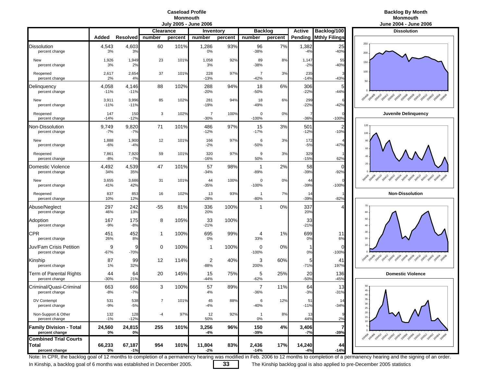## **Caseload ProfileMonmouth**<br>July 2005 - June 2006

### **Backlog By Month Monmouth**

|                                                  |                 |                 |                  | vuij Luuv | $v$ unv $v$ vv           |         |                          |         |                 |                      | vunv Lvv∓<br>$v$ unv                               |
|--------------------------------------------------|-----------------|-----------------|------------------|-----------|--------------------------|---------|--------------------------|---------|-----------------|----------------------|----------------------------------------------------|
|                                                  |                 |                 | <b>Clearance</b> |           | Inventory                |         | <b>Backlog</b>           |         | Active          | Backlog/100          | <b>Dissolution</b>                                 |
|                                                  | Added           | <b>Resolved</b> | number           | percent   | number                   | percent | number                   | percent | Pending         | <b>Mthly Filings</b> |                                                    |
| Dissolution<br>percent change                    | 4,543<br>3%     | 4,603<br>3%     | 60               | 101%      | 1,286<br>0%              | 93%     | 96<br>$-38%$             | 7%      | 1,382<br>$-4%$  | 25<br>$-40%$         | 250<br>200                                         |
| New<br>percent change                            | 1,926<br>3%     | 1,949<br>2%     | 23               | 101%      | 1,058<br>3%              | 92%     | 89<br>$-38%$             | 8%      | 1,147<br>$-2%$  | 55<br>$-40%$         | 150                                                |
| Reopened<br>percent change                       | 2,617<br>2%     | 2,654<br>4%     | 37               | 101%      | 228<br>$-13%$            | 97%     | $\overline{7}$<br>$-42%$ | 3%      | 235<br>$-14%$   | $-43%$               | 100<br>50                                          |
| Delinquency<br>percent change                    | 4,058<br>$-11%$ | 4,146<br>$-11%$ | 88               | 102%      | 288<br>$-20%$            | 94%     | 18<br>-50%               | 6%      | 306<br>$-22%$   | 5<br>$-44%$          |                                                    |
| New<br>percent change                            | 3,911<br>$-11%$ | 3,996<br>$-11%$ | 85               | 102%      | 281<br>$-19%$            | 94%     | 18<br>$-49%$             | 6%      | 299<br>$-22%$   | $-42%$               | 29 rokes 20x10 pox12 post post post post post post |
| Reopened<br>percent change                       | 147<br>$-14%$   | 150<br>$-12%$   | 3                | 102%      | 7<br>$-30%$              | 100%    | 0<br>$-100%$             | 0%      | $-36%$          | $-100%$              | Juvenile Delingueno                                |
| <b>Non-Dissolution</b><br>percent change         | 9,749<br>$-7%$  | 9,820<br>$-7%$  | 71               | 101%      | 486<br>$-12%$            | 97%     | 15<br>$-17%$             | 3%      | 501<br>$-12%$   | $-10%$               | 120<br>100                                         |
| New<br>percent change                            | 1,888<br>$-6%$  | 1,900<br>$-4%$  | 12               | 101%      | 166<br>$-2%$             | 97%     | 6<br>$-50%$              | 3%      | 172<br>$-5%$    | $-47%$               | 80<br>60                                           |
| Reopened<br>percent change                       | 7,861<br>$-8%$  | 7,920<br>$-7%$  | 59               | 101%      | 320<br>$-16%$            | 97%     | 9<br>50%                 | 3%      | 329<br>$-15%$   | 62%                  | 40                                                 |
| Domestic Violence<br>percent change              | 4,492<br>34%    | 4,539<br>35%    | 47               | 101%      | 57<br>$-34%$             | 98%     | -1<br>$-89%$             | 2%      | 58<br>$-39%$    | C<br>$-92%$          | 20                                                 |
| New<br>percent change                            | 3,655<br>41%    | 3,686<br>42%    | 31               | 101%      | 44<br>$-35%$             | 100%    | 0<br>$-100%$             | 0%      | 44<br>$-39%$    | $-100%$              |                                                    |
| Reopened<br>percent change                       | 837<br>10%      | 853<br>12%      | 16               | 102%      | 13<br>$-28%$             | 93%     | $\mathbf{1}$<br>$-80%$   | 7%      | 14<br>$-39%$    | $-82%$               | <b>Non-Dissolution</b>                             |
| Abuse/Neglect<br>percent change                  | 297<br>46%      | 242<br>13%      | $-55$            | 81%       | 336<br>20%               | 100%    | 1                        | 0%      | 337<br>20%      |                      | 70<br>60                                           |
| Adoption<br>percent change                       | 167<br>$-9%$    | 175<br>$-8%$    | 8                | 105%      | 33<br>$-21%$             | 100%    |                          |         | 33<br>$-21%$    |                      | 50<br>40                                           |
| CPR<br>percent change                            | 451<br>26%      | 452<br>8%       | 1                | 100%      | 695<br>0%                | 99%     | 4<br>33%                 | 1%      | 699<br>0%       | 11<br>6%             | 30<br>20                                           |
| Juv/Fam Crisis Petition<br>percent change        | 9<br>$-67%$     | 9<br>$-70%$     | 0                | 100%      | -1                       | 100%    | 0<br>$-100%$             | 0%      | -1<br>0%        | 0<br>$-100%$         | 10                                                 |
| Kinship<br>percent change                        | 87<br>1%        | 99<br>32%       | 12               | 114%      | $\overline{2}$<br>$-88%$ | 40%     | 3<br>200%                | 60%     | 5<br>$-71%$     | 41<br>197%           |                                                    |
| Term of Parental Rights<br>percent change        | 44<br>$-30%$    | 64<br>21%       | 20               | 145%      | 15<br>$-44%$             | 75%     | 5<br>$-62%$              | 25%     | 20<br>$-50%$    | 136<br>$-45%$        | <b>Domestic Violence</b>                           |
| Criminal/Quasi-Criminal<br>percent change        | 663<br>$-8%$    | 666<br>$-7%$    | 3                | 100%      | 57<br>4%                 | 89%     | 7<br>$-36%$              | 11%     | 64<br>$-3%$     | 13<br>$-31%$         | 50<br>45<br>40                                     |
| DV Contempt<br>percent change                    | 531<br>$-9%$    | 538<br>$-5%$    | $\overline{7}$   | 101%      | 45<br>$-4%$              | 88%     | 6<br>-40%                | 12%     | 51<br>$-11%$    | 1/<br>$-34%$         | 35<br>$30 -$<br>$25 -$                             |
| Non-Support & Other<br>percent change            | 132<br>$-1%$    | 128<br>$-12%$   | $-4$             | 97%       | 12<br>50%                | 92%     | $\overline{1}$<br>0%     | 8%      | 13<br>44%       | 2%                   | $20\,$<br>15<br>10                                 |
| <b>Family Division - Total</b><br>percent change | 24,560<br>0%    | 24,815<br>0%    | 255              | 101%      | 3,256<br>-4%             | 96%     | 150<br>-39%              | 4%      | 3,406<br>$-7%$  | $-39%$               | <b>2014 2014 2014 2014 2014 2014 201</b>           |
| <b>Combined Trial Courts</b>                     |                 |                 |                  |           |                          |         |                          |         |                 |                      |                                                    |
| Total<br>percent change                          | 66,233<br>0%    | 67,187<br>$-1%$ | 954              | 101%      | 11,804<br>$-2%$          | 83%     | 2,436<br>$-14%$          | 17%     | 14,240<br>$-4%$ | 44<br>$-14%$         |                                                    |



Note: In CPR, the backlog goal of 12 months to completion of a permanency hearing was modified in Feb. 2006 to 12 months to completion of a permanency hearing and the signing of an order.

In Kinship, a backlog goal of 6 months was established in December 2005. **33** The Kinship backlog goal is also applied to pre-December 2005 statistics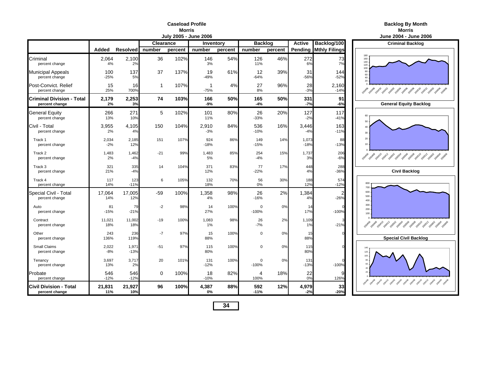#### **Caseload ProfileMorris**

|                                                    |                |                   |                  | July 2005 - June 2006 |                | June 2004 - June 2006 |                     |         |                 |                              |                                               |
|----------------------------------------------------|----------------|-------------------|------------------|-----------------------|----------------|-----------------------|---------------------|---------|-----------------|------------------------------|-----------------------------------------------|
|                                                    |                |                   | <b>Clearance</b> |                       | Inventory      |                       | <b>Backlog</b>      |         | <b>Active</b>   | Backlog/100                  | <b>Criminal Backlog</b>                       |
|                                                    | Added          | Resolved   number |                  | percent               | number         | percent               | number              | percent |                 | <b>Pending Mthly Filings</b> |                                               |
| Criminal<br>percent change                         | 2,064<br>4%    | 2.100<br>2%       | 36               | 102%                  | 146<br>3%      | 54%                   | 126<br>11%          | 46%     | 272<br>6%       | 73<br>7%                     | 180<br>160<br>140<br>120                      |
| Municipal Appeals<br>percent change                | 100<br>$-25%$  | 137<br>5%         | 37               | 137%                  | 19<br>$-49%$   | 61%                   | 12<br>$-64%$        | 39%     | 31<br>$-56%$    | 144<br>$-52%$                | 100<br>80<br>60<br>40<br>20                   |
| Post-Convict. Relief<br>percent change             | 15<br>25%      | 16<br>700%        | $\mathbf{1}$     | 107%                  | -1<br>$-75%$   | 4%                    | 27<br>8%            | 96%     | 28<br>$-3%$     | 2,160<br>$-14%$              | Ask 30 Ask 30 Ask 30 Ask 30 Ask 30 Ask 30 Ask |
| <b>Criminal Division - Total</b><br>percent change | 2,179<br>2%    | 2,253<br>3%       | 74               | 103%                  | 166<br>-9%     | 50%                   | 165<br>-4%          | 50%     | 331<br>$-7%$    | 91<br>-6%                    | <b>General Equity Backlog</b>                 |
| General Equity<br>percent change                   | 266<br>13%     | 271<br>10%        | 5                | 102%                  | 101<br>11%     | 80%                   | 26<br>$-33%$        | 20%     | 127<br>$-2%$    | 117<br>$-41%$                | 60<br>50                                      |
| Civil - Total<br>percent change                    | 3,955<br>2%    | 4,105<br>4%       | 150              | 104%                  | 2,910<br>$-3%$ | 84%                   | 536<br>$-10%$       | 16%     | 3,446<br>$-4%$  | 163<br>$-11%$                | 40<br>30                                      |
| Track 1<br>percent change                          | 2,034<br>$-2%$ | 2,185<br>12%      | 151              | 107%                  | 924<br>$-18%$  | 86%                   | 149<br>$-15%$       | 14%     | 1,073<br>$-18%$ | 88<br>$-13%$                 | $20\,$<br>10                                  |
| Track 2<br>percent change                          | 1,483<br>2%    | 1,462<br>$-4%$    | $-21$            | 99%                   | 1,483<br>5%    | 85%                   | 254<br>$-4%$        | 15%     | 1,737<br>3%     | 206<br>$-6%$                 |                                               |
| Track 3<br>percent change                          | 321<br>21%     | 335<br>$-4%$      | 14               | 104%                  | 371<br>12%     | 83%                   | 77<br>$-22%$        | 17%     | 448<br>4%       | 288<br>$-36%$                | <b>Civil Backlog</b>                          |
| Track 4<br>percent change                          | 117<br>14%     | 123<br>$-11%$     | 6                | 105%                  | 132<br>18%     | 70%                   | 56<br>0%            | 30%     | 188<br>12%      | 574<br>$-12%$                | 800<br>700                                    |
| Special Civil - Total<br>percent change            | 17.064<br>14%  | 17,005<br>12%     | $-59$            | 100%                  | 1,358<br>4%    | 98%                   | 26<br>$-16%$        | 2%      | 1,384<br>4%     | $\overline{2}$<br>$-26%$     | 600<br>500<br>400                             |
| Auto<br>percent change                             | 81<br>$-15%$   | 79<br>$-21%$      | $-2$             | 98%                   | 14<br>27%      | 100%                  | $\Omega$<br>$-100%$ | 0%      | 14<br>17%       | $-100%$                      | 300<br>$200 -$<br>100.                        |
| Contract<br>percent change                         | 11,021<br>18%  | 11,002<br>18%     | $-19$            | 100%                  | 1,083<br>1%    | 98%                   | 26<br>$-7%$         | 2%      | 1,109<br>1%     | $-21%$                       |                                               |
| Other<br>percent change                            | 243<br>136%    | 236<br>119%       | -7               | 97%                   | 15<br>88%      | 100%                  | $\Omega$            | 0%      | 15<br>88%       |                              | <b>Special Civil Backlog</b>                  |
| <b>Small Claims</b><br>percent change              | 2,022<br>$-8%$ | 1,971<br>$-13%$   | $-51$            | 97%                   | 115<br>80%     | 100%                  | $\mathbf 0$         | 0%      | 115<br>80%      |                              | 140<br>120<br>100                             |
| Tenancy<br>percent change                          | 3,697<br>13%   | 3,717<br>2%       | 20               | 101%                  | 131<br>$-12%$  | 100%                  | $\Omega$<br>$-100%$ | 0%      | 131<br>$-13%$   | $-100%$                      | 80<br>60                                      |
| Probate<br>percent change                          | 546<br>$-12%$  | 546<br>$-12%$     | 0                | 100%                  | 18<br>$-10%$   | 82%                   | 4<br>100%           | 18%     | 22<br>0%        | 9<br>126%                    |                                               |
| <b>Civil Division - Total</b><br>percent change    | 21,831<br>11%  | 21,927<br>10%     | 96               | 100%                  | 4,387<br>0%    | 88%                   | 592<br>$-11%$       | 12%     | 4,979<br>$-2%$  | 33<br>$-20%$                 |                                               |

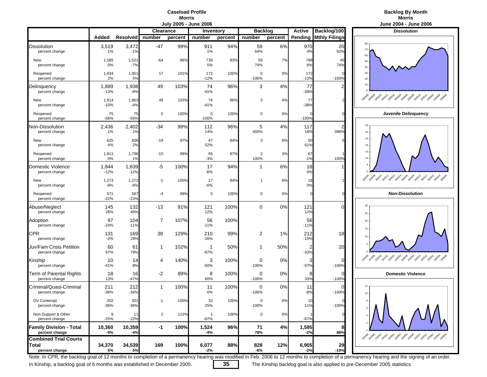### **Caseload ProfileMorris**<br>**Urily 2005 - June 2006**



|                                                  |                 |                 |                | JUIY ZUUS - JUNE ZUUD |                          |                  |                        |         |                |                      | June 2004 - June 20                                            |
|--------------------------------------------------|-----------------|-----------------|----------------|-----------------------|--------------------------|------------------|------------------------|---------|----------------|----------------------|----------------------------------------------------------------|
|                                                  |                 |                 | Clearance      |                       |                          | <b>Inventory</b> | <b>Backlog</b>         |         | <b>Active</b>  | Backlog/100          | <b>Dissolution</b>                                             |
|                                                  | Added           | <b>Resolved</b> | number         | percent               | number                   | percent          | number                 | percent | Pending        | <b>Mthly Filings</b> |                                                                |
| Dissolution<br>percent change                    | 3,519<br>1%     | 3,472<br>$-1%$  | $-47$          | 99%                   | 911<br>1%                | 94%              | 59<br>64%              | 6%      | 970<br>4%      | 20<br>62%            | 80<br>70<br>60                                                 |
| New<br>percent change                            | 1,585<br>0%     | 1,521<br>$-7%$  | $-64$          | 96%                   | 739<br>5%                | 93%              | 59<br>74%              | 7%      | 798<br>8%      | 45<br>74%            | 50<br>40                                                       |
| Reopened<br>percent change                       | 1,934<br>2%     | 1,951<br>5%     | 17             | 101%                  | 172<br>$-12%$            | 100%             | $\Omega$<br>$-100%$    | 0%      | 172<br>$-13%$  | $-100%$              | 30<br>20                                                       |
| Delinquency<br>percent change                    | 1,889<br>$-13%$ | 1,938<br>$-8%$  | 49             | 103%                  | 74<br>$-41%$             | 96%              | 3                      | 4%      | 77<br>$-39%$   |                      | 10                                                             |
| New<br>percent change                            | 1,814<br>$-10%$ | 1,863<br>$-4%$  | 49             | 103%                  | 74<br>$-41%$             | 96%              | 3                      | 4%      | 77<br>$-38%$   |                      | 200406<br>Book 2014 2014 2019 2019 2019 2019 2019 2019 2019    |
| Reopened<br>percent change                       | 75<br>$-56%$    | 75<br>$-55%$    | 0              | 100%                  | 0<br>$-100%$             | 100%             | 0                      | 0%      | $-100%$        |                      | Juvenile Delinquend                                            |
| Non-Dissolution<br>percent change                | 2,436<br>1%     | 2,402<br>1%     | $-34$          | 99%                   | 112<br>14%               | 96%              | 5<br>400%              | 4%      | 117<br>18%     | 396%                 | 35<br>30                                                       |
| New<br>percent change                            | 625<br>4%       | 606<br>2%       | $-19$          | 97%                   | 47<br>52%                | 94%              | 3                      | 6%      | 50<br>61%      |                      | 25<br>$20\,$                                                   |
| Reopened<br>percent change                       | 1,811<br>0%     | 1,796<br>1%     | $-15$          | 99%                   | 65<br>$-3%$              | 97%              | $\overline{c}$<br>100% | 3%      | 67<br>$-1%$    | 100%                 | 15<br>10                                                       |
| Domestic Violence<br>percent change              | 1,844<br>$-12%$ | 1,839<br>$-12%$ | $-5$           | 100%                  | 17<br>$-6%$              | 94%              | 1                      | 6%      | 18<br>0%       |                      |                                                                |
| New<br>percent change                            | 1,273<br>$-6%$  | 1,272<br>$-6%$  | $-1$           | 100%                  | 17<br>$-6%$              | 94%              | 1                      | 6%      | 18<br>0%       |                      | 2010年2011年2月12日 2019年2月20日年2019年2019年2019年20<br>200406         |
| Reopened<br>percent change                       | 571<br>$-22%$   | 567<br>$-23%$   | $-4$           | 99%                   | 0                        | 100%             | 0                      | 0%      | $\Omega$       |                      | <b>Non-Dissolution</b>                                         |
| Abuse/Neglect<br>percent change                  | 145<br>28%      | 132<br>45%      | -13            | 91%                   | 121<br>12%               | 100%             | 0                      | 0%      | 121<br>12%     | U                    | 30<br>25                                                       |
| Adoption<br>percent change                       | 97<br>$-24%$    | 104<br>$-11%$   | $\overline{7}$ | 107%                  | 56<br>$-11%$             | 100%             |                        |         | 56<br>$-11%$   |                      | 20<br>15                                                       |
| CPR<br>percent change                            | 131<br>$-2%$    | 169<br>29%      | 38             | 129%                  | 210<br>$-16%$            | 99%              | $\overline{2}$         | 1%      | 212<br>$-15%$  | 18                   | 10                                                             |
| Juv/Fam Crisis Petition<br>percent change        | 60<br>67%       | 61<br>79%       | $\mathbf{1}$   | 102%                  | $\mathbf 1$<br>$-67%$    | 50%              |                        | 50%     | 2<br>$-33%$    | 20                   |                                                                |
| Kinship<br>percent change                        | 10<br>$-41%$    | 14<br>8%        | 4              | 140%                  | 3<br>$-50%$              | 100%             | 0<br>$-100%$           | 0%      | 3<br>$-57%$    | $\Omega$<br>$-100%$  | 20408 pox10<br>200412 poso2<br>20050A poso6<br>zasos zasio zas |
| <b>Term of Parental Rights</b><br>percent change | 18<br>13%       | 16<br>$-47%$    | -2             | 89%                   | 8<br>60%                 | 100%             | 0<br>$-100%$           | 0%      | 8<br>33%       | 0<br>$-100%$         | <b>Domestic Violence</b>                                       |
| Criminal/Quasi-Criminal<br>percent change        | 211<br>$-36%$   | 212<br>$-34%$   | 1              | 100%                  | 11<br>0%                 | 100%             | 0<br>$-100%$           | 0%      | 11<br>$-8%$    | $-100%$              | 12 <sup>12</sup><br>10                                         |
| DV Contempt<br>percent change                    | 202<br>$-36%$   | 201<br>-36%     |                | 100%                  | 10<br>25%                | 100%             | 0<br>$-100%$           | 0%      | 11%            | $-100%$              |                                                                |
| Non-Support & Other<br>percent change            | 9<br>$-25%$     | 11<br>22%       | $\overline{2}$ | 122%                  | $\overline{1}$<br>$-67%$ | 100%             | $\mathbf 0$            | 0%      | $-67%$         |                      |                                                                |
| <b>Family Division - Total</b><br>percent change | 10,360<br>$-5%$ | 10,359<br>$-4%$ | -1             | 100%                  | 1,524<br>$-4%$           | 96%              | 71<br>78%              | 4%      | 1,595<br>$-2%$ | 8<br>88%             | 2014 2014 2014 2014 2024 2034 2034 2034 2035 2036              |
| <b>Combined Trial Courts</b>                     |                 |                 |                |                       |                          |                  |                        |         |                |                      |                                                                |
| Total<br>percent change                          | 34,370<br>5%    | 34,539<br>5%    | 169            | 100%                  | 6,077<br>$-2%$           | 88%              | 828<br>-6%             | 12%     | 6,905<br>$-2%$ | 29<br>$-10%$         |                                                                |



Note: In CPR, the backlog goal of 12 months to completion of a permanency hearing was modified in Feb. 2006 to 12 months to completion of a permanency hearing and the signing of an order.

In Kinship, a backlog goal of 6 months was established in December 2005. **35** The Kinship backlog goal is also applied to pre-December 2005 statistics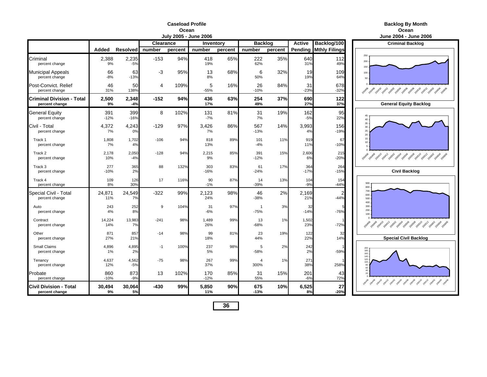#### **Caseload ProfileOcean**

| <b>Backlog By Month</b> |
|-------------------------|
|                         |

|                                                    |               |                 |           | vui) Luvu | vunv Lvvv     |         |                        |         |               |                              | "<br><b></b>                                          |
|----------------------------------------------------|---------------|-----------------|-----------|-----------|---------------|---------|------------------------|---------|---------------|------------------------------|-------------------------------------------------------|
|                                                    |               |                 | Clearance |           | Inventory     |         | <b>Backlog</b>         |         | <b>Active</b> | Backlog/100                  | <b>Criminal Backle</b>                                |
|                                                    | Added         | Resolved number |           | percent   | number        | percent | number                 | percent |               | <b>Pending Mthly Filings</b> |                                                       |
| Criminal<br>percent change                         | 2,388<br>9%   | 2,235<br>$-5%$  | $-153$    | 94%       | 418<br>19%    | 65%     | 222<br>62%             | 35%     | 640<br>31%    | 112<br>49%                   | 250<br>200<br>150                                     |
| <b>Municipal Appeals</b><br>percent change         | 66<br>$-8%$   | 63<br>$-13%$    | -3        | 95%       | 13<br>8%      | 68%     | 6<br>50%               | 32%     | 19<br>19%     | 109<br>64%                   | 100<br>50                                             |
| Post-Convict, Relief<br>percent change             | 46<br>31%     | 50<br>138%      | 4         | 109%      | 5<br>$-55%$   | 16%     | 26<br>$-10%$           | 84%     | 31<br>$-23%$  | 678<br>$-32%$                | 2049 2049 2041 2041 2059 2059 2059 2059 2059          |
| <b>Criminal Division - Total</b><br>percent change | 2,500<br>9%   | 2,348<br>$-4%$  | $-152$    | 94%       | 436<br>17%    | 63%     | 254<br>49%             | 37%     | 690<br>27%    | 122<br>37%                   | <b>General Equity Ba</b>                              |
| <b>General Equity</b><br>percent change            | 391<br>$-12%$ | 399<br>$-16%$   | 8         | 102%      | 131<br>$-7%$  | 81%     | 31<br>7%               | 19%     | 162<br>$-5%$  | 95<br>22%                    | 45<br>$40\,$                                          |
| Civil - Total<br>percent change                    | 4,372<br>7%   | 4,243<br>0%     | $-129$    | 97%       | 3,426<br>7%   | 86%     | 567<br>$-13%$          | 14%     | 3,993<br>4%   | 156<br>$-19%$                | 35<br>30 <sup>°</sup><br>25<br>20                     |
| Track 1<br>percent change                          | 1,808<br>7%   | 1,702<br>4%     | $-106$    | 94%       | 818<br>13%    | 89%     | 101<br>$-4%$           | 11%     | 919<br>11%    | 67<br>$-10%$                 | 15<br>10                                              |
| Track 2<br>percent change                          | 2,178<br>10%  | 2,050<br>-4%    | $-128$    | 94%       | 2,215<br>9%   | 85%     | 391<br>$-12%$          | 15%     | 2,606<br>6%   | 215<br>$-20%$                | 2014 2014 2014 2014 2014 2015 2019 2019 2019 2019     |
| Track 3<br>percent change                          | 277<br>$-10%$ | 365<br>2%       | 88        | 132%      | 303<br>$-16%$ | 83%     | 61<br>$-24%$           | 17%     | 364<br>$-17%$ | 264<br>$-15%$                | <b>Civil Backlog</b>                                  |
| Track 4<br>percent change                          | 109<br>8%     | 126<br>30%      | 17        | 116%      | 90<br>$-1%$   | 87%     | 14<br>$-39%$           | 13%     | 104<br>$-9%$  | 154<br>$-44%$                | 900<br>800                                            |
| Special Civil - Total<br>percent change            | 24,871<br>11% | 24,549<br>7%    | $-322$    | 99%       | 2,123<br>24%  | 98%     | 46<br>$-38%$           | 2%      | 2,169<br>21%  | 2<br>$-44%$                  | 700<br>600<br>500<br>400                              |
| Auto<br>percent change                             | 243<br>4%     | 252<br>8%       | 9         | 104%      | 31<br>-6%     | 97%     | $\overline{1}$<br>-75% | 3%      | 32<br>$-14%$  | $-76%$                       | 300<br>$200 -$<br>$100 -$                             |
| Contract<br>percent change                         | 14,224<br>14% | 13,983<br>7%    | $-241$    | 98%       | 1,489<br>26%  | 99%     | 13<br>$-68%$           | 1%      | 1,502<br>23%  | $-72%$                       | 2040 2040 2040 2041 2050 2050 2050 2050 2050          |
| Other<br>percent change                            | 871<br>27%    | 857<br>21%      | $-14$     | 98%       | 99<br>18%     | 81%     | 23<br>44%              | 19%     | 122<br>22%    | 32<br>14%                    | <b>Special Civil Bac</b>                              |
| Small Claims<br>percent change                     | 4,896<br>1%   | 4,895<br>2%     | $-1$      | 100%      | 237<br>5%     | 98%     | 5<br>$-58%$            | 2%      | 242<br>2%     | $-59%$                       | 200<br>180<br>160<br>140                              |
| Tenancy<br>percent change                          | 4,637<br>12%  | 4,562<br>$-5%$  | $-75$     | 98%       | 267<br>37%    | 99%     | 4<br>300%              | 1%      | 271<br>38%    | 258%                         | 120<br>100                                            |
| Probate<br>percent change                          | 860<br>$-10%$ | 873<br>$-9%$    | 13        | 102%      | 170<br>$-12%$ | 85%     | 31<br>55%              | 15%     | 201<br>$-6%$  | 43<br>72%                    | 2019年 2019年 2019年 2019年 2029年 2029年 2029年 2029年 2029年 |
| <b>Civil Division - Total</b><br>percent change    | 30,494<br>9%  | 30,064<br>5%    | $-430$    | 99%       | 5,850<br>11%  | 90%     | 675<br>$-13%$          | 10%     | 6,525<br>8%   | 27<br>$-20%$                 |                                                       |

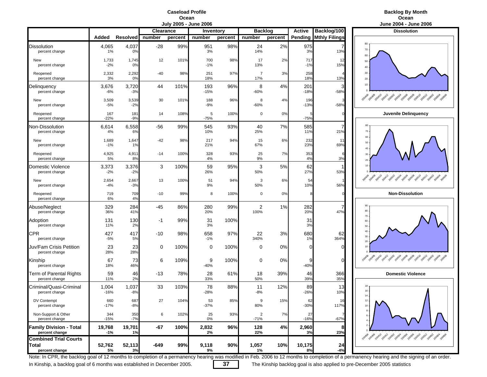### **Caseload ProfileOcean**<br>**July 2005 - June 2006**

### **Backlog By Month n** Communication of the Communication of the Communication of the Communication of the Communication of the Communication of the Communication of the Communication of the Communication of the Communication of the Communic

|                                                         |                 |                |           | July 200J - Julie 2000 |               |         |                          |         |               |                      | JUIJE ZUU+ - JUIJE ZU                                  |
|---------------------------------------------------------|-----------------|----------------|-----------|------------------------|---------------|---------|--------------------------|---------|---------------|----------------------|--------------------------------------------------------|
|                                                         |                 |                | Clearance |                        | Inventory     |         | <b>Backlog</b>           |         | <b>Active</b> | Backlog/100          | <b>Dissolution</b>                                     |
|                                                         | Added           | Resolved       | number    | percent                | number        | percent | number                   | percent | Pending       | <b>Mthly Filings</b> |                                                        |
| Dissolution<br>percent change                           | 4,065<br>1%     | 4,037<br>0%    | $-28$     | 99%                    | 951<br>3%     | 98%     | 24<br>14%                | 2%      | 975<br>3%     | 13%                  | 80<br>70<br>60                                         |
| New<br>percent change                                   | 1,733<br>$-2%$  | 1,745<br>0%    | 12        | 101%                   | 700<br>$-1%$  | 98%     | 17<br>13%                | 2%      | 717<br>$-1%$  | 12<br>15%            | 50<br>40                                               |
| Reopened<br>percent change                              | 2,332<br>3%     | 2,292<br>0%    | $-40$     | 98%                    | 251<br>18%    | 97%     | 7<br>17%                 | 3%      | 258<br>18%    | 13%                  | 30<br>20                                               |
| Delinquency<br>percent change                           | 3,676<br>$-6%$  | 3,720<br>$-3%$ | 44        | 101%                   | 193<br>$-15%$ | 96%     | 8<br>$-60%$              | 4%      | 201<br>$-18%$ | З<br>$-58%$          | $10 -$                                                 |
| New<br>percent change                                   | 3,509<br>$-5%$  | 3,539<br>$-2%$ | 30        | 101%                   | 188<br>$-9%$  | 96%     | 8<br>$-60%$              | 4%      | 196<br>$-13%$ | $-58%$               | 20 de 2014 2014 2015 2015 2019 2019 2019 2019 2019     |
| Reopened<br>percent change                              | 167<br>$-22%$   | 181<br>$-9%$   | 14        | 108%                   | 5<br>$-75%$   | 100%    | 0                        | 0%      | $-75%$        |                      | Juvenile Delinquend                                    |
| Non-Dissolution<br>percent change                       | 6,614<br>4%     | 6,558<br>6%    | -56       | 99%                    | 545<br>10%    | 93%     | 40<br>25%                | 7%      | 585<br>11%    | 21%                  | 80<br>70                                               |
| New<br>percent change                                   | 1,689<br>$-1%$  | 1,647<br>1%    | $-42$     | 98%                    | 217<br>21%    | 94%     | 15<br>67%                | 6%      | 232<br>23%    | 11<br>69%            | 60<br>50<br>40                                         |
| Reopened<br>percent change                              | 4,925<br>5%     | 4,911<br>8%    | $-14$     | 100%                   | 328<br>4%     | 93%     | 25<br>9%                 | 7%      | 353<br>4%     | 3%                   | 30<br>$20\,$                                           |
| Domestic Violence<br>percent change                     | 3,373<br>$-2%$  | 3,376<br>$-2%$ | 3         | 100%                   | 59<br>26%     | 95%     | 3<br>50%                 | 5%      | 62<br>27%     | 53%                  | $10 -$                                                 |
| New<br>percent change                                   | 2,654<br>$-4%$  | 2,667<br>$-3%$ | 13        | 100%                   | 51<br>9%      | 94%     | 3<br>50%                 | 6%      | 54<br>10%     | 56%                  | 2014 2014 2014 2014 2014 2019 2019 2019 2019 2019 2019 |
| Reopened<br>percent change                              | 719<br>6%       | 709<br>4%      | $-10$     | 99%                    | 8             | 100%    | 0                        | 0%      | 8             |                      | <b>Non-Dissolution</b>                                 |
| Abuse/Neglect<br>percent change                         | 329<br>36%      | 284<br>41%     | -45       | 86%                    | 280<br>20%    | 99%     | 2<br>100%                | 1%      | 282<br>20%    | 7<br>47%             | 90<br>80<br>70                                         |
| Adoption<br>percent change                              | 131<br>11%      | 130<br>2%      | $-1$      | 99%                    | 31<br>3%      | 100%    |                          |         | 31<br>3%      |                      | 60<br>50                                               |
| <b>CPR</b><br>percent change                            | 427<br>$-5%$    | 417<br>5%      | -10       | 98%                    | 658<br>$-1%$  | 97%     | 22<br>340%               | 3%      | 680<br>1%     | 62<br>364%           | 40<br>30<br>20                                         |
| Juv/Fam Crisis Petition<br>percent change               | 23<br>28%       | 23<br>28%      | 0         | 100%                   | 0             | 100%    | 0                        | 0%      | C             | C                    | 10                                                     |
| Kinship<br>percent change                               | 67<br>18%       | 73<br>46%      | 6         | 109%                   | 9<br>$-40%$   | 100%    | 0                        | 0%      | g<br>$-40%$   | $\Omega$             | 2014 2014 2014 2015 2015 2019 2019 2019 2019 2019      |
| Term of Parental Rights<br>percent change               | 59<br>11%       | 46<br>2%       | $-13$     | 78%                    | 28<br>33%     | 61%     | 18<br>50%                | 39%     | 46<br>39%     | 366<br>35%           | <b>Domestic Violence</b>                               |
| Criminal/Quasi-Criminal<br>percent change               | 1,004<br>$-16%$ | 1,037<br>$-8%$ | 33        | 103%                   | 78<br>$-28%$  | 88%     | 11<br>$-8%$              | 12%     | 89<br>$-26%$  | 13<br>10%            | 18<br>16<br>14                                         |
| DV Contempt<br>percent change                           | 660<br>$-17%$   | 687<br>$-8%$   | 27        | 104%                   | 53<br>-37%    | 85%     | 9<br>80%                 | 15%     | 62<br>$-30%$  | 117%                 | $10 -$<br>$\bf 8$                                      |
| Non-Support & Other<br>percent change                   | 344<br>$-15%$   | 350<br>$-7%$   | 6         | 102%                   | 25<br>0%      | 93%     | $\overline{2}$<br>$-71%$ | 7%      | 27<br>$-16%$  | $-67%$               | $\,6\,$<br>$4 \cdot$                                   |
| <b>Family Division - Total</b><br>percent change        | 19,768<br>-1%   | 19,701<br>1%   | $-67$     | 100%                   | 2,832<br>2%   | 96%     | 128<br>22%               | 4%      | 2,960<br>3%   | 8<br>23%             | 2014 2014 2014 2014 2015 2019 2019 2019 2019 2019      |
| <b>Combined Trial Courts</b><br>Total<br>percent change | 52,762<br>5%    | 52,113<br>3%   | -649      | 99%                    | 9,118<br>9%   | 90%     | 1,057<br>1%              | 10%     | 10,175<br>8%  | 24<br>$-4%$          |                                                        |



Note: In CPR, the backlog goal of 12 months to completion of a permanency hearing was modified in Feb. 2006 to 12 months to completion of a permanency hearing and the signing of an order.

In Kinship, a backlog goal of 6 months was established in December 2005. **37** The Kinship backlog goal is also applied to pre-December 2005 statistics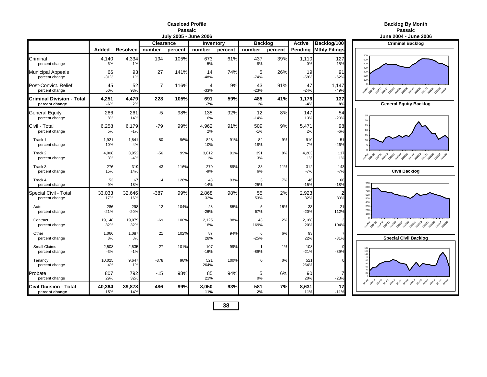#### **Caseload ProfilePassaic**

|                                                    | <b>June 2004 - June</b> |                 |                |         |              |         |                |         |                |                              |                                                  |
|----------------------------------------------------|-------------------------|-----------------|----------------|---------|--------------|---------|----------------|---------|----------------|------------------------------|--------------------------------------------------|
|                                                    |                         |                 | Clearance      |         | Inventory    |         | <b>Backlog</b> |         | <b>Active</b>  | Backlog/100                  | <b>Criminal Backle</b>                           |
|                                                    | Added                   | <b>Resolved</b> | number         | percent | number       | percent | number         | percent |                | <b>Pending Mthly Filings</b> |                                                  |
| Criminal<br>percent change                         | 4,140<br>$-6%$          | 4,334<br>1%     | 194            | 105%    | 673<br>$-5%$ | 61%     | 437<br>8%      | 39%     | 1,110<br>0%    | 127<br>15%                   | 700<br>600<br>500<br>400                         |
| Municipal Appeals<br>percent change                | 66<br>$-31%$            | 93<br>1%        | 27             | 141%    | 14<br>$-48%$ | 74%     | 5<br>$-74%$    | 26%     | 19<br>$-59%$   | 91<br>$-62%$                 | 300<br>200<br>100                                |
| Post-Convict. Relief<br>percent change             | 45<br>50%               | 52<br>93%       | $\overline{7}$ | 116%    | 4<br>$-33%$  | 9%      | 43<br>$-23%$   | 91%     | 47<br>$-24%$   | 1,147<br>$-49%$              | A 2009 - 2014 - 2014 - 2015 - 2016 - 2019 - 2015 |
| <b>Criminal Division - Total</b><br>percent change | 4,251<br>-6%            | 4,479<br>2%     | 228            | 105%    | 691<br>-7%   | 59%     | 485<br>1%      | 41%     | 1,176<br>$-4%$ | 137<br>8%                    | <b>General Equity Ba</b>                         |
| General Equity<br>percent change                   | 266<br>8%               | 261<br>14%      | $-5$           | 98%     | 135<br>16%   | 92%     | 12<br>$-14%$   | 8%      | 147<br>13%     | 54<br>$-20%$                 | 35<br>30                                         |
| Civil - Total<br>percent change                    | 6,258<br>5%             | 6,179<br>$-1%$  | -79            | 99%     | 4,962<br>2%  | 91%     | 509<br>$-1%$   | 9%      | 5,471<br>2%    | 98<br>$-6%$                  | 25<br>20<br>15                                   |
| Track 1<br>percent change                          | 1,921<br>10%            | 1,841<br>4%     | $-80$          | 96%     | 828<br>10%   | 91%     | 82<br>$-18%$   | 9%      | 910<br>7%      | 51<br>$-26%$                 | 10                                               |
| Track 2<br>percent change                          | 4,008<br>3%             | 3,952<br>$-4%$  | $-56$          | 99%     | 3,812<br>1%  | 91%     | 391<br>3%      | 9%      | 4,203<br>1%    | 117<br>1%                    | 20408 20410 20412 20502 20504 20506 20508 205    |
| Track 3<br>percent change                          | 276<br>15%              | 319<br>14%      | 43             | 116%    | 279<br>$-9%$ | 89%     | 33<br>6%       | 11%     | 312<br>$-7%$   | 143<br>$-7%$                 | <b>Civil Backlog</b>                             |
| Track 4<br>percent change                          | 53<br>$-9%$             | 67<br>18%       | 14             | 126%    | 43<br>$-14%$ | 93%     | 3<br>$-25%$    | 7%      | 46<br>$-15%$   | 68<br>$-18%$                 | 900<br>800                                       |
| Special Civil - Total<br>percent change            | 33,033<br>17%           | 32,646<br>16%   | $-387$         | 99%     | 2,868<br>32% | 98%     | 55<br>53%      | 2%      | 2,923<br>32%   | 2<br>30%                     | 700<br>600<br>500<br>400                         |
| Auto<br>percent change                             | 286<br>$-21%$           | 298<br>$-20%$   | 12             | 104%    | 28<br>$-26%$ | 85%     | 5<br>67%       | 15%     | 33<br>$-20%$   | 21<br>112%                   | 300<br>200<br>100                                |
| Contract<br>percent change                         | 19,148<br>32%           | 19,079<br>32%   | -69            | 100%    | 2,125<br>18% | 98%     | 43<br>169%     | 2%      | 2,168<br>20%   | 104%                         |                                                  |
| Other<br>percent change                            | 1,066<br>8%             | 1,087<br>8%     | 21             | 102%    | 87<br>28%    | 94%     | 6<br>$-25%$    | 6%      | 93<br>22%      | $-31%$                       | <b>Special Civil Bac</b>                         |
| Small Claims<br>percent change                     | 2,508<br>$-3%$          | 2,535<br>$-1%$  | 27             | 101%    | 107<br>-16%  | 99%     | -1<br>$-89%$   | 1%      | 108<br>$-21%$  | $-89%$                       | 180<br>160<br>140                                |
| Tenancy<br>percent change                          | 10,025<br>4%            | 9,647<br>1%     | $-378$         | 96%     | 521<br>264%  | 100%    | $\mathbf 0$    | 0%      | 521<br>264%    |                              | 120<br>100<br>80                                 |
| Probate<br>percent change                          | 807<br>29%              | 792<br>32%      | $-15$          | 98%     | 85<br>21%    | 94%     | 5<br>0%        | 6%      | 90<br>20%      | 7<br>$-23%$                  | 2004-09 2004-0 2004-2005-2005-2005-2005-2005-20  |
| Civil Division - Total<br>percent change           | 40,364<br>15%           | 39,878<br>14%   | $-486$         | 99%     | 8,050<br>11% | 93%     | 581<br>2%      | 7%      | 8,631<br>11%   | 17<br>$-11%$                 |                                                  |

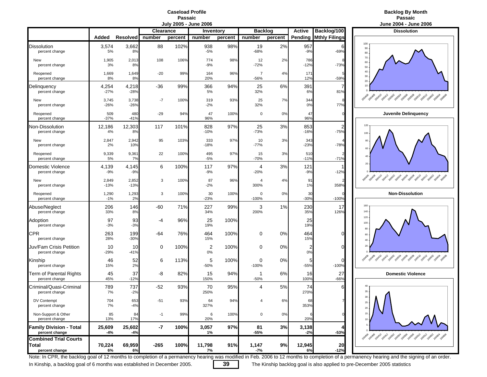#### **Caseload ProfilePassaic**

### **Backlog By Month Passaic**

|                                                  |                 |                 |                  | vury Luvu | vunv Lvvv     |         |                          |         |                      |                          | UMIN LVVT<br>                                     |
|--------------------------------------------------|-----------------|-----------------|------------------|-----------|---------------|---------|--------------------------|---------|----------------------|--------------------------|---------------------------------------------------|
|                                                  |                 |                 | <b>Clearance</b> |           | Inventory     |         | <b>Backlog</b>           |         | <b>Active</b>        | Backlog/100              | <b>Dissolution</b>                                |
|                                                  | Added           | <b>Resolved</b> | number           | percent   | number        | percent | number                   | percent | Pending              | <b>Mthly Filings</b>     | 100                                               |
| <b>Dissolution</b><br>percent change             | 3,574<br>5%     | 3,662<br>8%     | 88               | 102%      | 938<br>$-5%$  | 98%     | 19<br>$-68%$             | 2%      | 957<br>$-9%$         | F<br>$-69%$              | 90<br>$80\,$                                      |
| New<br>percent change                            | 1,905<br>3%     | 2,013<br>8%     | 108              | 106%      | 774<br>$-9%$  | 98%     | 12<br>$-72%$             | 2%      | 786<br>$-12%$        | $-73%$                   | $70\,$<br>60<br>$50\,$                            |
| Reopened<br>percent change                       | 1,669<br>8%     | 1,649<br>8%     | $-20$            | 99%       | 164<br>20%    | 96%     | $\overline{7}$<br>$-56%$ | 4%      | 171<br>12%           | $-59%$                   | 40<br>$30\,$<br>20                                |
| Delinquency<br>percent change                    | 4,254<br>$-27%$ | 4,218<br>$-28%$ | $-36$            | 99%       | 366<br>5%     | 94%     | 25<br>32%                | 6%      | 391<br>6%            | 81%                      | 10                                                |
| New<br>percent change                            | 3,745<br>$-26%$ | 3,738<br>$-26%$ | $-7$             | 100%      | 319<br>$-2%$  | 93%     | 25<br>32%                | 7%      | 344<br>0%            | 77%                      | Ao de Bath 20x12 post 20x9 post and post post and |
| Reopened<br>percent change                       | 509<br>$-37%$   | 480<br>$-41%$   | $-29$            | 94%       | 47<br>96%     | 100%    | 0                        | 0%      | 47<br>96%            |                          | Juvenile Delinquend                               |
| Non-Dissolution<br>percent change                | 12,186<br>4%    | 12,303<br>8%    | 117              | 101%      | 828<br>$-10%$ | 97%     | 25<br>$-73%$             | 3%      | 853<br>$-16%$        | $\overline{2}$<br>$-75%$ | 120<br>100                                        |
| New<br>percent change                            | 2,847<br>2%     | 2,942<br>10%    | 95               | 103%      | 333<br>-18%   | 97%     | 10<br>$-77%$             | 3%      | 343<br>$-23%$        | $-78%$                   | 80<br>60                                          |
| Reopened<br>percent change                       | 9,339<br>5%     | 9,361<br>7%     | 22               | 100%      | 495<br>$-5%$  | 97%     | 15<br>$-70%$             | 3%      | 510<br>$-11%$        | $-71%$                   | 40                                                |
| Domestic Violence<br>percent change              | 4,139<br>$-9%$  | 4,145<br>$-9%$  | 6                | 100%      | 117<br>$-9%$  | 97%     | 4<br>$-20%$              | 3%      | 121<br>$-9%$         | $-12%$                   | 20                                                |
| New<br>percent change                            | 2,849<br>$-13%$ | 2,852<br>$-13%$ | 3                | 100%      | 87<br>$-2%$   | 96%     | 4<br>300%                | 4%      | 91<br>1%             | 358%                     | 2014 2014 2014 2019 2019 2019 2019 2019 2019 2019 |
| Reopened<br>percent change                       | 1,290<br>$-1%$  | 1,293<br>2%     | 3                | 100%      | 30<br>$-23%$  | 100%    | 0<br>$-100%$             | 0%      | 30<br>$-30%$         | $-100%$                  | <b>Non-Dissolution</b>                            |
| Abuse/Neglect<br>percent change                  | 206<br>33%      | 146<br>8%       | $-60$            | 71%       | 227<br>34%    | 99%     | 3<br>200%                | 1%      | 230<br>35%           | 17<br>126%               | 160<br>140                                        |
| Adoption<br>percent change                       | 97<br>$-3%$     | 93<br>$-3%$     | -4               | 96%       | 25<br>19%     | 100%    |                          |         | 25<br>19%            |                          | 120<br>100                                        |
| <b>CPR</b><br>percent change                     | 263<br>28%      | 199<br>$-30%$   | -64              | 76%       | 464<br>15%    | 100%    | 0                        | 0%      | 464<br>15%           | $\overline{0}$           | 80<br>60<br>40                                    |
| Juv/Fam Crisis Petition<br>percent change        | 10<br>$-29%$    | 10<br>$-41%$    | 0                | 100%      | 2<br>0%       | 100%    | 0                        | 0%      | $\overline{c}$<br>0% | $\overline{0}$           | 20                                                |
| Kinship<br>percent change                        | 46<br>15%       | 52<br>2%        | 6                | 113%      | 5<br>$-50%$   | 100%    | 0<br>$-100%$             | 0%      | 5<br>$-55%$          | O<br>$-100%$             | 2014 2014 2014 2015 2015 2019 2019 2019 2019 2019 |
| Term of Parental Rights<br>percent change        | 45<br>45%       | 37<br>$-12%$    | -8               | 82%       | 15<br>150%    | 94%     | 1<br>$-50%$              | 6%      | 16<br>100%           | 27<br>$-66%$             | <b>Domestic Violence</b>                          |
| Criminal/Quasi-Criminal<br>percent change        | 789<br>7%       | 737<br>$-2%$    | $-52$            | 93%       | 70<br>250%    | 95%     | 4                        | 5%      | 74<br>270%           | 6                        | 40<br>35                                          |
| DV Contempt<br>percent change                    | 704<br>7%       | 653<br>$-4%$    | $-51$            | 93%       | 64<br>327%    | 94%     |                          | 6%      | 68<br>353%           |                          | $30\,$<br>25<br>$20\,$                            |
| Non-Support & Other<br>percent change            | 85<br>13%       | 84<br>17%       | $-1$             | 99%       | 6<br>20%      | 100%    | 0                        | 0%      | 20%                  |                          | $15 -$<br>$10 -$                                  |
| <b>Family Division - Total</b><br>percent change | 25,609<br>-4%   | 25,602<br>-4%   | $-7$             | 100%      | 3,057<br>1%   | 97%     | 81<br>$-55%$             | 3%      | 3,138<br>$-2%$       | $-53%$                   | $5 -$                                             |
| <b>Combined Trial Courts</b>                     |                 |                 |                  |           |               |         |                          |         |                      |                          | 2014 2014 2014 2014 2015 2015 2015 2016 2016 2016 |
| Total<br>percent change                          | 70,224<br>6%    | 69,959<br>6%    | $-265$           | 100%      | 11,798<br>7%  | 91%     | 1,147<br>$-7%$           | 9%      | 12,945<br>6%         | 20<br>$-12%$             |                                                   |



Note: In CPR, the backlog goal of 12 months to completion of a permanency hearing was modified in Feb. 2006 to 12 months to completion of a permanency hearing and the signing of an order.

In Kinship, a backlog goal of 6 months was established in December 2005. **39** The Kinship backlog goal is also applied to pre-December 2005 statistics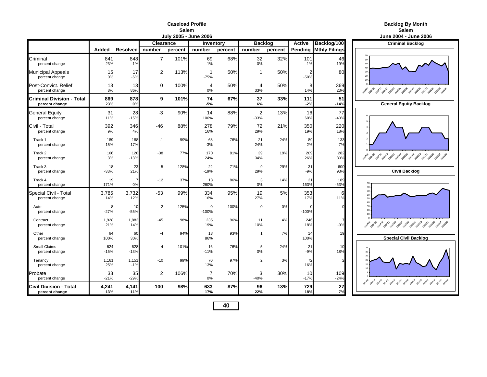#### **Caseload ProfileSalem**

|                                                    |               |                                          |                | <b>July 2005 - June 2006</b> |                      |         |                          |               |              |                        | June 2004 - June                                        |
|----------------------------------------------------|---------------|------------------------------------------|----------------|------------------------------|----------------------|---------|--------------------------|---------------|--------------|------------------------|---------------------------------------------------------|
|                                                    |               | Clearance<br><b>Backlog</b><br>Inventory |                |                              |                      |         |                          | <b>Active</b> | Backlog/100  | <b>Criminal Backle</b> |                                                         |
|                                                    | Added         | <b>Resolved</b>                          | number         | percent                      | number               | percent | number                   | percent       | Pending      | <b>Mthly Filings</b>   |                                                         |
| Criminal<br>percent change                         | 841<br>23%    | 848<br>$-1%$                             | $\overline{7}$ | 101%                         | 69<br>$-1%$          | 68%     | 32<br>0%                 | 32%           | 101<br>$-1%$ | 46<br>$-19%$           | 70<br>60<br>50<br>40                                    |
| <b>Municipal Appeals</b><br>percent change         | 15<br>0%      | 17<br>$-6%$                              | 2              | 113%                         | 1<br>$-75%$          | 50%     | $\mathbf 1$              | 50%           | 2<br>$-50%$  | 80                     | 30<br>20<br>10                                          |
| Post-Convict. Relief<br>percent change             | 13<br>8%      | 13<br>86%                                | $\mathbf 0$    | 100%                         | $\overline{4}$<br>0% | 50%     | 4<br>33%                 | 50%           | 8<br>14%     | 369<br>23%             | 10408 20410 20412 20502 20503 20508 2050 205<br>20406   |
| <b>Criminal Division - Total</b><br>percent change | 869<br>23%    | 878<br>0%                                | 9              | 101%                         | 74<br>-5%            | 67%     | 37<br>6%                 | 33%           | 111<br>$-2%$ | 51<br>$-14%$           | <b>General Equity Ba</b>                                |
| <b>General Equity</b><br>percent change            | 31<br>11%     | 28<br>$-15%$                             | $-3$           | 90%                          | 14<br>100%           | 88%     | $\overline{2}$<br>$-33%$ | 13%           | 16<br>60%    | 77<br>$-40%$           |                                                         |
| Civil - Total<br>percent change                    | 392<br>9%     | 346<br>4%                                | $-46$          | 88%                          | 278<br>16%           | 79%     | 72<br>29%                | 21%           | 350<br>19%   | 220<br>18%             |                                                         |
| Track 1<br>percent change                          | 189<br>15%    | 188<br>17%                               | $-1$           | 99%                          | 68<br>$-3%$          | 76%     | 21<br>24%                | 24%           | 89<br>2%     | 133<br>7%              |                                                         |
| Track 2<br>percent change                          | 166<br>3%     | 128<br>$-13%$                            | $-38$          | 77%                          | 170<br>24%           | 81%     | 39<br>34%                | 19%           | 209<br>26%   | 282<br>30%             | 20408 20410 20412 20502 20504 20506 20508 205<br>200406 |
| Track 3<br>percent change                          | 18<br>$-33%$  | 23<br>21%                                | 5              | 128%                         | 22<br>$-19%$         | 71%     | 9<br>29%                 | 29%           | 31<br>$-9%$  | 600<br>93%             | <b>Civil Backlog</b>                                    |
| Track 4<br>percent change                          | 19<br>171%    | 0%                                       | $-12$          | 37%                          | 18<br>260%           | 86%     | 3<br>0%                  | 14%           | 21<br>163%   | 189<br>$-63%$          | 90<br>80                                                |
| Special Civil - Total<br>percent change            | 3,785<br>14%  | 3,732<br>12%                             | $-53$          | 99%                          | 334<br>16%           | 95%     | 19<br>27%                | 5%            | 353<br>17%   | 6<br>11%               | 70<br>60<br>50<br>40                                    |
| Auto<br>percent change                             | 8<br>$-27%$   | 10<br>$-55%$                             | $\overline{2}$ | 125%                         | 0<br>$-100%$         | 100%    | $\mathsf 0$              | 0%            | $-100%$      |                        | 30<br>20<br>10                                          |
| Contract<br>percent change                         | 1,928<br>21%  | 1,883<br>14%                             | $-45$          | 98%                          | 235<br>19%           | 96%     | 11<br>10%                | 4%            | 246<br>18%   | 7<br>$-9%$             | 2040 2040 2041 2041 2050 2050 2050 2050 2050            |
| Other<br>percent change                            | 64<br>100%    | 60<br>30%                                | -4             | 94%                          | 13<br>86%            | 93%     | $\mathbf{1}$             | 7%            | 14<br>100%   | 19                     | <b>Special Civil Bac</b>                                |
| Small Claims<br>percent change                     | 624<br>$-15%$ | 628<br>$-13%$                            | 4              | 101%                         | 16<br>$-11%$         | 76%     | 5<br>0%                  | 24%           | 21<br>$-9%$  | 10<br>18%              | 30<br>25                                                |
| Tenancy<br>percent change                          | 1,161<br>25%  | 1,151<br>$-1%$                           | $-10$          | 99%                          | 70<br>13%            | 97%     | $\overline{2}$           | 3%            | 72<br>16%    |                        |                                                         |
| Probate<br>percent change                          | 33<br>$-21%$  | 35<br>$-29%$                             | 2              | 106%                         | 7<br>$0\%$           | 70%     | 3<br>$-40%$              | 30%           | 10<br>$-17%$ | 109<br>$-24%$          | 10408 20410 20412 20502 20504 20508 20508 205           |
| Civil Division - Total<br>percent change           | 4,241<br>13%  | 4,141<br>11%                             | $-100$         | 98%                          | 633<br>17%           | 87%     | 96<br>22%                | 13%           | 729<br>18%   | 27<br>7%               |                                                         |

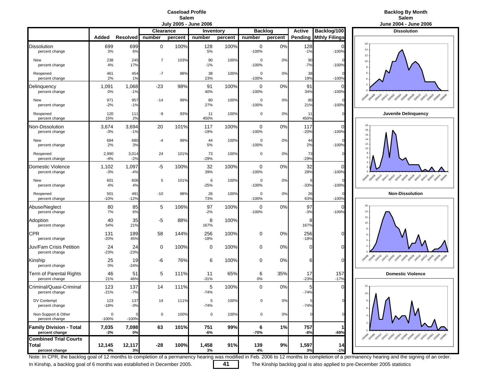### **Caseload ProfileSalem**<br>**July 2005 - June 2006**



|                                                  |                |                 |                  |         | JULY ZUUJ - JULIE ZUUU |         |                |         |                              |                      | JUIIE ZUU4 - JUIIE ZU                                  |
|--------------------------------------------------|----------------|-----------------|------------------|---------|------------------------|---------|----------------|---------|------------------------------|----------------------|--------------------------------------------------------|
|                                                  |                |                 | <b>Clearance</b> |         | Inventory              |         | <b>Backlog</b> |         | Backlog/100<br><b>Active</b> |                      | <b>Dissolution</b>                                     |
|                                                  | Added          | <b>Resolved</b> | number           | percent | number                 | percent | number         | percent | Pending                      | <b>Mthly Filings</b> |                                                        |
| <b>Dissolution</b><br>percent change             | 699<br>3%      | 699<br>6%       | 0                | 100%    | 128<br>5%              | 100%    | 0<br>$-100%$   | $0\%$   | 128<br>$-1%$                 | $-100%$              | 16<br>14<br>12                                         |
| New<br>percent change                            | 238<br>4%      | 245<br>17%      | $\overline{7}$   | 103%    | 90<br>$-1%$            | 100%    | 0<br>$-100%$   | 0%      | 90<br>$-7%$                  | $-100%$              | 10<br>$\mathbf{a}$                                     |
| Reopened<br>percent change                       | 461<br>2%      | 454<br>1%       | $-7$             | 98%     | 38<br>23%              | 100%    | 0<br>$-100%$   | 0%      | 38<br>19%                    | $-100%$              | 6                                                      |
| Delinguency<br>percent change                    | 1,091<br>0%    | 1,068<br>$-1%$  | $-23$            | 98%     | 91<br>40%              | 100%    | 0<br>$-100%$   | 0%      | 91<br>34%                    | 0<br>$-100%$         |                                                        |
| New<br>percent change                            | 971<br>$-2%$   | 957<br>$-1%$    | $-14$            | 99%     | 80<br>27%              | 100%    | 0<br>$-100%$   | 0%      | 80<br>21%                    | $-100%$              | 2014 2041 2041 2052 2059 2059 2059 2059 2051 205       |
| Reopened<br>percent change                       | 120<br>15%     | 111<br>2%       | -9               | 93%     | 11<br>450%             | 100%    | 0              | 0%      | 11<br>450%                   |                      | Juvenile Delinquend                                    |
| Non-Dissolution<br>percent change                | 3,674<br>$-3%$ | 3,694<br>$-1%$  | 20               | 101%    | 117<br>$-19%$          | 100%    | 0<br>$-100%$   | $0\%$   | 117<br>$-20%$                | 0<br>$-100%$         | 20<br>18<br>16                                         |
| New<br>percent change                            | 684<br>2%      | 680<br>3%       | -4               | 99%     | 44<br>5%               | 100%    | 0<br>$-100%$   | 0%      | 44<br>2%                     | $-100%$              | 14<br>12<br>10                                         |
| Reopened<br>percent change                       | 2,990<br>$-4%$ | 3,014<br>$-2%$  | 24               | 101%    | 73<br>$-29%$           | 100%    | 0              | 0%      | 73<br>$-29%$                 |                      |                                                        |
| Domestic Violence<br>percent change              | 1,102<br>$-3%$ | 1,097<br>$-4%$  | -5               | 100%    | 32<br>39%              | 100%    | 0<br>$-100%$   | 0%      | 32<br>28%                    | $\Omega$<br>$-100%$  |                                                        |
| New<br>percent change                            | 601<br>4%      | 606<br>4%       | 5                | 101%    | 6<br>$-25%$            | 100%    | 0<br>$-100%$   | 0%      | $-33%$                       | $-100%$              | 2010 2011 2012 2023 2039 2039 2039 2039 203            |
| Reopened<br>percent change                       | 501<br>$-10%$  | 491<br>$-12%$   | $-10$            | 98%     | 26<br>73%              | 100%    | 0<br>$-100%$   | 0%      | 26<br>63%                    | $-100%$              | <b>Non-Dissolution</b>                                 |
| Abuse/Neglect<br>percent change                  | 80<br>7%       | 85<br>6%        | 5                | 106%    | 97<br>$-2%$            | 100%    | 0<br>$-100%$   | 0%      | 97<br>$-3%$                  | $\Omega$<br>$-100%$  | 16<br>14                                               |
| Adoption<br>percent change                       | 40<br>54%      | 35<br>21%       | -5               | 88%     | 8<br>167%              | 100%    |                |         | 8<br>167%                    |                      | 12 <sub>2</sub><br>10<br>$\mathbf{a}$                  |
| <b>CPR</b><br>percent change                     | 131<br>$-20%$  | 189<br>45%      | 58               | 144%    | 256<br>$-18%$          | 100%    | 0              | 0%      | 256<br>$-18%$                | $\Omega$             | 6<br>$\overline{4}$                                    |
| Juv/Fam Crisis Petition<br>percent change        | 24<br>$-23%$   | 24<br>$-23%$    | 0                | 100%    | 0                      | 100%    | 0              | 0%      | O                            | $\overline{0}$       |                                                        |
| Kinship<br>percent change                        | 25<br>0%       | 19<br>$-24%$    | -6               | 76%     | 6                      | 100%    | 0              | 0%      | 6                            | $\Omega$             | 2014 2014 2014 2015 2015 2019 2019 2019 2019           |
| Term of Parental Rights<br>percent change        | 46<br>21%      | 51<br>46%       | 5                | 111%    | 11<br>$-31%$           | 65%     | 6<br>$0\%$     | 35%     | 17<br>$-23%$                 | 157<br>$-17%$        | <b>Domestic Violence</b>                               |
| Criminal/Quasi-Criminal<br>percent change        | 123<br>$-21%$  | 137<br>$-7%$    | 14               | 111%    | 5<br>$-74%$            | 100%    | $\mathbf 0$    | 0%      | 5<br>$-74%$                  |                      | 10                                                     |
| DV Contempt<br>percent change                    | 123<br>$-18%$  | 137<br>$-3%$    | 14               | 111%    | 5<br>$-74%$            | 100%    | 0              | 0%      | $-74%$                       |                      |                                                        |
| Non-Support & Other<br>percent change            | 0<br>$-100%$   | $-100%$         | 0                | 100%    | $\pmb{0}$              | 100%    | $\mathsf 0$    | 0%      |                              |                      |                                                        |
| <b>Family Division - Total</b><br>percent change | 7,035<br>$-2%$ | 7,098<br>0%     | 63               | 101%    | 751<br>-6%             | 99%     | 6<br>-70%      | 1%      | 757<br>$-8%$                 | $-69%$               | <b>Polle Pape, Pape, Pape, Pape, Pape, Pape, Pape,</b> |
| <b>Combined Trial Courts</b><br>Total            | 12,145         | 12,117          | $-28$            | 100%    | 1,458                  | 91%     | 139            | 9%      | 1,597                        | 14                   |                                                        |
| percent change                                   | 4%             | 3%              |                  |         | 3%                     |         | 4%             |         | 3%                           | $-1%$                |                                                        |



Note: In CPR, the backlog goal of 12 months to completion of a permanency hearing was modified in Feb. 2006 to 12 months to completion of a permanency hearing and the signing of an order.

In Kinship, a backlog goal of 6 months was established in December 2005. **41** The Kinship backlog goal is also applied to pre-December 2005 statistics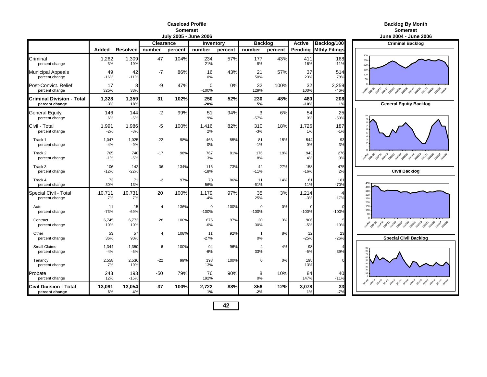#### **Caseload ProfileSomerset**

|                                                    |                |                 |                               | July 2005 - June 2006 |                     |         |                      |         | June 2004 - June 2006 |                              |                                                                 |
|----------------------------------------------------|----------------|-----------------|-------------------------------|-----------------------|---------------------|---------|----------------------|---------|-----------------------|------------------------------|-----------------------------------------------------------------|
|                                                    |                |                 | <b>Clearance</b><br>Inventory |                       |                     |         | <b>Backlog</b>       |         | <b>Active</b>         | Backlog/100                  | <b>Criminal Backlog</b>                                         |
|                                                    | Added          | <b>Resolved</b> | number                        | percent               | number              | percent | number               | percent |                       | <b>Pending Mthly Filings</b> |                                                                 |
| Criminal<br>percent change                         | 1,262<br>3%    | 1,309<br>19%    | 47                            | 104%                  | 234<br>$-21%$       | 57%     | 177<br>$-8%$         | 43%     | 411<br>$-16%$         | 168<br>$-11%$                | 300<br>250<br>200                                               |
| Municipal Appeals<br>percent change                | 49<br>$-16%$   | 42<br>$-11%$    | $-7$                          | 86%                   | 16<br>0%            | 43%     | 21<br>50%            | 57%     | 37<br>23%             | 514<br>78%                   | 150<br>100<br>50                                                |
| Post-Convict. Relief<br>percent change             | 17<br>325%     | 8<br>33%        | -9                            | 47%                   | 0<br>$-100%$        | 0%      | 32<br>129%           | 100%    | 32<br>100%            | 2,259<br>$-46%$              | Ask 30 Ask 30 Ask 30 Ask 30 Ask 30 Ask 30 Ask                   |
| <b>Criminal Division - Total</b><br>percent change | 1,328<br>3%    | 1,359<br>18%    | 31                            | 102%                  | 250<br>$-20%$       | 52%     | 230<br>5%            | 48%     | 480<br>$-10%$         | 208<br>1%                    | <b>General Equity Backlog</b>                                   |
| General Equity<br>percent change                   | 146<br>6%      | 144<br>$-5%$    | $-2$                          | 99%                   | 51<br>9%            | 94%     | 3<br>$-57%$          | 6%      | 54<br>0%              | 25<br>$-59%$                 |                                                                 |
| Civil - Total<br>percent change                    | 1,991<br>$-2%$ | 1,986<br>$-8%$  | -5                            | 100%                  | 1,416<br>2%         | 82%     | 310<br>$-3%$         | 18%     | 1,726<br>1%           | 187<br>$-1%$                 |                                                                 |
| Track 1<br>percent change                          | 1,047<br>$-4%$ | 1,025<br>$-9%$  | $-22$                         | 98%                   | 463<br>0%           | 85%     | 81<br>$-1%$          | 15%     | 544<br>0%             | 93<br>3%                     |                                                                 |
| Track 2<br>percent change                          | 765<br>$-1%$   | 748<br>$-5%$    | $-17$                         | 98%                   | 767<br>3%           | 81%     | 176<br>8%            | 19%     | 943<br>4%             | 276<br>9%                    | 2010 2011 2012 2013 2019 2019 2019 2019 2019 2019 2019          |
| Track 3<br>percent change                          | 106<br>$-12%$  | 142<br>$-22%$   | 36                            | 134%                  | 116<br>$-18%$       | 73%     | 42<br>$-11%$         | 27%     | 158<br>$-16%$         | 475<br>2%                    | <b>Civil Backlog</b>                                            |
| Track 4<br>percent change                          | 73<br>30%      | 71<br>13%       | $-2$                          | 97%                   | 70<br>56%           | 86%     | 11<br>$-61%$         | 14%     | 81<br>11%             | 181<br>$-70%$                | 450<br>400                                                      |
| Special Civil - Total<br>percent change            | 10,711<br>7%   | 10,731<br>7%    | 20                            | 100%                  | 1,179<br>$-4%$      | 97%     | 35<br>25%            | 3%      | 1,214<br>$-3%$        | 17%                          | 350<br>300<br>250<br>200                                        |
| Auto<br>percent change                             | 11<br>$-73%$   | 15<br>$-69%$    | $\overline{4}$                | 136%                  | $\Omega$<br>$-100%$ | 100%    | $\Omega$<br>$-100%$  | 0%      | $-100%$               | $-100%$                      | 150<br>$100 -$<br>50 <sub>1</sub>                               |
| Contract<br>percent change                         | 6,745<br>10%   | 6,773<br>10%    | 28                            | 100%                  | 876<br>$-6%$        | 97%     | 30<br>30%            | 3%      | 906<br>$-5%$          | 19%                          | 2010-2010-2011, 2011, 2020, 2020, 2020, 2020, 2021, 2021, 2021, |
| Other<br>percent change                            | 53<br>36%      | 57<br>90%       | $\overline{4}$                | 108%                  | 11<br>$-27%$        | 92%     | $\overline{1}$<br>0% | 8%      | 12<br>$-25%$          | 23<br>$-26%$                 | <b>Special Civil Backlog</b>                                    |
| <b>Small Claims</b><br>percent change              | 1,344<br>$-4%$ | 1,350<br>$-5%$  | 6                             | 100%                  | 94<br>$-6%$         | 96%     | 4<br>33%             | 4%      | 98<br>$-5%$           | 39%                          | 80<br>70                                                        |
| Tenancy<br>percent change                          | 2,558<br>7%    | 2,536<br>19%    | $-22$                         | 99%                   | 198<br>13%          | 100%    | $\mathbf 0$          | 0%      | 198<br>13%            |                              | 40<br>30<br>20                                                  |
| Probate<br>percent change                          | 243<br>12%     | 193<br>$-15%$   | $-50$                         | 79%                   | 76<br>192%          | 90%     | 8<br>0%              | 10%     | 84<br>147%            | 40<br>$-11%$                 | 2019 2019 2019 2029 2039 2039 2039 2039 2049 2049 2049 2049     |
| Civil Division - Total<br>percent change           | 13,091<br>6%   | 13,054<br>4%    | $-37$                         | 100%                  | 2,722<br>1%         | 88%     | 356<br>$-2%$         | 12%     | 3,078<br>1%           | 33<br>$-7%$                  |                                                                 |

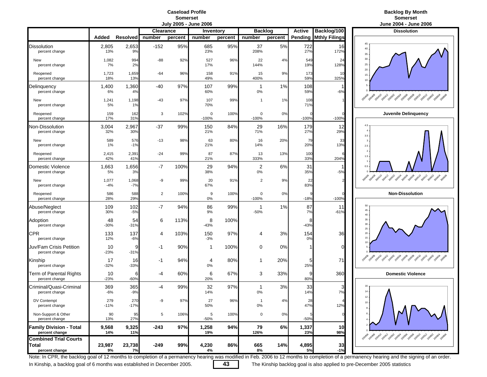## **Caseload ProfileSomerset**<br>July 2005 - June 2006

### **Backlog By Month Somerset**

|                                                  |                |                 |                  |         | <u>001y 2000 - 00116 2000</u> |         |                    |         |               |                      | VUIIV LVVT - VUIIV LI                                |
|--------------------------------------------------|----------------|-----------------|------------------|---------|-------------------------------|---------|--------------------|---------|---------------|----------------------|------------------------------------------------------|
|                                                  |                |                 | <b>Clearance</b> |         | Inventory                     |         | <b>Backlog</b>     |         | <b>Active</b> | Backlog/100          | <b>Dissolution</b>                                   |
|                                                  | Added          | <b>Resolved</b> | number           | percent | number                        | percent | number             | percent | Pending       | <b>Mthly Filings</b> | 45                                                   |
| <b>Dissolution</b><br>percent change             | 2,805<br>13%   | 2,653<br>9%     | $-152$           | 95%     | 685<br>23%                    | 95%     | 37<br>208%         | 5%      | 722<br>27%    | 16<br>172%           | 40<br>$35\,$                                         |
| New<br>percent change                            | 1,082<br>7%    | 994<br>2%       | $-88$            | 92%     | 527<br>17%                    | 96%     | 22<br>144%         | 4%      | 549<br>19%    | 24<br>128%           | $30\,$<br>25                                         |
| Reopened<br>percent change                       | 1,723<br>18%   | 1,659<br>13%    | $-64$            | 96%     | 158<br>49%                    | 91%     | 15<br>400%         | 9%      | 173<br>59%    | 10<br>325%           | $20\,$<br>15<br>10                                   |
| Delinquency<br>percent change                    | 1,400<br>6%    | 1,360<br>4%     | $-40$            | 97%     | 107<br>60%                    | 99%     | 1<br>$0\%$         | 1%      | 108<br>59%    | $-6%$                |                                                      |
| New<br>percent change                            | 1,241<br>5%    | 1,198<br>1%     | $-43$            | 97%     | 107<br>70%                    | 99%     | 1                  | 1%      | 108<br>71%    |                      | Ao de Bath 2014 2019 2019 2019 2019 2019 2019 201    |
| Reopened<br>percent change                       | 159<br>17%     | 162<br>31%      | 3                | 102%    | 0<br>$-100%$                  | 100%    | 0<br>$-100%$       | 0%      | $-100%$       | $-100%$              | Juvenile Delinquend                                  |
| <b>Non-Dissolution</b><br>percent change         | 3,004<br>32%   | 2,967<br>30%    | $-37$            | 99%     | 150<br>21%                    | 84%     | 29<br>71%          | 16%     | 179<br>27%    | 12<br>29%            | 4.5<br>$\overline{4}$                                |
| New<br>percent change                            | 589<br>1%      | 576<br>$-1%$    | $-13$            | 98%     | 63<br>21%                     | 80%     | 16<br>14%          | 20%     | 79<br>20%     | 33<br>13%            | 3.5<br>$\overline{\mathbf{3}}$<br>2.5                |
| Reopened<br>percent change                       | 2,415<br>42%   | 2,391<br>41%    | $-24$            | 99%     | 87<br>21%                     | 87%     | 13<br>333%         | 13%     | 100<br>33%    | 204%                 | $\overline{2}$<br>1.5                                |
| Domestic Violence<br>percent change              | 1,663<br>5%    | 1,656<br>3%     | $-7$             | 100%    | 29<br>38%                     | 94%     | 2<br>0%            | 6%      | 31<br>35%     | $-5%$                | 0.5                                                  |
| New<br>percent change                            | 1,077<br>$-4%$ | 1,068<br>$-7%$  | -9               | 99%     | 20<br>67%                     | 91%     | $\overline{2}$     | 9%      | 22<br>83%     |                      | 20xx9 20x10 20x12 20x92 20x92 20x95 20x95 20x91 20x9 |
| Reopened<br>percent change                       | 586<br>28%     | 588<br>29%      | $\overline{2}$   | 100%    | 9<br>$0\%$                    | 100%    | 0<br>$-100%$       | 0%      | $-18%$        | $-100%$              | <b>Non-Dissolution</b>                               |
| Abuse/Neglect<br>percent change                  | 109<br>30%     | 102<br>$-5%$    | -7               | 94%     | 86<br>9%                      | 99%     | -1<br>$-50%$       | 1%      | 87<br>7%      | 11<br>$-61%$         | 50<br>45<br>40                                       |
| Adoption<br>percent change                       | 48<br>-30%     | 54<br>$-31%$    | 6                | 113%    | 8<br>-43%                     | 100%    |                    |         | 8<br>$-43%$   |                      | $35\,$<br>$30\,$                                     |
| CPR<br>percent change                            | 133<br>12%     | 137<br>$-6%$    | 4                | 103%    | 150<br>$-3%$                  | 97%     | 4                  | 3%      | 154<br>0%     | 36                   | $25\,$<br>$20\,$<br>15<br>10                         |
| Juv/Fam Crisis Petition<br>percent change        | 10<br>$-23%$   | 9<br>$-31%$     | -1               | 90%     | 1                             | 100%    | 0                  | 0%      |               | $\Omega$             |                                                      |
| Kinship<br>percent change                        | 17<br>$-32%$   | 16<br>$-33%$    | -1               | 94%     | 4<br>0%                       | 80%     | 1                  | 20%     | 5<br>25%      | 71                   | 2014 2024 2024 2025 2029 2029 2029 2029 2029         |
| Term of Parental Rights<br>percent change        | 10<br>$-23%$   | 6<br>$-60%$     | -4               | 60%     | 6<br>20%                      | 67%     | 3                  | 33%     | 9<br>80%      | 360                  | <b>Domestic Violence</b>                             |
| Criminal/Quasi-Criminal<br>percent change        | 369<br>$-6%$   | 365<br>$-9%$    | $-4$             | 99%     | 32<br>14%                     | 97%     | $\mathbf{1}$<br>0% | 3%      | 33<br>14%     | 3<br>7%              | 14                                                   |
| DV Contempt<br>percent change                    | 279<br>$-11%$  | 270<br>$-17%$   | -9               | 97%     | 27<br>50%                     | 96%     | 0%                 | 4%      | 28<br>47%     | 12%                  | 12<br>10<br>$8 -$                                    |
| Non-Support & Other<br>percent change            | 90<br>13%      | 95<br>27%       | 5                | 106%    | 5<br>$-50%$                   | 100%    | 0                  | 0%      | $-50%$        |                      | $6 -$                                                |
| <b>Family Division - Total</b><br>percent change | 9,568<br>14%   | 9,325<br>11%    | $-243$           | 97%     | 1,258<br>19%                  | 94%     | 79<br>126%         | 6%      | 1,337<br>23%  | 10<br>98%            |                                                      |
| <b>Combined Trial Courts</b>                     |                |                 |                  |         |                               |         |                    |         |               |                      |                                                      |
| Total<br>percent change                          | 23,987<br>9%   | 23,738<br>7%    | $-249$           | 99%     | 4,230<br>4%                   | 86%     | 665<br>8%          | 14%     | 4,895<br>5%   | 33<br>$-1%$          |                                                      |



Note: In CPR, the backlog goal of 12 months to completion of a permanency hearing was modified in Feb. 2006 to 12 months to completion of a permanency hearing and the signing of an order.

In Kinship, a backlog goal of 6 months was established in December 2005. **43** The Kinship backlog goal is also applied to pre-December 2005 statistics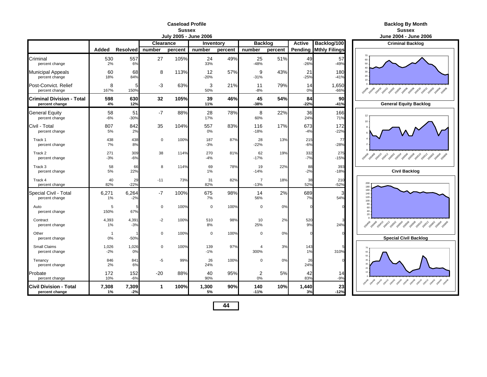#### **Caseload ProfileSussex**

| July 2005 - June 2006<br>Clearance<br><b>Backlog</b><br>Inventory |                      |                 |              |         |              |         |                          |         |               |                              |                                                       |  |  |
|-------------------------------------------------------------------|----------------------|-----------------|--------------|---------|--------------|---------|--------------------------|---------|---------------|------------------------------|-------------------------------------------------------|--|--|
|                                                                   |                      |                 |              |         |              |         |                          |         | <b>Active</b> | Backlog/100                  | <b>Criminal Backle</b>                                |  |  |
|                                                                   | Added                | <b>Resolved</b> | number       | percent | number       | percent | number                   | percent |               | <b>Pending Mthly Filings</b> |                                                       |  |  |
| Criminal<br>percent change                                        | 530<br>2%            | 557<br>6%       | 27           | 105%    | 24<br>33%    | 49%     | 25<br>$-48%$             | 51%     | 49<br>$-26%$  | 57<br>$-49%$                 | 60<br>50                                              |  |  |
| <b>Municipal Appeals</b><br>percent change                        | 60<br>18%            | 68<br>84%       | 8            | 113%    | 12<br>$-20%$ | 57%     | 9<br>$-31%$              | 43%     | 21<br>$-25%$  | 180<br>$-41%$                | 30<br>20<br>10                                        |  |  |
| Post-Convict, Relief<br>percent change                            | 8<br>167%            | 5<br>150%       | $-3$         | 63%     | 3<br>50%     | 21%     | 11<br>$-8%$              | 79%     | 14<br>0%      | 1,650<br>$-66%$              | 20406                                                 |  |  |
| Criminal Division - Total<br>percent change                       | 598<br>4%            | 630<br>12%      | 32           | 105%    | 39<br>11%    | 46%     | 45<br>$-38%$             | 54%     | 84<br>$-22%$  | 90<br>$-41%$                 | <b>General Equity Ba</b>                              |  |  |
| General Equity<br>percent change                                  | 58<br>$-6%$          | 51<br>$-30%$    | $-7$         | 88%     | 28<br>17%    | 78%     | 8<br>60%                 | 22%     | 36<br>24%     | 166<br>71%                   | 12<br>10                                              |  |  |
| Civil - Total<br>percent change                                   | 807<br>5%            | 842<br>2%       | 35           | 104%    | 557<br>0%    | 83%     | 116<br>$-18%$            | 17%     | 673<br>$-4%$  | 172<br>$-22%$                |                                                       |  |  |
| Track 1<br>percent change                                         | 438<br>7%            | 438<br>8%       | $\mathbf 0$  | 100%    | 187<br>$-3%$ | 87%     | 28<br>$-22%$             | 13%     | 215<br>$-6%$  | 77<br>$-28%$                 |                                                       |  |  |
| Track 2<br>percent change                                         | 271<br>$-3%$         | 309<br>$-6%$    | 38           | 114%    | 270<br>$-4%$ | 81%     | 62<br>$-17%$             | 19%     | 332<br>$-7%$  | 275<br>$-15%$                | 2020年9月24日 2021年2月25日 2020年2020年2020年2020年<br>200406  |  |  |
| Track 3<br>percent change                                         | 58<br>5%             | 66<br>22%       | 8            | 114%    | 69<br>1%     | 78%     | 19<br>$-14%$             | 22%     | 88<br>$-2%$   | 393<br>$-18%$                | <b>Civil Backlog</b>                                  |  |  |
| Track 4<br>percent change                                         | 40<br>82%            | 29<br>$-22%$    | $-11$        | 73%     | 31<br>82%    | 82%     | $\overline{7}$<br>$-13%$ | 18%     | 38<br>52%     | 21 <sub>C</sub><br>$-52%$    | 200<br>180                                            |  |  |
| Special Civil - Total<br>percent change                           | 6,271<br>1%          | 6,264<br>$-2%$  | $-7$         | 100%    | 675<br>7%    | 98%     | 14<br>56%                | 2%      | 689<br>7%     | 3<br>54%                     | 160<br>140<br>120<br>100                              |  |  |
| Auto<br>percent change                                            | 5<br>150%            | 67%             | $\Omega$     | 100%    | $\mathbf 0$  | 100%    | $\mathbf 0$              | 0%      | $\Omega$      |                              | 80<br>60<br>40<br>20                                  |  |  |
| Contract<br>percent change                                        | 4,393<br>$1\%$       | 4,391<br>$-3%$  | $-2$         | 100%    | 510<br>8%    | 98%     | 10<br>25%                | 2%      | 520<br>9%     | 24%                          | 2040年 2040年 2041年 2041年 2020年 2020年 2020年 2020年 2021年 |  |  |
| Other<br>percent change                                           | $\overline{1}$<br>0% | $-50%$          | $\Omega$     | 100%    | $\mathbf 0$  | 100%    | $\Omega$                 | 0%      | $\Omega$      |                              | <b>Special Civil Bac</b>                              |  |  |
| Small Claims<br>percent change                                    | 1,026<br>$-2%$       | 1,026<br>0%     | $\mathbf 0$  | 100%    | 139<br>$-1%$ | 97%     | 4<br>300%                | 3%      | 143<br>1%     | 310%                         | 60<br>50                                              |  |  |
| Tenancy<br>percent change                                         | 846<br>2%            | 841<br>6%       | $-5$         | 99%     | 26<br>24%    | 100%    | $\Omega$                 | 0%      | 26<br>24%     |                              |                                                       |  |  |
| Probate<br>percent change                                         | 172<br>10%           | 152<br>$-6%$    | $-20$        | 88%     | 40<br>90%    | 95%     | 2<br>0%                  | 5%      | 42<br>83%     | 14<br>$-9%$                  |                                                       |  |  |
| Civil Division - Total<br>percent change                          | 7,308<br>1%          | 7,309<br>$-2%$  | $\mathbf{1}$ | 100%    | 1,300<br>5%  | 90%     | 140<br>$-11%$            | 10%     | 1,440<br>3%   | 23<br>$-12%$                 |                                                       |  |  |

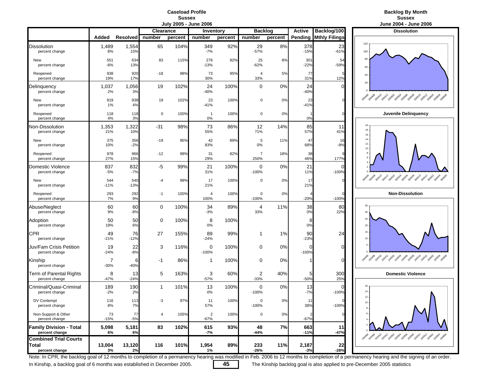## **Caseload Profile**Sussex<br>July 2005 - June 2006

### **Backlog By Month Sussex** Sussex Sussex Sussex Sussex Sussex Sussex Sussex Sussex Sussex Sussex Sussex Sussex Sussex Sussex Sussex

|                                                  |               |                 |                |         | <b>DUIT COOP - PUIL COOP</b>    |         |                        |         |                |                      | <b>JUILE LUUT - JUILE LI</b>                        |
|--------------------------------------------------|---------------|-----------------|----------------|---------|---------------------------------|---------|------------------------|---------|----------------|----------------------|-----------------------------------------------------|
|                                                  |               |                 | Clearance      |         | <b>Inventory</b>                |         | <b>Backlog</b>         |         | <b>Active</b>  | Backlog/100          | <b>Dissolution</b>                                  |
|                                                  | Added         | <b>Resolved</b> | number         | percent | number                          | percent | number                 | percent | Pending        | <b>Mthly Filings</b> |                                                     |
| <b>Dissolution</b><br>percent change             | 1,489<br>8%   | 1,554<br>15%    | 65             | 104%    | 349<br>-7%                      | 92%     | 29<br>$-57%$           | 8%      | 378<br>$-15%$  | 23<br>$-61%$         | 120<br>100                                          |
| New<br>percent change                            | 551<br>$-6%$  | 634<br>13%      | 83             | 115%    | 276<br>$-13%$                   | 92%     | 25<br>$-62%$           | 8%      | 301<br>$-22%$  | 54<br>$-59%$         | 80<br>60                                            |
| Reopened<br>percent change                       | 938<br>19%    | 920<br>17%      | $-18$          | 98%     | 73<br>30%                       | 95%     | 4<br>33%               | 5%      | 77<br>31%      | 12%                  | 40                                                  |
| Delinquency<br>percent change                    | 1,037<br>2%   | 1,056<br>3%     | 19             | 102%    | 24<br>$-40%$                    | 100%    | 0                      | 0%      | 24<br>$-40%$   | C                    | 20                                                  |
| New<br>percent change                            | 919<br>1%     | 938<br>4%       | 19             | 102%    | 23<br>$-41%$                    | 100%    | 0                      | 0%      | 23<br>$-41%$   |                      | 29 rokes port 20x1 post age and post post post pos  |
| Reopened<br>percent change                       | 118<br>4%     | 118<br>3%       | $\mathsf 0$    | 100%    | $\overline{1}$<br>0%            | 100%    | 0                      | 0%      | 0%             |                      | Juvenile Delinquend                                 |
| Non-Dissolution<br>percent change                | 1,353<br>21%  | 1,322<br>10%    | -31            | 98%     | 73<br>55%                       | 86%     | 12<br>71%              | 14%     | 85<br>57%      | 11<br>41%            | 20<br>18<br>16                                      |
| New<br>percent change                            | 375<br>10%    | 356<br>$-2%$    | $-19$          | 95%     | 42<br>83%                       | 89%     | 5<br>0%                | 11%     | 47<br>68%      | 16<br>$-9%$          | 14<br>12<br>10                                      |
| Reopened<br>percent change                       | 978<br>27%    | 966<br>15%      | $-12$          | 99%     | 31<br>29%                       | 82%     | $\overline{7}$<br>250% | 18%     | 38<br>46%      | 177%                 | 6                                                   |
| Domestic Violence<br>percent change              | 837<br>$-5%$  | 832<br>$-7%$    | $-5$           | 99%     | 21<br>31%                       | 100%    | 0<br>$-100%$           | 0%      | 21<br>11%      | $-100%$              |                                                     |
| New<br>percent change                            | 544<br>$-11%$ | 540<br>$-13%$   | -4             | 99%     | 17<br>21%                       | 100%    | 0                      | 0%      | 17<br>21%      |                      | 200408-2014 2014 2015 2015 2015 2015 2015 2015 2015 |
| Reopened<br>percent change                       | 293<br>7%     | 292<br>9%       | $-1$           | 100%    | 4<br>100%                       | 100%    | 0<br>$-100%$           | 0%      | $-20%$         | $-100%$              | <b>Non-Dissolution</b>                              |
| Abuse/Neglect<br>percent change                  | 60<br>9%      | 60<br>$-8%$     | 0              | 100%    | 34<br>$-3%$                     | 89%     | 4<br>33%               | 11%     | 38<br>0%       | 80<br>22%            | 35<br>30                                            |
| Adoption<br>percent change                       | 50<br>19%     | 50<br>6%        | 0              | 100%    | 8<br>0%                         | 100%    |                        |         | 8<br>0%        |                      | 25<br>20                                            |
| <b>CPR</b><br>percent change                     | 49<br>$-21%$  | 76<br>$-12%$    | 27             | 155%    | 89<br>$-24%$                    | 99%     | 1                      | $1\%$   | 90<br>$-23%$   | 24                   | 15<br>10                                            |
| Juv/Fam Crisis Petition<br>percent change        | 19<br>$-24%$  | 22<br>$-8%$     | 3              | 116%    | 0<br>$-100%$                    | 100%    | 0                      | 0%      | C<br>$-100%$   | $\Omega$             |                                                     |
| Kinship<br>percent change                        | 7<br>$-30%$   | 6<br>$-40%$     | -1             | 86%     | 1                               | 100%    | 0                      | 0%      |                | $\Omega$             |                                                     |
| Term of Parental Rights<br>percent change        | 8<br>$-47%$   | 13<br>$-24%$    | 5              | 163%    | 3<br>$-57%$                     | 60%     | 2<br>$-33%$            | 40%     | 5<br>$-50%$    | 300<br>25%           | <b>Domestic Violence</b>                            |
| Criminal/Quasi-Criminal<br>percent change        | 189<br>$-2%$  | 190<br>2%       | 1              | 101%    | 13<br>0%                        | 100%    | 0<br>$-100%$           | 0%      | 13<br>$-7%$    | $-100%$              | 16<br>14                                            |
| DV Contempt<br>percent change                    | 116<br>8%     | 113<br>7%       | -3             | 97%     | 11<br>57%                       | 100%    | 0<br>$-100%$           | 0%      | 11<br>38%      | $-100%$              | 12<br>10<br>8                                       |
| Non-Support & Other<br>percent change            | 73<br>$-15%$  | 77<br>$-5%$     | $\overline{4}$ | 105%    | $\overline{\mathbf{c}}$<br>-67% | 100%    | $\mathbf 0$            | 0%      | $-67%$         |                      |                                                     |
| <b>Family Division - Total</b><br>percent change | 5,098<br>6%   | 5,181<br>6%     | 83             | 102%    | 615<br>-7%                      | 93%     | 48<br>-44%             | 7%      | 663<br>$-11%$  | 11<br>$-47%$         | 2014 2014 2014 2014 2029 2039 2039 2039 2039 203    |
| <b>Combined Trial Courts</b>                     |               |                 |                |         |                                 |         |                        |         |                |                      |                                                     |
| Total<br>percent change                          | 13,004<br>3%  | 13,120<br>2%    | 116            | 101%    | 1,954<br>1%                     | 89%     | 233<br>$-26%$          | 11%     | 2,187<br>$-3%$ | 22<br>$-28%$         |                                                     |



Note: In CPR, the backlog goal of 12 months to completion of a permanency hearing was modified in Feb. 2006 to 12 months to completion of a permanency hearing and the signing of an order.

In Kinship, a backlog goal of 6 months was established in December 2005. **45** The Kinship backlog goal is also applied to pre-December 2005 statistics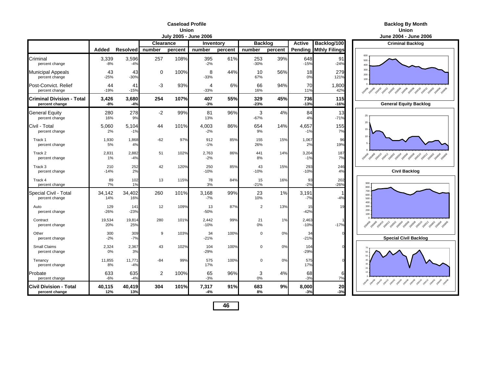#### **Caseload ProfileUnion**

|                                                    |                |                 |                  | July 2005 - June 2006 |                 |         |                |         |                 |                      | <b>June 2004 - June</b>                        |
|----------------------------------------------------|----------------|-----------------|------------------|-----------------------|-----------------|---------|----------------|---------|-----------------|----------------------|------------------------------------------------|
|                                                    |                |                 | <b>Clearance</b> |                       | Inventory       |         | <b>Backlog</b> |         | <b>Active</b>   | Backlog/100          | <b>Criminal Backle</b>                         |
|                                                    | Added          | <b>Resolved</b> | number           | percent               | number          | percent | number         | percent | Pending         | <b>Mthly Filings</b> |                                                |
| Criminal<br>percent change                         | 3,339<br>$-8%$ | 3,596<br>-4%    | 257              | 108%                  | 395<br>$-2%$    | 61%     | 253<br>$-30%$  | 39%     | 648<br>$-15%$   | 91<br>$-24%$         | 600<br>500<br>400                              |
| <b>Municipal Appeals</b><br>percent change         | 43<br>$-25%$   | 43<br>$-30%$    | $\Omega$         | 100%                  | 8<br>$-33%$     | 44%     | 10<br>67%      | 56%     | 18<br>0%        | 279<br>121%          | 300<br>200<br>100                              |
| Post-Convict, Relief<br>percent change             | 44<br>$-19%$   | 41<br>$-15%$    | $-3$             | 93%                   | 4<br>$-33%$     | 6%      | 66<br>16%      | 94%     | 70<br>11%       | 1,800<br>42%         | 2040 2040 20410 20412 2050 2050 2050 2050 2050 |
| <b>Criminal Division - Total</b><br>percent change | 3,426<br>-8%   | 3,680<br>$-4%$  | 254              | 107%                  | 407<br>$-3%$    | 55%     | 329<br>$-23%$  | 45%     | 736<br>$-13%$   | 115<br>$-16%$        | <b>General Equity Ba</b>                       |
| <b>General Equity</b><br>percent change            | 280<br>16%     | 278<br>9%       | $-2$             | 99%                   | 81<br>13%       | 96%     | 3<br>$-67%$    | 4%      | 84<br>4%        | 13<br>$-71%$         | 25                                             |
| Civil - Total<br>percent change                    | 5,060<br>2%    | 5,104<br>$-1%$  | 44               | 101%                  | 4.003<br>$-2%$  | 86%     | 654<br>9%      | 14%     | 4,657<br>$-1%$  | 155<br>7%            | 20<br>15                                       |
| Track 1<br>percent change                          | 1,930<br>5%    | 1,868<br>4%     | $-62$            | 97%                   | 912<br>$-1%$    | 85%     | 155<br>26%     | 15%     | 1,067<br>2%     | 96<br>19%            | 10                                             |
| Track 2<br>percent change                          | 2,831<br>1%    | 2,882<br>$-4%$  | 51               | 102%                  | 2,763<br>$-2%$  | 86%     | 441<br>8%      | 14%     | 3,204<br>$-1%$  | 187<br>7%            | 2040 2040 2040 2041 2050 2050 2050 2050 2050   |
| Track 3<br>percent change                          | 210<br>$-14%$  | 252<br>2%       | 42               | 120%                  | 250<br>$-10%$   | 85%     | 43<br>$-10%$   | 15%     | 293<br>$-10%$   | 246<br>4%            | <b>Civil Backlog</b>                           |
| Track 4<br>percent change                          | 89<br>7%       | 102<br>1%       | 13               | 115%                  | 78<br>3%        | 84%     | 15<br>$-21%$   | 16%     | 93<br>$-2%$     | 202<br>$-26%$        | 900<br>800                                     |
| Special Civil - Total<br>percent change            | 34,142<br>14%  | 34,402<br>16%   | 260              | 101%                  | 3,168<br>$-7%$  | 99%     | 23<br>10%      | 1%      | 3,191<br>$-7%$  | $-4%$                | 700<br>600<br>500<br>400                       |
| Auto<br>percent change                             | 129<br>$-26%$  | 141<br>$-23%$   | 12               | 109%                  | 13<br>$-50%$    | 87%     | $\overline{2}$ | 13%     | 15<br>$-42%$    | 19                   | 300<br>200<br>100                              |
| Contract<br>percent change                         | 19,534<br>20%  | 19,814<br>25%   | 280              | 101%                  | 2,442<br>$-10%$ | 99%     | 21<br>0%       | 1%      | 2,463<br>$-10%$ | $-17%$               | 2040 2040 2040 2041 2050 2050 2050 2050 2050   |
| Other<br>percent change                            | 300<br>$-2%$   | 309<br>$-7%$    | 9                | 103%                  | 34<br>$-21%$    | 100%    | $\Omega$       | 0%      | 34<br>$-21%$    |                      | <b>Special Civil Bac</b>                       |
| Small Claims<br>percent change                     | 2,324<br>0%    | 2,367<br>3%     | 43               | 102%                  | 104<br>$-29%$   | 100%    | $\mathbf 0$    | 0%      | 104<br>$-29%$   |                      |                                                |
| Tenancy<br>percent change                          | 11,855<br>8%   | 11,771<br>$-4%$ | $-84$            | 99%                   | 575<br>17%      | 100%    | $\mathbf 0$    | 0%      | 575<br>17%      |                      |                                                |
| Probate<br>percent change                          | 633<br>$-6%$   | 635<br>$-4%$    | $\overline{2}$   | 100%                  | 65<br>$-3%$     | 96%     | 3<br>0%        | 4%      | 68<br>$-3%$     | 6<br>7%              | pove pano pano pano paso paso paso paso pa     |
| <b>Civil Division - Total</b><br>percent change    | 40,115<br>12%  | 40,419<br>13%   | 304              | 101%                  | 7,317<br>-4%    | 91%     | 683<br>8%      | 9%      | 8,000<br>$-3%$  | 20<br>$-3%$          |                                                |

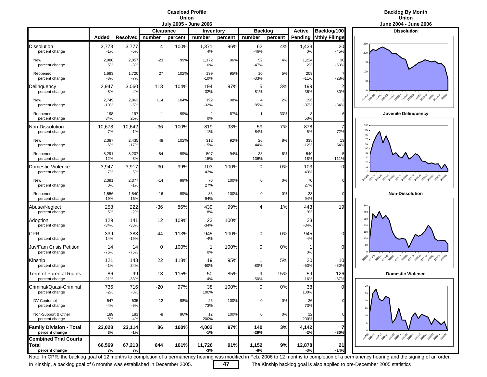### **Caseload ProfileUnion**<br>Luly 2005 - Lune 2006

### **Backlog By Month Union**

|                                                         |                 |                 |           |         | JUIV ZUUJ - JUIIE ZUUD |         |                          |         |                 |                          | June 2004 - June 20                                          |
|---------------------------------------------------------|-----------------|-----------------|-----------|---------|------------------------|---------|--------------------------|---------|-----------------|--------------------------|--------------------------------------------------------------|
|                                                         |                 |                 | Clearance |         | Inventory              |         | <b>Backlog</b>           |         | <b>Active</b>   | Backlog/100              | <b>Dissolution</b>                                           |
|                                                         | Added           | <b>Resolved</b> | number    | percent | number                 | percent | number                   | percent | Pending         | <b>Mthly Filings</b>     |                                                              |
| Dissolution<br>percent change                           | 3,773<br>$-1%$  | 3,777<br>$-5%$  | 4         | 100%    | 1,371<br>4%            | 96%     | 62<br>-46%               | 4%      | 1,433<br>0%     | 20<br>$-45%$             | 250<br>200                                                   |
| New<br>percent change                                   | 2,080<br>5%     | 2,057<br>$-3%$  | $-23$     | 99%     | 1,172<br>6%            | 96%     | 52<br>$-47%$             | 4%      | 1,224<br>2%     | 30<br>$-50%$             | 150                                                          |
| Reopened<br>percent change                              | 1,693<br>$-8%$  | 1,720<br>$-7%$  | 27        | 102%    | 199<br>$-10%$          | 95%     | 10<br>$-33%$             | 5%      | 209<br>$-11%$   | $-28%$                   | 100<br>50                                                    |
| Delinquency<br>percent change                           | 2,947<br>$-8%$  | 3,060<br>$-4%$  | 113       | 104%    | 194<br>$-32%$          | 97%     | 5<br>$-81%$              | 3%      | 199<br>$-36%$   | $\overline{2}$<br>$-80%$ |                                                              |
| New<br>percent change                                   | 2,749<br>$-10%$ | 2,863<br>$-5%$  | 114       | 104%    | 192<br>$-32%$          | 98%     | $\overline{4}$<br>$-85%$ | 2%      | 196<br>$-37%$   | $-84%$                   | Ao de Bath 2014 2015 2015 2019 2019 2019 2019 2019<br>200406 |
| Reopened<br>percent change                              | 198<br>34%      | 197<br>25%      | $-1$      | 99%     | 2<br>0%                | 67%     | 1                        | 33%     | 50%             |                          | Juvenile Delinquend                                          |
| Non-Dissolution<br>percent change                       | 10,678<br>7%    | 10,642<br>1%    | -36       | 100%    | 819<br>1%              | 93%     | 59<br>84%                | 7%      | 878<br>5%       | 7<br>72%                 | 100<br>90<br>80                                              |
| New<br>percent change                                   | 2,387<br>$-6%$  | 2,435<br>$-17%$ | 48        | 102%    | 312<br>$-15%$          | 92%     | 26<br>44%                | 8%      | 338<br>$-12%$   | 13<br>54%                | 70<br>60<br>50                                               |
| Reopened<br>percent change                              | 8,291<br>12%    | 8,207<br>8%     | $-84$     | 99%     | 507<br>15%             | 94%     | 33<br>136%               | 6%      | 540<br>18%      | 111%                     | 40<br>$30\,$                                                 |
| Domestic Violence<br>percent change                     | 3,947<br>7%     | 3,917<br>5%     | $-30$     | 99%     | 103<br>43%             | 100%    | $\mathbf 0$              | 0%      | 103<br>43%      | $\mathcal{C}$            | 20 <sub>1</sub><br>10 <sub>10</sub>                          |
| New<br>percent change                                   | 2,391<br>0%     | 2,377<br>$-1%$  | $-14$     | 99%     | 70<br>27%              | 100%    | 0                        | 0%      | 70<br>27%       |                          | 2010 2011 2012 2013 2019 2019 2019 2019 2019 2019            |
| Reopened<br>percent change                              | 1,556<br>19%    | 1,540<br>16%    | $-16$     | 99%     | 33<br>94%              | 100%    | 0                        | 0%      | 33<br>94%       |                          | <b>Non-Dissolution</b>                                       |
| Abuse/Neglect<br>percent change                         | 258<br>5%       | 222<br>$-2%$    | -36       | 86%     | 439<br>8%              | 99%     | 4                        | 1%      | 443<br>9%       | 19                       | 350<br>300                                                   |
| Adoption<br>percent change                              | 129<br>$-34%$   | 141<br>$-33%$   | 12        | 109%    | 23<br>$-34%$           | 100%    |                          |         | 23<br>$-34%$    |                          | 250<br>200                                                   |
| CPR<br>percent change                                   | 339<br>14%      | 383<br>$-19%$   | 44        | 113%    | 945<br>$-4%$           | 100%    | 0                        | 0%      | 945<br>$-4%$    | $\Omega$                 | 150<br>100.                                                  |
| Juv/Fam Crisis Petition<br>percent change               | 14<br>$-76%$    | 14<br>$-76%$    | 0         | 100%    | 1<br>0%                | 100%    | 0                        | 0%      | 0%              | $\mathcal{C}$            | $50 -$                                                       |
| Kinship<br>percent change                               | 121<br>$-1%$    | 143<br>34%      | 22        | 118%    | 19<br>$-50%$           | 95%     | -1<br>$-80%$             | 5%      | 20<br>$-53%$    | 10<br>$-80%$             | 2010年 2011年 2011年 2015年 2015年 2015年 2015年 2015年 2015         |
| Term of Parental Rights<br>percent change               | 86<br>$-21%$    | 99<br>$-33%$    | 13        | 115%    | 50<br>$-4%$            | 85%     | 9<br>$-50%$              | 15%     | 59<br>$-16%$    | 126<br>$-37%$            | <b>Domestic Violence</b>                                     |
| Criminal/Quasi-Criminal<br>percent change               | 736<br>$-2%$    | 716<br>$-8%$    | $-20$     | 97%     | 38<br>100%             | 100%    | $\mathbf 0$              | 0%      | 38<br>100%      |                          | 25                                                           |
| DV Contempt<br>percent change                           | 547<br>$-4%$    | 535<br>$-9%$    | $-12$     | 98%     | 26<br>73%              | 100%    |                          | 0%      | 26<br>73%       |                          | 20<br>$15 -$                                                 |
| Non-Support & Other<br>percent change                   | 189<br>5%       | 181<br>$-4%$    | -8        | 96%     | 12<br>200%             | 100%    | 0                        | 0%      | 12<br>200%      |                          | $10 -$                                                       |
| <b>Family Division - Total</b><br>percent change        | 23,028<br>3%    | 23,114<br>$-1%$ | 86        | 100%    | 4,002<br>$-1%$         | 97%     | 140<br>$-29%$            | 3%      | 4,142<br>$-2%$  | 7<br>$-30%$              | 2014 2014 2014 2014 2015 2019 2019 2019 2019 2019            |
| <b>Combined Trial Courts</b><br>Total<br>percent change | 66,569<br>7%    | 67,213<br>7%    | 644       | 101%    | 11,726<br>-3%          | 91%     | 1,152<br>-8%             | 9%      | 12,878<br>$-3%$ | 21<br>$-149$             |                                                              |



Note: In CPR, the backlog goal of 12 months to completion of a permanency hearing was modified in Feb. 2006 to 12 months to completion of a permanency hearing and the signing of an order.

In Kinship, a backlog goal of 6 months was established in December 2005. **47** The Kinship backlog goal is also applied to pre-December 2005 statistics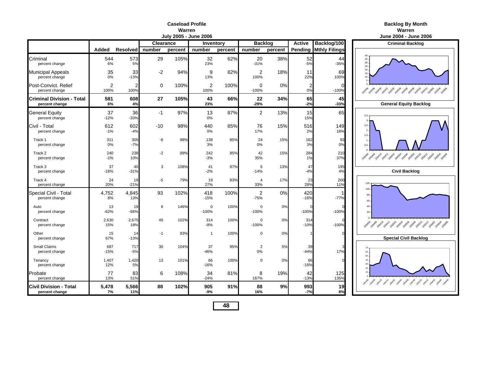#### **Caseload ProfileWarren**

|                                                 |                        |                        |             | <b>July 2005 - June 2006</b> |                        |         |                          |         |               |                              | <b>June 2004 - June</b>                                                                                     |
|-------------------------------------------------|------------------------|------------------------|-------------|------------------------------|------------------------|---------|--------------------------|---------|---------------|------------------------------|-------------------------------------------------------------------------------------------------------------|
|                                                 |                        |                        | Clearance   |                              | Inventory              |         | <b>Backlog</b>           |         | <b>Active</b> | Backlog/100                  | <b>Criminal Backle</b>                                                                                      |
|                                                 | Added                  | <b>Resolved</b>        | number      | percent                      | number                 | percent | number                   | percent |               | <b>Pending Mthly Filings</b> |                                                                                                             |
| Criminal<br>percent change                      | 544<br>6%              | 573<br>5%              | 29          | 105%                         | 32<br>23%              | 62%     | 20<br>$-31%$             | 38%     | 52<br>$-5%$   | 44<br>$-35%$                 | 35<br>$\frac{30}{25}$                                                                                       |
| <b>Municipal Appeals</b><br>percent change      | 35<br>0%               | 33<br>$-13%$           | $-2$        | 94%                          | 9<br>13%               | 82%     | 2<br>100%                | 18%     | 11<br>22%     | 69<br>100%                   | 20<br>15<br>10                                                                                              |
| Post-Convict, Relief<br>percent change          | $\overline{2}$<br>100% | $\overline{2}$<br>100% | $\mathbf 0$ | 100%                         | $\overline{2}$<br>100% | 100%    | 0<br>$-100%$             | 0%      | 2<br>0%       | $\cap$<br>$-100%$            | 2019-2019-2017-2019-2019-2019-2019-2019-2019<br>20406                                                       |
| Criminal Division - Total<br>percent change     | 581<br>6%              | 608<br>4%              | 27          | 105%                         | 43<br>23%              | 66%     | 22<br>$-29%$             | 34%     | 65<br>$-2%$   | 45<br>$-33%$                 | <b>General Equity Ba</b>                                                                                    |
| General Equity<br>percent change                | 37<br>$-12%$           | 36<br>$-33%$           | $-1$        | 97%                          | 13<br>0%               | 87%     | $\overline{2}$           | 13%     | 15<br>15%     | 65                           | 3.5<br>ź                                                                                                    |
| Civil - Total<br>percent change                 | 612<br>$-1%$           | 602<br>$-4%$           | $-10$       | 98%                          | 440<br>0%              | 85%     | 76<br>17%                | 15%     | 516<br>2%     | 149<br>18%                   | $2.5\phantom{0}$<br>$2 \cdot$<br>$1.5 -$                                                                    |
| Track 1<br>percent change                       | 311<br>0%              | 305<br>$-7%$           | -6          | 98%                          | 138<br>3%              | 85%     | 24<br>0%                 | 15%     | 162<br>3%     | 93<br>0%                     | 1<br>0.5                                                                                                    |
| Track 2<br>percent change                       | 240<br>$-1%$           | 238<br>10%             | $-2$        | 99%                          | 242<br>$-3%$           | 85%     | 42<br>35%                | 15%     | 284<br>1%     | 21C<br>37%                   | 20408 20410 20412 20502 20504 20506 20508 205<br>200406                                                     |
| Track 3<br>percent change                       | 37<br>$-18%$           | 40<br>$-31%$           | 3           | 108%                         | 41<br>$-2%$            | 87%     | 6<br>$-14%$              | 13%     | 47<br>$-4%$   | 195<br>4%                    | <b>Civil Backlog</b>                                                                                        |
| Track 4<br>percent change                       | 24<br>20%              | 19<br>$-21%$           | $-5$        | 79%                          | 19<br>27%              | 83%     | 4<br>33%                 | 17%     | 23<br>28%     | 200<br>11%                   | 120                                                                                                         |
| Special Civil - Total<br>percent change         | 4,752<br>8%            | 4,845<br>13%           | 93          | 102%                         | 418<br>$-15%$          | 100%    | $\overline{2}$<br>$-75%$ | 0%      | 420<br>$-16%$ | $-77%$                       | 100<br>80<br>60                                                                                             |
| Auto<br>percent change                          | 13<br>$-62%$           | 19<br>$-56%$           | 6           | 146%                         | $\mathbf 0$<br>$-100%$ | 100%    | $\Omega$<br>$-100%$      | 0%      | $-100%$       | $-100%$                      | $40 -$<br>20                                                                                                |
| Contract<br>percent change                      | 2,630<br>15%           | 2,675<br>18%           | 45          | 102%                         | 314<br>$-8%$           | 100%    | $\mathbf 0$<br>$-100%$   | 0%      | 314<br>$-10%$ | $-100%$                      | <b>200406</b><br>Papa <sup>9</sup> 2041 <sup>0</sup> 2041 <sup>2</sup> 2050 <sup>2</sup> 2050 2050 2050 205 |
| Other<br>percent change                         | 15<br>67%              | 14<br>$-13%$           | $-1$        | 93%                          | $\overline{1}$         | 100%    | $\Omega$                 | 0%      |               |                              | <b>Special Civil Bac</b>                                                                                    |
| <b>Small Claims</b><br>percent change           | 687<br>$-15%$          | 717<br>$-5%$           | 30          | 104%                         | 37<br>$-46%$           | 95%     | $\overline{2}$<br>0%     | 5%      | 39<br>$-44%$  | 17%                          | 60<br>50                                                                                                    |
| Tenancy<br>percent change                       | 1,407<br>12%           | 1,420<br>5%            | 13          | 101%                         | 66<br>$-16%$           | 100%    | $\Omega$                 | 0%      | 66<br>$-16%$  |                              |                                                                                                             |
| Probate<br>percent change                       | 77<br>13%              | 83<br>51%              | 6           | 108%                         | 34<br>$-24%$           | 81%     | 8<br>167%                | 19%     | 42<br>$-13%$  | 125<br>135%                  | 2004-09 2004-0 2004-2005-2005-2005-2005-2005-201                                                            |
| <b>Civil Division - Total</b><br>percent change | 5,478<br>7%            | 5,566<br>11%           | 88          | 102%                         | 905<br>$-9%$           | 91%     | 88<br>16%                | 9%      | 993<br>$-7%$  | 19<br>8%                     |                                                                                                             |

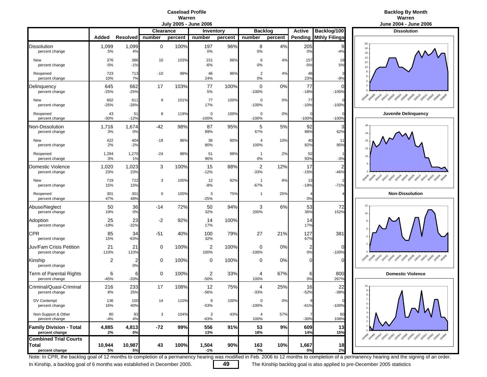### **Caseload ProfileWarren**<br>**Warren** - June 2006



|                                                  |                |               |           |         | JUIY ZUUS - JUNE ZUUD    |                  |                        |         |                      |                      | June 2004 - June 20                                                                                                   |
|--------------------------------------------------|----------------|---------------|-----------|---------|--------------------------|------------------|------------------------|---------|----------------------|----------------------|-----------------------------------------------------------------------------------------------------------------------|
|                                                  |                |               | Clearance |         |                          | <b>Inventory</b> | <b>Backlog</b>         |         | <b>Active</b>        | Backlog/100          | <b>Dissolution</b>                                                                                                    |
|                                                  | Added          | Resolved      | number    | percent | number                   | percent          | number                 | percent | Pending              | <b>Mthly Filings</b> |                                                                                                                       |
| Dissolution<br>percent change                    | 1,099<br>5%    | 1,099<br>4%   | 0         | 100%    | 197<br>0%                | 96%              | 8<br>0%                | 4%      | 205<br>0%            | $-4%$                | 20<br>18<br>16                                                                                                        |
| New<br>percent change                            | 376<br>$-5%$   | 386<br>$-1%$  | 10        | 103%    | 151<br>$-6%$             | 96%              | 6<br>0%                | 4%      | 157<br>$-5%$         | 19<br>5%             | 14<br>12<br>10                                                                                                        |
| Reopened<br>percent change                       | 723<br>10%     | 713<br>7%     | $-10$     | 99%     | 46<br>24%                | 96%              | $\overline{2}$<br>0%   | 4%      | 48<br>23%            | $-9%$                |                                                                                                                       |
| Delinquency<br>percent change                    | 645<br>$-25%$  | 662<br>$-25%$ | 17        | 103%    | 77<br>5%                 | 100%             | 0<br>$-100%$           | 0%      | 77<br>$-18%$         | 0<br>$-100%$         |                                                                                                                       |
| New<br>percent change                            | 602<br>$-25%$  | 611<br>$-26%$ | 9         | 101%    | 77<br>17%                | 100%             | 0<br>$-100%$           | 0%      | 77<br>$-10%$         | $-100%$              | 200406<br>2014 2041 2041 2052 2059 2059 2059 2059 2051 205                                                            |
| Reopened<br>percent change                       | 43<br>$-30%$   | 51<br>$-12%$  | 8         | 119%    | 0<br>$-100%$             | 100%             | 0<br>$-100%$           | 0%      | $-100%$              | $-100%$              | Juvenile Delinquend                                                                                                   |
| Non-Dissolution<br>percent change                | 1,716<br>3%    | 1,674<br>0%   | $-42$     | 98%     | 87<br>89%                | 95%              | 5<br>67%               | 5%      | 92<br>88%            | 62%                  | 30<br>25                                                                                                              |
| New<br>percent change                            | 422<br>2%      | 404<br>$-2%$  | $-18$     | 96%     | 36<br>80%                | 90%              | 4<br>100%              | 10%     | 40<br>82%            | 11<br>95%            |                                                                                                                       |
| Reopened<br>percent change                       | 1,294<br>3%    | 1,270<br>1%   | $-24$     | 98%     | 51<br>96%                | 98%              | $\overline{1}$<br>0%   | 2%      | 52<br>93%            | $-3%$                |                                                                                                                       |
| Domestic Violence<br>percent change              | 1,020<br>23%   | 1,023<br>23%  | 3         | 100%    | 15<br>$-12%$             | 88%              | $\overline{2}$<br>-33% | 12%     | 17<br>$-15%$         | 2<br>$-46%$          |                                                                                                                       |
| New<br>percent change                            | 719<br>15%     | 722<br>15%    | 3         | 100%    | 12<br>$-8%$              | 92%              | -1<br>$-67%$           | 8%      | 13<br>$-19%$         | $-71%$               | 2010 2010 2011 2012 2013 2019 2019 2019 2019 2019                                                                     |
| Reopened<br>percent change                       | 301<br>47%     | 301<br>48%    | 0         | 100%    | 3<br>$-25%$              | 75%              | $\mathbf 1$            | 25%     | 4<br>0%              |                      | <b>Non-Dissolution</b>                                                                                                |
| Abuse/Neglect<br>percent change                  | 50<br>19%      | 36<br>0%      | $-14$     | 72%     | 50<br>32%                | 94%              | 3<br>200%              | 6%      | 53<br>36%            | 72<br>152%           | 10 <sub>1</sub>                                                                                                       |
| Adoption<br>percent change                       | 25<br>$-19%$   | 23<br>$-32%$  | $-2$      | 92%     | 14<br>17%                | 100%             |                        |         | 14<br>17%            |                      |                                                                                                                       |
| CPR<br>percent change                            | 85<br>15%      | 34<br>$-63%$  | $-51$     | 40%     | 100<br>32%               | 79%              | 27                     | 21%     | 127<br>67%           | 381                  |                                                                                                                       |
| Juv/Fam Crisis Petition<br>percent change        | 21<br>110%     | 21<br>110%    | 0         | 100%    | $\overline{2}$<br>100%   | 100%             | 0<br>$-100%$           | 0%      | $\overline{a}$<br>0% | 0<br>$-100%$         |                                                                                                                       |
| Kinship<br>percent change                        | $\overline{2}$ | 2<br>0%       | 0         | 100%    | 0                        | 100%             | 0                      | 0%      | $\Omega$             | $\Omega$             | 2010年9月24日12月24日12月25日12日12日12日12日12日                                                                                 |
| <b>Term of Parental Rights</b><br>percent change | 6<br>$-45%$    | 6<br>$-33%$   | 0         | 100%    | $\overline{c}$<br>$-50%$ | 33%              | 4<br>100%              | 67%     | 6<br>0%              | 800<br>267%          | <b>Domestic Violence</b>                                                                                              |
| Criminal/Quasi-Criminal<br>percent change        | 216<br>8%      | 233<br>25%    | 17        | 108%    | 12<br>-56%               | 75%              | 4<br>$-33%$            | 25%     | 16<br>$-52%$         | 22<br>$-38%$         | 10<br>9<br>8                                                                                                          |
| DV Contempt<br>percent change                    | 136<br>16%     | 150<br>40%    | 14        | 110%    | 9<br>$-53%$              | 100%             | 0<br>$-100%$           | 0%      | $-61%$               | $-100%$              | $6 -$<br>$5 -$                                                                                                        |
| Non-Support & Other<br>percent change            | 80<br>-4%      | 83<br>4%      | 3         | 104%    | 3<br>$-63%$              | 43%              | 4<br>100%              | 57%     | $-30%$               | 60<br>108%           | $4 -$<br>$3 -$<br>$2 -$                                                                                               |
| <b>Family Division - Total</b><br>percent change | 4,885<br>2%    | 4,813<br>0%   | $-72$     | 99%     | 556<br>13%               | 91%              | 53<br>18%              | 9%      | 609<br>14%           | 13<br>15%            | <b>Port Part Part , Part , Para , Para , Para , Para , Para , Para , Para , Para , Para , Para , Para , Para , Pa</b> |
| <b>Combined Trial Courts</b>                     |                |               |           |         |                          |                  |                        |         |                      |                      |                                                                                                                       |
| Total<br>percent change                          | 10,944<br>5%   | 10,987<br>5%  | 43        | 100%    | 1,504<br>$-1%$           | 90%              | 163<br>7%              | 10%     | 1,667<br>$0\%$       | 18<br>2%             |                                                                                                                       |



Note: In CPR, the backlog goal of 12 months to completion of a permanency hearing was modified in Feb. 2006 to 12 months to completion of a permanency hearing and the signing of an order.

In Kinship, a backlog goal of 6 months was established in December 2005. **49** The Kinship backlog goal is also applied to pre-December 2005 statistics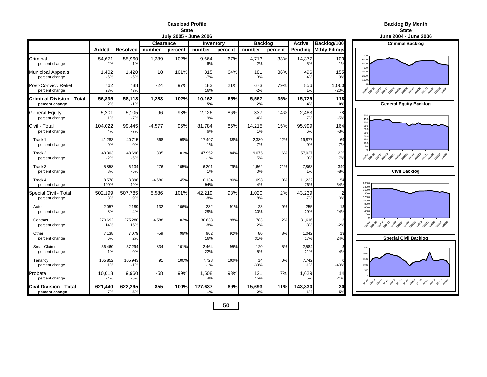#### **Caseload ProfileState**

**Backlog By Month**

**Example 2** State 2 and 2 and 2 and 2 and 2 and 2 and 2 and 2 and 2 and 2 and 2 and 2 and 2 and 2 and 2 and 2 and 2

|                                                    |                 |                  |           | June 2004 - June 2006 |                 |         |                |         |                 |                              |                                                                    |
|----------------------------------------------------|-----------------|------------------|-----------|-----------------------|-----------------|---------|----------------|---------|-----------------|------------------------------|--------------------------------------------------------------------|
|                                                    |                 |                  | Clearance |                       | Inventory       |         | <b>Backlog</b> |         | <b>Active</b>   | Backlog/100                  | <b>Criminal Backlog</b>                                            |
|                                                    | Added           | <b>Resolved</b>  | number    | percent               | number          | percent | number         | percent |                 | <b>Pending Mthly Filings</b> |                                                                    |
| Criminal<br>percent change                         | 54,671<br>2%    | 55,960<br>$-1%$  | 1,289     | 102%                  | 9,664<br>6%     | 67%     | 4.713<br>2%    | 33%     | 14,377<br>5%    | 103<br>1%                    | 7000<br>6000<br>5000                                               |
| Municipal Appeals<br>percent change                | 1.402<br>$-6%$  | 1,420<br>$-6%$   | 18        | 101%                  | 315<br>$-7%$    | 64%     | 181<br>3%      | 36%     | 496<br>$-4%$    | 155<br>9%                    | 4000<br>3000<br>2000<br>1000                                       |
| Post-Convict. Relief<br>percent change             | 762<br>23%      | 738<br>47%       | $-24$     | 97%                   | 183<br>16%      | 21%     | 673<br>$-2%$   | 79%     | 856<br>1%       | 1,060<br>$-20%$              |                                                                    |
| <b>Criminal Division - Total</b><br>percent change | 56,835<br>2%    | 58,118<br>$-1%$  | 1,283     | 102%                  | 10.162<br>5%    | 65%     | 5,567<br>2%    | 35%     | 15,729<br>4%    | 118<br>0%                    | <b>General Equity Backlog</b>                                      |
| <b>General Equity</b><br>percent change            | 5,201<br>$1\%$  | 5,105<br>$-7%$   | $-96$     | 98%                   | 2,126<br>9%     | 86%     | 337<br>$-4%$   | 14%     | 2,463<br>7%     | 78<br>$-5%$                  | 500<br>450                                                         |
| Civil - Total<br>percent change                    | 104.022<br>4%   | 99,445<br>$-7%$  | $-4.577$  | 96%                   | 81.784<br>6%    | 85%     | 14,215<br>1%   | 15%     | 95,999<br>6%    | 164<br>$-3%$                 | 400<br>350<br>300<br>250                                           |
| Track 1<br>percent change                          | 41,283<br>0%    | 40,715<br>0%     | $-568$    | 99%                   | 17,497<br>1%    | 88%     | 2,380<br>$-7%$ | 12%     | 19,877<br>0%    | 69<br>$-7%$                  | 200<br>150<br>100<br>50                                            |
| Track 2<br>percent change                          | 48,303<br>$-2%$ | 48,698<br>$-6%$  | 395       | 101%                  | 47,952<br>$-1%$ | 84%     | 9,075<br>5%    | 16%     | 57,027<br>0%    | 225<br>7%                    | 2014 2014 2014 2014 2029 2029 2029 2029 2029 2021 202              |
| Track 3<br>percent change                          | 5,858<br>8%     | 6,134<br>$-5%$   | 276       | 105%                  | 6,201<br>1%     | 79%     | 1,662<br>0%    | 21%     | 7,863<br>1%     | 340<br>$-8%$                 | <b>Civil Backlog</b>                                               |
| Track 4<br>percent change                          | 8.578<br>109%   | 3,898<br>$-49%$  | $-4,680$  | 45%                   | 10,134<br>94%   | 90%     | 1,098<br>$-4%$ | 10%     | 11,232<br>76%   | 154<br>$-54%$                | 20000<br>18000                                                     |
| Special Civil - Total<br>percent change            | 502,199<br>8%   | 507,785<br>9%    | 5.586     | 101%                  | 42,219<br>$-8%$ | 98%     | 1,020<br>8%    | 2%      | 43,239<br>$-7%$ | 2<br>0%                      | 16000<br>14000<br>12000<br>10000                                   |
| Auto<br>percent change                             | 2,057<br>$-8%$  | 2,189<br>$-4%$   | 132       | 106%                  | 232<br>$-28%$   | 91%     | 23<br>$-30%$   | 9%      | 255<br>$-29%$   | 13<br>$-24%$                 | 8000<br>6000<br>4000<br>2000                                       |
| Contract<br>percent change                         | 270,692<br>14%  | 275,280<br>16%   | 4,588     | 102%                  | 30,833<br>$-8%$ | 98%     | 783<br>12%     | 2%      | 31,616<br>$-8%$ | $-2%$                        | 2010 2010 2011 2011 2020 2030 2040 2050 2050 2051 2051             |
| Other<br>percent change                            | 7,138<br>6%     | 7,079<br>2%      | $-59$     | 99%                   | 962<br>16%      | 92%     | 80<br>31%      | 8%      | 1,042<br>17%    | 13<br>24%                    | <b>Special Civil Backlog</b>                                       |
| <b>Small Claims</b><br>percent change              | 56,460<br>$-1%$ | 57,294<br>0%     | 834       | 101%                  | 2,464<br>$-22%$ | 95%     | 120<br>$-5%$   | 5%      | 2,584<br>$-21%$ | $-4%$                        | 2500<br>2000                                                       |
| Tenancy<br>percent change                          | 165,852<br>1%   | 165,943<br>$-1%$ | 91        | 100%                  | 7,728<br>$-1%$  | 100%    | 14<br>$-39%$   | 0%      | 7,742<br>$-1%$  | $-40%$                       | 1500<br>1000                                                       |
| Probate<br>percent change                          | 10,018<br>$-4%$ | 9,960<br>$-5%$   | $-58$     | 99%                   | 1,508<br>4%     | 93%     | 121<br>15%     | 7%      | 1,629<br>5%     | 14<br>21%                    | 500<br>2014 2014 2014 2014 2014 2019 2019 2019 2019 2019 2019 2019 |
| Civil Division - Total<br>percent change           | 621,440<br>7%   | 622,295<br>5%    | 855       | 100%                  | 127,637<br>1%   | 89%     | 15,693<br>2%   | 11%     | 143,330<br>1%   | 30<br>$-5%$                  |                                                                    |

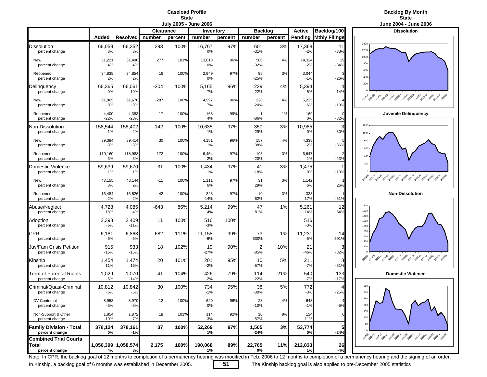#### **Caseload ProfileState**



**July 2005 - June 2006 June 2004 - June 2006 Clearance Inventory Backlog Active Backlog/100 Dissolution Added Resolved number percent number percent number percent Pending Mthly Filings** Dissolution | 66,059 66,352| 293 100%| 16,767 97%| 601 3%| 17,368| 11 percent change 3% 3% 0% -31% -2% -33% New 31,221 31,498 277 101% 13,818 96% 506 4% 14,324 19 percent change 4% 4% 0% -32% -2% -34% Reopened 34,838 34,854 16 100% 2,949 97% 95 3% 3,044 3 percent change 2% 2% 0% -25% -1% -26% Delinquency 66,365 66,061 -304 100% 5,165 96% 229 4% 5,394 4 percent change -9% -10% 7% -22% 5% -14% New 61,965 61,678 -287 100% 4,997 96% 228 4% 5,225 4 percent change -8% -9% 7% -20% 6% -13% Reopened 4,400 4,383 -17 100% <sup>168</sup> 99% <sup>1</sup> 1% <sup>169</sup> <sup>0</sup> **Juvenile Delinquency** percent change -22% -23% 4% -86% 0% -82% Non-Dissolution 158,544 158,402 -142 100% 10,635 97% 350 3% 10,985 3 percent change 1% 2% 1% -29% 0% -30% New 39,384 39,414 30 100% 4,181 96% 157 4% 4,338 5 percent change -3% -3% 1% -38% -2% -36% Reopened 119,160 118,988 -172 100% 6,5454 97% 193 3% 6,647 2 percent change 3% 3% 2% -20% 1% -23% Domestic Violence 59,639 59,670 31 100% 1,434 97% 41 3% 1,475 1 percent change 1% 1% 1% -18% 0% -19% New 43,155 43,144 -11 100% 1,111 97% 31 3% 1,142 1 percent change 3% 2% 6% 29% 6% 26% Reopened 16,484 16,526 <sup>42</sup> 100% 323 97% 10 3% 333 <sup>1</sup> **Non-Dissolution** percent change -2% -2% -14% -62% -17% -61% Abuse/Neglect 4,728 4,085 -643 86% 5,214 99% 47 1% 5,261 12 percent change 18% 4% 14% 81% 14% 54% Adoption 2,398 2,409 11 100% 516 100% 516 percent change -6% -11% -3% -3% CPR 6,181 6,863| 682 111%| 11,158 99%| 73 1%| 11,231| 14 percent change 6% -6% -6% 630% -5% 591% Juv/Fam Crisis Petition 915 933 18 102% 19 90% 2 10% 21  $-82%$ percent change -16% -16% -27% -85% -46% -82% Kinship 1,454 1,474 20 101% 201 95% 10 5% 211 8 percent change 11% 15% -2% -57% -7% -61% Term of Parental Rights 1,029 1,070 41 104% 426 79% 114 21% 540 133 **Domestic Violence** percent change -6% -14% -2% -22% -7% -17% Criminal/Quasi-Criminal 10,812 10,842 30 100% 734 95% 38 5% 772 4 percent change -6% -5% -1% -30% -3% -25% DV Contempt 8,958 8,970 12 100% 620 96% 28 4% 648 4 percent change -5% -5% 0% -10% -1% -5% Non-Support & Other **1,854** 1,872 18 101% 114 92% 10 8% 12<br>
percent change 10% -7% 11% -8% -7% 11% 11% 11% 11% 11% percent change -10% -7% -3% -57% -11% **Family Division - Total 378,124 378,161 37 100% 52,269 97% 1,505 3% 53,774 5 percent change 0% -1% 1% -24% 0% -24% Combined Trial CourtsTotal 1,056,399 1,058,574 2,175 100% 190,068 89% 22,765 11% 212,833 26 percent change 4% 3% 1% 0% 1% -4%**



Note: In CPR, the backlog goal of 12 months to completion of a permanency hearing was modified in Feb. 2006 to 12 months to completion of a permanency hearing and the signing of an order.

In Kinship, a backlog goal of 6 months was established in December 2005. **51** The Kinship backlog goal is also applied to pre-December 2005 statistics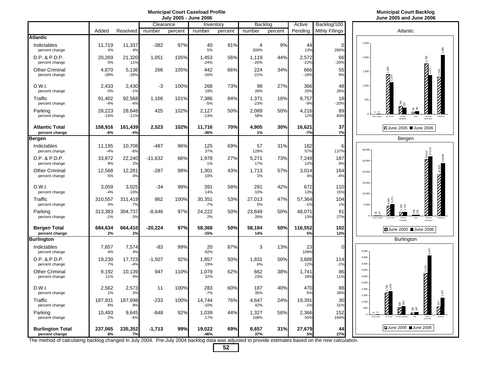## **July 2005 - June 2006 June 2005 and June 2006**

|                                           |                  |                  | Clearance |         | Inventory        |         | Backlog                |         | Active          | Backlog/100          |                         |                                                                                                        |
|-------------------------------------------|------------------|------------------|-----------|---------|------------------|---------|------------------------|---------|-----------------|----------------------|-------------------------|--------------------------------------------------------------------------------------------------------|
|                                           | Added            | Resolved         | number    | percent | number           | percent | number                 | percent | Pending         | <b>Mthly Fllings</b> |                         | Atlantic                                                                                               |
| <b>Atlantic</b>                           |                  |                  |           |         |                  |         |                        |         |                 |                      |                         |                                                                                                        |
| Indictables<br>percent change             | 11,719<br>4%     | 11,337<br>4%     | $-382$    | 97%     | 40<br>5%         | 91%     | $\overline{4}$<br>300% | 9%      | 44<br>13%       | $\Omega$<br>286%     | 2,500                   |                                                                                                        |
| D.P. & P.D.P.<br>percent change           | 20,269<br>0%     | 21,320<br>11%    | 1,051     | 105%    | 1,453<br>$-24%$  | 56%     | 1,119<br>$-20%$        | 44%     | 2,572<br>$-22%$ | 66<br>$-20%$         | 2.000                   | 1,790                                                                                                  |
| <b>Other Criminal</b><br>percent change   | 4,870<br>$-28%$  | 5,136<br>$-26%$  | 266       | 105%    | 442<br>$-16%$    | 66%     | 224<br>$-21%$          | 34%     | 666<br>$-18%$   | 55<br>9%             | 1,500                   | <b><i><u>ANTISTICATION</u></i></b><br>1,403                                                            |
| D.W.I.<br>percent change                  | 2,433<br>0%      | 2,430<br>$-1%$   | -3        | 100%    | 268<br>18%       | 73%     | 98<br>26%              | 27%     | 366<br>20%      | 48<br>26%            | 1,000                   | <b>Extended</b><br><b>THE REAL PROPERTY</b>                                                            |
| Traffic<br>percent change                 | 91.402<br>$-4%$  | 92,568<br>$-4%$  | 1.166     | 101%    | 7,386<br>$-5%$   | 84%     | 1,371<br>$-23%$        | 16%     | 8,757<br>$-9%$  | 18<br>$-20%$         |                         | 500                                                                                                    |
| Parking<br>percent change                 | 28,223<br>$-14%$ | 28,648<br>$-11%$ | 425       | 102%    | 2,127<br>$-13%$  | 50%     | 2,089<br>58%           | 50%     | 4,216<br>12%    | 89<br>83%            |                         | <b>INDICTABLE</b><br>DP & PDP<br>OTHER<br>TRAFFIC<br>PARKING<br>CRIMINAL<br><b>MOVING</b>              |
| <b>Atlantic Total</b><br>percent change   | 158,916<br>-6%   | 161,439<br>$-4%$ | 2,523     | 102%    | 11,716<br>$-36%$ | 70%     | 4,905<br>1%            | 30%     | 16,621<br>$-7%$ | 37<br>7%             |                         | <b>Z</b> June 2005 June 2006                                                                           |
| <b>Bergen</b>                             |                  |                  |           |         |                  |         |                        |         |                 |                      |                         | Bergen                                                                                                 |
| Indictables<br>percent change             | 11,195<br>$-4%$  | 10,708<br>$-6%$  | -487      | 96%     | 125<br>37%       | 69%     | 57<br>128%             | 31%     | 182<br>57%      | 6<br>137%            | 30,000                  | 847                                                                                                    |
| D.P. & P.D.P.<br>percent change           | 33,872<br>9%     | 22,240<br>2%     | $-11,632$ | 66%     | 1,978<br>1%      | 27%     | 5,271<br>17%           | 73%     | 7,249<br>12%    | 187<br>8%            | 25,000                  |                                                                                                        |
| <b>Other Criminal</b><br>percent change   | 12,568<br>5%     | 12,281<br>4%     | $-287$    | 98%     | 1,301<br>10%     | 43%     | 1,713<br>1%            | 57%     | 3,014<br>4%     | 164<br>$-4%$         | 20,000                  | <b>NATIONAL MANAGER</b>                                                                                |
| D.W.I.<br>percent change                  | 3,059<br>$-4%$   | 3,025<br>$-10%$  | $-34$     | 99%     | 391<br>14%       | 58%     | 281<br>10%             | 42%     | 672<br>13%      | 110<br>15%           | 15,000<br>10,000        |                                                                                                        |
| Traffic<br>percent change                 | 310,557<br>4%    | 311,419<br>7%    | 862       | 100%    | 30,351<br>$-7%$  | 53%     | 27,013<br>5%           | 47%     | 57,364<br>$-1%$ | 104<br>1%            |                         | 5,000                                                                                                  |
| Parking<br>percent change                 | 313,383<br>$-1%$ | 304,737<br>$-3%$ | $-8.646$  | 97%     | 24.222<br>2%     | 50%     | 23.849<br>26%          | 50%     | 48.071<br>13%   | 91<br>27%            |                         | 35<br>28<br><b>857</b><br><b>DW</b><br>NDICTABLE<br>DP & PDF<br>OTHER<br>CRIMINAL<br>TRAFFIC<br>MOVING |
| <b>Bergen Total</b><br>percent change     | 684,634<br>2%    | 664,410<br>2%    | $-20,224$ | 97%     | 58,368<br>$-15%$ | 50%     | 58,184<br>14%          | 50%     | 116,552<br>5%   | 102<br>12%           |                         | ■ June 2005 ■ June 2006                                                                                |
| <b>Burlington</b>                         |                  |                  |           |         |                  |         |                        |         |                 |                      |                         | <b>Burlington</b>                                                                                      |
| Indictables<br>percent change             | 7,657<br>4%      | 7,574<br>4%      | -83       | 99%     | 20<br>82%        | 87%     | 3                      | 13%     | 23<br>109%      | 0                    | 5.000                   |                                                                                                        |
| D.P. & P.D.P.<br>percent change           | 19,230<br>7%     | 17,723<br>$-4%$  | $-1,507$  | 92%     | 1,857<br>19%     | 50%     | 1,831<br>6%            | 50%     | 3,688<br>12%    | 114<br>$-1%$         | 4,500<br>4.000          |                                                                                                        |
| <b>Other Criminal</b><br>percent change   | 9,192<br>11%     | 10,139<br>9%     | 947       | 110%    | 1,079<br>32%     | 62%     | 662<br>23%             | 38%     | 1,741<br>28%    | 86<br>11%            | 3.500<br>3,000<br>2,500 | <b>THE REPORT OF THE STATE OF THE REAL PROPERTY</b>                                                    |
| D.W.I.<br>percent change                  | 2,562<br>1%      | 2,573<br>3%      | 11        | 100%    | 283<br>$-7%$     | 60%     | 187<br>35%             | 40%     | 470<br>6%       | 88<br>34%            | 2.000<br>1,500          | $1,735$<br>1,831                                                                                       |
| Traffic<br>percent change                 | 187,931<br>8%    | 187,698<br>9%    | $-233$    | 100%    | 14,744<br>$-10%$ | 76%     | 4,647<br>42%           | 24%     | 19,391<br>$-1%$ | 30<br>31%            | 1,000<br>500            | $\overline{\mathbf{z}}$                                                                                |
| Parking<br>percent change                 | 10,493<br>2%     | 9,645<br>$-6%$   | -848      | 92%     | 1,039<br>17%     | 44%     | 1,327<br>108%          | 56%     | 2,366<br>55%    | 152<br>104%          | $\Omega$                | ດ ຕ<br>INDICTABLE                                                                                      |
| <b>Burlington Total</b><br>percent change | 237,065<br>8%    | 235,352<br>7%    | $-1,713$  | 99%     | 19,022<br>-46%   | 69%     | 8,657<br>37%           | 31%     | 27,679<br>5%    | 44<br>27%            |                         | <b>ZJune 2005 June 2006</b>                                                                            |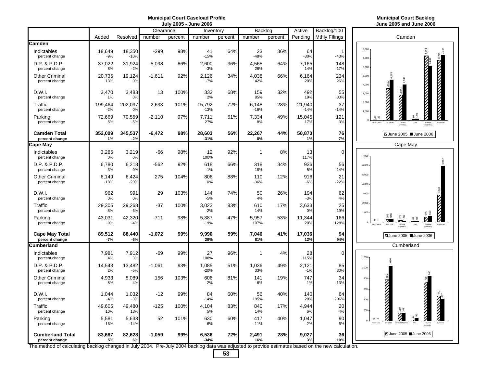## **July 2005 - June 2006 June 2005 and June 2006**

2,878 N X X X 2,878

PARKING

417<br>411<br>411

6,778<br>**6,7**334

PARKING

5,957

|                                           |                  |                       | Clearance |         | Inventory        |         | Backlog         |         | Active           | Backlog/100          |                              |                                                               |
|-------------------------------------------|------------------|-----------------------|-----------|---------|------------------|---------|-----------------|---------|------------------|----------------------|------------------------------|---------------------------------------------------------------|
|                                           | Added            | Resolved              | number    | percent | number           | percent | number          | percent | Pending          | <b>Mthly Fllings</b> |                              | Camden                                                        |
| Camden                                    |                  |                       |           |         |                  |         |                 |         |                  |                      |                              |                                                               |
| Indictables<br>percent change             | 18.649<br>$-9%$  | 18,350<br>$-10%$      | $-299$    | 98%     | 41<br>$-15%$     | 64%     | 23<br>$-48%$    | 36%     | 64<br>$-30%$     | 1<br>$-43%$          | 8,000<br>7,000               |                                                               |
| D.P. & P.D.P.<br>percent change           | 37,022<br>8%     | 31,924<br>$-2%$       | $-5,098$  | 86%     | 2,600<br>$-3%$   | 36%     | 4,565<br>26%    | 64%     | 7,165<br>14%     | 148<br>17%           | 6.000                        |                                                               |
| <b>Other Criminal</b><br>percent change   | 20,735<br>13%    | 19,124<br>0%          | $-1,611$  | 92%     | 2,126<br>$-7%$   | 34%     | 4,038<br>42%    | 66%     | 6,164<br>20%     | 234<br>26%           | 5,000<br>4,000               | <b>THE REAL PROPERTY OF PERSONS AND THE REAL PROPERTY</b>     |
| D.W.I.<br>percent change                  | 3,470<br>1%      | 3,483<br>0%           | 13        | 100%    | 333<br>2%        | 68%     | 159<br>85%      | 32%     | 492<br>19%       | 55<br>83%            | 3,000                        | <b>NANTA NANTA BREE</b><br><b>NNN</b> 2,847                   |
| Traffic<br>percent change                 | 199,464<br>$-2%$ | 202,097<br>0%         | 2,633     | 101%    | 15,792<br>$-13%$ | 72%     | 6,148<br>$-16%$ | 28%     | 21,940<br>$-14%$ | 37<br>$-14%$         | 2,000<br>1,000               |                                                               |
| Parking<br>percent change                 | 72,669<br>5%     | 70,559<br>$-5%$       | $-2,110$  | 97%     | 7,711<br>27%     | 51%     | 7,334<br>8%     | 49%     | 15,045<br>17%    | 121<br>3%            | 42<br>NDICTABLE              | $^{10}$<br>DP & PDF<br>OTHER<br>CRIMINA<br>TRAFFIC<br>(MOVING |
| <b>Camden Total</b><br>percent change     | 352,009<br>1%    | 345,537<br>$-2%$      | $-6,472$  | 98%     | 28,603<br>$-31%$ | 56%     | 22,267<br>8%    | 44%     | 50,870<br>1%     | 76<br>7%             |                              | ■ June 2005 ■ June 2006                                       |
| <b>Cape May</b>                           |                  |                       |           |         |                  |         |                 |         |                  |                      |                              | Cape May                                                      |
| Indictables<br>percent change             | 3.285<br>0%      | 3,219<br>0%           | -66       | 98%     | 12<br>100%       | 92%     | $\mathbf 1$     | 8%      | 13<br>117%       | $\mathbf 0$          | 7,000                        |                                                               |
| D.P. & P.D.P.<br>percent change           | 6,780<br>3%      | 6,218<br>0%           | $-562$    | 92%     | 618<br>$-1%$     | 66%     | 318<br>18%      | 34%     | 936<br>5%        | 56<br>14%            | 6,000                        |                                                               |
| <b>Other Criminal</b><br>percent change   | 6,149<br>$-18%$  | 6,424<br>$-20%$       | 275       | 104%    | 806<br>0%        | 88%     | 110<br>$-36%$   | 12%     | 916<br>$-6%$     | 21<br>$-22%$         | 5,000<br>4,000               |                                                               |
| D.W.I.<br>percent change                  | 962<br>0%        | 991<br>0 <sup>9</sup> | 29        | 103%    | 144<br>$-5%$     | 74%     | 50<br>4%        | 26%     | 194<br>$-3%$     | 62<br>4%             | 3,000                        |                                                               |
| Traffic<br>percent change                 | 29,305<br>$-5%$  | 29,268<br>$-6%$       | $-37$     | 100%    | 3,023<br>$-2%$   | 83%     | 610<br>14%      | 17%     | 3,633<br>0%      | 25<br>19%            | 2,000<br>1.000               | 38 G                                                          |
| Parking<br>percent change                 | 43,031<br>$-9%$  | 42,320<br>$-4%$       | $-711$    | 98%     | 5,387<br>$-19%$  | 47%     | 5,957<br>107%   | 53%     | 11,344<br>20%    | 166<br>128%          | NDICTABLE                    | ă<br>Ø<br>DW<br>TRAFFIC<br>MOVING<br>DP & PDF<br>OTHER        |
| <b>Cape May Total</b><br>percent change   | 89,512<br>$-7%$  | 88,440<br>$-6%$       | $-1,072$  | 99%     | 9,990<br>29%     | 59%     | 7,046<br>81%    | 41%     | 17,036<br>12%    | 94<br>94%            |                              | ■ June 2005 ■ June 2006                                       |
| Cumberland                                |                  |                       |           |         |                  |         |                 |         |                  |                      |                              | Cumberland                                                    |
| Indictables<br>percent change             | 7,981<br>4%      | 7,912<br>3%           | $-69$     | 99%     | 27<br>108%       | 96%     | 1               | 4%      | 28<br>115%       | $\mathbf 0$          | 1,200                        | ෂී                                                            |
| D.P. & P.D.P.<br>percent change           | 14,543<br>2%     | 13,482<br>$-5%$       | $-1,061$  | 93%     | 1,085<br>$-20%$  | 51%     | 1,036<br>33%    | 49%     | 2,121<br>$-1%$   | 85<br>30%            | 1,000                        |                                                               |
| <b>Other Criminal</b><br>percent change   | 4,933<br>8%      | 5,089<br>4%           | 156       | 103%    | 606<br>2%        | 81%     | 141<br>-6%      | 19%     | 747<br>1%        | 34<br>$-13%$         | 800<br>600                   | 80                                                            |
| D.W.I.<br>percent change                  | 1,044<br>$-4%$   | 1,032<br>$-3%$        | $-12$     | 99%     | 84<br>$-14%$     | 60%     | 56<br>195%      | 40%     | 140<br>20%       | 64<br>206%           | 400                          | <b>NATIONAL PROPERTY</b><br><b>NAME OF STREET</b>             |
| Traffic<br>percent change                 | 49,605<br>10%    | 49,480<br>13%         | $-125$    | 100%    | 4,104<br>5%      | 83%     | 840<br>14%      | 17%     | 4,944<br>6%      | 20<br>4%             | 200                          |                                                               |
| Parking<br>percent change                 | 5,581<br>$-16%$  | 5,633<br>$-14%$       | 52        | 101%    | 630<br>6%        | 60%     | 417<br>$-11%$   | 40%     | 1,047<br>$-2%$   | 90<br>6%             | $\circ$<br><b>INDICTABLE</b> |                                                               |
| <b>Cumberland Total</b><br>percent change | 83,687<br>5%     | 82,628<br>6%          | $-1,059$  | 99%     | 6,536<br>$-34%$  | 72%     | 2,491<br>16%    | 28%     | 9,027<br>3%      | 36<br>10%            |                              | ■ June 2005 ■ June 2006                                       |

The method of calculating backlog changed in July 2004. Pre-July 2004 backlog data was adjusted to provide estimates based on the new calculation.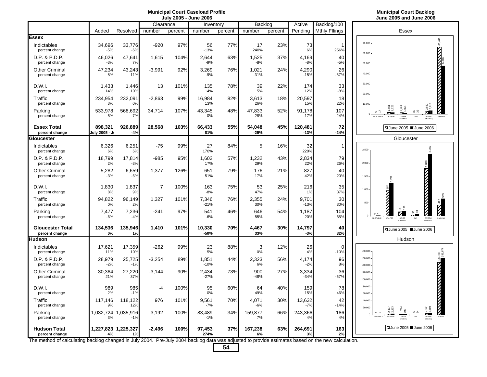## **July 2005 - June 2006 June 2005 and June 2006**

|                                           |                           |                    | Clearance      |         | Inventory        |         | Backlog          |         | Active            | Backlog/100          |                    |                                           |                                                                |                          |                          |
|-------------------------------------------|---------------------------|--------------------|----------------|---------|------------------|---------|------------------|---------|-------------------|----------------------|--------------------|-------------------------------------------|----------------------------------------------------------------|--------------------------|--------------------------|
|                                           | Added                     | Resolved           | number         | percent | number           | percent | number           | percent | Pending           | <b>Mthly Fllings</b> |                    |                                           | Essex                                                          |                          |                          |
| Essex                                     |                           |                    |                |         |                  |         |                  |         |                   |                      |                    |                                           |                                                                |                          | ,488                     |
| Indictables<br>percent change             | 34.696<br>$-5%$           | 33,776<br>$-6%$    | $-920$         | 97%     | 56<br>$-13%$     | 77%     | 17<br>240%       | 23%     | 73<br>6%          | 256%                 | 70,000<br>60,000   |                                           |                                                                |                          | ෂි                       |
| D.P. & P.D.P.<br>percent change           | 46,026<br>$-3%$           | 47,641<br>7%       | 1,615          | 104%    | 2,644<br>$-9%$   | 63%     | 1,525<br>$-8%$   | 37%     | 4,169<br>$-8%$    | 40<br>$-5%$          | 50,000             |                                           |                                                                |                          |                          |
| <b>Other Criminal</b><br>percent change   | 47,234<br>8%              | 43,243<br>11%      | $-3,991$       | 92%     | 3,269<br>$-9%$   | 76%     | 1,021<br>$-31%$  | 24%     | 4,290<br>$-15%$   | 26<br>$-37%$         | 40,000             |                                           |                                                                |                          | <b>REVIEW AND REVIEW</b> |
| D.W.I.<br>percent change                  | 1,433<br>14%              | 1,446<br>10%       | 13             | 101%    | 135<br>14%       | 78%     | 39<br>5%         | 22%     | 174<br>12%        | 33<br>$-8%$          | 30,000<br>20,000   |                                           |                                                                |                          |                          |
| Traffic<br>percent change                 | 234,954<br>3%             | 232,091<br>0%      | $-2,863$       | 99%     | 16,984<br>13%    | 82%     | 3,613<br>26%     | 18%     | 20,597<br>15%     | 18<br>22%            | 10,000             |                                           |                                                                |                          |                          |
| Parking<br>percent change                 | 533,978<br>$-5%$          | 568,692<br>$-7%$   | 34,714         | 107%    | 43,345<br>0%     | 48%     | 47,833<br>$-28%$ | 52%     | 91,178<br>$-17%$  | 107<br>$-24%$        |                    | NDICTARI F                                | $\frac{48}{102}$<br>58<br><b>DWI</b><br>OTHER                  | z<br>TRAFFIC             |                          |
| <b>Essex Total</b><br>percent change      | 898.321<br>July 2005 - Ji | 926,889<br>$-4%$   | 28,568         | 103%    | 66.433<br>81%    | 55%     | 54,048<br>$-25%$ | 45%     | 120,481<br>$-13%$ | 72<br>$-24%$         |                    |                                           | Z June 2005 ■ June 2006                                        |                          |                          |
| Gloucester                                |                           |                    |                |         |                  |         |                  |         |                   |                      |                    |                                           | Gloucester                                                     |                          |                          |
| Indictables<br>percent change             | 6.326<br>6%               | 6,251<br>6%        | $-75$          | 99%     | 27<br>170%       | 84%     | 5                | 16%     | 32<br>220%        |                      | 2,500              |                                           |                                                                |                          |                          |
| D.P. & P.D.P.<br>percent change           | 18,799<br>2%              | 17,814<br>$-3%$    | $-985$         | 95%     | 1,602<br>17%     | 57%     | 1,232<br>29%     | 43%     | 2,834<br>22%      | 79<br>26%            | 2,000              |                                           |                                                                |                          |                          |
| <b>Other Criminal</b><br>percent change   | 5,282<br>$-3%$            | 6,659<br>$-6%$     | 1,377          | 126%    | 651<br>51%       | 79%     | 176<br>17%       | 21%     | 827<br>42%        | 40<br>20%            | 1,500              | 232                                       |                                                                |                          |                          |
| D.W.I.<br>percent change                  | 1,830<br>8%               | 1,837<br>9%        | $\overline{7}$ | 100%    | 163<br>$-8%$     | 75%     | 53<br>47%        | 25%     | 216<br>1%         | 35<br>37%            | 1,000              |                                           |                                                                |                          |                          |
| Traffic<br>percent change                 | 94.822<br>0%              | 96,149<br>2%       | 1,327          | 101%    | 7,346<br>$-21%$  | 76%     | 2,355<br>30%     | 24%     | 9.701<br>$-13%$   | 30<br>30%            | 500                | <b>ANTISTS</b>                            |                                                                |                          |                          |
| Parking<br>percent change                 | 7,477<br>$-6%$            | 7,236<br>$-4%$     | -241           | 97%     | 541<br>$-6%$     | 46%     | 646<br>55%       | 54%     | 1,187<br>20%      | 104<br>65%           |                    | $\circ$ $\circ$<br>INDICTABLE<br>DP & PDF | 83<br>OTHER                                                    | TRAFFIC<br><b>MOVING</b> |                          |
| <b>Gloucester Total</b><br>percent change | 134,536<br>0%             | 135,946<br>1%      | 1,410          | 101%    | 10,330<br>$-50%$ | 70%     | 4,467<br>33%     | 30%     | 14,797<br>$-3%$   | 40<br>32%            |                    |                                           | ■ June 2005 ■ June 2006                                        |                          |                          |
| <b>Hudson</b>                             |                           |                    |                |         |                  |         |                  |         |                   |                      |                    |                                           | Hudson                                                         |                          |                          |
| Indictables<br>percent change             | 17.621<br>11%             | 17,359<br>10%      | $-262$         | 99%     | 23<br>5%         | 88%     | 3<br>0%          | 12%     | 26<br>4%          | $\Omega$<br>$-10%$   | 180,000            |                                           |                                                                |                          | 108,877                  |
| D.P. & P.D.P.<br>percent change           | 28,979<br>$-2%$           | 25,725<br>$-1%$    | $-3,254$       | 89%     | 1,851<br>$-10%$  | 44%     | 2,323<br>6%      | 56%     | 4,174<br>$-2%$    | 96<br>8%             | 160,000<br>140,000 |                                           |                                                                |                          |                          |
| <b>Other Criminal</b><br>percent change   | 30,364<br>21%             | 27,220<br>37%      | $-3,144$       | 90%     | 2,434<br>$-27%$  | 73%     | 900<br>$-48%$    | 27%     | 3,334<br>$-34%$   | 36<br>$-57%$         | 120,000<br>100,000 |                                           |                                                                |                          | <b>NATIONAL PROPERTY</b> |
| D.W.I.<br>percent change                  | 989<br>2%                 | 985<br>$-1%$       | $-4$           | 100%    | 95<br>$0\%$      | 60%     | 64<br>49%        | 40%     | 159<br>15%        | 78<br>46%            | 80,000<br>60,000   |                                           |                                                                |                          |                          |
| Traffic<br>percent change                 | 117,146<br>9%             | 118,122<br>12%     | 976            | 101%    | 9,561<br>$-7%$   | 70%     | 4.071<br>$-6%$   | 30%     | 13,632<br>$-7%$   | 42<br>$-14%$         | 40,000<br>20,000   |                                           |                                                                |                          |                          |
| Parking<br>percent change                 | 1,032,724<br>3%           | 1,035,916<br>$-1%$ | 3,192          | 100%    | 83,489<br>$-1%$  | 34%     | 159,877<br>7%    | 66%     | 243,366<br>4%     | 186<br>4%            |                    |                                           | g<br>$\stackrel{\footnotesize 3}{\footnotesize \sim}$<br>OTHER | $4,31$<br>$4,071$        |                          |
| <b>Hudson Total</b><br>percent change     | 1,227,823 1,225,327<br>4% | 1%                 | $-2,496$       | 100%    | 97.453<br>274%   | 37%     | 167,238<br>6%    | 63%     | 264,691<br>3%     | 163<br>2%            |                    |                                           | <b>Z</b> June 2005 <b>■</b> June 2006                          |                          |                          |

The method of calculating backlog changed in July 2004. Pre-July 2004 backlog data was adjusted to provide estimates based on the new calculation.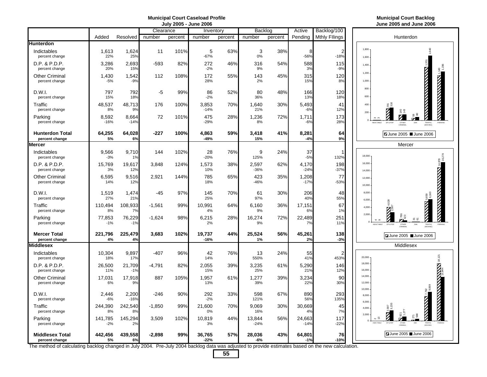### **Municipal Court Caseload Profile Municipal Court Backlog July 2005 - June 2006 June 2005 and June 2006**

|                                          |                  |                 | Clearance |         | Inventory             |         | Backlog          |         | Active           | Backlog/100          |                                             |
|------------------------------------------|------------------|-----------------|-----------|---------|-----------------------|---------|------------------|---------|------------------|----------------------|---------------------------------------------|
|                                          | Added            | Resolved        | number    | percent | number                | percent | number           | percent | Pending          | <b>Mthly Fllings</b> | Hunterdor                                   |
| <b>Hunterdon</b>                         |                  |                 |           |         |                       |         |                  |         |                  |                      |                                             |
| Indictables<br>percent change            | 1,613<br>22%     | 1,624<br>25%    | 11        | 101%    | $\mathbf 5$<br>$-67%$ | 63%     | 3<br>0%          | 38%     | 8<br>$-56%$      | 2<br>$-18%$          | 1,800<br>1,600                              |
| D.P. & P.D.P.<br>percent change          | 3,286<br>20%     | 2,693<br>15%    | $-593$    | 82%     | 272<br>$-2%$          | 46%     | 316<br>9%        | 54%     | 588<br>3%        | 115<br>$-9%$         | 1.400                                       |
| <b>Other Criminal</b><br>percent change  | 1,430<br>$-5%$   | 1,542<br>$-9%$  | 112       | 108%    | 172<br>28%            | 55%     | 143<br>2%        | 45%     | 315<br>15%       | 120<br>8%            | 1.200<br>1,000                              |
| D.W.I.<br>percent change                 | 797<br>15%       | 792<br>18%      | -5        | 99%     | 86<br>$-2%$           | 52%     | 80<br>36%        | 48%     | 166<br>13%       | 120<br>18%           | 800<br>600                                  |
| Traffic<br>percent change                | 48,537<br>8%     | 48,713<br>9%    | 176       | 100%    | 3,853<br>$-14%$       | 70%     | 1,640<br>21%     | 30%     | 5,493<br>$-6%$   | 41<br>12%            | 400<br>291<br>200                           |
| Parking<br>percent change                | 8,592<br>$-16%$  | 8,664<br>$-14%$ | 72        | 101%    | 475<br>$-29%$         | 28%     | 1,236<br>8%      | 72%     | 1,711<br>$-6%$   | 173<br>28%           | <b>INDICTABLE</b><br>DP & PD<br>OTHER       |
| <b>Hunterdon Total</b><br>percent change | 64,255<br>5%     | 64,028<br>6%    | $-227$    | 100%    | 4,863<br>-49%         | 59%     | 3,418<br>15%     | 41%     | 8,281<br>$-4%$   | 64<br>9%             | ZJune 2005 <b>■J</b>                        |
| <b>Mercer</b>                            |                  |                 |           |         |                       |         |                  |         |                  |                      | Mercer                                      |
| Indictables<br>percent change            | 9,566<br>$-3%$   | 9,710<br>1%     | 144       | 102%    | 28<br>$-20%$          | 76%     | 9<br>125%        | 24%     | 37<br>$-5%$      | 132%                 | 18,000                                      |
| D.P. & P.D.P.<br>percent change          | 15,769<br>3%     | 19,617<br>12%   | 3,848     | 124%    | 1,573<br>10%          | 38%     | 2,597<br>$-36%$  | 62%     | 4,170<br>$-24%$  | 198<br>$-37%$        | 16,000<br>14,000                            |
| <b>Other Criminal</b><br>percent change  | 6,595<br>14%     | 9,516<br>12%    | 2,921     | 144%    | 785<br>18%            | 65%     | 423<br>$-46%$    | 35%     | 1,208<br>$-17%$  | 77<br>$-53%$         | 12,000<br>10,000                            |
| D.W.I.<br>percent change                 | 1,519<br>27%     | 1,474<br>21%    | -45       | 97%     | 145<br>25%            | 70%     | 61<br>97%        | 30%     | 206<br>40%       | 48<br>55%            | 8,000<br>6,000                              |
| Traffic<br>percent change                | 110,494<br>8%    | 108,933<br>7%   | $-1,561$  | 99%     | 10,991<br>4%          | 64%     | 6,160<br>9%      | 36%     | 17,151<br>6%     | 67<br>1%             | 4.000<br>2,000                              |
| Parking<br>percent change                | 77,853<br>$-1%$  | 76,229<br>$-1%$ | $-1,624$  | 98%     | 6,215<br>2%           | 28%     | 16,274<br>9%     | 72%     | 22,489<br>7%     | 251<br>11%           | NDICTABLE<br>DP & PD                        |
| <b>Mercer Total</b><br>percent change    | 221,796<br>4%    | 225,479<br>4%   | 3,683     | 102%    | 19,737<br>$-16%$      | 44%     | 25,524<br>1%     | 56%     | 45,261<br>2%     | 138<br>$-3%$         | June 2005                                   |
| <b>Middlesex</b>                         |                  |                 |           |         |                       |         |                  |         |                  |                      | Middlesex                                   |
| Indictables<br>percent change            | 10,304<br>18%    | 9,897<br>17%    | $-407$    | 96%     | 42<br>14%             | 76%     | 13<br>550%       | 24%     | 55<br>41%        | 2<br>453%            | 20,000                                      |
| D.P. & P.D.P.<br>percent change          | 26,500<br>11%    | 21,709<br>$-1%$ | -4,791    | 82%     | 2,055<br>15%          | 39%     | 3,235<br>25%     | 61%     | 5,290<br>21%     | 146<br>12%           | 18,000<br>16,000                            |
| <b>Other Criminal</b><br>percent change  | 17,031<br>6%     | 17,918<br>9%    | 887       | 105%    | 1,957<br>13%          | 61%     | 1,277<br>39%     | 39%     | 3,234<br>22%     | 90<br>30%            | 14,000<br>12,000                            |
| D.W.I.<br>percent change                 | 2.446<br>$-6%$   | 2,200<br>$-16%$ | $-246$    | 90%     | 292<br>$-2%$          | 33%     | 598<br>121%      | 67%     | 890<br>56%       | 293<br>135%          | 10,000<br>8,000<br>6.000                    |
| Traffic<br>percent change                | 244,390<br>8%    | 242,540<br>8%   | $-1,850$  | 99%     | 21,600<br>0%          | 70%     | 9.069<br>16%     | 30%     | 30,669<br>4%     | 45<br>7%             | 4.000<br>2.000                              |
| Parking<br>percent change                | 141,785<br>$-2%$ | 145,294<br>2%   | 3,509     | 102%    | 10,819<br>3%          | 44%     | 13,844<br>$-24%$ | 56%     | 24,663<br>$-14%$ | 117<br>$-22%$        | $\Omega$<br>INDICTABLE<br>DP & PDF<br>OTHER |
| <b>Middlesex Total</b><br>percent change | 442,456<br>5%    | 439,558<br>6%   | $-2,898$  | 99%     | 36,765<br>$-22%$      | 57%     | 28,036<br>$-6%$  | 43%     | 64.801<br>$-1%$  | 76<br>$-10%$         | ZJune 2005 JJu                              |
|                                          |                  |                 |           |         |                       |         |                  |         |                  |                      |                                             |

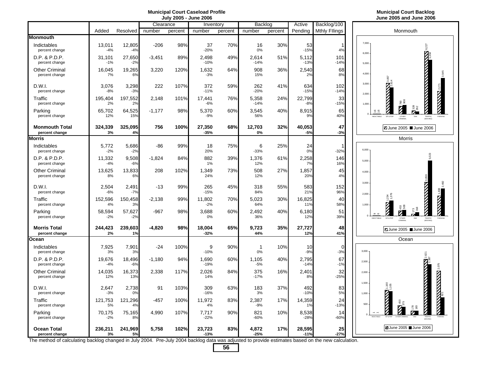## **July 2005 - June 2006 June 2005 and June 2006**

|                                         |                 |                 | Clearance |         | Inventory        |         | Backlog         |         | Active           | Backlog/100          |                                                                                                                 |
|-----------------------------------------|-----------------|-----------------|-----------|---------|------------------|---------|-----------------|---------|------------------|----------------------|-----------------------------------------------------------------------------------------------------------------|
|                                         | Added           | Resolved        | number    | percent | number           | percent | number          | percent | Pending          | <b>Mthly Fllings</b> | Monmouth                                                                                                        |
| <b>Monmouth</b>                         |                 |                 |           |         |                  |         |                 |         |                  |                      |                                                                                                                 |
| Indictables<br>percent change           | 13,011<br>$-4%$ | 12,805<br>$-4%$ | $-206$    | 98%     | 37<br>$-20%$     | 70%     | 16<br>0%        | 30%     | 53<br>$-15%$     | $\mathbf{1}$<br>4%   | $7.000 \cdot$<br>6,227<br>6,000                                                                                 |
| $D.P.$ & $P.D.P.$<br>percent change     | 31,101<br>$-1%$ | 27,650<br>$-2%$ | $-3,451$  | 89%     | 2,498<br>$-10%$  | 49%     | 2,614<br>$-14%$ | 51%     | 5,112<br>$-13%$  | 101<br>$-14%$        | 5.000                                                                                                           |
| <b>Other Criminal</b><br>percent change | 16,045<br>7%    | 19,265<br>6%    | 3,220     | 120%    | 1,632<br>$-3%$   | 64%     | 908<br>15%      | 36%     | 2.540<br>2%      | 68<br>8%             | 4,000                                                                                                           |
| D.W.I.<br>percent change                | 3,076<br>$-8%$  | 3,298<br>$-3%$  | 222       | 107%    | 372<br>$-11%$    | 59%     | 262<br>$-20%$   | 41%     | 634<br>$-15%$    | 102<br>$-14%$        | <b>WARRANT WARRANTS</b><br>3,000<br><b>EXAMPLE</b><br>2.000                                                     |
| Traffic<br>percent change               | 195,404<br>2%   | 197,552<br>2%   | 2.148     | 101%    | 17,441<br>$-6%$  | 76%     | 5,358<br>$-14%$ | 24%     | 22,799<br>$-8%$  | 33<br>$-15%$         | 1,000                                                                                                           |
| Parking<br>percent change               | 65,702<br>12%   | 64,525<br>15%   | $-1,177$  | 98%     | 5,370<br>$-9%$   | 60%     | 3,545<br>56%    | 40%     | 8,915<br>9%      | 65<br>40%            | $\frac{6}{10}$<br><b>INDICTABLE</b><br>DP & PDP<br>OTHER<br>TRAFFIC<br>PARKING<br>CRIMINAL<br><b>MOVING</b>     |
| <b>Monmouth Total</b><br>percent change | 324,339<br>3%   | 325,095<br>4%   | 756       | 100%    | 27,350<br>$-35%$ | 68%     | 12,703<br>0%    | 32%     | 40,053<br>$-5%$  | 47<br>$-3%$          | <b>Z</b> June 2005 June 2006                                                                                    |
| <b>Morris</b>                           |                 |                 |           |         |                  |         |                 |         |                  |                      | <b>Morris</b>                                                                                                   |
| Indictables<br>percent change           | 5,772<br>$-2%$  | 5,686<br>$-2%$  | -86       | 99%     | 18<br>20%        | 75%     | 6<br>$-33%$     | 25%     | 24<br>0%         | -1<br>$-32%$         | 6,000                                                                                                           |
| D.P. & P.D.P.<br>percent change         | 11,332<br>$-4%$ | 9,508<br>$-6%$  | $-1,824$  | 84%     | 882<br>1%        | 39%     | 1,376<br>12%    | 61%     | 2,258<br>7%      | 146<br>16%           | 5,000                                                                                                           |
| <b>Other Criminal</b><br>percent change | 13.625<br>8%    | 13.833<br>6%    | 208       | 102%    | 1.349<br>24%     | 73%     | 508<br>12%      | 27%     | 1.857<br>20%     | 45<br>4%             | 4.000                                                                                                           |
| D.W.I.<br>percent change                | 2,504<br>$-6%$  | 2,491<br>$-7%$  | $-13$     | 99%     | 265<br>$-15%$    | 45%     | 318<br>84%      | 55%     | 583<br>21%       | 152<br>96%           | 3,000<br>2.000                                                                                                  |
| Traffic<br>percent change               | 152,596<br>4%   | 150,458<br>3%   | $-2,138$  | 99%     | 11,802<br>$-2%$  | 70%     | 5,023<br>64%    | 30%     | 16,825<br>11%    | 40<br>58%            | 1,000                                                                                                           |
| Parking<br>percent change               | 58,594<br>$-2%$ | 57,627<br>$-2%$ | $-967$    | 98%     | 3,688<br>0%      | 60%     | 2,492<br>36%    | 40%     | 6,180<br>12%     | 51<br>39%            | σ ω<br>$\Omega$<br><b>INDICTABLE</b><br>DP & PDF<br>OTHER<br>TRAFFIC<br>MOVINGI                                 |
| <b>Morris Total</b><br>percent change   | 244,423<br>2%   | 239,603<br>1%   | -4,820    | 98%     | 18,004<br>$-32%$ | 65%     | 9,723<br>44%    | 35%     | 27,727<br>12%    | 48<br>41%            | ■ June 2005 ■ June 2006                                                                                         |
| Ocean                                   |                 |                 |           |         |                  |         |                 |         |                  |                      | Ocean                                                                                                           |
| Indictables<br>percent change           | 7,925<br>3%     | 7,901<br>3%     | $-24$     | 100%    | 9<br>$-10%$      | 90%     | -1<br>0%        | 10%     | 10<br>$-9%$      | $\mathbf 0$<br>$-3%$ | 3,000                                                                                                           |
| D.P. & P.D.P.<br>percent change         | 19,676<br>$-4%$ | 18,496<br>$-6%$ | $-1.180$  | 94%     | 1,690<br>$-19%$  | 60%     | 1.105<br>$-5%$  | 40%     | 2.795<br>$-14%$  | 67<br>$-1%$          | 2,500                                                                                                           |
| <b>Other Criminal</b><br>percent change | 14,035<br>12%   | 16,373<br>13%   | 2,338     | 117%    | 2,026<br>14%     | 84%     | 375<br>$-17%$   | 16%     | 2,401<br>8%      | 32<br>$-25%$         | 2.000                                                                                                           |
| D.W.I.<br>percent change                | 2,647<br>$-3%$  | 2,738<br>0%     | 91        | 103%    | 309<br>$-16%$    | 63%     | 183<br>3%       | 37%     | 492<br>$-10%$    | 83<br>5%             | <b><i><u>PARTICULAR PROPERTY</u></i></b><br><b>THE PRODUCTION OF A REAL PROPERTY</b><br>1,500<br>1,105<br>1,000 |
| Traffic<br>percent change               | 121,753<br>5%   | 121,296<br>4%   | -457      | 100%    | 11,972<br>4%     | 83%     | 2,387<br>$-9%$  | 17%     | 14,359<br>1%     | 24<br>$-13%$         | 500                                                                                                             |
| Parking<br>percent change               | 70,175<br>$-2%$ | 75,165<br>8%    | 4,990     | 107%    | 7,717<br>$-22%$  | 90%     | 821<br>$-60%$   | 10%     | 8,538<br>$-28%$  | 14<br>$-60%$         | E 23<br><b>INDICTABLE</b>                                                                                       |
| <b>Ocean Total</b><br>percent change    | 236,211<br>3%   | 241,969<br>5%   | 5,758     | 102%    | 23,723<br>$-13%$ | 83%     | 4,872<br>$-25%$ | 17%     | 28,595<br>$-11%$ | 25<br>$-27%$         | <b>Z</b> June 2005 June 2006                                                                                    |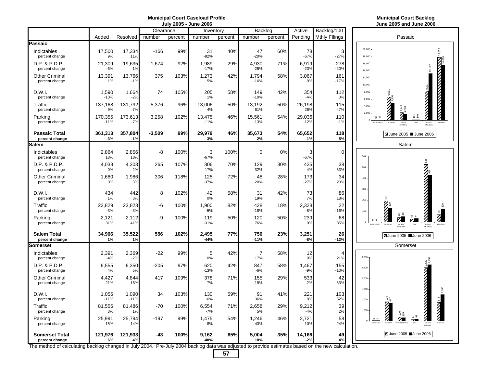## **July 2005 - June 2006 June 2005 and June 2006**

|                                         |                   |                  |           | UUIV LUUJ | $\sim$ vully love |         |                       |         |                  |                      |                            | <u>UUIIU LUUJ UIIU UL</u>                                             |
|-----------------------------------------|-------------------|------------------|-----------|-----------|-------------------|---------|-----------------------|---------|------------------|----------------------|----------------------------|-----------------------------------------------------------------------|
|                                         |                   |                  | Clearance |           | Inventory         |         | Backlog               |         | Active           | Backlog/100          |                            |                                                                       |
|                                         | Added             | Resolved         | number    | percent   | number            | percent | number                | percent | Pending          | <b>Mthly Fllings</b> |                            | Passaic                                                               |
| Passaic                                 |                   |                  |           |           |                   |         |                       |         |                  |                      |                            |                                                                       |
| Indictables<br>percent change           | 17,500<br>9%      | 17,334<br>11%    | $-166$    | 99%       | 31<br>$-82%$      | 40%     | 47<br>$-20%$          | 60%     | 78<br>$-67%$     | 3<br>$-27%$          | 20,000<br>18,000           |                                                                       |
| D.P. & P.D.P.<br>percent change         | 21,309<br>$-6%$   | 19,635<br>1%     | $-1,674$  | 92%       | 1,989<br>$-17%$   | 29%     | 4,930<br>$-25%$       | 71%     | 6,919<br>$-23%$  | 278<br>$-20%$        | 16,000                     |                                                                       |
| <b>Other Criminal</b><br>percent change | 13,391<br>1%      | 13,766<br>$-1%$  | 375       | 103%      | 1,273<br>5%       | 42%     | 1,794<br>$-16%$       | 58%     | 3,067<br>$-9%$   | 161<br>$-17%$        | 14,000<br>12.000<br>10,000 |                                                                       |
| D.W.I.<br>percent change                | 1,590<br>$-10%$   | 1,664<br>$-2%$   | 74        | 105%      | 205<br>1%         | 58%     | 149<br>$-10%$         | 42%     | 354<br>$-4%$     | 112<br>0%            | 8,000<br>6,000             | Ŋ                                                                     |
| Traffic<br>percent change               | 137,168<br>9%     | 131,792<br>7%    | $-5,376$  | 96%       | 13,006<br>4%      | 50%     | 13,192<br>61%         | 50%     | 26,198<br>26%    | 115<br>47%           | 4,000<br>2,000             |                                                                       |
| Parking<br>percent change               | 170,355<br>$-11%$ | 173,613<br>$-7%$ | 3,258     | 102%      | 13,475<br>$-11%$  | 46%     | 15,561<br>$-13%$      | 54%     | 29,036<br>$-12%$ | 110<br>$-1%$         |                            | S <sub>9</sub><br>INDICTABLE<br>DP & PDF<br>OTHER<br>CRIMINAL         |
| <b>Passaic Total</b><br>percent change  | 361,313<br>$-3%$  | 357,804<br>$-1%$ | $-3,509$  | 99%       | 29,979<br>3%      | 46%     | 35,673<br>2%          | 54%     | 65,652<br>$-1%$  | 118<br>5%            |                            | ZJune 2005 ■                                                          |
| Salem                                   |                   |                  |           |           |                   |         |                       |         |                  |                      |                            | Salem                                                                 |
| Indictables<br>percent change           | 2,864<br>18%      | 2,856<br>18%     | -8        | 100%      | 3<br>$-67%$       | 100%    | $\mathbf 0$           | 0%      | 3<br>$-67%$      | $\mathbf 0$          | 600                        |                                                                       |
| D.P. & P.D.P.<br>percent change         | 4,038<br>0%       | 4,303<br>2%      | 265       | 107%      | 306<br>17%        | 70%     | 129<br>$-32%$         | 30%     | 435<br>$-4%$     | 38<br>$-33%$         | 500                        |                                                                       |
| <b>Other Criminal</b><br>percent change | 1,680<br>0%       | 1,986<br>3%      | 306       | 118%      | 125<br>$-37%$     | 72%     | 48<br>20%             | 28%     | 173<br>$-27%$    | 34<br>20%            | 400                        |                                                                       |
| D.W.I.<br>percent change                | 434<br>1%         | 442<br>8%        | 8         | 102%      | 42<br>0%          | 58%     | 31<br>19%             | 42%     | 73<br>7%         | 86<br>18%            | 300<br>200                 | $\frac{1}{2}$                                                         |
| Traffic<br>percent change               | 23,829<br>$-3%$   | 23,823<br>$-3%$  | -6        | 100%      | 1,900<br>$-5%$    | 82%     | 428<br>$-18%$         | 18%     | 2,328<br>$-8%$   | 22<br>$-16%$         | 100                        | Ø                                                                     |
| Parking<br>percent change               | 2,121<br>31%      | 2,112<br>41%     | -9        | 100%      | 119<br>$-31%$     | 50%     | 120<br>76%            | 50%     | 239<br>0%        | 68<br>35%            | $\Omega$                   | $\circ$ $\circ$<br><b>INDICTABLE</b><br>DP & PDF<br>OTHER<br>CRIMINAL |
| <b>Salem Total</b><br>percent change    | 34,966<br>1%      | 35,522<br>1%     | 556       | 102%      | 2,495<br>$-44%$   | 77%     | 756<br>$-11%$         | 23%     | 3,251<br>$-8%$   | 26<br>$-12%$         |                            | Z June 2005 Ju                                                        |
| <b>Somerset</b>                         |                   |                  |           |           |                   |         |                       |         |                  |                      |                            | Somerset                                                              |
| Indictables<br>percent change           | 2,391<br>$-4%$    | 2,369<br>$-2%$   | $-22$     | 99%       | 5<br>0%           | 42%     | $\overline{7}$<br>17% | 58%     | 12<br>9%         | 21%                  | 3,000                      |                                                                       |
| D.P. & P.D.P.<br>percent change         | 6,555<br>4%       | 6,350<br>5%      | $-205$    | 97%       | 620<br>$-13%$     | 42%     | 847<br>$-6%$          | 58%     | 1,467<br>$-9%$   | 155<br>$-10%$        | 2,500                      |                                                                       |
| <b>Other Criminal</b><br>percent change | 4,427<br>21%      | 4,844<br>16%     | 417       | 109%      | 378<br>7%         | 71%     | 155<br>$-18%$         | 29%     | 533<br>$-2%$     | 42<br>$-33%$         | 2.000                      |                                                                       |
| D.W.I.<br>percent change                | 1,056<br>$-11%$   | 1,090<br>$-11%$  | 34        | 103%      | 130<br>$-6%$      | 59%     | 91<br>36%             | 41%     | 221<br>8%        | 103<br>52%           | 1,500<br>1,000             | うま                                                                    |
| Traffic<br>percent change               | 81,556<br>3%      | 81,486<br>1%     | $-70$     | 100%      | 6,554<br>$-7%$    | 71%     | 2,658<br>5%           | 29%     | 9,212<br>$-4%$   | 39<br>2%             | 500                        |                                                                       |
| Parking<br>percent change               | 25,991<br>15%     | 25,794<br>14%    | $-197$    | 99%       | 1,475<br>$-8%$    | 54%     | 1,246<br>43%          | 46%     | 2,721<br>10%     | 58<br>24%            |                            | $\circ$<br>INDICTARLE                                                 |
| <b>Somerset Total</b><br>percent change | 121,976<br>6%     | 121,933<br>4%    | -43       | 100%      | 9.162<br>-40%     | 65%     | 5,004<br>10%          | 35%     | 14,166<br>$-2%$  | 49<br>4%             |                            | Z June 2005 Ju                                                        |
|                                         |                   |                  |           |           |                   |         |                       |         |                  |                      |                            |                                                                       |

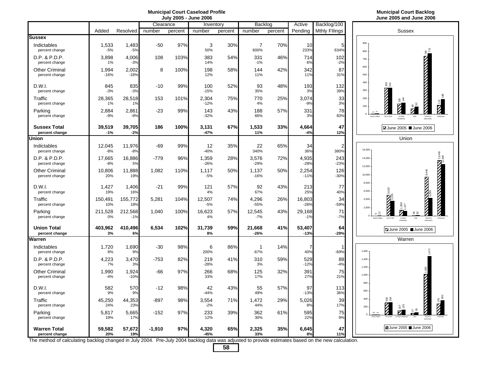| Municipal Court Caseload Profile | <b>Municipal Court Backlog</b> |
|----------------------------------|--------------------------------|
| luly 2005 - lune 2006            | June 2005 and June 2006        |



113

PARKING

13,445<br>2<br>2,545

PARKING

279<br>■362

PARKING

188

|                                         |                 |                  | Clearance |         | Inventory       |         | Backlog                |         | Active           | Backlog/100            |                                                                                                                                          |
|-----------------------------------------|-----------------|------------------|-----------|---------|-----------------|---------|------------------------|---------|------------------|------------------------|------------------------------------------------------------------------------------------------------------------------------------------|
|                                         | Added           | Resolved         | number    | percent | number          | percent | number                 | percent | Pending          | <b>Mthly Fllings</b>   | <b>Sussex</b>                                                                                                                            |
| <b>Sussex</b>                           |                 |                  |           |         |                 |         |                        |         |                  |                        |                                                                                                                                          |
| Indictables<br>percent change           | 1,533<br>$-5%$  | 1,483<br>$-5%$   | $-50$     | 97%     | 3<br>50%        | 30%     | $\overline{7}$<br>600% | 70%     | 10<br>233%       | 5<br>634%              | 900<br>800                                                                                                                               |
| D.P. & P.D.P.<br>percent change         | 3,898<br>1%     | 4,006<br>$-3%$   | 108       | 103%    | 383<br>14%      | 54%     | 331<br>$-1%$           | 46%     | 714<br>6%        | 102<br>$-2%$           | 700                                                                                                                                      |
| <b>Other Criminal</b><br>percent change | 1,994<br>$-16%$ | 2,002<br>$-18%$  | 8         | 100%    | 198<br>12%      | 58%     | 144<br>11%             | 42%     | 342<br>11%       | 87<br>31%              | <b>CONTINUES AND ACTION</b><br>600<br>500                                                                                                |
| D.W.I.<br>percent change                | 845<br>$-3%$    | 835<br>$-3%$     | $-10$     | 99%     | 100<br>$-15%$   | 52%     | 93<br>35%              | 48%     | 193<br>3%        | 132<br>39%             | 400<br>នី និ<br>300                                                                                                                      |
| Traffic<br>percent change               | 28,365<br>1%    | 28,518<br>1%     | 153       | 101%    | 2,304<br>$-12%$ | 75%     | 770<br>4%              | 25%     | 3,074<br>$-9%$   | 33<br>3%               | <b>CONTROLLED STATE</b><br>200<br>$\frac{5}{2}$ $\frac{4}{4}$<br>100                                                                     |
| Parking<br>percent change               | 2,884<br>$-9%$  | 2,861<br>$-9%$   | $-23$     | 99%     | 143<br>$-32%$   | 43%     | 188<br>66%             | 57%     | 331<br>3%        | 78<br>83%              | $\Omega$<br><b>INDICTABLE</b><br>DP & PD<br>OTHER<br>CRIMINAL                                                                            |
| <b>Sussex Total</b><br>percent change   | 39,519<br>-1%   | 39,705<br>$-2%$  | 186       | 100%    | 3.131<br>$-47%$ | 67%     | 1,533<br>11%           | 33%     | 4.664<br>$-4%$   | 47<br>12%              | <b>Z</b> June 2005 ■ June 2006                                                                                                           |
| Union                                   |                 |                  |           |         |                 |         |                        |         |                  |                        | Union                                                                                                                                    |
| Indictables<br>percent change           | 12,045<br>$-8%$ | 11,976<br>$-8%$  | $-69$     | 99%     | 12<br>$-40%$    | 35%     | 22<br>340%             | 65%     | 34<br>36%        | $\overline{2}$<br>380% | 16,000                                                                                                                                   |
| D.P. & P.D.P.<br>percent change         | 17,665<br>$-8%$ | 16,886<br>5%     | $-779$    | 96%     | 1.359<br>$-26%$ | 28%     | 3,576<br>$-29%$        | 72%     | 4,935<br>$-28%$  | 243<br>$-23%$          | 14,000<br>12,000                                                                                                                         |
| <b>Other Criminal</b><br>percent change | 10,806<br>20%   | 11,888<br>19%    | 1,082     | 110%    | 1,117<br>$-5%$  | 50%     | 1,137<br>$-16%$        | 50%     | 2,254<br>$-11%$  | 126<br>$-30%$          | 10,000                                                                                                                                   |
| D.W.I.<br>percent change                | 1.427<br>19%    | 1,406<br>16%     | $-21$     | 99%     | 121<br>4%       | 57%     | 92<br>67%              | 43%     | 213<br>25%       | 77<br>40%              | <b>BETWEEN SHARP</b><br>8,000<br>6,000                                                                                                   |
| Traffic<br>percent change               | 150,491<br>10%  | 155,772<br>18%   | 5,281     | 104%    | 12,507<br>$-5%$ | 74%     | 4,296<br>$-55%$        | 26%     | 16,803<br>$-26%$ | 34<br>$-59%$           | Ø<br>4,000<br>2,000                                                                                                                      |
| Parking<br>percent change               | 211,528<br>0%   | 212,568<br>$-1%$ | 1.040     | 100%    | 16,623<br>4%    | 57%     | 12,545<br>$-7%$        | 43%     | 29,168<br>$-1%$  | 71<br>$-7%$            | 55 23<br>. న<br>INDICTABLE<br><b>DWI</b><br>TRAFFIC<br>DP & PDF<br>OTHER<br>CRIMINAL                                                     |
| <b>Union Total</b><br>percent change    | 403,962<br>3%   | 410,496<br>6%    | 6,534     | 102%    | 31,739<br>8%    | 59%     | 21,668<br>$-26%$       | 41%     | 53,407<br>$-13%$ | 64<br>$-29%$           | ■ June 2005 ■ June 2006                                                                                                                  |
| Warren                                  |                 |                  |           |         |                 |         |                        |         |                  |                        | Warren                                                                                                                                   |
| Indictables<br>percent change           | 1,720<br>8%     | 1,690<br>9%      | $-30$     | 98%     | 6<br>200%       | 86%     | 1<br>$-67%$            | 14%     | 7<br>40%         | $-69%$                 | 1.600                                                                                                                                    |
| D.P. & P.D.P.<br>percent change         | 4,223<br>7%     | 3,470<br>3%      | -753      | 82%     | 219<br>$-28%$   | 41%     | 310<br>3%              | 59%     | 529<br>$-12%$    | 88<br>$-4%$            | 1,400                                                                                                                                    |
| <b>Other Criminal</b><br>percent change | 1,990<br>$-4%$  | 1,924<br>$-10%$  | -66       | 97%     | 266<br>33%      | 68%     | 125<br>17%             | 32%     | 391<br>27%       | 75<br>21%              | 1,200<br><b>THE REPORT OF THE PARTY OF THE PARTY OF THE PARTY OF THE PARTY OF THE PARTY OF THE PARTY OF THE PARTY OF THE PA</b><br>1,000 |
| D.W.I.<br>percent change                | 582<br>9%       | 570<br>9%        | $-12$     | 98%     | 42<br>$-44%$    | 43%     | 55<br>49%              | 57%     | 97<br>$-13%$     | 113<br>36%             | 800<br>600                                                                                                                               |
| Traffic<br>percent change               | 45,250<br>24%   | 44,353<br>23%    | -897      | 98%     | 3,554<br>$-2%$  | 71%     | 1,472<br>44%           | 29%     | 5,026<br>8%      | 39<br>17%              | 300<br>400<br>200                                                                                                                        |
| Parking<br>percent change               | 5,817<br>19%    | 5,665<br>17%     | $-152$    | 97%     | 233<br>12%      | 39%     | 362<br>30%             | 61%     | 595<br>22%       | 75<br>9%               | <b>INDICTABLE</b>                                                                                                                        |
| Warren Total<br>percent change          | 59,582<br>20%   | 57,672<br>19%    | $-1,910$  | 97%     | 4,320<br>-45%   | 65%     | 2,325<br>33%           | 35%     | 6,645<br>8%      | 47<br>11%              | ■ June 2005 ■ June 2006                                                                                                                  |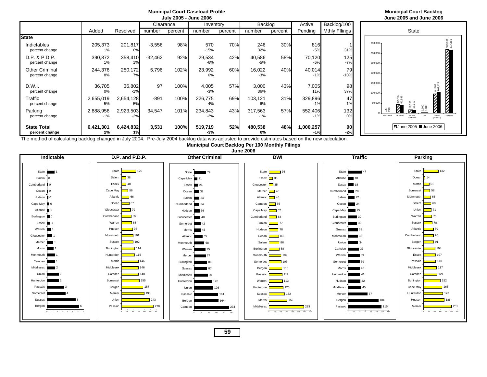|                                         |                    |                    |           |           | July 2005 - June 2006 |         |                  |         |                    |                      |                      |                                     | June 2005 and                             |
|-----------------------------------------|--------------------|--------------------|-----------|-----------|-----------------------|---------|------------------|---------|--------------------|----------------------|----------------------|-------------------------------------|-------------------------------------------|
|                                         |                    |                    |           | Clearance | Inventory             |         | Backlog          |         | Active             | Backlog/100          |                      |                                     |                                           |
|                                         | Added              | Resolved           | number    | percent   | number                | percent | number           | percent | Pending            | <b>Mthly Fllings</b> |                      |                                     | <b>State</b>                              |
| <b>State</b>                            |                    |                    |           |           |                       |         |                  |         |                    |                      |                      |                                     |                                           |
| Indictables<br>percent change           | 205,373<br>1%      | 201,817<br>0%      | $-3,556$  | 98%       | 570<br>$-15%$         | 70%     | 246<br>32%       | 30%     | 816<br>$-5%$       | 31%                  | 350,000 -<br>300,000 |                                     |                                           |
| D.P. & P.D.P.<br>percent change         | 390,872<br>1%      | 358,410            | $-32.462$ | 92%       | 29,534<br>$-6%$       | 42%     | 40,586<br>$-5%$  | 58%     | 70,120<br>$-6%$    | 125<br>$-7%$         | 250,000              |                                     |                                           |
| <b>Other Criminal</b><br>percent change | 244,376<br>8%      | 250,172            | 5,796     | 102%      | 23,992<br>0%          | 60%     | 16,022<br>$-3%$  | 40%     | 40,014<br>$-1%$    | 79<br>$-10%$         | 200,000              |                                     |                                           |
| D.W.I.<br>percent change                | 36,705<br>0%       | 36,802<br>$-1%$    | 97        | 100%      | 4,005<br>$-3%$        | 57%     | 3,000<br>36%     | 43%     | 7,005<br>11%       | 98<br>37%            | 150,000<br>100,000   |                                     |                                           |
| Traffic<br>percent change               | 2,655,019<br>5%    | 2,654,128<br>5%    | $-891$    | 100%      | 226,775<br>$-4%$      | 69%     | 103,121<br>6%    | 31%     | 329,896<br>$-1%$   | 47<br>1%             | 50,000               | 42,785<br>40,586                    | 16,591<br>16,022                          |
| Parking<br>percent change               | 2,888,956<br>$-1%$ | 2,923,503<br>$-2%$ | 34,547    | 101%      | 234,843<br>$-2%$      | 43%     | 317,563<br>$-1%$ | 57%     | 552,406<br>$-1%$   | 132<br>0%            |                      | 187<br>DP & PDP<br><b>NDICTABLE</b> | $\mathcal{L}$<br><b>OTHER</b><br>CRIMINAL |
| <b>State Total</b><br>percent change    | 6,421,301<br>2%    | 6,424,832<br>1%    | 3,531     | 100%      | 519,719<br>$-3%$      | 52%     | 480,538<br>0%    | 48%     | 1,000,257<br>$-1%$ | 90<br>$-2%$          |                      |                                     | $\blacksquare$ June 2005                  |



**July 2005 - June 2006 June 2005 and June 2006**

The method of calculating backlog changed in July 2004. Pre-July 2004 backlog data was adjusted to provide estimates based on the new calculation.

**Municipal Court Backlog Per 100 Monthly Filings**

**Municipal Court Caseload Profile Municipal Court Backlog**

**June 2006**

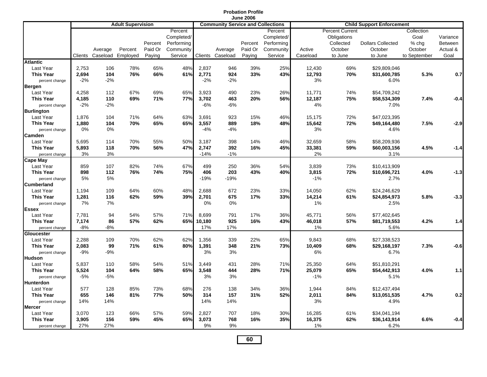|                                                 |                         |                     |                              |                              |                                                             |                         |                                          | <b>Probation Profile</b><br><b>June 2006</b> |                                                             |                        |                                                                          |                                                |                                                        |                                                |
|-------------------------------------------------|-------------------------|---------------------|------------------------------|------------------------------|-------------------------------------------------------------|-------------------------|------------------------------------------|----------------------------------------------|-------------------------------------------------------------|------------------------|--------------------------------------------------------------------------|------------------------------------------------|--------------------------------------------------------|------------------------------------------------|
|                                                 |                         |                     | <b>Adult Supervision</b>     |                              |                                                             |                         | <b>Community Service and Collections</b> |                                              |                                                             |                        |                                                                          | <b>Child Support Enforcement</b>               |                                                        |                                                |
|                                                 | Clients                 | Average             | Percent<br>Caseload Employed | Percent<br>Paid Or<br>Paying | Percent<br>Completed/<br>Performing<br>Community<br>Service |                         | Average<br>Clients Caseload              | Percent<br>Paid Or<br>Paying                 | Percent<br>Completed/<br>Performing<br>Community<br>Service | Active<br>Caseload     | <b>Percent Current</b><br>Obligations<br>Collected<br>October<br>to June | <b>Dollars Collected</b><br>October<br>to June | Collection<br>Goal<br>% chg<br>October<br>to September | Variance<br><b>Between</b><br>Actual &<br>Goal |
| <b>Atlantic</b>                                 |                         |                     |                              |                              |                                                             |                         |                                          |                                              |                                                             |                        |                                                                          |                                                |                                                        |                                                |
| Last Year<br><b>This Year</b><br>percent change | 2,753<br>2,694<br>$-2%$ | 106<br>104<br>$-2%$ | 78%<br>76%                   | 65%<br>66%                   | 48%<br>61%                                                  | 2,837<br>2,771<br>$-2%$ | 946<br>924<br>$-2%$                      | 39%<br>33%                                   | 25%<br>43%                                                  | 12,430<br>12,793<br>3% | 69%<br>70%                                                               | \$29,809,046<br>\$31,600,785<br>6.0%           | 5.3%                                                   | 0.7                                            |
| <b>Bergen</b>                                   |                         |                     |                              |                              |                                                             |                         |                                          |                                              |                                                             |                        |                                                                          |                                                |                                                        |                                                |
| Last Year                                       | 4,258                   | 112                 | 67%                          | 69%                          | 65%                                                         | 3,923                   | 490                                      | 23%                                          | 26%                                                         | 11,771                 | 74%                                                                      | \$54,709,242                                   |                                                        |                                                |
| <b>This Year</b>                                | 4,185                   | 110                 | 69%                          | 71%                          | 77%                                                         | 3,702                   | 463                                      | 20%                                          | 56%                                                         | 12,187                 | 75%                                                                      | \$58,534,309                                   | 7.4%                                                   | $-0.4$                                         |
| percent change<br><b>Burlington</b>             | $-2%$                   | $-2%$               |                              |                              |                                                             | $-6%$                   | $-6%$                                    |                                              |                                                             | 4%                     |                                                                          | 7.0%                                           |                                                        |                                                |
| Last Year<br><b>This Year</b>                   | 1,876<br>1,880          | 104<br>104          | 71%<br>70%                   | 64%<br>65%                   | 63%<br>65%                                                  | 3,691<br>3,557          | 923<br>889                               | 15%<br>18%                                   | 46%<br>48%                                                  | 15,175<br>15,642       | 72%<br>72%                                                               | \$47,023,395<br>\$49,164,480                   | 7.5%                                                   | $-2.9$                                         |
| percent change<br>Camden                        | 0%                      | 0%                  |                              |                              |                                                             | $-4%$                   | $-4%$                                    |                                              |                                                             | 3%                     |                                                                          | 4.6%                                           |                                                        |                                                |
| Last Year                                       | 5,695                   | 114                 | 70%                          | 55%                          | 50%                                                         | 3,187                   | 398                                      | 14%                                          | 46%                                                         | 32,659                 | 58%                                                                      | \$58,209,936                                   |                                                        |                                                |
| <b>This Year</b>                                | 5,893                   | 118                 | 70%                          | 56%                          | 47%                                                         | 2,747                   | 392                                      | 16%                                          | 45%                                                         | 33,381                 | 59%                                                                      | \$60,003,156                                   | 4.5%                                                   | $-1.4$                                         |
| percent change                                  | 3%                      | 3%                  |                              |                              |                                                             | $-14%$                  | $-1%$                                    |                                              |                                                             | 2%                     |                                                                          | 3.1%                                           |                                                        |                                                |
| <b>Cape May</b>                                 |                         |                     |                              |                              |                                                             |                         |                                          |                                              |                                                             |                        |                                                                          |                                                |                                                        |                                                |
| Last Year                                       | 859                     | 107                 | 82%                          | 74%                          | 67%                                                         | 499                     | 250                                      | 36%                                          | 54%                                                         | 3,839                  | 73%                                                                      | \$10,413,909                                   |                                                        |                                                |
| <b>This Year</b>                                | 898                     | 112                 | 76%                          | 74%                          | 75%                                                         | 406                     | 203                                      | 43%                                          | 40%                                                         | 3,815                  | 72%                                                                      | \$10,696,721                                   | 4.0%                                                   | $-1.3$                                         |
| percent change                                  | 5%                      | 5%                  |                              |                              |                                                             | $-19%$                  | $-19%$                                   |                                              |                                                             | $-1%$                  |                                                                          | 2.7%                                           |                                                        |                                                |
| <b>Cumberland</b>                               |                         |                     |                              |                              |                                                             |                         |                                          |                                              |                                                             |                        |                                                                          |                                                |                                                        |                                                |
| Last Year                                       | 1,194                   | 109                 | 64%                          | 60%                          | 48%                                                         | 2,688                   | 672                                      | 23%                                          | 33%                                                         | 14,050                 | 62%                                                                      | \$24,246,629                                   |                                                        |                                                |
| <b>This Year</b>                                | 1,281                   | 116                 | 62%                          | 59%                          | 39%                                                         | 2,701                   | 675                                      | 17%                                          | 33%                                                         | 14,214                 | 61%                                                                      | \$24,854,973                                   | 5.8%                                                   | $-3.3$                                         |
| percent change                                  | 7%                      | 7%                  |                              |                              |                                                             | 0%                      | 0%                                       |                                              |                                                             | 1%                     |                                                                          | 2.5%                                           |                                                        |                                                |
| <b>Essex</b>                                    |                         |                     |                              |                              |                                                             |                         |                                          |                                              |                                                             |                        |                                                                          |                                                |                                                        |                                                |
| Last Year                                       | 7,781                   | 94                  | 54%                          | 57%                          | 71%                                                         | 8,699                   | 791                                      | 17%                                          | 36%                                                         | 45,771                 | 56%                                                                      | \$77,402,645                                   |                                                        |                                                |
| <b>This Year</b>                                | 7,174                   | 86                  | 57%                          | 62%                          | 65%                                                         | 10,180                  | 925                                      | 16%                                          | 43%                                                         | 46,018                 | 57%                                                                      | \$81,719,553                                   | 4.2%                                                   | 1.4                                            |
| percent change<br>Gloucester                    | $-8%$                   | -8%                 |                              |                              |                                                             | 17%                     | 17%                                      |                                              |                                                             | 1%                     |                                                                          | 5.6%                                           |                                                        |                                                |
| Last Year                                       | 2,288                   | 109                 | 70%                          | 62%                          | 62%                                                         | 1,356                   | 339                                      | 22%                                          | 65%                                                         | 9,843                  | 68%                                                                      | \$27,338,523                                   |                                                        |                                                |
| <b>This Year</b>                                | 2,083                   | 99                  | 71%                          | 61%                          | 80%                                                         | 1,391                   | 348                                      | 21%                                          | 73%                                                         | 10,409                 | 68%                                                                      | \$29,168,197                                   | 7.3%                                                   | $-0.6$                                         |
| percent change                                  | $-9%$                   | -9%                 |                              |                              |                                                             | 3%                      | 3%                                       |                                              |                                                             | 6%                     |                                                                          | 6.7%                                           |                                                        |                                                |
| <b>Hudson</b>                                   |                         |                     |                              |                              |                                                             |                         |                                          |                                              |                                                             |                        |                                                                          |                                                |                                                        |                                                |
| Last Year                                       | 5,837                   | 110                 | 58%                          | 54%                          | 51%                                                         | 3,449                   | 431                                      | 28%                                          | 71%                                                         | 25,350                 | 64%                                                                      | \$51,810,291                                   |                                                        |                                                |
| <b>This Year</b>                                | 5,524                   | 104                 | 64%                          | 58%                          | 65%                                                         | 3,548                   | 444                                      | 28%                                          | 71%                                                         | 25,079                 | 65%                                                                      | \$54,442,913                                   | 4.0%                                                   | 1.1                                            |
| percent change                                  | $-5%$                   | -5%                 |                              |                              |                                                             | 3%                      | 3%                                       |                                              |                                                             | $-1%$                  |                                                                          | 5.1%                                           |                                                        |                                                |
| <b>Hunterdon</b>                                |                         |                     |                              |                              |                                                             |                         |                                          |                                              |                                                             |                        |                                                                          |                                                |                                                        |                                                |
| Last Year                                       | 577                     | 128                 | 85%                          | 73%                          | 68%                                                         | 276                     | 138                                      | 34%                                          | 36%                                                         | 1,944                  | 84%                                                                      | \$12,437,494                                   |                                                        |                                                |
| <b>This Year</b>                                | 655                     | 146                 | 81%                          | 77%                          | 50%                                                         | 314                     | 157                                      | 31%                                          | 52%                                                         | 2,011                  | 84%                                                                      | \$13,051,535                                   | 4.7%                                                   | 0.2                                            |
| percent change                                  | 14%                     | 14%                 |                              |                              |                                                             | 14%                     | 14%                                      |                                              |                                                             | 3%                     |                                                                          | 4.9%                                           |                                                        |                                                |
| <b>Mercer</b>                                   |                         |                     |                              |                              |                                                             |                         |                                          |                                              |                                                             |                        |                                                                          |                                                |                                                        |                                                |
| Last Year                                       | 3,070                   | 123                 | 66%                          | 57%                          | 59%                                                         | 2,827                   | 707                                      | 18%                                          | 30%                                                         | 16,285                 | 61%                                                                      | \$34,041,194                                   |                                                        |                                                |
| <b>This Year</b>                                | 3,905                   | 156                 | 59%                          | 45%                          | 65%                                                         | 3,073                   | 768                                      | 16%                                          | 35%                                                         | 16,375                 | 62%                                                                      | \$36,143,914                                   | 6.6%                                                   | $-0.4$                                         |
| percent change                                  | 27%                     | 27%                 |                              |                              |                                                             | 9%                      | 9%                                       |                                              |                                                             | 1%                     |                                                                          | 6.2%                                           |                                                        |                                                |